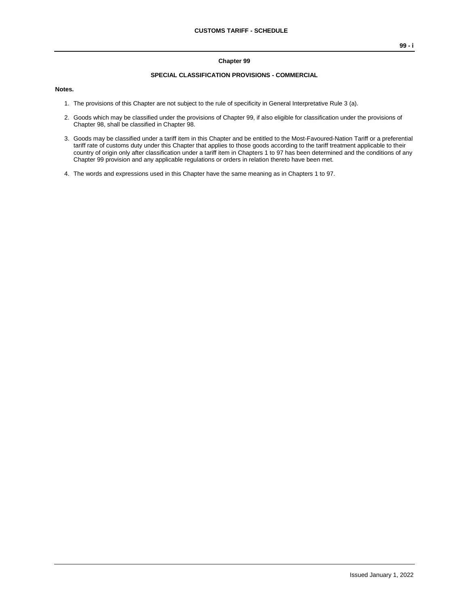#### **Chapter 99**

#### **SPECIAL CLASSIFICATION PROVISIONS - COMMERCIAL**

#### **Notes.**

- 1. The provisions of this Chapter are not subject to the rule of specificity in General Interpretative Rule 3 (a).
- 2. Goods which may be classified under the provisions of Chapter 99, if also eligible for classification under the provisions of Chapter 98, shall be classified in Chapter 98.
- 3. Goods may be classified under a tariff item in this Chapter and be entitled to the Most-Favoured-Nation Tariff or a preferential tariff rate of customs duty under this Chapter that applies to those goods according to the tariff treatment applicable to their country of origin only after classification under a tariff item in Chapters 1 to 97 has been determined and the conditions of any Chapter 99 provision and any applicable regulations or orders in relation thereto have been met.
- 4. The words and expressions used in this Chapter have the same meaning as in Chapters 1 to 97.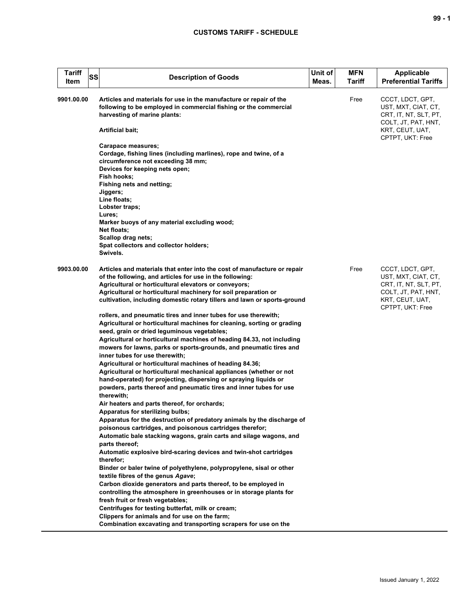| <b>Tariff</b><br><b>SS</b><br>Item | <b>Description of Goods</b>                                                                                                                                                                                                                                                                                                                                                                        | Unit of<br>Meas. | <b>MFN</b><br><b>Tariff</b> | <b>Applicable</b><br><b>Preferential Tariffs</b>                                                                               |
|------------------------------------|----------------------------------------------------------------------------------------------------------------------------------------------------------------------------------------------------------------------------------------------------------------------------------------------------------------------------------------------------------------------------------------------------|------------------|-----------------------------|--------------------------------------------------------------------------------------------------------------------------------|
| 9901.00.00                         | Articles and materials for use in the manufacture or repair of the<br>following to be employed in commercial fishing or the commercial<br>harvesting of marine plants:<br>Artificial bait;                                                                                                                                                                                                         |                  | Free                        | CCCT, LDCT, GPT,<br>UST, MXT, CIAT, CT,<br>CRT, IT, NT, SLT, PT,<br>COLT, JT, PAT, HNT,<br>KRT, CEUT, UAT,<br>CPTPT, UKT: Free |
|                                    | Carapace measures;<br>Cordage, fishing lines (including marlines), rope and twine, of a<br>circumference not exceeding 38 mm;<br>Devices for keeping nets open;<br>Fish hooks;<br>Fishing nets and netting;<br>Jiggers;<br>Line floats;<br>Lobster traps;<br>Lures;<br>Marker buoys of any material excluding wood;<br>Net floats;<br>Scallop drag nets;<br>Spat collectors and collector holders; |                  |                             |                                                                                                                                |
|                                    | Swivels.                                                                                                                                                                                                                                                                                                                                                                                           |                  |                             |                                                                                                                                |
| 9903.00.00                         | Articles and materials that enter into the cost of manufacture or repair<br>of the following, and articles for use in the following:<br>Agricultural or horticultural elevators or conveyors;<br>Agricultural or horticultural machinery for soil preparation or<br>cultivation, including domestic rotary tillers and lawn or sports-ground                                                       |                  | Free                        | CCCT, LDCT, GPT,<br>UST, MXT, CIAT, CT,<br>CRT, IT, NT, SLT, PT,<br>COLT, JT, PAT, HNT,<br>KRT, CEUT, UAT,<br>CPTPT, UKT: Free |
|                                    | rollers, and pneumatic tires and inner tubes for use therewith;<br>Agricultural or horticultural machines for cleaning, sorting or grading<br>seed, grain or dried leguminous vegetables;<br>Agricultural or horticultural machines of heading 84.33, not including<br>mowers for lawns, parks or sports-grounds, and pneumatic tires and<br>inner tubes for use therewith;                        |                  |                             |                                                                                                                                |
|                                    | Agricultural or horticultural machines of heading 84.36;<br>Agricultural or horticultural mechanical appliances (whether or not<br>hand-operated) for projecting, dispersing or spraying liquids or<br>powders, parts thereof and pneumatic tires and inner tubes for use<br>therewith;                                                                                                            |                  |                             |                                                                                                                                |
|                                    | Air heaters and parts thereof, for orchards;<br>Apparatus for sterilizing bulbs;                                                                                                                                                                                                                                                                                                                   |                  |                             |                                                                                                                                |
|                                    | Apparatus for the destruction of predatory animals by the discharge of<br>poisonous cartridges, and poisonous cartridges therefor;<br>Automatic bale stacking wagons, grain carts and silage wagons, and<br>parts thereof;                                                                                                                                                                         |                  |                             |                                                                                                                                |
|                                    | Automatic explosive bird-scaring devices and twin-shot cartridges<br>therefor:<br>Binder or baler twine of polyethylene, polypropylene, sisal or other                                                                                                                                                                                                                                             |                  |                             |                                                                                                                                |
|                                    | textile fibres of the genus Agave;<br>Carbon dioxide generators and parts thereof, to be employed in                                                                                                                                                                                                                                                                                               |                  |                             |                                                                                                                                |
|                                    | controlling the atmosphere in greenhouses or in storage plants for<br>fresh fruit or fresh vegetables;                                                                                                                                                                                                                                                                                             |                  |                             |                                                                                                                                |
|                                    | Centrifuges for testing butterfat, milk or cream;<br>Clippers for animals and for use on the farm;                                                                                                                                                                                                                                                                                                 |                  |                             |                                                                                                                                |
|                                    | Combination excavating and transporting scrapers for use on the                                                                                                                                                                                                                                                                                                                                    |                  |                             |                                                                                                                                |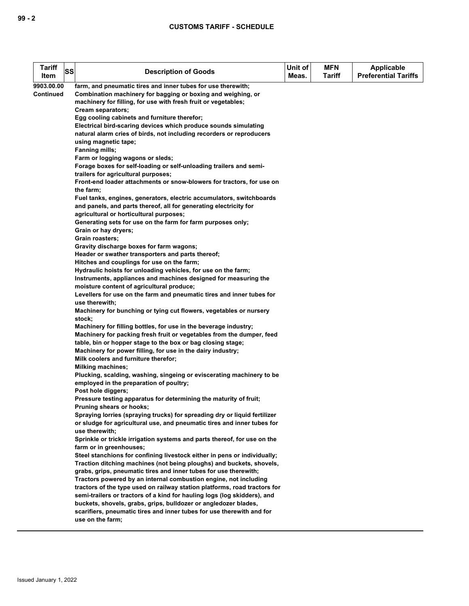| <b>Tariff</b> | SS | <b>Description of Goods</b>                                                                               | Unit of | <b>MFN</b>    | <b>Applicable</b>           |
|---------------|----|-----------------------------------------------------------------------------------------------------------|---------|---------------|-----------------------------|
| Item          |    |                                                                                                           | Meas.   | <b>Tariff</b> | <b>Preferential Tariffs</b> |
| 9903.00.00    |    | farm, and pneumatic tires and inner tubes for use therewith;                                              |         |               |                             |
| Continued     |    | Combination machinery for bagging or boxing and weighing, or                                              |         |               |                             |
|               |    | machinery for filling, for use with fresh fruit or vegetables;                                            |         |               |                             |
|               |    | Cream separators;                                                                                         |         |               |                             |
|               |    | Egg cooling cabinets and furniture therefor;                                                              |         |               |                             |
|               |    | Electrical bird-scaring devices which produce sounds simulating                                           |         |               |                             |
|               |    | natural alarm cries of birds, not including recorders or reproducers                                      |         |               |                             |
|               |    | using magnetic tape;                                                                                      |         |               |                             |
|               |    | <b>Fanning mills;</b>                                                                                     |         |               |                             |
|               |    | Farm or logging wagons or sleds;                                                                          |         |               |                             |
|               |    | Forage boxes for self-loading or self-unloading trailers and semi-<br>trailers for agricultural purposes; |         |               |                             |
|               |    | Front-end loader attachments or snow-blowers for tractors, for use on                                     |         |               |                             |
|               |    | the farm;                                                                                                 |         |               |                             |
|               |    | Fuel tanks, engines, generators, electric accumulators, switchboards                                      |         |               |                             |
|               |    | and panels, and parts thereof, all for generating electricity for                                         |         |               |                             |
|               |    | agricultural or horticultural purposes;                                                                   |         |               |                             |
|               |    | Generating sets for use on the farm for farm purposes only;                                               |         |               |                             |
|               |    | Grain or hay dryers;                                                                                      |         |               |                             |
|               |    | Grain roasters;                                                                                           |         |               |                             |
|               |    | Gravity discharge boxes for farm wagons;                                                                  |         |               |                             |
|               |    | Header or swather transporters and parts thereof;                                                         |         |               |                             |
|               |    | Hitches and couplings for use on the farm;                                                                |         |               |                             |
|               |    | Hydraulic hoists for unloading vehicles, for use on the farm;                                             |         |               |                             |
|               |    | Instruments, appliances and machines designed for measuring the                                           |         |               |                             |
|               |    | moisture content of agricultural produce;                                                                 |         |               |                             |
|               |    | Levellers for use on the farm and pneumatic tires and inner tubes for                                     |         |               |                             |
|               |    | use therewith;                                                                                            |         |               |                             |
|               |    | Machinery for bunching or tying cut flowers, vegetables or nursery                                        |         |               |                             |
|               |    | stock;                                                                                                    |         |               |                             |
|               |    | Machinery for filling bottles, for use in the beverage industry;                                          |         |               |                             |
|               |    | Machinery for packing fresh fruit or vegetables from the dumper, feed                                     |         |               |                             |
|               |    | table, bin or hopper stage to the box or bag closing stage;                                               |         |               |                             |
|               |    | Machinery for power filling, for use in the dairy industry;                                               |         |               |                             |
|               |    | Milk coolers and furniture therefor;                                                                      |         |               |                             |
|               |    | <b>Milking machines;</b>                                                                                  |         |               |                             |
|               |    | Plucking, scalding, washing, singeing or eviscerating machinery to be                                     |         |               |                             |
|               |    | employed in the preparation of poultry;<br>Post hole diggers;                                             |         |               |                             |
|               |    | Pressure testing apparatus for determining the maturity of fruit;                                         |         |               |                             |
|               |    | Pruning shears or hooks;                                                                                  |         |               |                             |
|               |    | Spraying lorries (spraying trucks) for spreading dry or liquid fertilizer                                 |         |               |                             |
|               |    | or sludge for agricultural use, and pneumatic tires and inner tubes for                                   |         |               |                             |
|               |    | use therewith;                                                                                            |         |               |                             |
|               |    | Sprinkle or trickle irrigation systems and parts thereof, for use on the                                  |         |               |                             |
|               |    | farm or in greenhouses;                                                                                   |         |               |                             |
|               |    | Steel stanchions for confining livestock either in pens or individually;                                  |         |               |                             |
|               |    | Traction ditching machines (not being ploughs) and buckets, shovels,                                      |         |               |                             |
|               |    | grabs, grips, pneumatic tires and inner tubes for use therewith;                                          |         |               |                             |
|               |    | Tractors powered by an internal combustion engine, not including                                          |         |               |                             |
|               |    | tractors of the type used on railway station platforms, road tractors for                                 |         |               |                             |
|               |    | semi-trailers or tractors of a kind for hauling logs (log skidders), and                                  |         |               |                             |
|               |    | buckets, shovels, grabs, grips, bulldozer or angledozer blades,                                           |         |               |                             |
|               |    | scarifiers, pneumatic tires and inner tubes for use therewith and for                                     |         |               |                             |
|               |    | use on the farm;                                                                                          |         |               |                             |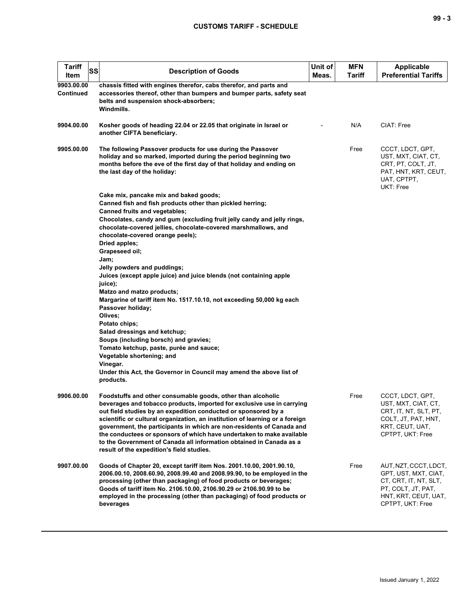| <b>Tariff</b><br>SS<br>Item    | <b>Description of Goods</b>                                                                                                                                                                                                                                                                                                                                                                                                                                                                                                                                   | Unit of<br>Meas. | MFN<br>Tariff | <b>Applicable</b><br><b>Preferential Tariffs</b>                                                                                         |
|--------------------------------|---------------------------------------------------------------------------------------------------------------------------------------------------------------------------------------------------------------------------------------------------------------------------------------------------------------------------------------------------------------------------------------------------------------------------------------------------------------------------------------------------------------------------------------------------------------|------------------|---------------|------------------------------------------------------------------------------------------------------------------------------------------|
| 9903.00.00<br><b>Continued</b> | chassis fitted with engines therefor, cabs therefor, and parts and<br>accessories thereof, other than bumpers and bumper parts, safety seat<br>belts and suspension shock-absorbers;<br>Windmills.                                                                                                                                                                                                                                                                                                                                                            |                  |               |                                                                                                                                          |
| 9904.00.00                     | Kosher goods of heading 22.04 or 22.05 that originate in Israel or<br>another CIFTA beneficiary.                                                                                                                                                                                                                                                                                                                                                                                                                                                              |                  | N/A           | CIAT: Free                                                                                                                               |
| 9905.00.00                     | The following Passover products for use during the Passover<br>holiday and so marked, imported during the period beginning two<br>months before the eve of the first day of that holiday and ending on<br>the last day of the holiday:                                                                                                                                                                                                                                                                                                                        |                  | Free          | CCCT, LDCT, GPT,<br>UST, MXT, CIAT, CT,<br>CRT, PT, COLT, JT,<br>PAT, HNT, KRT, CEUT,<br>UAT, CPTPT,<br>UKT: Free                        |
|                                | Cake mix, pancake mix and baked goods;                                                                                                                                                                                                                                                                                                                                                                                                                                                                                                                        |                  |               |                                                                                                                                          |
|                                | Canned fish and fish products other than pickled herring;<br><b>Canned fruits and vegetables;</b>                                                                                                                                                                                                                                                                                                                                                                                                                                                             |                  |               |                                                                                                                                          |
|                                | Chocolates, candy and gum (excluding fruit jelly candy and jelly rings,<br>chocolate-covered jellies, chocolate-covered marshmallows, and<br>chocolate-covered orange peels);                                                                                                                                                                                                                                                                                                                                                                                 |                  |               |                                                                                                                                          |
|                                | Dried apples;<br>Grapeseed oil;                                                                                                                                                                                                                                                                                                                                                                                                                                                                                                                               |                  |               |                                                                                                                                          |
|                                | Jam;<br>Jelly powders and puddings;                                                                                                                                                                                                                                                                                                                                                                                                                                                                                                                           |                  |               |                                                                                                                                          |
|                                | Juices (except apple juice) and juice blends (not containing apple                                                                                                                                                                                                                                                                                                                                                                                                                                                                                            |                  |               |                                                                                                                                          |
|                                | juice);                                                                                                                                                                                                                                                                                                                                                                                                                                                                                                                                                       |                  |               |                                                                                                                                          |
|                                | Matzo and matzo products;                                                                                                                                                                                                                                                                                                                                                                                                                                                                                                                                     |                  |               |                                                                                                                                          |
|                                | Margarine of tariff item No. 1517.10.10, not exceeding 50,000 kg each<br>Passover holiday;                                                                                                                                                                                                                                                                                                                                                                                                                                                                    |                  |               |                                                                                                                                          |
|                                | Olives;                                                                                                                                                                                                                                                                                                                                                                                                                                                                                                                                                       |                  |               |                                                                                                                                          |
|                                | Potato chips;                                                                                                                                                                                                                                                                                                                                                                                                                                                                                                                                                 |                  |               |                                                                                                                                          |
|                                | Salad dressings and ketchup;<br>Soups (including borsch) and gravies;                                                                                                                                                                                                                                                                                                                                                                                                                                                                                         |                  |               |                                                                                                                                          |
|                                | Tomato ketchup, paste, purée and sauce;                                                                                                                                                                                                                                                                                                                                                                                                                                                                                                                       |                  |               |                                                                                                                                          |
|                                | Vegetable shortening; and                                                                                                                                                                                                                                                                                                                                                                                                                                                                                                                                     |                  |               |                                                                                                                                          |
|                                | Vinegar.                                                                                                                                                                                                                                                                                                                                                                                                                                                                                                                                                      |                  |               |                                                                                                                                          |
|                                | Under this Act, the Governor in Council may amend the above list of<br>products.                                                                                                                                                                                                                                                                                                                                                                                                                                                                              |                  |               |                                                                                                                                          |
| 9906.00.00                     | Foodstuffs and other consumable goods, other than alcoholic<br>beverages and tobacco products, imported for exclusive use in carrying<br>out field studies by an expedition conducted or sponsored by a<br>scientific or cultural organization, an institution of learning or a foreign<br>government, the participants in which are non-residents of Canada and<br>the conductees or sponsors of which have undertaken to make available<br>to the Government of Canada all information obtained in Canada as a<br>result of the expedition's field studies. |                  | Free          | CCCT, LDCT, GPT,<br>UST, MXT, CIAT, CT,<br>CRT, IT, NT, SLT, PT,<br>COLT, JT, PAT, HNT,<br>KRT, CEUT, UAT,<br>CPTPT, UKT: Free           |
| 9907.00.00                     | Goods of Chapter 20, except tariff item Nos. 2001.10.00, 2001.90.10,<br>2006.00.10, 2008.60.90, 2008.99.40 and 2008.99.90, to be employed in the<br>processing (other than packaging) of food products or beverages;<br>Goods of tariff item No. 2106.10.00, 2106.90.29 or 2106.90.99 to be<br>employed in the processing (other than packaging) of food products or<br>beverages                                                                                                                                                                             |                  | Free          | AUT, NZT, CCCT, LDCT,<br>GPT, UST, MXT, CIAT,<br>CT, CRT, IT, NT, SLT,<br>PT, COLT, JT, PAT,<br>HNT, KRT, CEUT, UAT,<br>CPTPT, UKT: Free |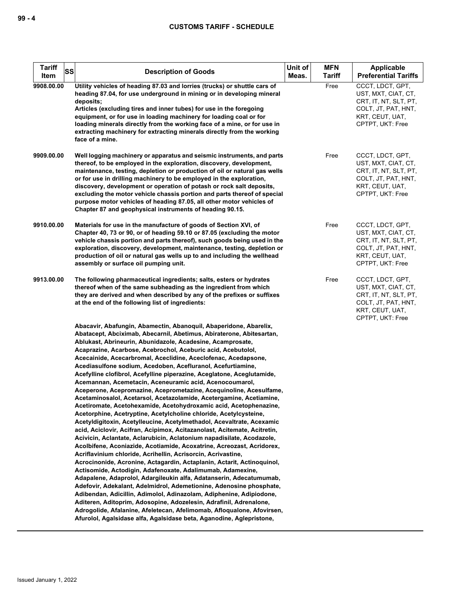| <b>Tariff</b><br>SS<br>Item | <b>Description of Goods</b>                                                                                                                                                                                                                                                                                                                                                                                                                                                                                                                                                                                                                                                                                                                                                                                                                                                                                                                                                                                                                                                                                                                                                                                                                                                                                                                                                                                                                                                                                                                                                                                                                                                                                                                                                                      | Unit of<br>Meas. | <b>MFN</b><br><b>Tariff</b> | Applicable<br><b>Preferential Tariffs</b>                                                                                      |
|-----------------------------|--------------------------------------------------------------------------------------------------------------------------------------------------------------------------------------------------------------------------------------------------------------------------------------------------------------------------------------------------------------------------------------------------------------------------------------------------------------------------------------------------------------------------------------------------------------------------------------------------------------------------------------------------------------------------------------------------------------------------------------------------------------------------------------------------------------------------------------------------------------------------------------------------------------------------------------------------------------------------------------------------------------------------------------------------------------------------------------------------------------------------------------------------------------------------------------------------------------------------------------------------------------------------------------------------------------------------------------------------------------------------------------------------------------------------------------------------------------------------------------------------------------------------------------------------------------------------------------------------------------------------------------------------------------------------------------------------------------------------------------------------------------------------------------------------|------------------|-----------------------------|--------------------------------------------------------------------------------------------------------------------------------|
| 9908.00.00                  | Utility vehicles of heading 87.03 and lorries (trucks) or shuttle cars of<br>heading 87.04, for use underground in mining or in developing mineral<br>deposits;<br>Articles (excluding tires and inner tubes) for use in the foregoing<br>equipment, or for use in loading machinery for loading coal or for<br>loading minerals directly from the working face of a mine, or for use in<br>extracting machinery for extracting minerals directly from the working<br>face of a mine.                                                                                                                                                                                                                                                                                                                                                                                                                                                                                                                                                                                                                                                                                                                                                                                                                                                                                                                                                                                                                                                                                                                                                                                                                                                                                                            |                  | Free                        | CCCT, LDCT, GPT,<br>UST, MXT, CIAT, CT,<br>CRT. IT. NT. SLT. PT.<br>COLT, JT, PAT, HNT,<br>KRT, CEUT, UAT,<br>CPTPT, UKT: Free |
| 9909.00.00                  | Well logging machinery or apparatus and seismic instruments, and parts<br>thereof, to be employed in the exploration, discovery, development,<br>maintenance, testing, depletion or production of oil or natural gas wells<br>or for use in drilling machinery to be employed in the exploration,<br>discovery, development or operation of potash or rock salt deposits,<br>excluding the motor vehicle chassis portion and parts thereof of special<br>purpose motor vehicles of heading 87.05, all other motor vehicles of<br>Chapter 87 and geophysical instruments of heading 90.15.                                                                                                                                                                                                                                                                                                                                                                                                                                                                                                                                                                                                                                                                                                                                                                                                                                                                                                                                                                                                                                                                                                                                                                                                        |                  | Free                        | CCCT, LDCT, GPT,<br>UST, MXT, CIAT, CT,<br>CRT, IT, NT, SLT, PT,<br>COLT, JT, PAT, HNT,<br>KRT, CEUT, UAT,<br>CPTPT, UKT: Free |
| 9910.00.00                  | Materials for use in the manufacture of goods of Section XVI, of<br>Chapter 40, 73 or 90, or of heading 59.10 or 87.05 (excluding the motor<br>vehicle chassis portion and parts thereof), such goods being used in the<br>exploration, discovery, development, maintenance, testing, depletion or<br>production of oil or natural gas wells up to and including the wellhead<br>assembly or surface oil pumping unit.                                                                                                                                                                                                                                                                                                                                                                                                                                                                                                                                                                                                                                                                                                                                                                                                                                                                                                                                                                                                                                                                                                                                                                                                                                                                                                                                                                           |                  | Free                        | CCCT, LDCT, GPT,<br>UST, MXT, CIAT, CT,<br>CRT, IT, NT, SLT, PT,<br>COLT, JT, PAT, HNT,<br>KRT, CEUT, UAT,<br>CPTPT, UKT: Free |
| 9913.00.00                  | The following pharmaceutical ingredients; salts, esters or hydrates<br>thereof when of the same subheading as the ingredient from which<br>they are derived and when described by any of the prefixes or suffixes<br>at the end of the following list of ingredients:                                                                                                                                                                                                                                                                                                                                                                                                                                                                                                                                                                                                                                                                                                                                                                                                                                                                                                                                                                                                                                                                                                                                                                                                                                                                                                                                                                                                                                                                                                                            |                  | Free                        | CCCT, LDCT, GPT,<br>UST, MXT, CIAT, CT,<br>CRT, IT, NT, SLT, PT,<br>COLT, JT, PAT, HNT,<br>KRT, CEUT, UAT,<br>CPTPT, UKT: Free |
|                             | Abacavir, Abafungin, Abamectin, Abanoquil, Abaperidone, Abarelix,<br>Abatacept, Abciximab, Abecarnil, Abetimus, Abiraterone, Abitesartan,<br>Ablukast, Abrineurin, Abunidazole, Acadesine, Acamprosate,<br>Acaprazine, Acarbose, Acebrochol, Aceburic acid, Acebutolol,<br>Acecainide, Acecarbromal, Aceclidine, Aceclofenac, Acedapsone,<br>Acediasulfone sodium, Acedoben, Acefluranol, Acefurtiamine,<br>Acefylline clofibrol, Acefylline piperazine, Aceglatone, Aceglutamide,<br>Acemannan, Acemetacin, Aceneuramic acid, Acenocoumarol,<br>Aceperone, Acepromazine, Aceprometazine, Acequinoline, Acesulfame,<br>Acetaminosalol, Acetarsol, Acetazolamide, Acetergamine, Acetiamine,<br>Acetiromate, Acetohexamide, Acetohydroxamic acid, Acetophenazine,<br>Acetorphine, Acetryptine, Acetylcholine chloride, Acetylcysteine,<br>Acetyldigitoxin, Acetylleucine, Acetylmethadol, Acevaltrate, Acexamic<br>acid, Aciclovir, Acifran, Acipimox, Acitazanolast, Acitemate, Acitretin,<br>Acivicin, Aclantate, Aclarubicin, Aclatonium napadisilate, Acodazole,<br>Acolbifene, Aconiazide, Acotiamide, Acoxatrine, Acreozast, Acridorex,<br>Acriflavinium chloride, Acrihellin, Acrisorcin, Acrivastine,<br>Acrocinonide, Acronine, Actagardin, Actaplanin, Actarit, Actinoquinol,<br>Actisomide, Actodigin, Adafenoxate, Adalimumab, Adamexine,<br>Adapalene, Adaprolol, Adargileukin alfa, Adatanserin, Adecatumumab,<br>Adefovir, Adekalant, Adelmidrol, Ademetionine, Adenosine phosphate,<br>Adibendan, Adicillin, Adimolol, Adinazolam, Adiphenine, Adipiodone,<br>Aditeren, Aditoprim, Adosopine, Adozelesin, Adrafinil, Adrenalone,<br>Adrogolide, Afalanine, Afeletecan, Afelimomab, Afloqualone, Afovirsen,<br>Afurolol, Agalsidase alfa, Agalsidase beta, Aganodine, Aglepristone, |                  |                             |                                                                                                                                |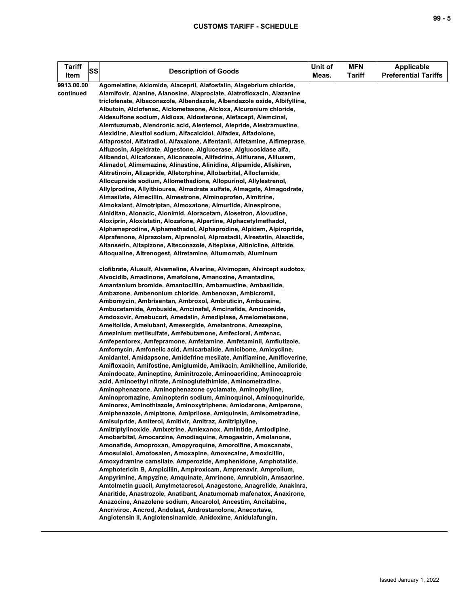| Tariff<br>Item          | SS | <b>Description of Goods</b>                                                                                                                                                                                                                                                                                                                                                                                                                                                                                                                                                                                                                                                                                                                                                                                                                                                                                                                                                                                                                                                                                                                                                                                                                                                                                                                                                        | Unit of<br>Meas. | <b>MFN</b><br>Tariff | <b>Applicable</b><br><b>Preferential Tariffs</b> |
|-------------------------|----|------------------------------------------------------------------------------------------------------------------------------------------------------------------------------------------------------------------------------------------------------------------------------------------------------------------------------------------------------------------------------------------------------------------------------------------------------------------------------------------------------------------------------------------------------------------------------------------------------------------------------------------------------------------------------------------------------------------------------------------------------------------------------------------------------------------------------------------------------------------------------------------------------------------------------------------------------------------------------------------------------------------------------------------------------------------------------------------------------------------------------------------------------------------------------------------------------------------------------------------------------------------------------------------------------------------------------------------------------------------------------------|------------------|----------------------|--------------------------------------------------|
| 9913.00.00<br>continued |    | Agomelatine, Aklomide, Alacepril, Alafosfalin, Alagebrium chloride,<br>Alamifovir, Alanine, Alanosine, Alaproclate, Alatrofloxacin, Alazanine<br>triclofenate, Albaconazole, Albendazole, Albendazole oxide, Albifylline,<br>Albutoin, Alclofenac, Alclometasone, Alcloxa, Alcuronium chloride,<br>Aldesulfone sodium, Aldioxa, Aldosterone, Alefacept, Alemcinal,<br>Alemtuzumab, Alendronic acid, Alentemol, Alepride, Alestramustine,<br>Alexidine, Alexitol sodium, Alfacalcidol, Alfadex, Alfadolone,<br>Alfaprostol, Alfatradiol, Alfaxalone, Alfentanil, Alfetamine, Alfimeprase,<br>Alfuzosin, Algeldrate, Algestone, Alglucerase, Alglucosidase alfa,<br>Alibendol, Alicaforsen, Aliconazole, Alifedrine, Aliflurane, Alilusem,<br>Alimadol, Alimemazine, Alinastine, Alinidine, Alipamide, Aliskiren,<br>Alitretinoin, Alizapride, Alletorphine, Allobarbital, Alloclamide,<br>Allocupreide sodium, Allomethadione, Allopurinol, Allylestrenol,<br>Allylprodine, Allylthiourea, Almadrate sulfate, Almagate, Almagodrate,<br>Almasilate, Almecillin, Almestrone, Alminoprofen, Almitrine,<br>Almokalant, Almotriptan, Almoxatone, Almurtide, Alnespirone,<br>Alniditan, Alonacic, Alonimid, Aloracetam, Alosetron, Alovudine,<br>Aloxiprin, Aloxistatin, Alozafone, Alpertine, Alphacetylmethadol,<br>Alphameprodine, Alphamethadol, Alphaprodine, Alpidem, Alpiropride, |                  |                      |                                                  |
|                         |    | Alprafenone, Alprazolam, Alprenolol, Alprostadil, Alrestatin, Alsactide,<br>Altanserin, Altapizone, Alteconazole, Alteplase, Altinicline, Altizide,<br>Altoqualine, Altrenogest, Altretamine, Altumomab, Aluminum<br>clofibrate, Alusulf, Alvameline, Alverine, Alvimopan, Alvircept sudotox,                                                                                                                                                                                                                                                                                                                                                                                                                                                                                                                                                                                                                                                                                                                                                                                                                                                                                                                                                                                                                                                                                      |                  |                      |                                                  |
|                         |    | Alvocidib, Amadinone, Amafolone, Amanozine, Amantadine,<br>Amantanium bromide, Amantocillin, Ambamustine, Ambasilide,<br>Ambazone, Ambenonium chloride, Ambenoxan, Ambicromil,<br>Ambomycin, Ambrisentan, Ambroxol, Ambruticin, Ambucaine,<br>Ambucetamide, Ambuside, Amcinafal, Amcinafide, Amcinonide,                                                                                                                                                                                                                                                                                                                                                                                                                                                                                                                                                                                                                                                                                                                                                                                                                                                                                                                                                                                                                                                                           |                  |                      |                                                  |
|                         |    | Amdoxovir, Amebucort, Amedalin, Amediplase, Amelometasone,<br>Ameltolide, Amelubant, Amesergide, Ametantrone, Amezepine,<br>Amezinium metilsulfate, Amfebutamone, Amfecloral, Amfenac,<br>Amfepentorex, Amfepramone, Amfetamine, Amfetaminil, Amflutizole,<br>Amfomycin, Amfonelic acid, Amicarbalide, Amicibone, Amicycline,<br>Amidantel, Amidapsone, Amidefrine mesilate, Amiflamine, Amifloverine,                                                                                                                                                                                                                                                                                                                                                                                                                                                                                                                                                                                                                                                                                                                                                                                                                                                                                                                                                                             |                  |                      |                                                  |
|                         |    | Amifloxacin, Amifostine, Amiglumide, Amikacin, Amikhelline, Amiloride,<br>Amindocate, Amineptine, Aminitrozole, Aminoacridine, Aminocaproic<br>acid, Aminoethyl nitrate, Aminoglutethimide, Aminometradine,<br>Aminophenazone, Aminophenazone cyclamate, Aminophylline,<br>Aminopromazine, Aminopterin sodium, Aminoquinol, Aminoquinuride,<br>Aminorex, Aminothiazole, Aminoxytriphene, Amiodarone, Amiperone,                                                                                                                                                                                                                                                                                                                                                                                                                                                                                                                                                                                                                                                                                                                                                                                                                                                                                                                                                                    |                  |                      |                                                  |
|                         |    | Amiphenazole, Amipizone, Amiprilose, Amiquinsin, Amisometradine,<br>Amisulpride, Amiterol, Amitivir, Amitraz, Amitriptyline,<br>Amitriptylinoxide, Amixetrine, Amlexanox, Amlintide, Amlodipine,<br>Amobarbital, Amocarzine, Amodiaquine, Amogastrin, Amolanone,<br>Amonafide, Amoproxan, Amopyroquine, Amorolfine, Amoscanate,                                                                                                                                                                                                                                                                                                                                                                                                                                                                                                                                                                                                                                                                                                                                                                                                                                                                                                                                                                                                                                                    |                  |                      |                                                  |
|                         |    | Amosulalol, Amotosalen, Amoxapine, Amoxecaine, Amoxicillin,<br>Amoxydramine camsilate, Amperozide, Amphenidone, Amphotalide,<br>Amphotericin B, Ampicillin, Ampiroxicam, Amprenavir, Amprolium,<br>Ampyrimine, Ampyzine, Amquinate, Amrinone, Amrubicin, Amsacrine,<br>Amtolmetin guacil, Amylmetacresol, Anagestone, Anagrelide, Anakinra,<br>Anaritide, Anastrozole, Anatibant, Anatumomab mafenatox, Anaxirone,<br>Anazocine, Anazolene sodium, Ancarolol, Ancestim, Ancitabine,<br>Ancriviroc, Ancrod, Andolast, Androstanolone, Anecortave,<br>Angiotensin II, Angiotensinamide, Anidoxime, Anidulafungin,                                                                                                                                                                                                                                                                                                                                                                                                                                                                                                                                                                                                                                                                                                                                                                    |                  |                      |                                                  |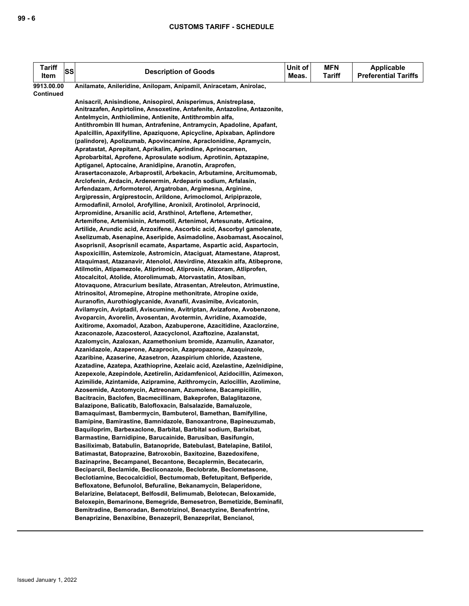| <b>Tariff</b><br>Item          | SS | <b>Description of Goods</b>                                                                                                        | Unit of<br>Meas. | <b>MFN</b><br><b>Tariff</b> | <b>Applicable</b><br><b>Preferential Tariffs</b> |
|--------------------------------|----|------------------------------------------------------------------------------------------------------------------------------------|------------------|-----------------------------|--------------------------------------------------|
|                                |    |                                                                                                                                    |                  |                             |                                                  |
| 9913.00.00<br><b>Continued</b> |    | Anilamate, Anileridine, Anilopam, Anipamil, Aniracetam, Anirolac,                                                                  |                  |                             |                                                  |
|                                |    | Anisacril, Anisindione, Anisopirol, Anisperimus, Anistreplase,                                                                     |                  |                             |                                                  |
|                                |    | Anitrazafen, Anpirtoline, Ansoxetine, Antafenite, Antazoline, Antazonite,                                                          |                  |                             |                                                  |
|                                |    | Antelmycin, Anthiolimine, Antienite, Antithrombin alfa,                                                                            |                  |                             |                                                  |
|                                |    | Antithrombin III human, Antrafenine, Antramycin, Apadoline, Apafant,                                                               |                  |                             |                                                  |
|                                |    | Apalcillin, Apaxifylline, Apaziquone, Apicycline, Apixaban, Aplindore                                                              |                  |                             |                                                  |
|                                |    | (palindore), Apolizumab, Apovincamine, Apraclonidine, Apramycin,                                                                   |                  |                             |                                                  |
|                                |    | Apratastat, Aprepitant, Aprikalim, Aprindine, Aprinocarsen,                                                                        |                  |                             |                                                  |
|                                |    | Aprobarbital, Aprofene, Aprosulate sodium, Aprotinin, Aptazapine,                                                                  |                  |                             |                                                  |
|                                |    | Aptiganel, Aptocaine, Aranidipine, Aranotin, Araprofen,                                                                            |                  |                             |                                                  |
|                                |    | Arasertaconazole, Arbaprostil, Arbekacin, Arbutamine, Arcitumomab,                                                                 |                  |                             |                                                  |
|                                |    | Arclofenin, Ardacin, Ardenermin, Ardeparin sodium, Arfalasin,                                                                      |                  |                             |                                                  |
|                                |    | Arfendazam, Arformoterol, Argatroban, Argimesna, Arginine,                                                                         |                  |                             |                                                  |
|                                |    | Argipressin, Argiprestocin, Arildone, Arimoclomol, Aripiprazole,                                                                   |                  |                             |                                                  |
|                                |    | Armodafinil, Arnolol, Arofylline, Aronixil, Arotinolol, Arprinocid,                                                                |                  |                             |                                                  |
|                                |    | Arpromidine, Arsanilic acid, Arsthinol, Arteflene, Artemether,                                                                     |                  |                             |                                                  |
|                                |    | Artemifone, Artemisinin, Artemotil, Artenimol, Artesunate, Articaine,                                                              |                  |                             |                                                  |
|                                |    | Artilide, Arundic acid, Arzoxifene, Ascorbic acid, Ascorbyl gamolenate,                                                            |                  |                             |                                                  |
|                                |    | Aselizumab, Asenapine, Aseripide, Asimadoline, Asobamast, Asocainol,                                                               |                  |                             |                                                  |
|                                |    | Asoprisnil, Asoprisnil ecamate, Aspartame, Aspartic acid, Aspartocin,                                                              |                  |                             |                                                  |
|                                |    | Aspoxicillin, Astemizole, Astromicin, Ataciguat, Atamestane, Ataprost,                                                             |                  |                             |                                                  |
|                                |    | Ataquimast, Atazanavir, Atenolol, Atevirdine, Atexakin alfa, Atibeprone,                                                           |                  |                             |                                                  |
|                                |    | Atilmotin, Atipamezole, Atiprimod, Atiprosin, Atizoram, Atliprofen,<br>Atocalcitol, Atolide, Atorolimumab, Atorvastatin, Atosiban, |                  |                             |                                                  |
|                                |    | Atovaquone, Atracurium besilate, Atrasentan, Atreleuton, Atrimustine,                                                              |                  |                             |                                                  |
|                                |    | Atrinositol, Atromepine, Atropine methonitrate, Atropine oxide,                                                                    |                  |                             |                                                  |
|                                |    | Auranofin, Aurothioglycanide, Avanafil, Avasimibe, Avicatonin,                                                                     |                  |                             |                                                  |
|                                |    | Avilamycin, Aviptadil, Aviscumine, Avitriptan, Avizafone, Avobenzone,                                                              |                  |                             |                                                  |
|                                |    | Avoparcin, Avorelin, Avosentan, Avotermin, Avridine, Axamozide,                                                                    |                  |                             |                                                  |
|                                |    | Axitirome, Axomadol, Azabon, Azabuperone, Azacitidine, Azaclorzine,                                                                |                  |                             |                                                  |
|                                |    | Azaconazole, Azacosterol, Azacyclonol, Azaftozine, Azalanstat,                                                                     |                  |                             |                                                  |
|                                |    | Azalomycin, Azaloxan, Azamethonium bromide, Azamulin, Azanator,                                                                    |                  |                             |                                                  |
|                                |    | Azanidazole, Azaperone, Azaprocin, Azapropazone, Azaquinzole,                                                                      |                  |                             |                                                  |
|                                |    | Azaribine, Azaserine, Azasetron, Azaspirium chloride, Azastene,                                                                    |                  |                             |                                                  |
|                                |    | Azatadine, Azatepa, Azathioprine, Azelaic acid, Azelastine, Azelnidipine,                                                          |                  |                             |                                                  |
|                                |    | Azepexole, Azepindole, Azetirelin, Azidamfenicol, Azidocillin, Azimexon,                                                           |                  |                             |                                                  |
|                                |    | Azimilide, Azintamide, Azipramine, Azithromycin, Azlocillin, Azolimine,                                                            |                  |                             |                                                  |
|                                |    | Azosemide, Azotomycin, Aztreonam, Azumolene, Bacampicillin,                                                                        |                  |                             |                                                  |
|                                |    | Bacitracin, Baclofen, Bacmecillinam, Bakeprofen, Balaglitazone,                                                                    |                  |                             |                                                  |
|                                |    | Balazipone, Balicatib, Balofloxacin, Balsalazide, Bamaluzole,                                                                      |                  |                             |                                                  |
|                                |    | Bamaquimast, Bambermycin, Bambuterol, Bamethan, Bamifylline,                                                                       |                  |                             |                                                  |
|                                |    | Bamipine, Bamirastine, Bamnidazole, Banoxantrone, Bapineuzumab,                                                                    |                  |                             |                                                  |
|                                |    | Baquiloprim, Barbexaclone, Barbital, Barbital sodium, Barixibat,<br>Barmastine, Barnidipine, Barucainide, Barusiban, Basifungin,   |                  |                             |                                                  |
|                                |    | Basiliximab, Batabulin, Batanopride, Batebulast, Batelapine, Batilol,                                                              |                  |                             |                                                  |
|                                |    | Batimastat, Batoprazine, Batroxobin, Baxitozine, Bazedoxifene,                                                                     |                  |                             |                                                  |
|                                |    | Bazinaprine, Becampanel, Becantone, Becaplermin, Becatecarin,                                                                      |                  |                             |                                                  |
|                                |    | Beciparcil, Beclamide, Becliconazole, Beclobrate, Beclometasone,                                                                   |                  |                             |                                                  |
|                                |    | Beclotiamine, Becocalcidiol, Bectumomab, Befetupitant, Befiperide,                                                                 |                  |                             |                                                  |
|                                |    | Befloxatone, Befunolol, Befuraline, Bekanamycin, Belaperidone,                                                                     |                  |                             |                                                  |
|                                |    | Belarizine, Belatacept, Belfosdil, Belimumab, Belotecan, Beloxamide,                                                               |                  |                             |                                                  |
|                                |    | Beloxepin, Bemarinone, Bemegride, Bemesetron, Bemetizide, Beminafil,                                                               |                  |                             |                                                  |
|                                |    | Bemitradine, Bemoradan, Bemotrizinol, Benactyzine, Benafentrine,                                                                   |                  |                             |                                                  |
|                                |    | Benaprizine, Benaxibine, Benazepril, Benazeprilat, Bencianol,                                                                      |                  |                             |                                                  |
|                                |    |                                                                                                                                    |                  |                             |                                                  |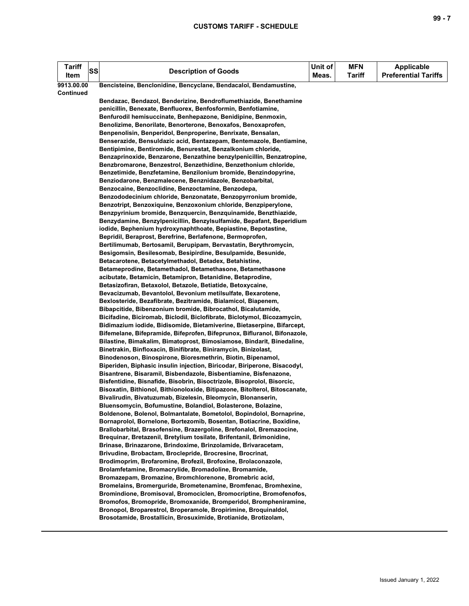| <b>Tariff</b><br>Item | <b>SS</b> | <b>Description of Goods</b>                                                                                                        | Unit of<br>Meas. | <b>MFN</b><br><b>Tariff</b> | Applicable<br><b>Preferential Tariffs</b> |
|-----------------------|-----------|------------------------------------------------------------------------------------------------------------------------------------|------------------|-----------------------------|-------------------------------------------|
| 9913.00.00            |           | Bencisteine, Benclonidine, Bencyclane, Bendacalol, Bendamustine,                                                                   |                  |                             |                                           |
| Continued             |           |                                                                                                                                    |                  |                             |                                           |
|                       |           | Bendazac, Bendazol, Benderizine, Bendroflumethiazide, Benethamine                                                                  |                  |                             |                                           |
|                       |           | penicillin, Benexate, Benfluorex, Benfosformin, Benfotiamine,                                                                      |                  |                             |                                           |
|                       |           | Benfurodil hemisuccinate, Benhepazone, Benidipine, Benmoxin,                                                                       |                  |                             |                                           |
|                       |           | Benolizime, Benorilate, Benorterone, Benoxafos, Benoxaprofen,                                                                      |                  |                             |                                           |
|                       |           | Benpenolisin, Benperidol, Benproperine, Benrixate, Bensalan,                                                                       |                  |                             |                                           |
|                       |           | Benserazide, Bensuldazic acid, Bentazepam, Bentemazole, Bentiamine,                                                                |                  |                             |                                           |
|                       |           | Bentipimine, Bentiromide, Benurestat, Benzalkonium chloride,                                                                       |                  |                             |                                           |
|                       |           | Benzaprinoxide, Benzarone, Benzathine benzylpenicillin, Benzatropine,                                                              |                  |                             |                                           |
|                       |           | Benzbromarone, Benzestrol, Benzethidine, Benzethonium chloride,<br>Benzetimide, Benzfetamine, Benzilonium bromide, Benzindopyrine, |                  |                             |                                           |
|                       |           | Benziodarone, Benzmalecene, Benznidazole, Benzobarbital,                                                                           |                  |                             |                                           |
|                       |           | Benzocaine, Benzoclidine, Benzoctamine, Benzodepa,                                                                                 |                  |                             |                                           |
|                       |           | Benzododecinium chloride, Benzonatate, Benzopyrronium bromide,                                                                     |                  |                             |                                           |
|                       |           | Benzotript, Benzoxiquine, Benzoxonium chloride, Benzpiperylone,                                                                    |                  |                             |                                           |
|                       |           | Benzpyrinium bromide, Benzquercin, Benzquinamide, Benzthiazide,                                                                    |                  |                             |                                           |
|                       |           | Benzydamine, Benzylpenicillin, Benzylsulfamide, Bepafant, Beperidium                                                               |                  |                             |                                           |
|                       |           | iodide, Bephenium hydroxynaphthoate, Bepiastine, Bepotastine,                                                                      |                  |                             |                                           |
|                       |           | Bepridil, Beraprost, Berefrine, Berlafenone, Bermoprofen,                                                                          |                  |                             |                                           |
|                       |           | Bertilimumab, Bertosamil, Berupipam, Bervastatin, Berythromycin,                                                                   |                  |                             |                                           |
|                       |           | Besigomsin, Besilesomab, Besipirdine, Besulpamide, Besunide,                                                                       |                  |                             |                                           |
|                       |           | Betacarotene, Betacetylmethadol, Betadex, Betahistine,                                                                             |                  |                             |                                           |
|                       |           | Betameprodine, Betamethadol, Betamethasone, Betamethasone                                                                          |                  |                             |                                           |
|                       |           | acibutate, Betamicin, Betamipron, Betanidine, Betaprodine,                                                                         |                  |                             |                                           |
|                       |           | Betasizofiran, Betaxolol, Betazole, Betiatide, Betoxycaine,                                                                        |                  |                             |                                           |
|                       |           | Bevacizumab, Bevantolol, Bevonium metilsulfate, Bexarotene,                                                                        |                  |                             |                                           |
|                       |           | Bexlosteride, Bezafibrate, Bezitramide, Bialamicol, Biapenem,                                                                      |                  |                             |                                           |
|                       |           | Bibapcitide, Bibenzonium bromide, Bibrocathol, Bicalutamide,                                                                       |                  |                             |                                           |
|                       |           | Bicifadine, Biciromab, Biclodil, Biclofibrate, Biclotymol, Bicozamycin,                                                            |                  |                             |                                           |
|                       |           | Bidimazium iodide, Bidisomide, Bietamiverine, Bietaserpine, Bifarcept,                                                             |                  |                             |                                           |
|                       |           | Bifemelane, Bifepramide, Bifeprofen, Bifeprunox, Bifluranol, Bifonazole,                                                           |                  |                             |                                           |
|                       |           | Bilastine, Bimakalim, Bimatoprost, Bimosiamose, Bindarit, Binedaline,                                                              |                  |                             |                                           |
|                       |           | Binetrakin, Binfloxacin, Binifibrate, Biniramycin, Binizolast,<br>Binodenoson, Binospirone, Bioresmethrin, Biotin, Bipenamol,      |                  |                             |                                           |
|                       |           | Biperiden, Biphasic insulin injection, Biricodar, Biriperone, Bisacodyl,                                                           |                  |                             |                                           |
|                       |           | Bisantrene, Bisaramil, Bisbendazole, Bisbentiamine, Bisfenazone,                                                                   |                  |                             |                                           |
|                       |           | Bisfentidine, Bisnafide, Bisobrin, Bisoctrizole, Bisoprolol, Bisorcic,                                                             |                  |                             |                                           |
|                       |           | Bisoxatin, Bithionol, Bithionoloxide, Bitipazone, Bitolterol, Bitoscanate,                                                         |                  |                             |                                           |
|                       |           | Bivalirudin, Bivatuzumab, Bizelesin, Bleomycin, Blonanserin,                                                                       |                  |                             |                                           |
|                       |           | Bluensomycin, Bofumustine, Bolandiol, Bolasterone, Bolazine,                                                                       |                  |                             |                                           |
|                       |           | Boldenone, Bolenol, Bolmantalate, Bometolol, Bopindolol, Bornaprine,                                                               |                  |                             |                                           |
|                       |           | Bornaprolol, Bornelone, Bortezomib, Bosentan, Botiacrine, Boxidine,                                                                |                  |                             |                                           |
|                       |           | Brallobarbital, Brasofensine, Brazergoline, Brefonalol, Bremazocine,                                                               |                  |                             |                                           |
|                       |           | Brequinar, Bretazenil, Bretylium tosilate, Brifentanil, Brimonidine,                                                               |                  |                             |                                           |
|                       |           | Brinase, Brinazarone, Brindoxime, Brinzolamide, Brivaracetam,                                                                      |                  |                             |                                           |
|                       |           | Brivudine, Brobactam, Broclepride, Brocresine, Brocrinat,                                                                          |                  |                             |                                           |
|                       |           | Brodimoprim, Brofaromine, Brofezil, Brofoxine, Brolaconazole,                                                                      |                  |                             |                                           |
|                       |           | Brolamfetamine, Bromacrylide, Bromadoline, Bromamide,                                                                              |                  |                             |                                           |
|                       |           | Bromazepam, Bromazine, Bromchlorenone, Bromebric acid,                                                                             |                  |                             |                                           |
|                       |           | Bromelains, Bromerguride, Brometenamine, Bromfenac, Bromhexine,                                                                    |                  |                             |                                           |
|                       |           | Bromindione, Bromisoval, Bromociclen, Bromocriptine, Bromofenofos,                                                                 |                  |                             |                                           |
|                       |           | Bromofos, Bromopride, Bromoxanide, Bromperidol, Brompheniramine,                                                                   |                  |                             |                                           |
|                       |           | Bronopol, Broparestrol, Broperamole, Bropirimine, Broquinaldol,<br>Brosotamide, Brostallicin, Brosuximide, Brotianide, Brotizolam, |                  |                             |                                           |
|                       |           |                                                                                                                                    |                  |                             |                                           |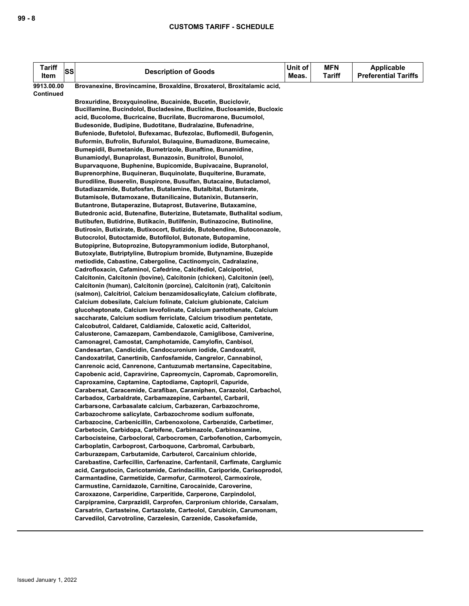| <b>Tariff</b><br>Item | SS | <b>Description of Goods</b>                                                                                                            | Unit of<br>Meas. | <b>MFN</b><br><b>Tariff</b> | <b>Applicable</b><br><b>Preferential Tariffs</b> |
|-----------------------|----|----------------------------------------------------------------------------------------------------------------------------------------|------------------|-----------------------------|--------------------------------------------------|
| 9913.00.00            |    | Brovanexine, Brovincamine, Broxaldine, Broxaterol, Broxitalamic acid,                                                                  |                  |                             |                                                  |
| Continued             |    |                                                                                                                                        |                  |                             |                                                  |
|                       |    | Broxuridine, Broxyquinoline, Bucainide, Bucetin, Buciclovir,<br>Bucillamine, Bucindolol, Bucladesine, Buclizine, Buclosamide, Bucloxic |                  |                             |                                                  |
|                       |    | acid, Bucolome, Bucricaine, Bucrilate, Bucromarone, Bucumolol,                                                                         |                  |                             |                                                  |
|                       |    | Budesonide, Budipine, Budotitane, Budralazine, Bufenadrine,                                                                            |                  |                             |                                                  |
|                       |    | Bufeniode, Bufetolol, Bufexamac, Bufezolac, Buflomedil, Bufogenin,                                                                     |                  |                             |                                                  |
|                       |    | Buformin, Bufrolin, Bufuralol, Bulaquine, Bumadizone, Bumecaine,                                                                       |                  |                             |                                                  |
|                       |    | Bumepidil, Bumetanide, Bumetrizole, Bunaftine, Bunamidine,                                                                             |                  |                             |                                                  |
|                       |    | Bunamiodyl, Bunaprolast, Bunazosin, Bunitrolol, Bunolol,<br>Buparvaguone, Buphenine, Bupicomide, Bupivacaine, Bupranolol,              |                  |                             |                                                  |
|                       |    | Buprenorphine, Buquineran, Buquinolate, Buquiterine, Buramate,                                                                         |                  |                             |                                                  |
|                       |    | Burodiline, Buserelin, Buspirone, Busulfan, Butacaine, Butaclamol,                                                                     |                  |                             |                                                  |
|                       |    | Butadiazamide, Butafosfan, Butalamine, Butalbital, Butamirate,                                                                         |                  |                             |                                                  |
|                       |    | Butamisole, Butamoxane, Butanilicaine, Butanixin, Butanserin,                                                                          |                  |                             |                                                  |
|                       |    | Butantrone, Butaperazine, Butaprost, Butaverine, Butaxamine,                                                                           |                  |                             |                                                  |
|                       |    | Butedronic acid, Butenafine, Buterizine, Butetamate, Buthalital sodium,                                                                |                  |                             |                                                  |
|                       |    | Butibufen, Butidrine, Butikacin, Butilfenin, Butinazocine, Butinoline,                                                                 |                  |                             |                                                  |
|                       |    | Butirosin, Butixirate, Butixocort, Butizide, Butobendine, Butoconazole,                                                                |                  |                             |                                                  |
|                       |    | Butocrolol, Butoctamide, Butofilolol, Butonate, Butopamine,                                                                            |                  |                             |                                                  |
|                       |    | Butopiprine, Butoprozine, Butopyrammonium iodide, Butorphanol,                                                                         |                  |                             |                                                  |
|                       |    | Butoxylate, Butriptyline, Butropium bromide, Butynamine, Buzepide<br>metiodide, Cabastine, Cabergoline, Cactinomycin, Cadralazine,     |                  |                             |                                                  |
|                       |    | Cadrofloxacin, Cafaminol, Cafedrine, Calcifediol, Calcipotriol,                                                                        |                  |                             |                                                  |
|                       |    | Calcitonin, Calcitonin (bovine), Calcitonin (chicken), Calcitonin (eel),                                                               |                  |                             |                                                  |
|                       |    | Calcitonin (human), Calcitonin (porcine), Calcitonin (rat), Calcitonin                                                                 |                  |                             |                                                  |
|                       |    | (salmon), Calcitriol, Calcium benzamidosalicylate, Calcium clofibrate,                                                                 |                  |                             |                                                  |
|                       |    | Calcium dobesilate, Calcium folinate, Calcium glubionate, Calcium                                                                      |                  |                             |                                                  |
|                       |    | glucoheptonate, Calcium levofolinate, Calcium pantothenate, Calcium                                                                    |                  |                             |                                                  |
|                       |    | saccharate, Calcium sodium ferriclate, Calcium trisodium pentetate,                                                                    |                  |                             |                                                  |
|                       |    | Calcobutrol, Caldaret, Caldiamide, Caloxetic acid, Calteridol,                                                                         |                  |                             |                                                  |
|                       |    | Calusterone, Camazepam, Cambendazole, Camiglibose, Camiverine,<br>Camonagrel, Camostat, Camphotamide, Camylofin, Canbisol,             |                  |                             |                                                  |
|                       |    | Candesartan, Candicidin, Candocuronium iodide, Candoxatril,                                                                            |                  |                             |                                                  |
|                       |    | Candoxatrilat, Canertinib, Canfosfamide, Cangrelor, Cannabinol,                                                                        |                  |                             |                                                  |
|                       |    | Canrenoic acid, Canrenone, Cantuzumab mertansine, Capecitabine,                                                                        |                  |                             |                                                  |
|                       |    | Capobenic acid, Capravirine, Capreomycin, Capromab, Capromorelin,                                                                      |                  |                             |                                                  |
|                       |    | Caproxamine, Captamine, Captodiame, Captopril, Capuride,                                                                               |                  |                             |                                                  |
|                       |    | Carabersat, Caracemide, Carafiban, Caramiphen, Carazolol, Carbachol,                                                                   |                  |                             |                                                  |
|                       |    | Carbadox, Carbaldrate, Carbamazepine, Carbantel, Carbaril,                                                                             |                  |                             |                                                  |
|                       |    | Carbarsone, Carbasalate calcium, Carbazeran, Carbazochrome,<br>Carbazochrome salicylate, Carbazochrome sodium sulfonate,               |                  |                             |                                                  |
|                       |    | Carbazocine, Carbenicillin, Carbenoxolone, Carbenzide, Carbetimer,                                                                     |                  |                             |                                                  |
|                       |    | Carbetocin, Carbidopa, Carbifene, Carbimazole, Carbinoxamine,                                                                          |                  |                             |                                                  |
|                       |    | Carbocisteine, Carbocloral, Carbocromen, Carbofenotion, Carbomycin,                                                                    |                  |                             |                                                  |
|                       |    | Carboplatin, Carboprost, Carboquone, Carbromal, Carbubarb,                                                                             |                  |                             |                                                  |
|                       |    | Carburazepam, Carbutamide, Carbuterol, Carcainium chloride,                                                                            |                  |                             |                                                  |
|                       |    | Carebastine, Carfecillin, Carfenazine, Carfentanil, Carfimate, Carglumic                                                               |                  |                             |                                                  |
|                       |    | acid, Carqutocin, Caricotamide, Carindacillin, Cariporide, Carisoprodol,                                                               |                  |                             |                                                  |
|                       |    | Carmantadine, Carmetizide, Carmofur, Carmoterol, Carmoxirole,<br>Carmustine, Carnidazole, Carnitine, Carocainide, Caroverine,          |                  |                             |                                                  |
|                       |    | Caroxazone, Carperidine, Carperitide, Carperone, Carpindolol,                                                                          |                  |                             |                                                  |
|                       |    | Carpipramine, Carprazidil, Carprofen, Carpronium chloride, Carsalam,                                                                   |                  |                             |                                                  |
|                       |    | Carsatrin, Cartasteine, Cartazolate, Carteolol, Carubicin, Carumonam,                                                                  |                  |                             |                                                  |
|                       |    | Carvedilol, Carvotroline, Carzelesin, Carzenide, Casokefamide,                                                                         |                  |                             |                                                  |
|                       |    |                                                                                                                                        |                  |                             |                                                  |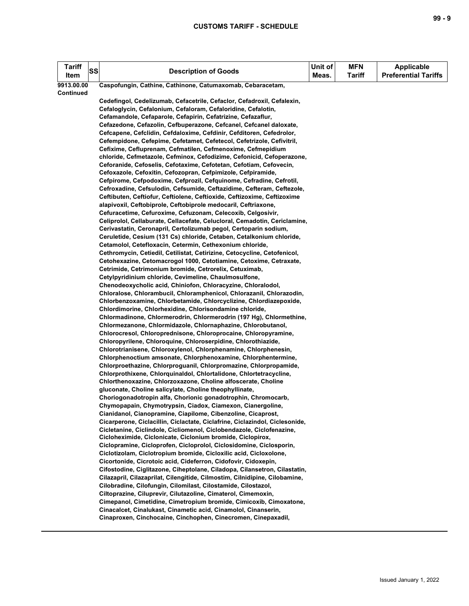| Tariff<br>Item | <b>SS</b> | <b>Description of Goods</b>                                                                                                                   | Unit of<br>Meas. | <b>MFN</b><br><b>Tariff</b> | <b>Applicable</b><br><b>Preferential Tariffs</b> |
|----------------|-----------|-----------------------------------------------------------------------------------------------------------------------------------------------|------------------|-----------------------------|--------------------------------------------------|
| 9913.00.00     |           | Caspofungin, Cathine, Cathinone, Catumaxomab, Cebaracetam,                                                                                    |                  |                             |                                                  |
| Continued      |           |                                                                                                                                               |                  |                             |                                                  |
|                |           | Cedefingol, Cedelizumab, Cefacetrile, Cefaclor, Cefadroxil, Cefalexin,                                                                        |                  |                             |                                                  |
|                |           | Cefaloglycin, Cefalonium, Cefaloram, Cefaloridine, Cefalotin,                                                                                 |                  |                             |                                                  |
|                |           | Cefamandole, Cefaparole, Cefapirin, Cefatrizine, Cefazaflur,                                                                                  |                  |                             |                                                  |
|                |           | Cefazedone, Cefazolin, Cefbuperazone, Cefcanel, Cefcanel daloxate,                                                                            |                  |                             |                                                  |
|                |           | Cefcapene, Cefclidin, Cefdaloxime, Cefdinir, Cefditoren, Cefedrolor,<br>Cefempidone, Cefepime, Cefetamet, Cefetecol, Cefetrizole, Cefivitril, |                  |                             |                                                  |
|                |           | Cefixime, Cefluprenam, Cefmatilen, Cefmenoxime, Cefmepidium                                                                                   |                  |                             |                                                  |
|                |           | chloride, Cefmetazole, Cefminox, Cefodizime, Cefonicid, Cefoperazone,                                                                         |                  |                             |                                                  |
|                |           | Ceforanide, Cefoselis, Cefotaxime, Cefotetan, Cefotiam, Cefovecin,                                                                            |                  |                             |                                                  |
|                |           | Cefoxazole, Cefoxitin, Cefozopran, Cefpimizole, Cefpiramide,                                                                                  |                  |                             |                                                  |
|                |           | Cefpirome, Cefpodoxime, Cefprozil, Cefquinome, Cefradine, Cefrotil,                                                                           |                  |                             |                                                  |
|                |           | Cefroxadine, Cefsulodin, Cefsumide, Ceftazidime, Cefteram, Ceftezole,                                                                         |                  |                             |                                                  |
|                |           | Ceftibuten, Ceftiofur, Ceftiolene, Ceftioxide, Ceftizoxime, Ceftizoxime                                                                       |                  |                             |                                                  |
|                |           | alapivoxil, Ceftobiprole, Ceftobiprole medocaril, Ceftriaxone,                                                                                |                  |                             |                                                  |
|                |           | Cefuracetime, Cefuroxime, Cefuzonam, Celecoxib, Celgosivir,                                                                                   |                  |                             |                                                  |
|                |           | Celiprolol, Cellaburate, Cellacefate, Celucloral, Cemadotin, Cericlamine,                                                                     |                  |                             |                                                  |
|                |           | Cerivastatin, Ceronapril, Certolizumab pegol, Certoparin sodium,                                                                              |                  |                             |                                                  |
|                |           | Ceruletide, Cesium (131 Cs) chloride, Cetaben, Cetalkonium chloride,<br>Cetamolol, Cetefloxacin, Cetermin, Cethexonium chloride,              |                  |                             |                                                  |
|                |           | Cethromycin, Cetiedil, Cetilistat, Cetirizine, Cetocycline, Cetofenicol,                                                                      |                  |                             |                                                  |
|                |           | Cetohexazine, Cetomacrogol 1000, Cetotiamine, Cetoxime, Cetraxate,                                                                            |                  |                             |                                                  |
|                |           | Cetrimide, Cetrimonium bromide, Cetrorelix, Cetuximab,                                                                                        |                  |                             |                                                  |
|                |           | Cetylpyridinium chloride, Cevimeline, Chaulmosulfone,                                                                                         |                  |                             |                                                  |
|                |           | Chenodeoxycholic acid, Chiniofon, Chloracyzine, Chloralodol,                                                                                  |                  |                             |                                                  |
|                |           | Chloralose, Chlorambucil, Chloramphenicol, Chlorazanil, Chlorazodin,                                                                          |                  |                             |                                                  |
|                |           | Chlorbenzoxamine, Chlorbetamide, Chlorcyclizine, Chlordiazepoxide,                                                                            |                  |                             |                                                  |
|                |           | Chlordimorine, Chlorhexidine, Chlorisondamine chloride,                                                                                       |                  |                             |                                                  |
|                |           | Chlormadinone, Chlormerodrin, Chlormerodrin (197 Hg), Chlormethine,                                                                           |                  |                             |                                                  |
|                |           | Chlormezanone, Chlormidazole, Chlornaphazine, Chlorobutanol,                                                                                  |                  |                             |                                                  |
|                |           | Chlorocresol, Chloroprednisone, Chloroprocaine, Chloropyramine,                                                                               |                  |                             |                                                  |
|                |           | Chloropyrilene, Chloroquine, Chloroserpidine, Chlorothiazide,<br>Chlorotrianisene, Chloroxylenol, Chlorphenamine, Chlorphenesin,              |                  |                             |                                                  |
|                |           | Chlorphenoctium amsonate, Chlorphenoxamine, Chlorphentermine,                                                                                 |                  |                             |                                                  |
|                |           | Chlorproethazine, Chlorproguanil, Chlorpromazine, Chlorpropamide,                                                                             |                  |                             |                                                  |
|                |           | Chlorprothixene, Chlorquinaldol, Chlortalidone, Chlortetracycline,                                                                            |                  |                             |                                                  |
|                |           | Chlorthenoxazine, Chlorzoxazone, Choline alfoscerate, Choline                                                                                 |                  |                             |                                                  |
|                |           | gluconate, Choline salicylate, Choline theophyllinate,                                                                                        |                  |                             |                                                  |
|                |           | Choriogonadotropin alfa, Chorionic gonadotrophin, Chromocarb,                                                                                 |                  |                             |                                                  |
|                |           | Chymopapain, Chymotrypsin, Ciadox, Ciamexon, Cianergoline,                                                                                    |                  |                             |                                                  |
|                |           | Cianidanol, Cianopramine, Ciapilome, Cibenzoline, Cicaprost,                                                                                  |                  |                             |                                                  |
|                |           | Cicarperone, Ciclacillin, Ciclactate, Ciclafrine, Ciclazindol, Ciclesonide,                                                                   |                  |                             |                                                  |
|                |           | Cicletanine, Ciclindole, Cicliomenol, Ciclobendazole, Ciclofenazine,                                                                          |                  |                             |                                                  |
|                |           | Cicloheximide, Ciclonicate, Ciclonium bromide, Ciclopirox,<br>Ciclopramine, Cicloprofen, Cicloprolol, Ciclosidomine, Ciclosporin,             |                  |                             |                                                  |
|                |           | Ciclotizolam, Ciclotropium bromide, Cicloxilic acid, Cicloxolone,                                                                             |                  |                             |                                                  |
|                |           | Cicortonide, Cicrotoic acid, Cideferron, Cidofovir, Cidoxepin,                                                                                |                  |                             |                                                  |
|                |           | Cifostodine, Ciglitazone, Ciheptolane, Ciladopa, Cilansetron, Cilastatin,                                                                     |                  |                             |                                                  |
|                |           | Cilazapril, Cilazaprilat, Cilengitide, Cilmostim, Cilnidipine, Cilobamine,                                                                    |                  |                             |                                                  |
|                |           | Cilobradine, Cilofungin, Cilomilast, Cilostamide, Cilostazol,                                                                                 |                  |                             |                                                  |
|                |           | Ciltoprazine, Ciluprevir, Cilutazoline, Cimaterol, Cimemoxin,                                                                                 |                  |                             |                                                  |
|                |           | Cimepanol, Cimetidine, Cimetropium bromide, Cimicoxib, Cimoxatone,                                                                            |                  |                             |                                                  |
|                |           | Cinacalcet, Cinalukast, Cinametic acid, Cinamolol, Cinanserin,                                                                                |                  |                             |                                                  |
|                |           | Cinaproxen, Cinchocaine, Cinchophen, Cinecromen, Cinepaxadil,                                                                                 |                  |                             |                                                  |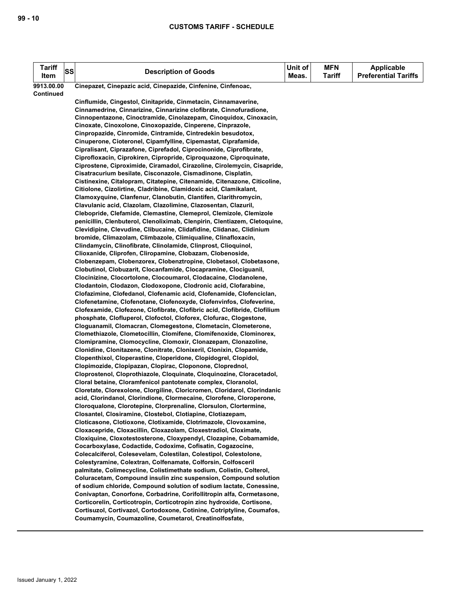| <b>Tariff</b> | <b>SS</b> | <b>Description of Goods</b>                                                                                                               | Unit of | <b>MFN</b>    | <b>Applicable</b>           |
|---------------|-----------|-------------------------------------------------------------------------------------------------------------------------------------------|---------|---------------|-----------------------------|
| Item          |           |                                                                                                                                           | Meas.   | <b>Tariff</b> | <b>Preferential Tariffs</b> |
| 9913.00.00    |           | Cinepazet, Cinepazic acid, Cinepazide, Cinfenine, Cinfenoac,                                                                              |         |               |                             |
| Continued     |           |                                                                                                                                           |         |               |                             |
|               |           | Cinflumide, Cingestol, Cinitapride, Cinmetacin, Cinnamaverine,                                                                            |         |               |                             |
|               |           | Cinnamedrine, Cinnarizine, Cinnarizine clofibrate, Cinnofuradione,                                                                        |         |               |                             |
|               |           | Cinnopentazone, Cinoctramide, Cinolazepam, Cinoquidox, Cinoxacin,                                                                         |         |               |                             |
|               |           | Cinoxate, Cinoxolone, Cinoxopazide, Cinperene, Cinprazole,                                                                                |         |               |                             |
|               |           | Cinpropazide, Cinromide, Cintramide, Cintredekin besudotox,<br>Cinuperone, Cioteronel, Cipamfylline, Cipemastat, Ciprafamide,             |         |               |                             |
|               |           | Cipralisant, Ciprazafone, Ciprefadol, Ciprocinonide, Ciprofibrate,                                                                        |         |               |                             |
|               |           | Ciprofloxacin, Ciprokiren, Cipropride, Ciproquazone, Ciproquinate,                                                                        |         |               |                             |
|               |           | Ciprostene, Ciproximide, Ciramadol, Cirazoline, Cirolemycin, Cisapride,                                                                   |         |               |                             |
|               |           | Cisatracurium besilate, Cisconazole, Cismadinone, Cisplatin,                                                                              |         |               |                             |
|               |           | Cistinexine, Citalopram, Citatepine, Citenamide, Citenazone, Citicoline,                                                                  |         |               |                             |
|               |           | Citiolone, Cizolirtine, Cladribine, Clamidoxic acid, Clamikalant,                                                                         |         |               |                             |
|               |           | Clamoxyquine, Clanfenur, Clanobutin, Clantifen, Clarithromycin,                                                                           |         |               |                             |
|               |           | Clavulanic acid, Clazolam, Clazolimine, Clazosentan, Clazuril,                                                                            |         |               |                             |
|               |           | Clebopride, Clefamide, Clemastine, Clemeprol, Clemizole, Clemizole                                                                        |         |               |                             |
|               |           | penicillin, Clenbuterol, Clenoliximab, Clenpirin, Clentiazem, Cletoquine,                                                                 |         |               |                             |
|               |           | Clevidipine, Clevudine, Clibucaine, Clidafidine, Clidanac, Clidinium                                                                      |         |               |                             |
|               |           | bromide, Climazolam, Climbazole, Climiqualine, Clinafloxacin,                                                                             |         |               |                             |
|               |           | Clindamycin, Clinofibrate, Clinolamide, Clinprost, Clioquinol,                                                                            |         |               |                             |
|               |           | Clioxanide, Cliprofen, Cliropamine, Clobazam, Clobenoside,                                                                                |         |               |                             |
|               |           | Clobenzepam, Clobenzorex, Clobenztropine, Clobetasol, Clobetasone,                                                                        |         |               |                             |
|               |           | Clobutinol, Clobuzarit, Clocanfamide, Clocapramine, Clociguanil,                                                                          |         |               |                             |
|               |           | Clocinizine, Clocortolone, Clocoumarol, Clodacaine, Clodanolene,<br>Clodantoin, Clodazon, Clodoxopone, Clodronic acid, Clofarabine,       |         |               |                             |
|               |           | Clofazimine, Clofedanol, Clofenamic acid, Clofenamide, Clofenciclan,                                                                      |         |               |                             |
|               |           | Clofenetamine, Clofenotane, Clofenoxyde, Clofenvinfos, Clofeverine,                                                                       |         |               |                             |
|               |           | Clofexamide, Clofezone, Clofibrate, Clofibric acid, Clofibride, Clofilium                                                                 |         |               |                             |
|               |           | phosphate, Clofluperol, Clofoctol, Cloforex, Clofurac, Clogestone,                                                                        |         |               |                             |
|               |           | Cloguanamil, Clomacran, Clomegestone, Clometacin, Clometerone,                                                                            |         |               |                             |
|               |           | Clomethiazole, Clometocillin, Clomifene, Clomifenoxide, Clominorex,                                                                       |         |               |                             |
|               |           | Clomipramine, Clomocycline, Clomoxir, Clonazepam, Clonazoline,                                                                            |         |               |                             |
|               |           | Clonidine, Clonitazene, Clonitrate, Clonixeril, Clonixin, Clopamide,                                                                      |         |               |                             |
|               |           | Clopenthixol, Cloperastine, Cloperidone, Clopidogrel, Clopidol,                                                                           |         |               |                             |
|               |           | Clopimozide, Clopipazan, Clopirac, Cloponone, Cloprednol,                                                                                 |         |               |                             |
|               |           | Cloprostenol, Cloprothiazole, Cloquinate, Cloquinozine, Cloracetadol,                                                                     |         |               |                             |
|               |           | Cloral betaine, Cloramfenicol pantotenate complex, Cloranolol,                                                                            |         |               |                             |
|               |           | Cloretate, Clorexolone, Clorgiline, Cloricromen, Cloridarol, Clorindanic                                                                  |         |               |                             |
|               |           | acid, Clorindanol, Clorindione, Clormecaine, Clorofene, Cloroperone,<br>Cloroqualone, Clorotepine, Clorprenaline, Clorsulon, Clortermine, |         |               |                             |
|               |           | Closantel, Closiramine, Clostebol, Clotiapine, Clotiazepam,                                                                               |         |               |                             |
|               |           | Cloticasone, Clotioxone, Clotixamide, Clotrimazole, Clovoxamine,                                                                          |         |               |                             |
|               |           | Cloxacepride, Cloxacillin, Cloxazolam, Cloxestradiol, Cloximate,                                                                          |         |               |                             |
|               |           | Cloxiquine, Cloxotestosterone, Cloxypendyl, Clozapine, Cobamamide,                                                                        |         |               |                             |
|               |           | Cocarboxylase, Codactide, Codoxime, Cofisatin, Cogazocine,                                                                                |         |               |                             |
|               |           | Colecalciferol, Colesevelam, Colestilan, Colestipol, Colestolone,                                                                         |         |               |                             |
|               |           | Colestyramine, Colextran, Colfenamate, Colforsin, Colfosceril                                                                             |         |               |                             |
|               |           | palmitate, Colimecycline, Colistimethate sodium, Colistin, Colterol,                                                                      |         |               |                             |
|               |           | Coluracetam, Compound insulin zinc suspension, Compound solution                                                                          |         |               |                             |
|               |           | of sodium chloride, Compound solution of sodium lactate, Conessine,                                                                       |         |               |                             |
|               |           | Conivaptan, Conorfone, Corbadrine, Corifollitropin alfa, Cormetasone,                                                                     |         |               |                             |
|               |           | Corticorelin, Corticotropin, Corticotropin zinc hydroxide, Cortisone,                                                                     |         |               |                             |
|               |           | Cortisuzol, Cortivazol, Cortodoxone, Cotinine, Cotriptyline, Coumafos,                                                                    |         |               |                             |
|               |           | Coumamycin, Coumazoline, Coumetarol, Creatinolfosfate,                                                                                    |         |               |                             |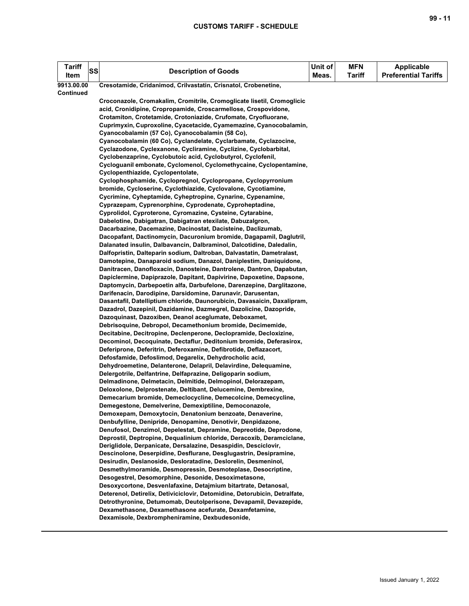| <b>Tariff</b><br>Item | SS | <b>Description of Goods</b>                                                                                                    | Unit of<br>Meas. | <b>MFN</b><br><b>Tariff</b> | <b>Applicable</b><br><b>Preferential Tariffs</b> |
|-----------------------|----|--------------------------------------------------------------------------------------------------------------------------------|------------------|-----------------------------|--------------------------------------------------|
| 9913.00.00            |    | Cresotamide, Cridanimod, Crilvastatin, Crisnatol, Crobenetine,                                                                 |                  |                             |                                                  |
| Continued             |    |                                                                                                                                |                  |                             |                                                  |
|                       |    | Croconazole, Cromakalim, Cromitrile, Cromoglicate lisetil, Cromoglicic                                                         |                  |                             |                                                  |
|                       |    | acid, Cronidipine, Cropropamide, Croscarmellose, Crospovidone,                                                                 |                  |                             |                                                  |
|                       |    | Crotamiton, Crotetamide, Crotoniazide, Crufomate, Cryofluorane,                                                                |                  |                             |                                                  |
|                       |    | Cuprimyxin, Cuproxoline, Cyacetacide, Cyamemazine, Cyanocobalamin,                                                             |                  |                             |                                                  |
|                       |    | Cyanocobalamin (57 Co), Cyanocobalamin (58 Co),                                                                                |                  |                             |                                                  |
|                       |    | Cyanocobalamin (60 Co), Cyclandelate, Cyclarbamate, Cyclazocine,                                                               |                  |                             |                                                  |
|                       |    | Cyclazodone, Cyclexanone, Cycliramine, Cyclizine, Cyclobarbital,                                                               |                  |                             |                                                  |
|                       |    | Cyclobenzaprine, Cyclobutoic acid, Cyclobutyrol, Cyclofenil,                                                                   |                  |                             |                                                  |
|                       |    | Cycloguanil embonate, Cyclomenol, Cyclomethycaine, Cyclopentamine,                                                             |                  |                             |                                                  |
|                       |    | Cyclopenthiazide, Cyclopentolate,<br>Cyclophosphamide, Cyclopregnol, Cyclopropane, Cyclopyrronium                              |                  |                             |                                                  |
|                       |    | bromide, Cycloserine, Cyclothiazide, Cyclovalone, Cycotiamine,                                                                 |                  |                             |                                                  |
|                       |    | Cycrimine, Cyheptamide, Cyheptropine, Cynarine, Cypenamine,                                                                    |                  |                             |                                                  |
|                       |    | Cyprazepam, Cyprenorphine, Cyprodenate, Cyproheptadine,                                                                        |                  |                             |                                                  |
|                       |    | Cyprolidol, Cyproterone, Cyromazine, Cysteine, Cytarabine,                                                                     |                  |                             |                                                  |
|                       |    | Dabelotine, Dabigatran, Dabigatran etexilate, Dabuzalgron,                                                                     |                  |                             |                                                  |
|                       |    | Dacarbazine, Dacemazine, Dacinostat, Dacisteine, Daclizumab,                                                                   |                  |                             |                                                  |
|                       |    | Dacopafant, Dactinomycin, Dacuronium bromide, Dagapamil, Daglutril,                                                            |                  |                             |                                                  |
|                       |    | Dalanated insulin, Dalbavancin, Dalbraminol, Dalcotidine, Daledalin,                                                           |                  |                             |                                                  |
|                       |    | Dalfopristin, Dalteparin sodium, Daltroban, Dalvastatin, Dametralast,                                                          |                  |                             |                                                  |
|                       |    | Damotepine, Danaparoid sodium, Danazol, Daniplestim, Daniquidone,                                                              |                  |                             |                                                  |
|                       |    | Danitracen, Danofloxacin, Danosteine, Dantrolene, Dantron, Dapabutan,                                                          |                  |                             |                                                  |
|                       |    | Dapiclermine, Dapiprazole, Dapitant, Dapivirine, Dapoxetine, Dapsone,                                                          |                  |                             |                                                  |
|                       |    | Daptomycin, Darbepoetin alfa, Darbufelone, Darenzepine, Darglitazone,                                                          |                  |                             |                                                  |
|                       |    | Darifenacin, Darodipine, Darsidomine, Darunavir, Darusentan,                                                                   |                  |                             |                                                  |
|                       |    | Dasantafil, Datelliptium chloride, Daunorubicin, Davasaicin, Daxalipram,                                                       |                  |                             |                                                  |
|                       |    | Dazadrol, Dazepinil, Dazidamine, Dazmegrel, Dazolicine, Dazopride,                                                             |                  |                             |                                                  |
|                       |    | Dazoquinast, Dazoxiben, Deanol aceglumate, Deboxamet,                                                                          |                  |                             |                                                  |
|                       |    | Debrisoquine, Debropol, Decamethonium bromide, Decimemide,                                                                     |                  |                             |                                                  |
|                       |    | Decitabine, Decitropine, Declenperone, Declopramide, Decloxizine,                                                              |                  |                             |                                                  |
|                       |    | Decominol, Decoquinate, Dectaflur, Deditonium bromide, Deferasirox,                                                            |                  |                             |                                                  |
|                       |    | Deferiprone, Deferitrin, Deferoxamine, Defibrotide, Deflazacort,                                                               |                  |                             |                                                  |
|                       |    | Defosfamide, Defoslimod, Degarelix, Dehydrocholic acid,                                                                        |                  |                             |                                                  |
|                       |    | Dehydroemetine, Delanterone, Delapril, Delavirdine, Delequamine,                                                               |                  |                             |                                                  |
|                       |    | Delergotrile, Delfantrine, Delfaprazine, Deligoparin sodium,                                                                   |                  |                             |                                                  |
|                       |    | Delmadinone, Delmetacin, Delmitide, Delmopinol, Delorazepam,                                                                   |                  |                             |                                                  |
|                       |    | Deloxolone, Delprostenate, Deltibant, Delucemine, Dembrexine,<br>Demecarium bromide, Demeclocycline, Demecolcine, Demecycline, |                  |                             |                                                  |
|                       |    | Demegestone, Demelverine, Demexiptiline, Democonazole,                                                                         |                  |                             |                                                  |
|                       |    | Demoxepam, Demoxytocin, Denatonium benzoate, Denaverine,                                                                       |                  |                             |                                                  |
|                       |    | Denbufylline, Denipride, Denopamine, Denotivir, Denpidazone,                                                                   |                  |                             |                                                  |
|                       |    | Denufosol, Denzimol, Depelestat, Depramine, Depreotide, Deprodone,                                                             |                  |                             |                                                  |
|                       |    | Deprostil, Deptropine, Dequalinium chloride, Deracoxib, Deramciclane,                                                          |                  |                             |                                                  |
|                       |    | Deriglidole, Derpanicate, Dersalazine, Desaspidin, Desciclovir,                                                                |                  |                             |                                                  |
|                       |    | Descinolone, Deserpidine, Desflurane, Desglugastrin, Desipramine,                                                              |                  |                             |                                                  |
|                       |    | Desirudin, Deslanoside, Desloratadine, Deslorelin, Desmeninol,                                                                 |                  |                             |                                                  |
|                       |    | Desmethylmoramide, Desmopressin, Desmoteplase, Desocriptine,                                                                   |                  |                             |                                                  |
|                       |    | Desogestrel, Desomorphine, Desonide, Desoximetasone,                                                                           |                  |                             |                                                  |
|                       |    | Desoxycortone, Desvenlafaxine, Detajmium bitartrate, Detanosal,                                                                |                  |                             |                                                  |
|                       |    | Deterenol, Detirelix, Detiviciclovir, Detomidine, Detorubicin, Detralfate,                                                     |                  |                             |                                                  |
|                       |    | Detrothyronine, Detumomab, Deutolperisone, Devapamil, Devazepide,                                                              |                  |                             |                                                  |
|                       |    | Dexamethasone, Dexamethasone acefurate, Dexamfetamine,                                                                         |                  |                             |                                                  |
|                       |    | Dexamisole, Dexbrompheniramine, Dexbudesonide,                                                                                 |                  |                             |                                                  |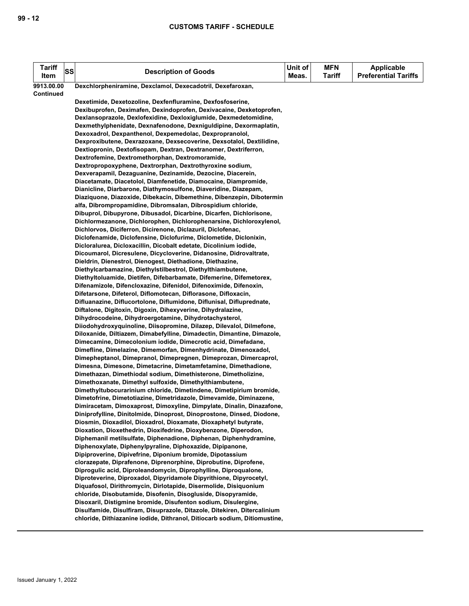| <b>Tariff</b> | <b>SS</b> | <b>Description of Goods</b>                                                                                                                 | Unit of | <b>MFN</b>    | <b>Applicable</b><br><b>Preferential Tariffs</b> |
|---------------|-----------|---------------------------------------------------------------------------------------------------------------------------------------------|---------|---------------|--------------------------------------------------|
| Item          |           |                                                                                                                                             | Meas.   | <b>Tariff</b> |                                                  |
| 9913.00.00    |           | Dexchlorpheniramine, Dexclamol, Dexecadotril, Dexefaroxan,                                                                                  |         |               |                                                  |
| Continued     |           | Dexetimide, Dexetozoline, Dexfenfluramine, Dexfosfoserine,                                                                                  |         |               |                                                  |
|               |           | Dexibuprofen, Deximafen, Dexindoprofen, Dexivacaine, Dexketoprofen,                                                                         |         |               |                                                  |
|               |           | Dexlansoprazole, Dexlofexidine, Dexloxiglumide, Dexmedetomidine,                                                                            |         |               |                                                  |
|               |           | Dexmethylphenidate, Dexnafenodone, Dexniguldipine, Dexormaplatin,                                                                           |         |               |                                                  |
|               |           | Dexoxadrol, Dexpanthenol, Dexpemedolac, Dexpropranolol,                                                                                     |         |               |                                                  |
|               |           | Dexproxibutene, Dexrazoxane, Dexsecoverine, Dexsotalol, Dextilidine,                                                                        |         |               |                                                  |
|               |           | Dextiopronin, Dextofisopam, Dextran, Dextranomer, Dextriferron,                                                                             |         |               |                                                  |
|               |           | Dextrofemine, Dextromethorphan, Dextromoramide,                                                                                             |         |               |                                                  |
|               |           | Dextropropoxyphene, Dextrorphan, Dextrothyroxine sodium,                                                                                    |         |               |                                                  |
|               |           | Dexverapamil, Dezaguanine, Dezinamide, Dezocine, Diacerein,                                                                                 |         |               |                                                  |
|               |           | Diacetamate, Diacetolol, Diamfenetide, Diamocaine, Diampromide,                                                                             |         |               |                                                  |
|               |           | Dianicline, Diarbarone, Diathymosulfone, Diaveridine, Diazepam,                                                                             |         |               |                                                  |
|               |           | Diaziquone, Diazoxide, Dibekacin, Dibemethine, Dibenzepin, Dibotermin                                                                       |         |               |                                                  |
|               |           | alfa, Dibrompropamidine, Dibromsalan, Dibrospidium chloride,<br>Dibuprol, Dibupyrone, Dibusadol, Dicarbine, Dicarfen, Dichlorisone,         |         |               |                                                  |
|               |           | Dichlormezanone, Dichlorophen, Dichlorophenarsine, Dichloroxylenol,                                                                         |         |               |                                                  |
|               |           | Dichlorvos, Diciferron, Dicirenone, Diclazuril, Diclofenac,                                                                                 |         |               |                                                  |
|               |           | Diclofenamide, Diclofensine, Diclofurime, Diclometide, Diclonixin,                                                                          |         |               |                                                  |
|               |           | Dicloralurea, Dicloxacillin, Dicobalt edetate, Dicolinium iodide,                                                                           |         |               |                                                  |
|               |           | Dicoumarol, Dicresulene, Dicycloverine, Didanosine, Didrovaltrate,                                                                          |         |               |                                                  |
|               |           | Dieldrin, Dienestrol, Dienogest, Diethadione, Diethazine,                                                                                   |         |               |                                                  |
|               |           | Diethylcarbamazine, Diethylstilbestrol, Diethylthiambutene,                                                                                 |         |               |                                                  |
|               |           | Diethyltoluamide, Dietifen, Difebarbamate, Difemerine, Difemetorex,                                                                         |         |               |                                                  |
|               |           | Difenamizole, Difencloxazine, Difenidol, Difenoximide, Difenoxin,                                                                           |         |               |                                                  |
|               |           | Difetarsone, Difeterol, Diflomotecan, Diflorasone, Difloxacin,                                                                              |         |               |                                                  |
|               |           | Difluanazine, Diflucortolone, Diflumidone, Diflunisal, Difluprednate,                                                                       |         |               |                                                  |
|               |           | Diftalone, Digitoxin, Digoxin, Dihexyverine, Dihydralazine,<br>Dihydrocodeine, Dihydroergotamine, Dihydrotachysterol,                       |         |               |                                                  |
|               |           | Diiodohydroxyquinoline, Diisopromine, Dilazep, Dilevalol, Dilmefone,                                                                        |         |               |                                                  |
|               |           | Diloxanide, Diltiazem, Dimabefylline, Dimadectin, Dimantine, Dimazole,                                                                      |         |               |                                                  |
|               |           | Dimecamine, Dimecolonium iodide, Dimecrotic acid, Dimefadane,                                                                               |         |               |                                                  |
|               |           | Dimefline, Dimelazine, Dimemorfan, Dimenhydrinate, Dimenoxadol,                                                                             |         |               |                                                  |
|               |           | Dimepheptanol, Dimepranol, Dimepregnen, Dimeprozan, Dimercaprol,                                                                            |         |               |                                                  |
|               |           | Dimesna, Dimesone, Dimetacrine, Dimetamfetamine, Dimethadione,                                                                              |         |               |                                                  |
|               |           | Dimethazan, Dimethiodal sodium, Dimethisterone, Dimetholizine,                                                                              |         |               |                                                  |
|               |           | Dimethoxanate, Dimethyl sulfoxide, Dimethylthiambutene,                                                                                     |         |               |                                                  |
|               |           | Dimethyltubocurarinium chloride, Dimetindene, Dimetipirium bromide,                                                                         |         |               |                                                  |
|               |           | Dimetofrine, Dimetotiazine, Dimetridazole, Dimevamide, Diminazene,<br>Dimiracetam, Dimoxaprost, Dimoxyline, Dimpylate, Dinalin, Dinazafone, |         |               |                                                  |
|               |           | Diniprofylline, Dinitolmide, Dinoprost, Dinoprostone, Dinsed, Diodone,                                                                      |         |               |                                                  |
|               |           | Diosmin, Dioxadilol, Dioxadrol, Dioxamate, Dioxaphetyl butyrate,                                                                            |         |               |                                                  |
|               |           | Dioxation, Dioxethedrin, Dioxifedrine, Dioxybenzone, Diperodon,                                                                             |         |               |                                                  |
|               |           | Diphemanil metilsulfate, Diphenadione, Diphenan, Diphenhydramine,                                                                           |         |               |                                                  |
|               |           | Diphenoxylate, Diphenylpyraline, Diphoxazide, Dipipanone,                                                                                   |         |               |                                                  |
|               |           | Dipiproverine, Dipivefrine, Diponium bromide, Dipotassium                                                                                   |         |               |                                                  |
|               |           | clorazepate, Diprafenone, Diprenorphine, Diprobutine, Diprofene,                                                                            |         |               |                                                  |
|               |           | Diprogulic acid, Diproleandomycin, Diprophylline, Diproqualone,                                                                             |         |               |                                                  |
|               |           | Diproteverine, Diproxadol, Dipyridamole Dipyrithione, Dipyrocetyl,                                                                          |         |               |                                                  |
|               |           | Diquafosol, Dirithromycin, Dirlotapide, Disermolide, Disiquonium                                                                            |         |               |                                                  |
|               |           | chloride, Disobutamide, Disofenin, Disogluside, Disopyramide,<br>Disoxaril, Distigmine bromide, Disufenton sodium, Disulergine,             |         |               |                                                  |
|               |           | Disulfamide, Disulfiram, Disuprazole, Ditazole, Ditekiren, Ditercalinium                                                                    |         |               |                                                  |
|               |           | chloride, Dithiazanine iodide, Dithranol, Ditiocarb sodium, Ditiomustine,                                                                   |         |               |                                                  |
|               |           |                                                                                                                                             |         |               |                                                  |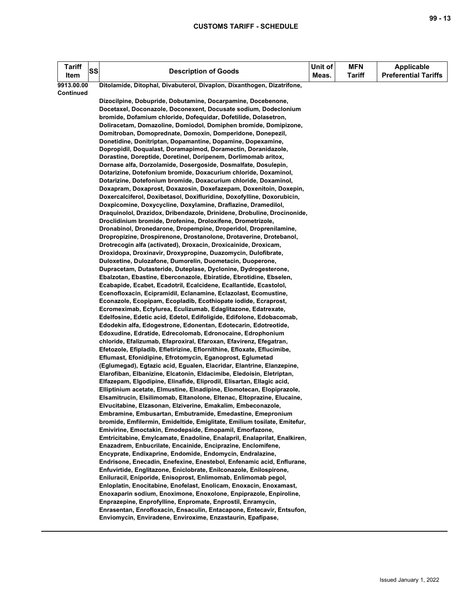| <b>Tariff</b><br>Item | SS | <b>Description of Goods</b>                                                                                                         | Unit of<br>Meas. | <b>MFN</b><br><b>Tariff</b> | <b>Applicable</b><br><b>Preferential Tariffs</b> |
|-----------------------|----|-------------------------------------------------------------------------------------------------------------------------------------|------------------|-----------------------------|--------------------------------------------------|
| 9913.00.00            |    | Ditolamide, Ditophal, Divabuterol, Divaplon, Dixanthogen, Dizatrifone,                                                              |                  |                             |                                                  |
| Continued             |    |                                                                                                                                     |                  |                             |                                                  |
|                       |    | Dizocilpine, Dobupride, Dobutamine, Docarpamine, Docebenone,                                                                        |                  |                             |                                                  |
|                       |    | Docetaxel, Doconazole, Doconexent, Docusate sodium, Dodeclonium                                                                     |                  |                             |                                                  |
|                       |    | bromide, Dofamium chloride, Dofequidar, Dofetilide, Dolasetron,                                                                     |                  |                             |                                                  |
|                       |    | Doliracetam, Domazoline, Domiodol, Domiphen bromide, Domipizone,                                                                    |                  |                             |                                                  |
|                       |    | Domitroban, Domoprednate, Domoxin, Domperidone, Donepezil,                                                                          |                  |                             |                                                  |
|                       |    | Donetidine, Donitriptan, Dopamantine, Dopamine, Dopexamine,                                                                         |                  |                             |                                                  |
|                       |    | Dopropidil, Doqualast, Doramapimod, Doramectin, Doranidazole,<br>Dorastine, Doreptide, Doretinel, Doripenem, Dorlimomab aritox,     |                  |                             |                                                  |
|                       |    | Dornase alfa, Dorzolamide, Dosergoside, Dosmalfate, Dosulepin,                                                                      |                  |                             |                                                  |
|                       |    | Dotarizine, Dotefonium bromide, Doxacurium chloride, Doxaminol,                                                                     |                  |                             |                                                  |
|                       |    | Dotarizine, Dotefonium bromide, Doxacurium chloride, Doxaminol,                                                                     |                  |                             |                                                  |
|                       |    | Doxapram, Doxaprost, Doxazosin, Doxefazepam, Doxenitoin, Doxepin,                                                                   |                  |                             |                                                  |
|                       |    | Doxercalciferol, Doxibetasol, Doxifluridine, Doxofylline, Doxorubicin,                                                              |                  |                             |                                                  |
|                       |    | Doxpicomine, Doxycycline, Doxylamine, Draflazine, Dramedilol,                                                                       |                  |                             |                                                  |
|                       |    | Draquinolol, Drazidox, Dribendazole, Drinidene, Drobuline, Drocinonide,                                                             |                  |                             |                                                  |
|                       |    | Droclidinium bromide, Drofenine, Droloxifene, Drometrizole,                                                                         |                  |                             |                                                  |
|                       |    | Dronabinol, Dronedarone, Dropempine, Droperidol, Droprenilamine,                                                                    |                  |                             |                                                  |
|                       |    | Dropropizine, Drospirenone, Drostanolone, Drotaverine, Drotebanol,                                                                  |                  |                             |                                                  |
|                       |    | Drotrecogin alfa (activated), Droxacin, Droxicainide, Droxicam,                                                                     |                  |                             |                                                  |
|                       |    | Droxidopa, Droxinavir, Droxypropine, Duazomycin, Dulofibrate,                                                                       |                  |                             |                                                  |
|                       |    | Duloxetine, Dulozafone, Dumorelin, Duometacin, Duoperone,                                                                           |                  |                             |                                                  |
|                       |    | Dupracetam, Dutasteride, Duteplase, Dyclonine, Dydrogesterone,                                                                      |                  |                             |                                                  |
|                       |    | Ebalzotan, Ebastine, Eberconazole, Ebiratide, Ebrotidine, Ebselen,                                                                  |                  |                             |                                                  |
|                       |    | Ecabapide, Ecabet, Ecadotril, Ecalcidene, Ecallantide, Ecastolol,                                                                   |                  |                             |                                                  |
|                       |    | Ecenofloxacin, Ecipramidil, Eclanamine, Eclazolast, Ecomustine,<br>Econazole, Ecopipam, Ecopladib, Ecothiopate iodide, Ecraprost,   |                  |                             |                                                  |
|                       |    | Ecromeximab, Ectylurea, Eculizumab, Edaglitazone, Edatrexate,                                                                       |                  |                             |                                                  |
|                       |    | Edelfosine, Edetic acid, Edetol, Edifoligide, Edifolone, Edobacomab,                                                                |                  |                             |                                                  |
|                       |    | Edodekin alfa, Edogestrone, Edonentan, Edotecarin, Edotreotide,                                                                     |                  |                             |                                                  |
|                       |    | Edoxudine, Edratide, Edrecolomab, Edronocaine, Edrophonium                                                                          |                  |                             |                                                  |
|                       |    | chloride, Efalizumab, Efaproxiral, Efaroxan, Efavirenz, Efegatran,                                                                  |                  |                             |                                                  |
|                       |    | Efetozole, Efipladib, Efletirizine, Eflornithine, Efloxate, Eflucimibe,                                                             |                  |                             |                                                  |
|                       |    | Eflumast, Efonidipine, Efrotomycin, Eganoprost, Eglumetad                                                                           |                  |                             |                                                  |
|                       |    | (Eglumegad), Egtazic acid, Egualen, Elacridar, Elantrine, Elanzepine,                                                               |                  |                             |                                                  |
|                       |    | Elarofiban, Elbanizine, Elcatonin, Eldacimibe, Eledoisin, Eletriptan,                                                               |                  |                             |                                                  |
|                       |    | Elfazepam, Elgodipine, Elinafide, Eliprodil, Elisartan, Ellagic acid,                                                               |                  |                             |                                                  |
|                       |    | Elliptinium acetate, Elmustine, Elnadipine, Elomotecan, Elopiprazole,                                                               |                  |                             |                                                  |
|                       |    | Elsamitrucin, Elsilimomab, Eltanolone, Eltenac, Eltoprazine, Elucaine,                                                              |                  |                             |                                                  |
|                       |    | Elvucitabine, Elzasonan, Elziverine, Emakalim, Embeconazole,                                                                        |                  |                             |                                                  |
|                       |    | Embramine, Embusartan, Embutramide, Emedastine, Emepronium                                                                          |                  |                             |                                                  |
|                       |    | bromide, Emfilermin, Emideltide, Emiglitate, Emilium tosilate, Emitefur,<br>Emivirine, Emoctakin, Emodepside, Emopamil, Emorfazone, |                  |                             |                                                  |
|                       |    | Emtricitabine, Emylcamate, Enadoline, Enalapril, Enalaprilat, Enalkiren,                                                            |                  |                             |                                                  |
|                       |    | Enazadrem, Enbucrilate, Encainide, Enciprazine, Enclomifene,                                                                        |                  |                             |                                                  |
|                       |    | Encyprate, Endixaprine, Endomide, Endomycin, Endralazine,                                                                           |                  |                             |                                                  |
|                       |    | Endrisone, Enecadin, Enefexine, Enestebol, Enfenamic acid, Enflurane,                                                               |                  |                             |                                                  |
|                       |    | Enfuvirtide, Englitazone, Eniclobrate, Enilconazole, Enilospirone,                                                                  |                  |                             |                                                  |
|                       |    | Eniluracil, Eniporide, Enisoprost, Enlimomab, Enlimomab pegol,                                                                      |                  |                             |                                                  |
|                       |    | Enloplatin, Enocitabine, Enofelast, Enolicam, Enoxacin, Enoxamast,                                                                  |                  |                             |                                                  |
|                       |    | Enoxaparin sodium, Enoximone, Enoxolone, Enpiprazole, Enpiroline,                                                                   |                  |                             |                                                  |
|                       |    | Enprazepine, Enprofylline, Enpromate, Enprostil, Enramycin,                                                                         |                  |                             |                                                  |
|                       |    | Enrasentan, Enrofloxacin, Ensaculin, Entacapone, Entecavir, Entsufon,                                                               |                  |                             |                                                  |
|                       |    | Enviomycin, Enviradene, Enviroxime, Enzastaurin, Epafipase,                                                                         |                  |                             |                                                  |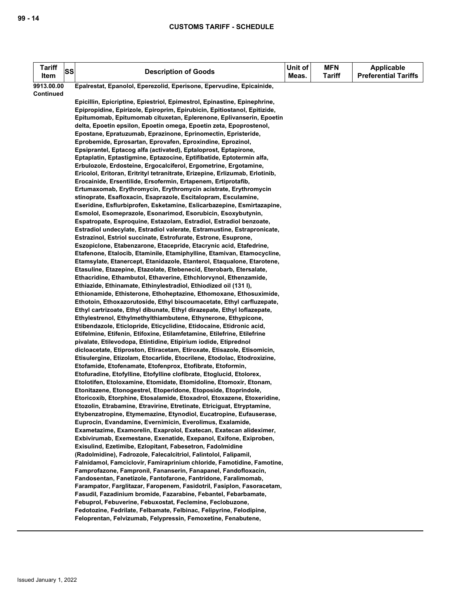| <b>Tariff</b><br>Item | <b>SS</b><br><b>Description of Goods</b>                                                                                                      | Unit of<br>Meas. | <b>MFN</b><br><b>Tariff</b> | Applicable<br><b>Preferential Tariffs</b> |
|-----------------------|-----------------------------------------------------------------------------------------------------------------------------------------------|------------------|-----------------------------|-------------------------------------------|
| 9913.00.00            | Epalrestat, Epanolol, Eperezolid, Eperisone, Epervudine, Epicainide,                                                                          |                  |                             |                                           |
| <b>Continued</b>      |                                                                                                                                               |                  |                             |                                           |
|                       | Epicillin, Epicriptine, Epiestriol, Epimestrol, Epinastine, Epinephrine,                                                                      |                  |                             |                                           |
|                       | Epipropidine, Epirizole, Epiroprim, Epirubicin, Epitiostanol, Epitizide,                                                                      |                  |                             |                                           |
|                       | Epitumomab, Epitumomab cituxetan, Eplerenone, Eplivanserin, Epoetin                                                                           |                  |                             |                                           |
|                       | delta, Epoetin epsilon, Epoetin omega, Epoetin zeta, Epoprostenol,                                                                            |                  |                             |                                           |
|                       | Epostane, Epratuzumab, Eprazinone, Eprinomectin, Epristeride,                                                                                 |                  |                             |                                           |
|                       | Eprobemide, Eprosartan, Eprovafen, Eproxindine, Eprozinol,                                                                                    |                  |                             |                                           |
|                       | Epsiprantel, Eptacog alfa (activated), Eptaloprost, Eptapirone,<br>Eptaplatin, Eptastigmine, Eptazocine, Eptifibatide, Eptotermin alfa,       |                  |                             |                                           |
|                       | Erbulozole, Erdosteine, Ergocalciferol, Ergometrine, Ergotamine,                                                                              |                  |                             |                                           |
|                       | Ericolol, Eritoran, Eritrityl tetranitrate, Erizepine, Erlizumab, Erlotinib,                                                                  |                  |                             |                                           |
|                       | Erocainide, Ersentilide, Ersofermin, Ertapenem, Ertiprotafib,                                                                                 |                  |                             |                                           |
|                       | Ertumaxomab, Erythromycin, Erythromycin acistrate, Erythromycin                                                                               |                  |                             |                                           |
|                       | stinoprate, Esafloxacin, Esaprazole, Escitalopram, Esculamine,                                                                                |                  |                             |                                           |
|                       | Eseridine, Esflurbiprofen, Esketamine, Eslicarbazepine, Esmirtazapine,                                                                        |                  |                             |                                           |
|                       | Esmolol, Esomeprazole, Esonarimod, Esorubicin, Esoxybutynin,                                                                                  |                  |                             |                                           |
|                       | Espatropate, Esproquine, Estazolam, Estradiol, Estradiol benzoate,                                                                            |                  |                             |                                           |
|                       | Estradiol undecylate, Estradiol valerate, Estramustine, Estrapronicate,                                                                       |                  |                             |                                           |
|                       | Estrazinol, Estriol succinate, Estrofurate, Estrone, Esuprone,                                                                                |                  |                             |                                           |
|                       | Eszopiclone, Etabenzarone, Etacepride, Etacrynic acid, Etafedrine,                                                                            |                  |                             |                                           |
|                       | Etafenone, Etalocib, Etaminile, Etamiphylline, Etamivan, Etamocycline,                                                                        |                  |                             |                                           |
|                       | Etamsylate, Etanercept, Etanidazole, Etanterol, Etaqualone, Etarotene,<br>Etasuline, Etazepine, Etazolate, Etebenecid, Eterobarb, Etersalate, |                  |                             |                                           |
|                       | Ethacridine, Ethambutol, Ethaverine, Ethchlorvynol, Ethenzamide,                                                                              |                  |                             |                                           |
|                       | Ethiazide, Ethinamate, Ethinylestradiol, Ethiodized oil (131 l),                                                                              |                  |                             |                                           |
|                       | Ethionamide, Ethisterone, Ethoheptazine, Ethomoxane, Ethosuximide,                                                                            |                  |                             |                                           |
|                       | Ethotoin, Ethoxazorutoside, Ethyl biscoumacetate, Ethyl carfluzepate,                                                                         |                  |                             |                                           |
|                       | Ethyl cartrizoate, Ethyl dibunate, Ethyl dirazepate, Ethyl loflazepate,                                                                       |                  |                             |                                           |
|                       | Ethylestrenol, Ethylmethylthiambutene, Ethynerone, Ethypicone,                                                                                |                  |                             |                                           |
|                       | Etibendazole, Eticlopride, Eticyclidine, Etidocaine, Etidronic acid,                                                                          |                  |                             |                                           |
|                       | Etifelmine, Etifenin, Etifoxine, Etilamfetamine, Etilefrine, Etilefrine                                                                       |                  |                             |                                           |
|                       | pivalate, Etilevodopa, Etintidine, Etipirium iodide, Etiprednol                                                                               |                  |                             |                                           |
|                       | dicloacetate, Etiproston, Etiracetam, Etiroxate, Etisazole, Etisomicin,                                                                       |                  |                             |                                           |
|                       | Etisulergine, Etizolam, Etocarlide, Etocrilene, Etodolac, Etodroxizine,                                                                       |                  |                             |                                           |
|                       | Etofamide, Etofenamate, Etofenprox, Etofibrate, Etoformin,                                                                                    |                  |                             |                                           |
|                       | Etofuradine, Etofylline, Etofylline clofibrate, Etoglucid, Etolorex,                                                                          |                  |                             |                                           |
|                       | Etolotifen, Etoloxamine, Etomidate, Etomidoline, Etomoxir, Etonam,                                                                            |                  |                             |                                           |
|                       | Etonitazene, Etonogestrel, Etoperidone, Etoposide, Etoprindole,                                                                               |                  |                             |                                           |
|                       | Etoricoxib, Etorphine, Etosalamide, Etoxadrol, Etoxazene, Etoxeridine,                                                                        |                  |                             |                                           |
|                       | Etozolin, Etrabamine, Etravirine, Etretinate, Etriciguat, Etryptamine,                                                                        |                  |                             |                                           |
|                       | Etybenzatropine, Etymemazine, Etynodiol, Eucatropine, Eufauserase,                                                                            |                  |                             |                                           |
|                       | Euprocin, Evandamine, Evernimicin, Everolimus, Exalamide,                                                                                     |                  |                             |                                           |
|                       | Exametazime, Examorelin, Exaprolol, Exatecan, Exatecan alideximer,                                                                            |                  |                             |                                           |
|                       | Exbivirumab, Exemestane, Exenatide, Exepanol, Exifone, Exiproben,                                                                             |                  |                             |                                           |
|                       | Exisulind, Ezetimibe, Ezlopitant, Fabesetron, Fadolmidine                                                                                     |                  |                             |                                           |
|                       | (Radolmidine), Fadrozole, Falecalcitriol, Falintolol, Falipamil,                                                                              |                  |                             |                                           |
|                       | Falnidamol, Famciclovir, Famiraprinium chloride, Famotidine, Famotine,<br>Famprofazone, Fampronil, Fananserin, Fanapanel, Fandofloxacin,      |                  |                             |                                           |
|                       | Fandosentan, Fanetizole, Fantofarone, Fantridone, Faralimomab,                                                                                |                  |                             |                                           |
|                       | Farampator, Farglitazar, Faropenem, Fasidotril, Fasiplon, Fasoracetam,                                                                        |                  |                             |                                           |
|                       | Fasudil, Fazadinium bromide, Fazarabine, Febantel, Febarbamate,                                                                               |                  |                             |                                           |
|                       | Febuprol, Febuverine, Febuxostat, Feclemine, Feclobuzone,                                                                                     |                  |                             |                                           |
|                       | Fedotozine, Fedrilate, Felbamate, Felbinac, Felipyrine, Felodipine,                                                                           |                  |                             |                                           |
|                       | Feloprentan, Felvizumab, Felypressin, Femoxetine, Fenabutene,                                                                                 |                  |                             |                                           |
|                       |                                                                                                                                               |                  |                             |                                           |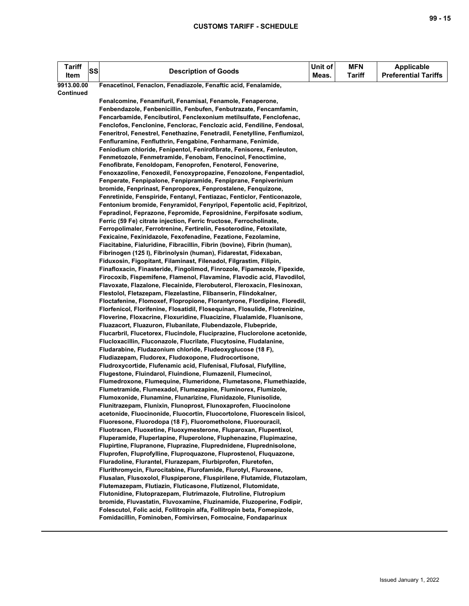| <b>Tariff</b><br>Item | <b>SS</b> | <b>Description of Goods</b>                                                                                                                        | Unit of<br>Meas. | <b>MFN</b><br>Tariff | <b>Applicable</b><br><b>Preferential Tariffs</b> |
|-----------------------|-----------|----------------------------------------------------------------------------------------------------------------------------------------------------|------------------|----------------------|--------------------------------------------------|
| 9913.00.00            |           | Fenacetinol, Fenaclon, Fenadiazole, Fenaftic acid, Fenalamide,                                                                                     |                  |                      |                                                  |
| <b>Continued</b>      |           |                                                                                                                                                    |                  |                      |                                                  |
|                       |           | Fenalcomine, Fenamifuril, Fenamisal, Fenamole, Fenaperone,                                                                                         |                  |                      |                                                  |
|                       |           | Fenbendazole, Fenbenicillin, Fenbufen, Fenbutrazate, Fencamfamin,                                                                                  |                  |                      |                                                  |
|                       |           | Fencarbamide, Fencibutirol, Fenclexonium metilsulfate, Fenclofenac,                                                                                |                  |                      |                                                  |
|                       |           | Fenclofos, Fenclonine, Fenclorac, Fenclozic acid, Fendiline, Fendosal,                                                                             |                  |                      |                                                  |
|                       |           | Feneritrol, Fenestrel, Fenethazine, Fenetradil, Fenetylline, Fenflumizol,                                                                          |                  |                      |                                                  |
|                       |           | Fenfluramine, Fenfluthrin, Fengabine, Fenharmane, Fenimide,                                                                                        |                  |                      |                                                  |
|                       |           | Feniodium chloride, Fenipentol, Fenirofibrate, Fenisorex, Fenleuton,                                                                               |                  |                      |                                                  |
|                       |           | Fenmetozole, Fenmetramide, Fenobam, Fenocinol, Fenoctimine,                                                                                        |                  |                      |                                                  |
|                       |           | Fenofibrate, Fenoldopam, Fenoprofen, Fenoterol, Fenoverine,                                                                                        |                  |                      |                                                  |
|                       |           | Fenoxazoline, Fenoxedil, Fenoxypropazine, Fenozolone, Fenpentadiol,                                                                                |                  |                      |                                                  |
|                       |           | Fenperate, Fenpipalone, Fenpipramide, Fenpiprane, Fenpiverinium                                                                                    |                  |                      |                                                  |
|                       |           | bromide, Fenprinast, Fenproporex, Fenprostalene, Fenquizone,                                                                                       |                  |                      |                                                  |
|                       |           | Fenretinide, Fenspiride, Fentanyl, Fentiazac, Fenticlor, Fenticonazole,<br>Fentonium bromide, Fenyramidol, Fenyripol, Fepentolic acid, Fepitrizol, |                  |                      |                                                  |
|                       |           | Fepradinol, Feprazone, Fepromide, Feprosidnine, Ferpifosate sodium,                                                                                |                  |                      |                                                  |
|                       |           | Ferric (59 Fe) citrate injection, Ferric fructose, Ferrocholinate,                                                                                 |                  |                      |                                                  |
|                       |           | Ferropolimaler, Ferrotrenine, Fertirelin, Fesoterodine, Fetoxilate,                                                                                |                  |                      |                                                  |
|                       |           | Fexicaine, Fexinidazole, Fexofenadine, Fezatione, Fezolamine,                                                                                      |                  |                      |                                                  |
|                       |           | Fiacitabine, Fialuridine, Fibracillin, Fibrin (bovine), Fibrin (human),                                                                            |                  |                      |                                                  |
|                       |           | Fibrinogen (125 I), Fibrinolysin (human), Fidarestat, Fidexaban,                                                                                   |                  |                      |                                                  |
|                       |           | Fiduxosin, Figopitant, Filaminast, Filenadol, Filgrastim, Filipin,                                                                                 |                  |                      |                                                  |
|                       |           | Finafloxacin, Finasteride, Fingolimod, Finrozole, Fipamezole, Fipexide,                                                                            |                  |                      |                                                  |
|                       |           | Firocoxib, Fispemifene, Flamenol, Flavamine, Flavodic acid, Flavodilol,                                                                            |                  |                      |                                                  |
|                       |           | Flavoxate, Flazalone, Flecainide, Flerobuterol, Fleroxacin, Flesinoxan,                                                                            |                  |                      |                                                  |
|                       |           | Flestolol, Fletazepam, Flezelastine, Flibanserin, Flindokalner,                                                                                    |                  |                      |                                                  |
|                       |           | Floctafenine, Flomoxef, Flopropione, Florantyrone, Flordipine, Floredil,                                                                           |                  |                      |                                                  |
|                       |           | Florfenicol, Florifenine, Flosatidil, Flosequinan, Flosulide, Flotrenizine,                                                                        |                  |                      |                                                  |
|                       |           | Floverine, Floxacrine, Floxuridine, Fluacizine, Flualamide, Fluanisone,                                                                            |                  |                      |                                                  |
|                       |           | Fluazacort, Fluazuron, Flubanilate, Flubendazole, Flubepride,                                                                                      |                  |                      |                                                  |
|                       |           | Flucarbril, Flucetorex, Flucindole, Fluciprazine, Fluclorolone acetonide,                                                                          |                  |                      |                                                  |
|                       |           | Flucloxacillin, Fluconazole, Flucrilate, Flucytosine, Fludalanine,                                                                                 |                  |                      |                                                  |
|                       |           | Fludarabine, Fludazonium chloride, Fludeoxyglucose (18 F),                                                                                         |                  |                      |                                                  |
|                       |           | Fludiazepam, Fludorex, Fludoxopone, Fludrocortisone,                                                                                               |                  |                      |                                                  |
|                       |           | Fludroxycortide, Flufenamic acid, Flufenisal, Flufosal, Flufylline,<br>Flugestone, Fluindarol, Fluindione, Flumazenil, Flumecinol,                 |                  |                      |                                                  |
|                       |           | Flumedroxone, Flumequine, Flumeridone, Flumetasone, Flumethiazide,                                                                                 |                  |                      |                                                  |
|                       |           | Flumetramide, Flumexadol, Flumezapine, Fluminorex, Flumizole,                                                                                      |                  |                      |                                                  |
|                       |           | Flumoxonide, Flunamine, Flunarizine, Flunidazole, Flunisolide,                                                                                     |                  |                      |                                                  |
|                       |           | Flunitrazepam, Flunixin, Flunoprost, Flunoxaprofen, Fluocinolone                                                                                   |                  |                      |                                                  |
|                       |           | acetonide, Fluocinonide, Fluocortin, Fluocortolone, Fluorescein lisicol,                                                                           |                  |                      |                                                  |
|                       |           | Fluoresone, Fluorodopa (18 F), Fluorometholone, Fluorouracil,                                                                                      |                  |                      |                                                  |
|                       |           | Fluotracen, Fluoxetine, Fluoxymesterone, Fluparoxan, Flupentixol,                                                                                  |                  |                      |                                                  |
|                       |           | Fluperamide, Fluperlapine, Fluperolone, Fluphenazine, Flupimazine,                                                                                 |                  |                      |                                                  |
|                       |           | Flupirtine, Flupranone, Fluprazine, Fluprednidene, Fluprednisolone,                                                                                |                  |                      |                                                  |
|                       |           | Fluprofen, Fluprofylline, Fluproquazone, Fluprostenol, Fluquazone,                                                                                 |                  |                      |                                                  |
|                       |           | Fluradoline, Flurantel, Flurazepam, Flurbiprofen, Fluretofen,                                                                                      |                  |                      |                                                  |
|                       |           | Flurithromycin, Flurocitabine, Flurofamide, Flurotyl, Fluroxene,                                                                                   |                  |                      |                                                  |
|                       |           | Flusalan, Flusoxolol, Fluspiperone, Fluspirilene, Flutamide, Flutazolam,                                                                           |                  |                      |                                                  |
|                       |           | Flutemazepam, Flutiazin, Fluticasone, Flutizenol, Flutomidate,                                                                                     |                  |                      |                                                  |
|                       |           | Flutonidine, Flutoprazepam, Flutrimazole, Flutroline, Flutropium                                                                                   |                  |                      |                                                  |
|                       |           | bromide, Fluvastatin, Fluvoxamine, Fluzinamide, Fluzoperine, Fodipir,<br>Folescutol, Folic acid, Follitropin alfa, Follitropin beta, Fomepizole,   |                  |                      |                                                  |
|                       |           | Fomidacillin, Fominoben, Fomivirsen, Fomocaine, Fondaparinux                                                                                       |                  |                      |                                                  |
|                       |           |                                                                                                                                                    |                  |                      |                                                  |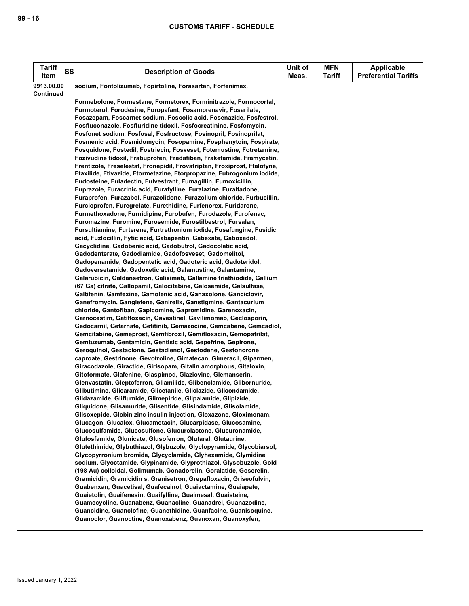| <b>Tariff</b><br>Item   | SS | <b>Description of Goods</b>                                                                                                                 | Unit of<br>Meas. | <b>MFN</b><br>Tariff | <b>Applicable</b><br><b>Preferential Tariffs</b> |
|-------------------------|----|---------------------------------------------------------------------------------------------------------------------------------------------|------------------|----------------------|--------------------------------------------------|
| 9913.00.00<br>Continued |    | sodium, Fontolizumab, Fopirtoline, Forasartan, Forfenimex,                                                                                  |                  |                      |                                                  |
|                         |    | Formebolone, Formestane, Formetorex, Forminitrazole, Formocortal,                                                                           |                  |                      |                                                  |
|                         |    | Formoterol, Forodesine, Foropafant, Fosamprenavir, Fosarilate,                                                                              |                  |                      |                                                  |
|                         |    | Fosazepam, Foscarnet sodium, Foscolic acid, Fosenazide, Fosfestrol,                                                                         |                  |                      |                                                  |
|                         |    | Fosfluconazole, Fosfluridine tidoxil, Fosfocreatinine, Fosfomycin,                                                                          |                  |                      |                                                  |
|                         |    | Fosfonet sodium, Fosfosal, Fosfructose, Fosinopril, Fosinoprilat,                                                                           |                  |                      |                                                  |
|                         |    | Fosmenic acid, Fosmidomycin, Fosopamine, Fosphenytoin, Fospirate,                                                                           |                  |                      |                                                  |
|                         |    | Fosquidone, Fostedil, Fostriecin, Fosveset, Fotemustine, Fotretamine,                                                                       |                  |                      |                                                  |
|                         |    | Fozivudine tidoxil, Frabuprofen, Fradafiban, Frakefamide, Framycetin,                                                                       |                  |                      |                                                  |
|                         |    | Frentizole, Freselestat, Fronepidil, Frovatriptan, Froxiprost, Ftalofyne,                                                                   |                  |                      |                                                  |
|                         |    | Ftaxilide, Ftivazide, Ftormetazine, Ftorpropazine, Fubrogonium iodide,                                                                      |                  |                      |                                                  |
|                         |    | Fudosteine, Fuladectin, Fulvestrant, Fumagillin, Fumoxicillin,                                                                              |                  |                      |                                                  |
|                         |    | Fuprazole, Furacrinic acid, Furafylline, Furalazine, Furaltadone,                                                                           |                  |                      |                                                  |
|                         |    | Furaprofen, Furazabol, Furazolidone, Furazolium chloride, Furbucillin,                                                                      |                  |                      |                                                  |
|                         |    | Furcloprofen, Furegrelate, Furethidine, Furfenorex, Furidarone,                                                                             |                  |                      |                                                  |
|                         |    | Furmethoxadone, Furnidipine, Furobufen, Furodazole, Furofenac,                                                                              |                  |                      |                                                  |
|                         |    | Furomazine, Furomine, Furosemide, Furostilbestrol, Fursalan,                                                                                |                  |                      |                                                  |
|                         |    | Fursultiamine, Furterene, Furtrethonium iodide, Fusafungine, Fusidic                                                                        |                  |                      |                                                  |
|                         |    | acid, Fuzlocillin, Fytic acid, Gabapentin, Gabexate, Gaboxadol,                                                                             |                  |                      |                                                  |
|                         |    | Gacyclidine, Gadobenic acid, Gadobutrol, Gadocoletic acid,                                                                                  |                  |                      |                                                  |
|                         |    | Gadodenterate, Gadodiamide, Gadofosveset, Gadomelitol,                                                                                      |                  |                      |                                                  |
|                         |    | Gadopenamide, Gadopentetic acid, Gadoteric acid, Gadoteridol,                                                                               |                  |                      |                                                  |
|                         |    | Gadoversetamide, Gadoxetic acid, Galamustine, Galantamine,                                                                                  |                  |                      |                                                  |
|                         |    | Galarubicin, Galdansetron, Galiximab, Gallamine triethiodide, Gallium<br>(67 Ga) citrate, Gallopamil, Galocitabine, Galosemide, Galsulfase, |                  |                      |                                                  |
|                         |    | Galtifenin, Gamfexine, Gamolenic acid, Ganaxolone, Ganciclovir,                                                                             |                  |                      |                                                  |
|                         |    | Ganefromycin, Ganglefene, Ganirelix, Ganstigmine, Gantacurium                                                                               |                  |                      |                                                  |
|                         |    | chloride, Gantofiban, Gapicomine, Gapromidine, Garenoxacin,                                                                                 |                  |                      |                                                  |
|                         |    | Garnocestim, Gatifloxacin, Gavestinel, Gavilimomab, Geclosporin,                                                                            |                  |                      |                                                  |
|                         |    | Gedocarnil, Gefarnate, Gefitinib, Gemazocine, Gemcabene, Gemcadiol,                                                                         |                  |                      |                                                  |
|                         |    | Gemcitabine, Gemeprost, Gemfibrozil, Gemifloxacin, Gemopatrilat,                                                                            |                  |                      |                                                  |
|                         |    | Gemtuzumab, Gentamicin, Gentisic acid, Gepefrine, Gepirone,                                                                                 |                  |                      |                                                  |
|                         |    | Geroquinol, Gestaclone, Gestadienol, Gestodene, Gestonorone                                                                                 |                  |                      |                                                  |
|                         |    | caproate, Gestrinone, Gevotroline, Gimatecan, Gimeracil, Giparmen,                                                                          |                  |                      |                                                  |
|                         |    | Giracodazole, Giractide, Girisopam, Gitalin amorphous, Gitaloxin,                                                                           |                  |                      |                                                  |
|                         |    | Gitoformate, Glafenine, Glaspimod, Glaziovine, Glemanserin,                                                                                 |                  |                      |                                                  |
|                         |    | Glenvastatin, Gleptoferron, Gliamilide, Glibenclamide, Glibornuride,                                                                        |                  |                      |                                                  |
|                         |    | Glibutimine, Glicaramide, Glicetanile, Gliclazide, Glicondamide,                                                                            |                  |                      |                                                  |
|                         |    | Glidazamide, Gliflumide, Glimepiride, Glipalamide, Glipizide,                                                                               |                  |                      |                                                  |
|                         |    | Gliquidone, Glisamuride, Glisentide, Glisindamide, Glisolamide,                                                                             |                  |                      |                                                  |
|                         |    | Glisoxepide, Globin zinc insulin injection, Gloxazone, Gloximonam,                                                                          |                  |                      |                                                  |
|                         |    | Glucagon, Glucalox, Glucametacin, Glucarpidase, Glucosamine,                                                                                |                  |                      |                                                  |
|                         |    | Glucosulfamide, Glucosulfone, Glucurolactone, Glucuronamide,                                                                                |                  |                      |                                                  |
|                         |    | Glufosfamide, Glunicate, Glusoferron, Glutaral, Glutaurine,                                                                                 |                  |                      |                                                  |
|                         |    | Glutethimide, Glybuthiazol, Glybuzole, Glyclopyramide, Glycobiarsol,<br>Glycopyrronium bromide, Glycyclamide, Glyhexamide, Glymidine        |                  |                      |                                                  |
|                         |    | sodium, Glyoctamide, Glypinamide, Glyprothiazol, Glysobuzole, Gold                                                                          |                  |                      |                                                  |
|                         |    | (198 Au) colloidal, Golimumab, Gonadorelin, Goralatide, Goserelin,                                                                          |                  |                      |                                                  |
|                         |    | Gramicidin, Gramicidin s, Granisetron, Grepafloxacin, Griseofulvin,                                                                         |                  |                      |                                                  |
|                         |    | Guabenxan, Guacetisal, Guafecainol, Guaiactamine, Guaiapate,                                                                                |                  |                      |                                                  |
|                         |    | Guaietolin, Guaifenesin, Guaifylline, Guaimesal, Guaisteine,                                                                                |                  |                      |                                                  |
|                         |    | Guamecycline, Guanabenz, Guanacline, Guanadrel, Guanazodine,                                                                                |                  |                      |                                                  |
|                         |    | Guancidine, Guanclofine, Guanethidine, Guanfacine, Guanisoquine,                                                                            |                  |                      |                                                  |
|                         |    | Guanoclor, Guanoctine, Guanoxabenz, Guanoxan, Guanoxyfen,                                                                                   |                  |                      |                                                  |
|                         |    |                                                                                                                                             |                  |                      |                                                  |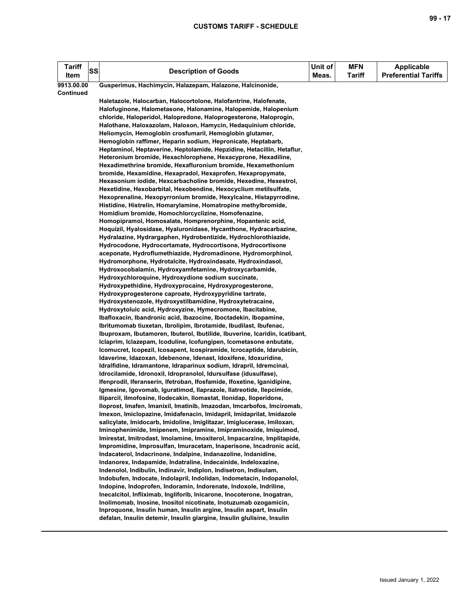| Tariff<br>Item   | SS | <b>Description of Goods</b>                                                                                                                     | Unit of<br>Meas. | <b>MFN</b><br><b>Tariff</b> | <b>Applicable</b><br><b>Preferential Tariffs</b> |
|------------------|----|-------------------------------------------------------------------------------------------------------------------------------------------------|------------------|-----------------------------|--------------------------------------------------|
| 9913.00.00       |    | Gusperimus, Hachimycin, Halazepam, Halazone, Halcinonide,                                                                                       |                  |                             |                                                  |
| <b>Continued</b> |    |                                                                                                                                                 |                  |                             |                                                  |
|                  |    | Haletazole, Halocarban, Halocortolone, Halofantrine, Halofenate,                                                                                |                  |                             |                                                  |
|                  |    | Halofuginone, Halometasone, Halonamine, Halopemide, Halopenium                                                                                  |                  |                             |                                                  |
|                  |    | chloride, Haloperidol, Halopredone, Haloprogesterone, Haloprogin,                                                                               |                  |                             |                                                  |
|                  |    | Halothane, Haloxazolam, Haloxon, Hamycin, Hedaquinium chloride,                                                                                 |                  |                             |                                                  |
|                  |    | Heliomycin, Hemoglobin crosfumaril, Hemoglobin glutamer,                                                                                        |                  |                             |                                                  |
|                  |    | Hemoglobin raffimer, Heparin sodium, Hepronicate, Heptabarb,                                                                                    |                  |                             |                                                  |
|                  |    | Heptaminol, Heptaverine, Heptolamide, Hepzidine, Hetacillin, Hetaflur,                                                                          |                  |                             |                                                  |
|                  |    | Heteronium bromide, Hexachlorophene, Hexacyprone, Hexadiline,                                                                                   |                  |                             |                                                  |
|                  |    | Hexadimethrine bromide, Hexafluronium bromide, Hexamethonium                                                                                    |                  |                             |                                                  |
|                  |    | bromide, Hexamidine, Hexapradol, Hexaprofen, Hexapropymate,                                                                                     |                  |                             |                                                  |
|                  |    | Hexasonium iodide, Hexcarbacholine bromide, Hexedine, Hexestrol,<br>Hexetidine, Hexobarbital, Hexobendine, Hexocyclium metilsulfate,            |                  |                             |                                                  |
|                  |    | Hexoprenaline, Hexopyrronium bromide, Hexylcaine, Histapyrrodine,                                                                               |                  |                             |                                                  |
|                  |    | Histidine, Histrelin, Homarylamine, Homatropine methylbromide,                                                                                  |                  |                             |                                                  |
|                  |    | Homidium bromide, Homochlorcyclizine, Homofenazine,                                                                                             |                  |                             |                                                  |
|                  |    | Homopipramol, Homosalate, Homprenorphine, Hopantenic acid,                                                                                      |                  |                             |                                                  |
|                  |    | Hoquizil, Hyalosidase, Hyaluronidase, Hycanthone, Hydracarbazine,                                                                               |                  |                             |                                                  |
|                  |    | Hydralazine, Hydrargaphen, Hydrobentizide, Hydrochlorothiazide,                                                                                 |                  |                             |                                                  |
|                  |    | Hydrocodone, Hydrocortamate, Hydrocortisone, Hydrocortisone                                                                                     |                  |                             |                                                  |
|                  |    | aceponate, Hydroflumethiazide, Hydromadinone, Hydromorphinol,                                                                                   |                  |                             |                                                  |
|                  |    | Hydromorphone, Hydrotalcite, Hydroxindasate, Hydroxindasol,                                                                                     |                  |                             |                                                  |
|                  |    | Hydroxocobalamin, Hydroxyamfetamine, Hydroxycarbamide,                                                                                          |                  |                             |                                                  |
|                  |    | Hydroxychloroquine, Hydroxydione sodium succinate,                                                                                              |                  |                             |                                                  |
|                  |    | Hydroxypethidine, Hydroxyprocaine, Hydroxyprogesterone,                                                                                         |                  |                             |                                                  |
|                  |    | Hydroxyprogesterone caproate, Hydroxypyridine tartrate,                                                                                         |                  |                             |                                                  |
|                  |    | Hydroxystenozole, Hydroxystilbamidine, Hydroxytetracaine,                                                                                       |                  |                             |                                                  |
|                  |    | Hydroxytoluic acid, Hydroxyzine, Hymecromone, Ibacitabine,                                                                                      |                  |                             |                                                  |
|                  |    | Ibafloxacin, Ibandronic acid, Ibazocine, Iboctadekin, Ibopamine,                                                                                |                  |                             |                                                  |
|                  |    | Ibritumomab tiuxetan, Ibrolipim, Ibrotamide, Ibudilast, Ibufenac,                                                                               |                  |                             |                                                  |
|                  |    | Ibuproxam, Ibutamoren, Ibuterol, Ibutilide, Ibuverine, Icaridin, Icatibant,                                                                     |                  |                             |                                                  |
|                  |    | Iclaprim, Iclazepam, Icoduline, Icofungipen, Icometasone enbutate,                                                                              |                  |                             |                                                  |
|                  |    | Icomucret, Icopezil, Icosapent, Icospiramide, Icrocaptide, Idarubicin,                                                                          |                  |                             |                                                  |
|                  |    | Idaverine, Idazoxan, Idebenone, Idenast, Idoxifene, Idoxuridine,                                                                                |                  |                             |                                                  |
|                  |    | Idralfidine, Idramantone, Idraparinux sodium, Idrapril, Idremcinal,                                                                             |                  |                             |                                                  |
|                  |    | Idrocilamide, Idronoxil, Idropranolol, Idursulfase (idusulfase),                                                                                |                  |                             |                                                  |
|                  |    | Ifenprodil, Iferanserin, Ifetroban, Ifosfamide, Ifoxetine, Iganidipine,                                                                         |                  |                             |                                                  |
|                  |    | Igmesine, Igovomab, Iguratimod, Ilaprazole, Ilatreotide, Ilepcimide,                                                                            |                  |                             |                                                  |
|                  |    | Iliparcil, Ilmofosine, Ilodecakin, Ilomastat, Ilonidap, Iloperidone,                                                                            |                  |                             |                                                  |
|                  |    | Iloprost, Imafen, Imanixil, Imatinib, Imazodan, Imcarbofos, Imciromab,<br>Imexon, Imiclopazine, Imidafenacin, Imidapril, Imidaprilat, Imidazole |                  |                             |                                                  |
|                  |    | salicylate, Imidocarb, Imidoline, Imiglitazar, Imiglucerase, Imiloxan,                                                                          |                  |                             |                                                  |
|                  |    | Iminophenimide, Imipenem, Imipramine, Imipraminoxide, Imiquimod,                                                                                |                  |                             |                                                  |
|                  |    | Imirestat, Imitrodast, Imolamine, Imoxiterol, Impacarzine, Implitapide,                                                                         |                  |                             |                                                  |
|                  |    | Impromidine, Improsulfan, Imuracetam, Inaperisone, Incadronic acid,                                                                             |                  |                             |                                                  |
|                  |    | Indacaterol, Indacrinone, Indalpine, Indanazoline, Indanidine,                                                                                  |                  |                             |                                                  |
|                  |    | Indanorex, Indapamide, Indatraline, Indecainide, Indeloxazine,                                                                                  |                  |                             |                                                  |
|                  |    | Indenolol, Indibulin, Indinavir, Indiplon, Indisetron, Indisulam,                                                                               |                  |                             |                                                  |
|                  |    | Indobufen, Indocate, Indolapril, Indolidan, Indometacin, Indopanolol,                                                                           |                  |                             |                                                  |
|                  |    | Indopine, Indoprofen, Indoramin, Indorenate, Indoxole, Indriline,                                                                               |                  |                             |                                                  |
|                  |    | Inecalcitol, Infliximab, Ingliforib, Inicarone, Inocoterone, Inogatran,                                                                         |                  |                             |                                                  |
|                  |    | Inolimomab, Inosine, Inositol nicotinate, Inotuzumab ozogamicin,                                                                                |                  |                             |                                                  |
|                  |    | Inproquone, Insulin human, Insulin argine, Insulin aspart, Insulin                                                                              |                  |                             |                                                  |
|                  |    | defalan, Insulin detemir, Insulin glargine, Insulin glulisine, Insulin                                                                          |                  |                             |                                                  |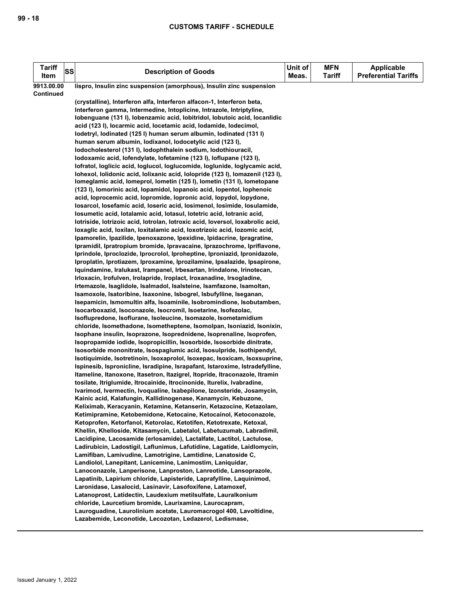| <b>Tariff</b>           | <b>SS</b> | <b>Description of Goods</b>                                                                                                                           | Unit of | <b>MFN</b>    | <b>Applicable</b>           |
|-------------------------|-----------|-------------------------------------------------------------------------------------------------------------------------------------------------------|---------|---------------|-----------------------------|
| Item                    |           |                                                                                                                                                       | Meas.   | <b>Tariff</b> | <b>Preferential Tariffs</b> |
| 9913.00.00<br>Continued |           | lispro, Insulin zinc suspension (amorphous), Insulin zinc suspension                                                                                  |         |               |                             |
|                         |           | (crystalline), Interferon alfa, Interferon alfacon-1, Interferon beta,                                                                                |         |               |                             |
|                         |           | Interferon gamma, Intermedine, Intoplicine, Intrazole, Intriptyline,                                                                                  |         |               |                             |
|                         |           | lobenguane (131 l), lobenzamic acid, lobitridol, lobutoic acid, locanlidic                                                                            |         |               |                             |
|                         |           | acid (123 I), locarmic acid, locetamic acid, lodamide, lodecimol,                                                                                     |         |               |                             |
|                         |           | lodetryl, lodinated (125 l) human serum albumin, lodinated (131 l)                                                                                    |         |               |                             |
|                         |           | human serum albumin, lodixanol, lodocetylic acid (123 l),                                                                                             |         |               |                             |
|                         |           | lodocholesterol (131 l), lodophthalein sodium, lodothiouracil,                                                                                        |         |               |                             |
|                         |           | lodoxamic acid, lofendylate, lofetamine (123 l), loflupane (123 l),                                                                                   |         |               |                             |
|                         |           | lofratol, loglicic acid, loglucol, loglucomide, loglunide, loglycamic acid,                                                                           |         |               |                             |
|                         |           | Iohexol, Iolidonic acid, Iolixanic acid, Iolopride (1231), Iomazenil (1231),                                                                          |         |               |                             |
|                         |           | Iomeglamic acid, Iomeprol, Iometin (125 I), Iometin (131 I), Iometopane                                                                               |         |               |                             |
|                         |           | (123 I), lomorinic acid, lopamidol, lopanoic acid, lopentol, lophenoic                                                                                |         |               |                             |
|                         |           | acid, loprocemic acid, lopromide, lopronic acid, lopydol, lopydone,                                                                                   |         |               |                             |
|                         |           | losarcol, losefamic acid, loseric acid, losimenol, losimide, losulamide,                                                                              |         |               |                             |
|                         |           | losumetic acid, lotalamic acid, lotasul, lotetric acid, lotranic acid,                                                                                |         |               |                             |
|                         |           | lotriside, lotrizoic acid, lotrolan, lotroxic acid, loversol, loxabrolic acid,                                                                        |         |               |                             |
|                         |           | loxaglic acid, loxilan, loxitalamic acid, loxotrizoic acid, lozomic acid,                                                                             |         |               |                             |
|                         |           | Ipamorelin, Ipazilide, Ipenoxazone, Ipexidine, Ipidacrine, Ipragratine,                                                                               |         |               |                             |
|                         |           | Ipramidil, Ipratropium bromide, Ipravacaine, Iprazochrome, Ipriflavone,<br>Iprindole, Iproclozide, Iprocrolol, Iproheptine, Iproniazid, Ipronidazole, |         |               |                             |
|                         |           | Iproplatin, Iprotiazem, Iproxamine, Iprozilamine, Ipsalazide, Ipsapirone,                                                                             |         |               |                             |
|                         |           | Iquindamine, Iralukast, Irampanel, Irbesartan, Irindalone, Irinotecan,                                                                                |         |               |                             |
|                         |           | Irloxacin, Irofulven, Irolapride, Iroplact, Iroxanadine, Irsogladine,                                                                                 |         |               |                             |
|                         |           | Irtemazole, Isaglidole, Isalmadol, Isalsteine, Isamfazone, Isamoltan,                                                                                 |         |               |                             |
|                         |           | Isamoxole, Isatoribine, Isaxonine, Isbogrel, Isbufylline, Iseganan,                                                                                   |         |               |                             |
|                         |           | Isepamicin, Ismomultin alfa, Isoaminile, Isobromindione, Isobutamben,                                                                                 |         |               |                             |
|                         |           | Isocarboxazid, Isoconazole, Isocromil, Isoetarine, Isofezolac,                                                                                        |         |               |                             |
|                         |           | Isoflupredone, Isoflurane, Isoleucine, Isomazole, Isometamidium                                                                                       |         |               |                             |
|                         |           | chloride, Isomethadone, Isometheptene, Isomolpan, Isoniazid, Isonixin,                                                                                |         |               |                             |
|                         |           | Isophane insulin, Isoprazone, Isoprednidene, Isoprenaline, Isoprofen,                                                                                 |         |               |                             |
|                         |           | Isopropamide iodide, Isopropicillin, Isosorbide, Isosorbide dinitrate,                                                                                |         |               |                             |
|                         |           | Isosorbide mononitrate, Isospaglumic acid, Isosulpride, Isothipendyl,                                                                                 |         |               |                             |
|                         |           | Isotiquimide, Isotretinoin, Isoxaprolol, Isoxepac, Isoxicam, Isoxsuprine,                                                                             |         |               |                             |
|                         |           | Ispinesib, Ispronicline, Isradipine, Israpafant, Istaroxime, Istradefylline,                                                                          |         |               |                             |
|                         |           | Itameline, Itanoxone, Itasetron, Itazigrel, Itopride, Itraconazole, Itramin                                                                           |         |               |                             |
|                         |           | tosilate, Itriglumide, Itrocainide, Itrocinonide, Iturelix, Ivabradine,                                                                               |         |               |                             |
|                         |           | Ivarimod, Ivermectin, Ivoqualine, Ixabepilone, Izonsteride, Josamycin,                                                                                |         |               |                             |
|                         |           | Kainic acid, Kalafungin, Kallidinogenase, Kanamycin, Kebuzone,                                                                                        |         |               |                             |
|                         |           | Keliximab, Keracyanin, Ketamine, Ketanserin, Ketazocine, Ketazolam,<br>Ketimipramine, Ketobemidone, Ketocaine, Ketocainol, Ketoconazole,              |         |               |                             |
|                         |           | Ketoprofen, Ketorfanol, Ketorolac, Ketotifen, Ketotrexate, Ketoxal,                                                                                   |         |               |                             |
|                         |           | Khellin, Khelloside, Kitasamycin, Labetalol, Labetuzumab, Labradimil,                                                                                 |         |               |                             |
|                         |           | Lacidipine, Lacosamide (erlosamide), Lactalfate, Lactitol, Lactulose,                                                                                 |         |               |                             |
|                         |           | Ladirubicin, Ladostigil, Laflunimus, Lafutidine, Lagatide, Laidlomycin,                                                                               |         |               |                             |
|                         |           | Lamifiban, Lamivudine, Lamotrigine, Lamtidine, Lanatoside C,                                                                                          |         |               |                             |
|                         |           | Landiolol, Lanepitant, Lanicemine, Lanimostim, Laniquidar,                                                                                            |         |               |                             |
|                         |           | Lanoconazole, Lanperisone, Lanproston, Lanreotide, Lansoprazole,                                                                                      |         |               |                             |
|                         |           | Lapatinib, Lapirium chloride, Lapisteride, Laprafylline, Laquinimod,                                                                                  |         |               |                             |
|                         |           | Laronidase, Lasalocid, Lasinavir, Lasofoxifene, Latamoxef,                                                                                            |         |               |                             |
|                         |           | Latanoprost, Latidectin, Laudexium metilsulfate, Lauralkonium                                                                                         |         |               |                             |
|                         |           | chloride, Laurcetium bromide, Laurixamine, Laurocapram,                                                                                               |         |               |                             |
|                         |           | Lauroguadine, Laurolinium acetate, Lauromacrogol 400, Lavoltidine,                                                                                    |         |               |                             |
|                         |           | Lazabemide, Leconotide, Lecozotan, Ledazerol, Ledismase,                                                                                              |         |               |                             |
|                         |           |                                                                                                                                                       |         |               |                             |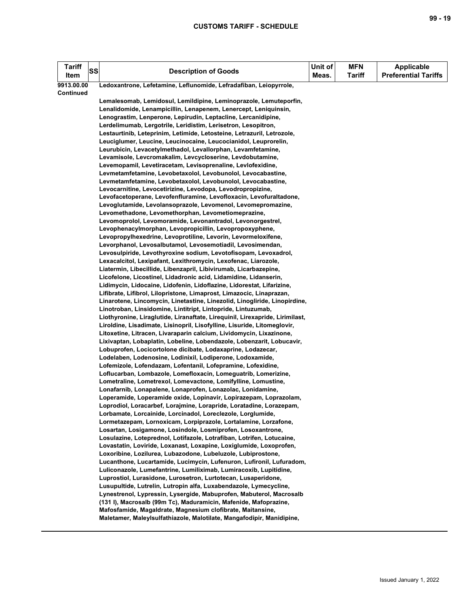| <b>Tariff</b><br>Item | SS | <b>Description of Goods</b>                                                                                                     | Unit of<br>Meas. | <b>MFN</b><br><b>Tariff</b> | <b>Applicable</b><br><b>Preferential Tariffs</b> |
|-----------------------|----|---------------------------------------------------------------------------------------------------------------------------------|------------------|-----------------------------|--------------------------------------------------|
| 9913.00.00            |    | Ledoxantrone, Lefetamine, Leflunomide, Lefradafiban, Leiopyrrole,                                                               |                  |                             |                                                  |
| Continued             |    |                                                                                                                                 |                  |                             |                                                  |
|                       |    | Lemalesomab, Lemidosul, Lemildipine, Leminoprazole, Lemuteporfin,                                                               |                  |                             |                                                  |
|                       |    | Lenalidomide, Lenampicillin, Lenapenem, Lenercept, Leniquinsin,                                                                 |                  |                             |                                                  |
|                       |    | Lenograstim, Lenperone, Lepirudin, Leptacline, Lercanidipine,                                                                   |                  |                             |                                                  |
|                       |    | Lerdelimumab, Lergotrile, Leridistim, Lerisetron, Lesopitron,                                                                   |                  |                             |                                                  |
|                       |    | Lestaurtinib, Leteprinim, Letimide, Letosteine, Letrazuril, Letrozole,                                                          |                  |                             |                                                  |
|                       |    | Leuciglumer, Leucine, Leucinocaine, Leucocianidol, Leuprorelin,                                                                 |                  |                             |                                                  |
|                       |    | Leurubicin, Levacetylmethadol, Levallorphan, Levamfetamine,                                                                     |                  |                             |                                                  |
|                       |    | Levamisole, Levcromakalim, Levcycloserine, Levdobutamine,                                                                       |                  |                             |                                                  |
|                       |    | Levemopamil, Levetiracetam, Levisoprenaline, Levlofexidine,                                                                     |                  |                             |                                                  |
|                       |    | Levmetamfetamine, Levobetaxolol, Levobunolol, Levocabastine,<br>Levmetamfetamine, Levobetaxolol, Levobunolol, Levocabastine,    |                  |                             |                                                  |
|                       |    | Levocarnitine, Levocetirizine, Levodopa, Levodropropizine,                                                                      |                  |                             |                                                  |
|                       |    | Levofacetoperane, Levofenfluramine, Levofloxacin, Levofuraltadone,                                                              |                  |                             |                                                  |
|                       |    | Levoglutamide, Levolansoprazole, Levomenol, Levomepromazine,                                                                    |                  |                             |                                                  |
|                       |    | Levomethadone, Levomethorphan, Levometiomeprazine,                                                                              |                  |                             |                                                  |
|                       |    | Levomoprolol, Levomoramide, Levonantradol, Levonorgestrel,                                                                      |                  |                             |                                                  |
|                       |    | Levophenacylmorphan, Levopropicillin, Levopropoxyphene,                                                                         |                  |                             |                                                  |
|                       |    | Levopropylhexedrine, Levoprotiline, Levorin, Levormeloxifene,                                                                   |                  |                             |                                                  |
|                       |    | Levorphanol, Levosalbutamol, Levosemotiadil, Levosimendan,                                                                      |                  |                             |                                                  |
|                       |    | Levosulpiride, Levothyroxine sodium, Levotofisopam, Levoxadrol,                                                                 |                  |                             |                                                  |
|                       |    | Lexacalcitol, Lexipafant, Lexithromycin, Lexofenac, Liarozole,                                                                  |                  |                             |                                                  |
|                       |    | Liatermin, Libecillide, Libenzapril, Libivirumab, Licarbazepine,                                                                |                  |                             |                                                  |
|                       |    | Licofelone, Licostinel, Lidadronic acid, Lidamidine, Lidanserin,                                                                |                  |                             |                                                  |
|                       |    | Lidimycin, Lidocaine, Lidofenin, Lidoflazine, Lidorestat, Lifarizine,                                                           |                  |                             |                                                  |
|                       |    | Lifibrate, Lifibrol, Lilopristone, Limaprost, Limazocic, Linaprazan,                                                            |                  |                             |                                                  |
|                       |    | Linarotene, Lincomycin, Linetastine, Linezolid, Linogliride, Linopirdine,                                                       |                  |                             |                                                  |
|                       |    | Linotroban, Linsidomine, Lintitript, Lintopride, Lintuzumab,                                                                    |                  |                             |                                                  |
|                       |    | Liothyronine, Liraglutide, Liranaftate, Lirequinil, Lirexapride, Lirimilast,                                                    |                  |                             |                                                  |
|                       |    | Liroldine, Lisadimate, Lisinopril, Lisofylline, Lisuride, Litomeglovir,                                                         |                  |                             |                                                  |
|                       |    | Litoxetine, Litracen, Livaraparin calcium, Lividomycin, Lixazinone,                                                             |                  |                             |                                                  |
|                       |    | Lixivaptan, Lobaplatin, Lobeline, Lobendazole, Lobenzarit, Lobucavir,                                                           |                  |                             |                                                  |
|                       |    | Lobuprofen, Locicortolone dicibate, Lodaxaprine, Lodazecar,                                                                     |                  |                             |                                                  |
|                       |    | Lodelaben, Lodenosine, Lodinixil, Lodiperone, Lodoxamide,                                                                       |                  |                             |                                                  |
|                       |    | Lofemizole, Lofendazam, Lofentanil, Lofepramine, Lofexidine,                                                                    |                  |                             |                                                  |
|                       |    | Loflucarban, Lombazole, Lomefloxacin, Lomeguatrib, Lomerizine,<br>Lometraline, Lometrexol, Lomevactone, Lomifylline, Lomustine, |                  |                             |                                                  |
|                       |    | Lonafarnib, Lonapalene, Lonaprofen, Lonazolac, Lonidamine,                                                                      |                  |                             |                                                  |
|                       |    | Loperamide, Loperamide oxide, Lopinavir, Lopirazepam, Loprazolam,                                                               |                  |                             |                                                  |
|                       |    | Loprodiol, Loracarbef, Lorajmine, Lorapride, Loratadine, Lorazepam,                                                             |                  |                             |                                                  |
|                       |    | Lorbamate, Lorcainide, Lorcinadol, Loreclezole, Lorglumide,                                                                     |                  |                             |                                                  |
|                       |    | Lormetazepam, Lornoxicam, Lorpiprazole, Lortalamine, Lorzafone,                                                                 |                  |                             |                                                  |
|                       |    | Losartan, Losigamone, Losindole, Losmiprofen, Losoxantrone,                                                                     |                  |                             |                                                  |
|                       |    | Losulazine, Loteprednol, Lotifazole, Lotrafiban, Lotrifen, Lotucaine,                                                           |                  |                             |                                                  |
|                       |    | Lovastatin, Loviride, Loxanast, Loxapine, Loxiglumide, Loxoprofen,                                                              |                  |                             |                                                  |
|                       |    | Loxoribine, Lozilurea, Lubazodone, Lubeluzole, Lubiprostone,                                                                    |                  |                             |                                                  |
|                       |    | Lucanthone, Lucartamide, Lucimycin, Lufenuron, Lufironil, Lufuradom,                                                            |                  |                             |                                                  |
|                       |    | Luliconazole, Lumefantrine, Lumiliximab, Lumiracoxib, Lupitidine,                                                               |                  |                             |                                                  |
|                       |    | Luprostiol, Lurasidone, Lurosetron, Lurtotecan, Lusaperidone,                                                                   |                  |                             |                                                  |
|                       |    | Lusupultide, Lutrelin, Lutropin alfa, Luxabendazole, Lymecycline,                                                               |                  |                             |                                                  |
|                       |    | Lynestrenol, Lypressin, Lysergide, Mabuprofen, Mabuterol, Macrosalb                                                             |                  |                             |                                                  |
|                       |    | (131 I), Macrosalb (99m Tc), Maduramicin, Mafenide, Mafoprazine,                                                                |                  |                             |                                                  |
|                       |    | Mafosfamide, Magaldrate, Magnesium clofibrate, Maitansine,                                                                      |                  |                             |                                                  |
|                       |    | Maletamer, Maleylsulfathiazole, Malotilate, Mangafodipir, Manidipine,                                                           |                  |                             |                                                  |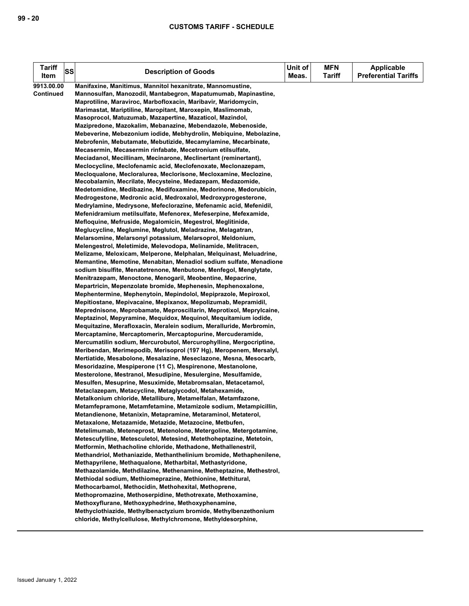| <b>Tariff</b><br>Item | <b>SS</b> | <b>Description of Goods</b>                                         | Unit of<br>Meas. | <b>MFN</b><br><b>Tariff</b> | <b>Applicable</b><br><b>Preferential Tariffs</b> |
|-----------------------|-----------|---------------------------------------------------------------------|------------------|-----------------------------|--------------------------------------------------|
| 9913.00.00            |           | Manifaxine, Manitimus, Mannitol hexanitrate, Mannomustine,          |                  |                             |                                                  |
| <b>Continued</b>      |           | Mannosulfan, Manozodil, Mantabegron, Mapatumumab, Mapinastine,      |                  |                             |                                                  |
|                       |           | Maprotiline, Maraviroc, Marbofloxacin, Maribavir, Maridomycin,      |                  |                             |                                                  |
|                       |           | Marimastat, Mariptiline, Maropitant, Maroxepin, Maslimomab,         |                  |                             |                                                  |
|                       |           | Masoprocol, Matuzumab, Mazapertine, Mazaticol, Mazindol,            |                  |                             |                                                  |
|                       |           | Mazipredone, Mazokalim, Mebanazine, Mebendazole, Mebenoside,        |                  |                             |                                                  |
|                       |           |                                                                     |                  |                             |                                                  |
|                       |           | Mebeverine, Mebezonium iodide, Mebhydrolin, Mebiquine, Mebolazine,  |                  |                             |                                                  |
|                       |           | Mebrofenin, Mebutamate, Mebutizide, Mecamylamine, Mecarbinate,      |                  |                             |                                                  |
|                       |           | Mecasermin, Mecasermin rinfabate, Mecetronium etilsulfate,          |                  |                             |                                                  |
|                       |           | Meciadanol, Mecillinam, Mecinarone, Meclinertant (reminertant),     |                  |                             |                                                  |
|                       |           | Meclocycline, Meclofenamic acid, Meclofenoxate, Meclonazepam,       |                  |                             |                                                  |
|                       |           | Mecloqualone, Mecloralurea, Meclorisone, Mecloxamine, Meclozine,    |                  |                             |                                                  |
|                       |           | Mecobalamin, Mecrilate, Mecysteine, Medazepam, Medazomide,          |                  |                             |                                                  |
|                       |           | Medetomidine, Medibazine, Medifoxamine, Medorinone, Medorubicin,    |                  |                             |                                                  |
|                       |           | Medrogestone, Medronic acid, Medroxalol, Medroxyprogesterone,       |                  |                             |                                                  |
|                       |           | Medrylamine, Medrysone, Mefeclorazine, Mefenamic acid, Mefenidil,   |                  |                             |                                                  |
|                       |           | Mefenidramium metilsulfate, Mefenorex, Mefeserpine, Mefexamide,     |                  |                             |                                                  |
|                       |           | Mefloquine, Mefruside, Megalomicin, Megestrol, Meglitinide,         |                  |                             |                                                  |
|                       |           | Meglucycline, Meglumine, Meglutol, Meladrazine, Melagatran,         |                  |                             |                                                  |
|                       |           | Melarsomine, Melarsonyl potassium, Melarsoprol, Meldonium,          |                  |                             |                                                  |
|                       |           | Melengestrol, Meletimide, Melevodopa, Melinamide, Melitracen,       |                  |                             |                                                  |
|                       |           | Melizame, Meloxicam, Melperone, Melphalan, Melquinast, Meluadrine,  |                  |                             |                                                  |
|                       |           | Memantine, Memotine, Menabitan, Menadiol sodium sulfate, Menadione  |                  |                             |                                                  |
|                       |           | sodium bisulfite, Menatetrenone, Menbutone, Menfegol, Menglytate,   |                  |                             |                                                  |
|                       |           | Menitrazepam, Menoctone, Menogaril, Meobentine, Mepacrine,          |                  |                             |                                                  |
|                       |           | Mepartricin, Mepenzolate bromide, Mephenesin, Mephenoxalone,        |                  |                             |                                                  |
|                       |           | Mephentermine, Mephenytoin, Mepindolol, Mepiprazole, Mepiroxol,     |                  |                             |                                                  |
|                       |           | Mepitiostane, Mepivacaine, Mepixanox, Mepolizumab, Mepramidil,      |                  |                             |                                                  |
|                       |           | Meprednisone, Meprobamate, Meproscillarin, Meprotixol, Meprylcaine, |                  |                             |                                                  |
|                       |           | Meptazinol, Mepyramine, Mequidox, Mequinol, Mequitamium iodide,     |                  |                             |                                                  |
|                       |           | Mequitazine, Merafloxacin, Meralein sodium, Meralluride, Merbromin, |                  |                             |                                                  |
|                       |           | Mercaptamine, Mercaptomerin, Mercaptopurine, Mercuderamide,         |                  |                             |                                                  |
|                       |           | Mercumatilin sodium, Mercurobutol, Mercurophylline, Mergocriptine,  |                  |                             |                                                  |
|                       |           | Meribendan, Merimepodib, Merisoprol (197 Hg), Meropenem, Mersalyl,  |                  |                             |                                                  |
|                       |           | Mertiatide, Mesabolone, Mesalazine, Meseclazone, Mesna, Mesocarb,   |                  |                             |                                                  |
|                       |           | Mesoridazine, Mespiperone (11 C), Mespirenone, Mestanolone,         |                  |                             |                                                  |
|                       |           | Mesterolone, Mestranol, Mesudipine, Mesulergine, Mesulfamide,       |                  |                             |                                                  |
|                       |           | Mesulfen, Mesuprine, Mesuximide, Metabromsalan, Metacetamol,        |                  |                             |                                                  |
|                       |           | Metaclazepam, Metacycline, Metaglycodol, Metahexamide,              |                  |                             |                                                  |
|                       |           | Metalkonium chloride, Metallibure, Metamelfalan, Metamfazone,       |                  |                             |                                                  |
|                       |           | Metamfepramone, Metamfetamine, Metamizole sodium, Metampicillin,    |                  |                             |                                                  |
|                       |           | Metandienone, Metanixin, Metapramine, Metaraminol, Metaterol,       |                  |                             |                                                  |
|                       |           | Metaxalone, Metazamide, Metazide, Metazocine, Metbufen,             |                  |                             |                                                  |
|                       |           | Metelimumab, Meteneprost, Metenolone, Metergoline, Metergotamine,   |                  |                             |                                                  |
|                       |           | Metescufylline, Metesculetol, Metesind, Metethoheptazine, Metetoin, |                  |                             |                                                  |
|                       |           | Metformin, Methacholine chloride, Methadone, Methallenestril,       |                  |                             |                                                  |
|                       |           | Methandriol, Methaniazide, Methanthelinium bromide, Methaphenilene, |                  |                             |                                                  |
|                       |           | Methapyrilene, Methaqualone, Metharbital, Methastyridone,           |                  |                             |                                                  |
|                       |           | Methazolamide, Methdilazine, Methenamine, Metheptazine, Methestrol, |                  |                             |                                                  |
|                       |           | Methiodal sodium, Methiomeprazine, Methionine, Methitural,          |                  |                             |                                                  |
|                       |           | Methocarbamol, Methocidin, Methohexital, Methoprene,                |                  |                             |                                                  |
|                       |           | Methopromazine, Methoserpidine, Methotrexate, Methoxamine,          |                  |                             |                                                  |
|                       |           | Methoxyflurane, Methoxyphedrine, Methoxyphenamine,                  |                  |                             |                                                  |
|                       |           | Methyclothiazide, Methylbenactyzium bromide, Methylbenzethonium     |                  |                             |                                                  |
|                       |           | chloride, Methylcellulose, Methylchromone, Methyldesorphine,        |                  |                             |                                                  |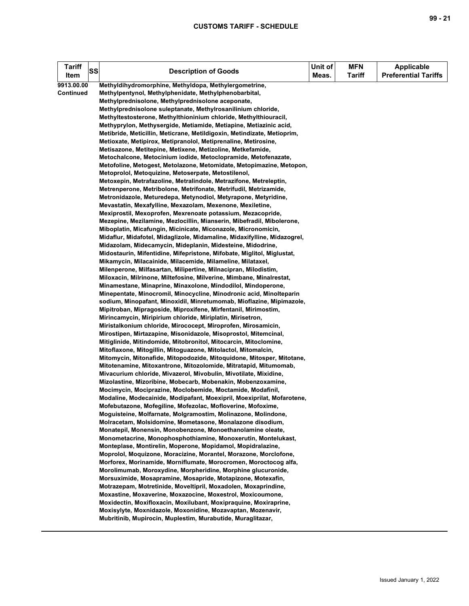| <b>Tariff</b><br>Item | SS | <b>Description of Goods</b>                                                                                                          | Unit of<br>Meas. | <b>MFN</b><br><b>Tariff</b> | Applicable<br><b>Preferential Tariffs</b> |
|-----------------------|----|--------------------------------------------------------------------------------------------------------------------------------------|------------------|-----------------------------|-------------------------------------------|
| 9913.00.00            |    | Methyldihydromorphine, Methyldopa, Methylergometrine,                                                                                |                  |                             |                                           |
| <b>Continued</b>      |    | Methylpentynol, Methylphenidate, Methylphenobarbital,                                                                                |                  |                             |                                           |
|                       |    | Methylprednisolone, Methylprednisolone aceponate,<br>Methylprednisolone suleptanate, Methylrosanilinium chloride,                    |                  |                             |                                           |
|                       |    | Methyltestosterone, Methylthioninium chloride, Methylthiouracil,                                                                     |                  |                             |                                           |
|                       |    | Methyprylon, Methysergide, Metiamide, Metiapine, Metiazinic acid,                                                                    |                  |                             |                                           |
|                       |    | Metibride, Meticillin, Meticrane, Metildigoxin, Metindizate, Metioprim,                                                              |                  |                             |                                           |
|                       |    | Metioxate, Metipirox, Metipranolol, Metiprenaline, Metirosine,                                                                       |                  |                             |                                           |
|                       |    | Metisazone, Metitepine, Metixene, Metizoline, Metkefamide,                                                                           |                  |                             |                                           |
|                       |    | Metochalcone, Metocinium iodide, Metoclopramide, Metofenazate,                                                                       |                  |                             |                                           |
|                       |    | Metofoline, Metogest, Metolazone, Metomidate, Metopimazine, Metopon,                                                                 |                  |                             |                                           |
|                       |    | Metoprolol, Metoquizine, Metoserpate, Metostilenol,                                                                                  |                  |                             |                                           |
|                       |    | Metoxepin, Metrafazoline, Metralindole, Metrazifone, Metreleptin,                                                                    |                  |                             |                                           |
|                       |    | Metrenperone, Metribolone, Metrifonate, Metrifudil, Metrizamide,                                                                     |                  |                             |                                           |
|                       |    | Metronidazole, Meturedepa, Metynodiol, Metyrapone, Metyridine,                                                                       |                  |                             |                                           |
|                       |    | Mevastatin, Mexafylline, Mexazolam, Mexenone, Mexiletine,                                                                            |                  |                             |                                           |
|                       |    | Mexiprostil, Mexoprofen, Mexrenoate potassium, Mezacopride,<br>Mezepine, Mezilamine, Mezlocillin, Mianserin, Mibefradil, Mibolerone, |                  |                             |                                           |
|                       |    | Miboplatin, Micafungin, Micinicate, Miconazole, Micronomicin,                                                                        |                  |                             |                                           |
|                       |    | Midaflur, Midafotel, Midaglizole, Midamaline, Midaxifylline, Midazogrel,                                                             |                  |                             |                                           |
|                       |    | Midazolam, Midecamycin, Mideplanin, Midesteine, Midodrine,                                                                           |                  |                             |                                           |
|                       |    | Midostaurin, Mifentidine, Mifepristone, Mifobate, Miglitol, Miglustat,                                                               |                  |                             |                                           |
|                       |    | Mikamycin, Milacainide, Milacemide, Milameline, Milataxel,                                                                           |                  |                             |                                           |
|                       |    | Milenperone, Milfasartan, Milipertine, Milnacipran, Milodistim,                                                                      |                  |                             |                                           |
|                       |    | Miloxacin, Milrinone, Miltefosine, Milverine, Mimbane, Minalrestat,                                                                  |                  |                             |                                           |
|                       |    | Minamestane, Minaprine, Minaxolone, Mindodilol, Mindoperone,                                                                         |                  |                             |                                           |
|                       |    | Minepentate, Minocromil, Minocycline, Minodronic acid, Minolteparin                                                                  |                  |                             |                                           |
|                       |    | sodium, Minopafant, Minoxidil, Minretumomab, Mioflazine, Mipimazole,                                                                 |                  |                             |                                           |
|                       |    | Mipitroban, Mipragoside, Miproxifene, Mirfentanil, Mirimostim,                                                                       |                  |                             |                                           |
|                       |    | Mirincamycin, Miripirium chloride, Miriplatin, Mirisetron,<br>Miristalkonium chloride, Mirococept, Miroprofen, Mirosamicin,          |                  |                             |                                           |
|                       |    | Mirostipen, Mirtazapine, Misonidazole, Misoprostol, Mitemcinal,                                                                      |                  |                             |                                           |
|                       |    | Mitiglinide, Mitindomide, Mitobronitol, Mitocarcin, Mitoclomine,                                                                     |                  |                             |                                           |
|                       |    | Mitoflaxone, Mitogillin, Mitoguazone, Mitolactol, Mitomalcin,                                                                        |                  |                             |                                           |
|                       |    | Mitomycin, Mitonafide, Mitopodozide, Mitoquidone, Mitosper, Mitotane,                                                                |                  |                             |                                           |
|                       |    | Mitotenamine, Mitoxantrone, Mitozolomide, Mitratapid, Mitumomab,                                                                     |                  |                             |                                           |
|                       |    | Mivacurium chloride, Mivazerol, Mivobulin, Mivotilate, Mixidine,                                                                     |                  |                             |                                           |
|                       |    | Mizolastine, Mizoribine, Mobecarb, Mobenakin, Mobenzoxamine,                                                                         |                  |                             |                                           |
|                       |    | Mocimycin, Mociprazine, Moclobemide, Moctamide, Modafinil,                                                                           |                  |                             |                                           |
|                       |    | Modaline, Modecainide, Modipafant, Moexipril, Moexiprilat, Mofarotene,                                                               |                  |                             |                                           |
|                       |    | Mofebutazone, Mofegiline, Mofezolac, Mofloverine, Mofoxime,<br>Moguisteine, Molfarnate, Molgramostim, Molinazone, Molindone,         |                  |                             |                                           |
|                       |    | Molracetam, Molsidomine, Mometasone, Monalazone disodium,                                                                            |                  |                             |                                           |
|                       |    | Monatepil, Monensin, Monobenzone, Monoethanolamine oleate,                                                                           |                  |                             |                                           |
|                       |    | Monometacrine, Monophosphothiamine, Monoxerutin, Montelukast,                                                                        |                  |                             |                                           |
|                       |    | Monteplase, Montirelin, Moperone, Mopidamol, Mopidralazine,                                                                          |                  |                             |                                           |
|                       |    | Moprolol, Moquizone, Moracizine, Morantel, Morazone, Morclofone,                                                                     |                  |                             |                                           |
|                       |    | Morforex, Morinamide, Morniflumate, Morocromen, Moroctocog alfa,                                                                     |                  |                             |                                           |
|                       |    | Morolimumab, Moroxydine, Morpheridine, Morphine glucuronide,                                                                         |                  |                             |                                           |
|                       |    | Morsuximide, Mosapramine, Mosapride, Motapizone, Motexafin,                                                                          |                  |                             |                                           |
|                       |    | Motrazepam, Motretinide, Moveltipril, Moxadolen, Moxaprindine,                                                                       |                  |                             |                                           |
|                       |    | Moxastine, Moxaverine, Moxazocine, Moxestrol, Moxicoumone,                                                                           |                  |                             |                                           |
|                       |    | Moxidectin, Moxifloxacin, Moxilubant, Moxipraquine, Moxiraprine,<br>Moxisylyte, Moxnidazole, Moxonidine, Mozavaptan, Mozenavir,      |                  |                             |                                           |
|                       |    | Mubritinib, Mupirocin, Muplestim, Murabutide, Muraglitazar,                                                                          |                  |                             |                                           |
|                       |    |                                                                                                                                      |                  |                             |                                           |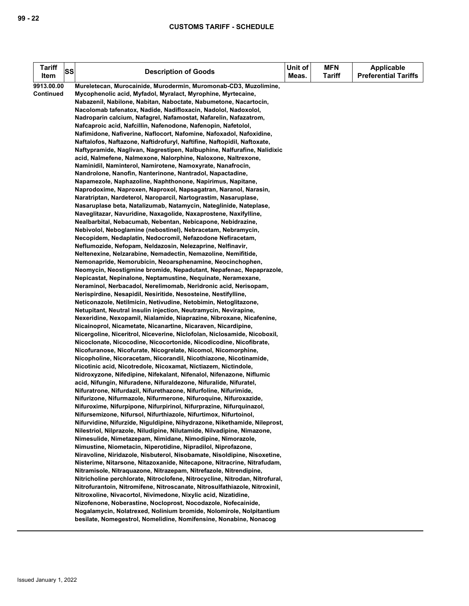| Tariff<br>Item | <b>SS</b> | <b>Description of Goods</b>                                                                                                                  | Unit of<br>Meas. | <b>MFN</b><br><b>Tariff</b> | <b>Applicable</b><br><b>Preferential Tariffs</b> |
|----------------|-----------|----------------------------------------------------------------------------------------------------------------------------------------------|------------------|-----------------------------|--------------------------------------------------|
| 9913.00.00     |           | Mureletecan, Murocainide, Murodermin, Muromonab-CD3, Muzolimine,                                                                             |                  |                             |                                                  |
| Continued      |           | Mycophenolic acid, Myfadol, Myralact, Myrophine, Myrtecaine,                                                                                 |                  |                             |                                                  |
|                |           | Nabazenil, Nabilone, Nabitan, Naboctate, Nabumetone, Nacartocin,                                                                             |                  |                             |                                                  |
|                |           | Nacolomab tafenatox, Nadide, Nadifloxacin, Nadolol, Nadoxolol,                                                                               |                  |                             |                                                  |
|                |           | Nadroparin calcium, Nafagrel, Nafamostat, Nafarelin, Nafazatrom,                                                                             |                  |                             |                                                  |
|                |           | Nafcaproic acid, Nafcillin, Nafenodone, Nafenopin, Nafetolol,                                                                                |                  |                             |                                                  |
|                |           | Nafimidone, Nafiverine, Naflocort, Nafomine, Nafoxadol, Nafoxidine,                                                                          |                  |                             |                                                  |
|                |           | Naftalofos, Naftazone, Naftidrofuryl, Naftifine, Naftopidil, Naftoxate,                                                                      |                  |                             |                                                  |
|                |           | Naftypramide, Naglivan, Nagrestipen, Nalbuphine, Nalfurafine, Nalidixic                                                                      |                  |                             |                                                  |
|                |           | acid, Nalmefene, Nalmexone, Nalorphine, Naloxone, Naltrexone,                                                                                |                  |                             |                                                  |
|                |           | Naminidil, Naminterol, Namirotene, Namoxyrate, Nanafrocin,                                                                                   |                  |                             |                                                  |
|                |           | Nandrolone, Nanofin, Nanterinone, Nantradol, Napactadine,                                                                                    |                  |                             |                                                  |
|                |           | Napamezole, Naphazoline, Naphthonone, Napirimus, Napitane,                                                                                   |                  |                             |                                                  |
|                |           | Naprodoxime, Naproxen, Naproxol, Napsagatran, Naranol, Narasin,                                                                              |                  |                             |                                                  |
|                |           | Naratriptan, Nardeterol, Naroparcil, Nartograstim, Nasaruplase,                                                                              |                  |                             |                                                  |
|                |           | Nasaruplase beta, Natalizumab, Natamycin, Nateglinide, Nateplase,                                                                            |                  |                             |                                                  |
|                |           | Naveglitazar, Navuridine, Naxagolide, Naxaprostene, Naxifylline,                                                                             |                  |                             |                                                  |
|                |           | Nealbarbital, Nebacumab, Nebentan, Nebicapone, Nebidrazine,                                                                                  |                  |                             |                                                  |
|                |           | Nebivolol, Neboglamine (nebostinel), Nebracetam, Nebramycin,                                                                                 |                  |                             |                                                  |
|                |           | Necopidem, Nedaplatin, Nedocromil, Nefazodone Nefiracetam,                                                                                   |                  |                             |                                                  |
|                |           | Neflumozide, Nefopam, Neldazosin, Nelezaprine, Nelfinavir,                                                                                   |                  |                             |                                                  |
|                |           | Neltenexine, Nelzarabine, Nemadectin, Nemazoline, Nemifitide,                                                                                |                  |                             |                                                  |
|                |           | Nemonapride, Nemorubicin, Neoarsphenamine, Neocinchophen,                                                                                    |                  |                             |                                                  |
|                |           | Neomycin, Neostigmine bromide, Nepadutant, Nepafenac, Nepaprazole,                                                                           |                  |                             |                                                  |
|                |           | Nepicastat, Nepinalone, Neptamustine, Nequinate, Neramexane,                                                                                 |                  |                             |                                                  |
|                |           | Neraminol, Nerbacadol, Nerelimomab, Neridronic acid, Nerisopam,                                                                              |                  |                             |                                                  |
|                |           | Nerispirdine, Nesapidil, Nesiritide, Nesosteine, Nestifylline,                                                                               |                  |                             |                                                  |
|                |           | Neticonazole, Netilmicin, Netivudine, Netobimin, Netoglitazone,                                                                              |                  |                             |                                                  |
|                |           | Netupitant, Neutral insulin injection, Neutramycin, Nevirapine,<br>Nexeridine, Nexopamil, Nialamide, Niaprazine, Nibroxane, Nicafenine,      |                  |                             |                                                  |
|                |           | Nicainoprol, Nicametate, Nicanartine, Nicaraven, Nicardipine,                                                                                |                  |                             |                                                  |
|                |           | Nicergoline, Niceritrol, Niceverine, Niclofolan, Niclosamide, Nicoboxil,                                                                     |                  |                             |                                                  |
|                |           | Nicoclonate, Nicocodine, Nicocortonide, Nicodicodine, Nicofibrate,                                                                           |                  |                             |                                                  |
|                |           | Nicofuranose, Nicofurate, Nicogrelate, Nicomol, Nicomorphine,                                                                                |                  |                             |                                                  |
|                |           | Nicopholine, Nicoracetam, Nicorandil, Nicothiazone, Nicotinamide,                                                                            |                  |                             |                                                  |
|                |           | Nicotinic acid, Nicotredole, Nicoxamat, Nictiazem, Nictindole,                                                                               |                  |                             |                                                  |
|                |           | Nidroxyzone, Nifedipine, Nifekalant, Nifenalol, Nifenazone, Niflumic                                                                         |                  |                             |                                                  |
|                |           | acid, Nifungin, Nifuradene, Nifuraldezone, Nifuralide, Nifuratel,                                                                            |                  |                             |                                                  |
|                |           | Nifuratrone, Nifurdazil, Nifurethazone, Nifurfoline, Nifurimide,                                                                             |                  |                             |                                                  |
|                |           | Nifurizone, Nifurmazole, Nifurmerone, Nifuroquine, Nifuroxazide,                                                                             |                  |                             |                                                  |
|                |           | Nifuroxime, Nifurpipone, Nifurpirinol, Nifurprazine, Nifurquinazol,                                                                          |                  |                             |                                                  |
|                |           | Nifursemizone, Nifursol, Nifurthiazole, Nifurtimox, Nifurtoinol,                                                                             |                  |                             |                                                  |
|                |           | Nifurvidine, Nifurzide, Niguldipine, Nihydrazone, Nikethamide, Nileprost,                                                                    |                  |                             |                                                  |
|                |           | Nilestriol, Nilprazole, Niludipine, Nilutamide, Nilvadipine, Nimazone,                                                                       |                  |                             |                                                  |
|                |           | Nimesulide, Nimetazepam, Nimidane, Nimodipine, Nimorazole,                                                                                   |                  |                             |                                                  |
|                |           | Nimustine, Niometacin, Niperotidine, Nipradilol, Niprofazone,                                                                                |                  |                             |                                                  |
|                |           | Niravoline, Niridazole, Nisbuterol, Nisobamate, Nisoldipine, Nisoxetine,                                                                     |                  |                             |                                                  |
|                |           | Nisterime, Nitarsone, Nitazoxanide, Nitecapone, Nitracrine, Nitrafudam,<br>Nitramisole, Nitraguazone, Nitrazepam, Nitrefazole, Nitrendipine, |                  |                             |                                                  |
|                |           | Nitricholine perchlorate, Nitroclofene, Nitrocycline, Nitrodan, Nitrofural,                                                                  |                  |                             |                                                  |
|                |           | Nitrofurantoin, Nitromifene, Nitroscanate, Nitrosulfathiazole, Nitroxinil,                                                                   |                  |                             |                                                  |
|                |           | Nitroxoline, Nivacortol, Nivimedone, Nixylic acid, Nizatidine,                                                                               |                  |                             |                                                  |
|                |           | Nizofenone, Noberastine, Nocloprost, Nocodazole, Nofecainide,                                                                                |                  |                             |                                                  |
|                |           | Nogalamycin, Nolatrexed, Nolinium bromide, Nolomirole, Nolpitantium                                                                          |                  |                             |                                                  |
|                |           | besilate, Nomegestrol, Nomelidine, Nomifensine, Nonabine, Nonacog                                                                            |                  |                             |                                                  |
|                |           |                                                                                                                                              |                  |                             |                                                  |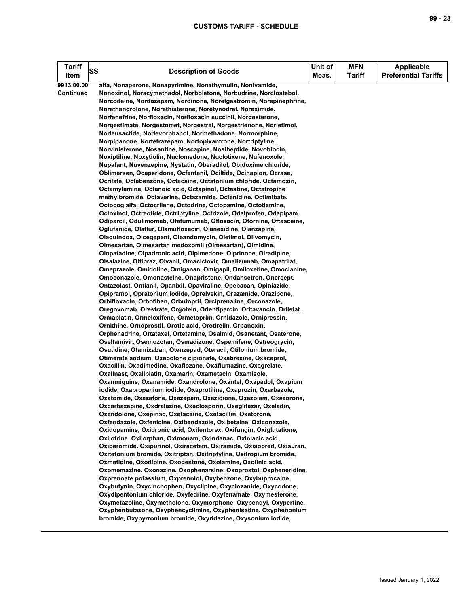| Tariff<br>SS<br>Item    | <b>Description of Goods</b>                                                                                                                                                                                                                                                                                                                                                                                                                                                                                                                                                                                                                                                                                                                                                                                                                                                                                                                                                                                                                                                                                                                                                                                                                                                                                                                                                                                                                                                                                                                                                                                                                                                                                                                                                                                                                                                                                                                                                                                                                                                                                                                                                                                                                                                                                                                                                                                                                                                                                                                                                                                                                                                                                                                                                                                                                                                                                                                                                                                                                                                                                                                                                                                                                                                                                                                                                                                                                                                                                                                                                                                    | Unit of<br>Meas. | <b>MFN</b><br><b>Tariff</b> | <b>Applicable</b><br><b>Preferential Tariffs</b> |
|-------------------------|----------------------------------------------------------------------------------------------------------------------------------------------------------------------------------------------------------------------------------------------------------------------------------------------------------------------------------------------------------------------------------------------------------------------------------------------------------------------------------------------------------------------------------------------------------------------------------------------------------------------------------------------------------------------------------------------------------------------------------------------------------------------------------------------------------------------------------------------------------------------------------------------------------------------------------------------------------------------------------------------------------------------------------------------------------------------------------------------------------------------------------------------------------------------------------------------------------------------------------------------------------------------------------------------------------------------------------------------------------------------------------------------------------------------------------------------------------------------------------------------------------------------------------------------------------------------------------------------------------------------------------------------------------------------------------------------------------------------------------------------------------------------------------------------------------------------------------------------------------------------------------------------------------------------------------------------------------------------------------------------------------------------------------------------------------------------------------------------------------------------------------------------------------------------------------------------------------------------------------------------------------------------------------------------------------------------------------------------------------------------------------------------------------------------------------------------------------------------------------------------------------------------------------------------------------------------------------------------------------------------------------------------------------------------------------------------------------------------------------------------------------------------------------------------------------------------------------------------------------------------------------------------------------------------------------------------------------------------------------------------------------------------------------------------------------------------------------------------------------------------------------------------------------------------------------------------------------------------------------------------------------------------------------------------------------------------------------------------------------------------------------------------------------------------------------------------------------------------------------------------------------------------------------------------------------------------------------------------------------------|------------------|-----------------------------|--------------------------------------------------|
| 9913.00.00<br>Continued | alfa, Nonaperone, Nonapyrimine, Nonathymulin, Nonivamide,<br>Nonoxinol, Noracymethadol, Norboletone, Norbudrine, Norclostebol,<br>Norcodeine, Nordazepam, Nordinone, Norelgestromin, Norepinephrine,<br>Norethandrolone, Norethisterone, Noretynodrel, Noreximide,<br>Norfenefrine, Norfloxacin, Norfloxacin succinil, Norgesterone,<br>Norgestimate, Norgestomet, Norgestrel, Norgestrienone, Norletimol,<br>Norleusactide, Norlevorphanol, Normethadone, Normorphine,<br>Norpipanone, Nortetrazepam, Nortopixantrone, Nortriptyline,<br>Norvinisterone, Nosantine, Noscapine, Nosiheptide, Novobiocin,<br>Noxiptiline, Noxytiolin, Nuclomedone, Nuclotixene, Nufenoxole,<br>Nupafant, Nuvenzepine, Nystatin, Oberadilol, Obidoxime chloride,<br>Oblimersen, Ocaperidone, Ocfentanil, Ociltide, Ocinaplon, Ocrase,<br>Ocrilate, Octabenzone, Octacaine, Octafonium chloride, Octamoxin,<br>Octamylamine, Octanoic acid, Octapinol, Octastine, Octatropine<br>methylbromide, Octaverine, Octazamide, Octenidine, Octimibate,<br>Octocog alfa, Octocrilene, Octodrine, Octopamine, Octotiamine,<br>Octoxinol, Octreotide, Octriptyline, Octrizole, Odalprofen, Odapipam,<br>Odiparcil, Odulimomab, Ofatumumab, Ofloxacin, Ofornine, Oftasceine,<br>Oglufanide, Olaflur, Olamufloxacin, Olanexidine, Olanzapine,<br>Olaquindox, Olcegepant, Oleandomycin, Oletimol, Olivomycin,<br>Olmesartan, Olmesartan medoxomil (Olmesartan), Olmidine,<br>Olopatadine, Olpadronic acid, Olpimedone, Olprinone, Olradipine,<br>Olsalazine, Oltipraz, Olvanil, Omaciclovir, Omalizumab, Omapatrilat,<br>Omeprazole, Omidoline, Omiganan, Omigapil, Omiloxetine, Omocianine,<br>Omoconazole, Omonasteine, Onapristone, Ondansetron, Onercept,<br>Ontazolast, Ontianil, Opanixil, Opaviraline, Opebacan, Opiniazide,<br>Opipramol, Opratonium iodide, Oprelvekin, Orazamide, Orazipone,<br>Orbifloxacin, Orbofiban, Orbutopril, Orciprenaline, Orconazole,<br>Oregovomab, Orestrate, Orgotein, Orientiparcin, Oritavancin, Orlistat,<br>Ormaplatin, Ormeloxifene, Ormetoprim, Ornidazole, Ornipressin,<br>Ornithine, Ornoprostil, Orotic acid, Orotirelin, Orpanoxin,<br>Orphenadrine, Ortataxel, Ortetamine, Osalmid, Osanetant, Osaterone,<br>Oseltamivir, Osemozotan, Osmadizone, Ospemifene, Ostreogrycin,<br>Osutidine, Otamixaban, Otenzepad, Oteracil, Otilonium bromide,<br>Otimerate sodium, Oxabolone cipionate, Oxabrexine, Oxaceprol,<br>Oxacillin, Oxadimedine, Oxaflozane, Oxaflumazine, Oxagrelate,<br>Oxalinast, Oxaliplatin, Oxamarin, Oxametacin, Oxamisole,<br>Oxamniquine, Oxanamide, Oxandrolone, Oxantel, Oxapadol, Oxapium<br>iodide, Oxapropanium iodide, Oxaprotiline, Oxaprozin, Oxarbazole,<br>Oxatomide, Oxazafone, Oxazepam, Oxazidione, Oxazolam, Oxazorone,<br>Oxcarbazepine, Oxdralazine, Oxeclosporin, Oxeglitazar, Oxeladin,<br>Oxendolone, Oxepinac, Oxetacaine, Oxetacillin, Oxetorone,<br>Oxfendazole, Oxfenicine, Oxibendazole, Oxibetaine, Oxiconazole,<br>Oxidopamine, Oxidronic acid, Oxifentorex, Oxifungin, Oxiglutatione,<br>Oxilofrine, Oxilorphan, Oximonam, Oxindanac, Oxiniacic acid,<br>Oxiperomide, Oxipurinol, Oxiracetam, Oxiramide, Oxisopred, Oxisuran,<br>Oxitefonium bromide, Oxitriptan, Oxitriptyline, Oxitropium bromide,<br>Oxmetidine, Oxodipine, Oxogestone, Oxolamine, Oxolinic acid,<br>Oxomemazine, Oxonazine, Oxophenarsine, Oxoprostol, Oxpheneridine,<br>Oxprenoate potassium, Oxprenolol, Oxybenzone, Oxybuprocaine,<br>Oxybutynin, Oxycinchophen, Oxyclipine, Oxyclozanide, Oxycodone,<br>Oxydipentonium chloride, Oxyfedrine, Oxyfenamate, Oxymesterone, |                  |                             |                                                  |
|                         | Oxymetazoline, Oxymetholone, Oxymorphone, Oxypendyl, Oxypertine,<br>Oxyphenbutazone, Oxyphencyclimine, Oxyphenisatine, Oxyphenonium<br>bromide, Oxypyrronium bromide, Oxyridazine, Oxysonium iodide,                                                                                                                                                                                                                                                                                                                                                                                                                                                                                                                                                                                                                                                                                                                                                                                                                                                                                                                                                                                                                                                                                                                                                                                                                                                                                                                                                                                                                                                                                                                                                                                                                                                                                                                                                                                                                                                                                                                                                                                                                                                                                                                                                                                                                                                                                                                                                                                                                                                                                                                                                                                                                                                                                                                                                                                                                                                                                                                                                                                                                                                                                                                                                                                                                                                                                                                                                                                                           |                  |                             |                                                  |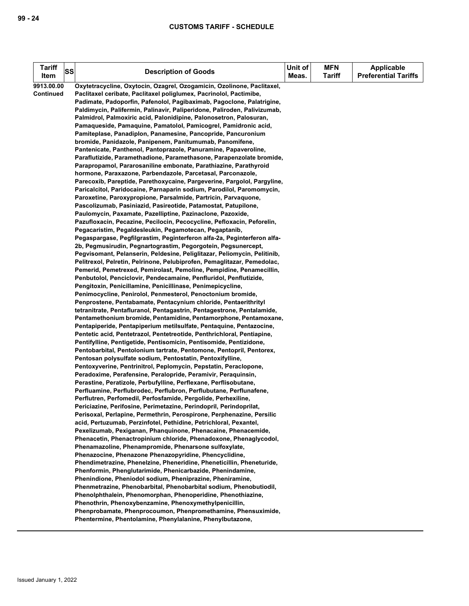| <b>Tariff</b><br>Item | SS | <b>Description of Goods</b>                                                                                                                | Unit of<br>Meas. | <b>MFN</b><br><b>Tariff</b> | <b>Applicable</b><br><b>Preferential Tariffs</b> |
|-----------------------|----|--------------------------------------------------------------------------------------------------------------------------------------------|------------------|-----------------------------|--------------------------------------------------|
| 9913.00.00            |    | Oxytetracycline, Oxytocin, Ozagrel, Ozogamicin, Ozolinone, Paclitaxel,                                                                     |                  |                             |                                                  |
| Continued             |    | Paclitaxel ceribate, Paclitaxel poliglumex, Pacrinolol, Pactimibe,                                                                         |                  |                             |                                                  |
|                       |    | Padimate, Padoporfin, Pafenolol, Pagibaximab, Pagoclone, Palatrigine,                                                                      |                  |                             |                                                  |
|                       |    | Paldimycin, Palifermin, Palinavir, Paliperidone, Paliroden, Palivizumab,                                                                   |                  |                             |                                                  |
|                       |    | Palmidrol, Palmoxiric acid, Palonidipine, Palonosetron, Palosuran,                                                                         |                  |                             |                                                  |
|                       |    | Pamaqueside, Pamaquine, Pamatolol, Pamicogrel, Pamidronic acid,                                                                            |                  |                             |                                                  |
|                       |    | Pamiteplase, Panadiplon, Panamesine, Pancopride, Pancuronium                                                                               |                  |                             |                                                  |
|                       |    | bromide, Panidazole, Panipenem, Panitumumab, Panomifene,                                                                                   |                  |                             |                                                  |
|                       |    | Pantenicate, Panthenol, Pantoprazole, Panuramine, Papaveroline,                                                                            |                  |                             |                                                  |
|                       |    | Paraflutizide, Paramethadione, Paramethasone, Parapenzolate bromide,                                                                       |                  |                             |                                                  |
|                       |    | Parapropamol, Pararosaniline embonate, Parathiazine, Parathyroid                                                                           |                  |                             |                                                  |
|                       |    | hormone, Paraxazone, Parbendazole, Parcetasal, Parconazole,                                                                                |                  |                             |                                                  |
|                       |    | Parecoxib, Pareptide, Parethoxycaine, Pargeverine, Pargolol, Pargyline,                                                                    |                  |                             |                                                  |
|                       |    | Paricalcitol, Paridocaine, Parnaparin sodium, Parodilol, Paromomycin,                                                                      |                  |                             |                                                  |
|                       |    | Paroxetine, Paroxypropione, Parsalmide, Partricin, Parvaguone,                                                                             |                  |                             |                                                  |
|                       |    | Pascolizumab, Pasiniazid, Pasireotide, Patamostat, Patupilone,                                                                             |                  |                             |                                                  |
|                       |    | Paulomycin, Paxamate, Pazelliptine, Pazinaclone, Pazoxide,                                                                                 |                  |                             |                                                  |
|                       |    | Pazufloxacin, Pecazine, Pecilocin, Pecocycline, Pefloxacin, Peforelin,                                                                     |                  |                             |                                                  |
|                       |    | Pegacaristim, Pegaldesleukin, Pegamotecan, Pegaptanib,                                                                                     |                  |                             |                                                  |
|                       |    | Pegaspargase, Pegfilgrastim, Peginterferon alfa-2a, Peginterferon alfa-                                                                    |                  |                             |                                                  |
|                       |    | 2b, Pegmusirudin, Pegnartograstim, Pegorgotein, Pegsunercept,                                                                              |                  |                             |                                                  |
|                       |    | Pegvisomant, Pelanserin, Peldesine, Peliglitazar, Peliomycin, Pelitinib,                                                                   |                  |                             |                                                  |
|                       |    | Pelitrexol, Pelretin, Pelrinone, Pelubiprofen, Pemaglitazar, Pemedolac,                                                                    |                  |                             |                                                  |
|                       |    | Pemerid, Pemetrexed, Pemirolast, Pemoline, Pempidine, Penamecillin,                                                                        |                  |                             |                                                  |
|                       |    | Penbutolol, Penciclovir, Pendecamaine, Penfluridol, Penflutizide,                                                                          |                  |                             |                                                  |
|                       |    | Pengitoxin, Penicillamine, Penicillinase, Penimepicycline,                                                                                 |                  |                             |                                                  |
|                       |    | Penimocycline, Penirolol, Penmesterol, Penoctonium bromide,                                                                                |                  |                             |                                                  |
|                       |    | Penprostene, Pentabamate, Pentacynium chloride, Pentaerithrityl                                                                            |                  |                             |                                                  |
|                       |    | tetranitrate, Pentafluranol, Pentagastrin, Pentagestrone, Pentalamide,                                                                     |                  |                             |                                                  |
|                       |    | Pentamethonium bromide, Pentamidine, Pentamorphone, Pentamoxane,                                                                           |                  |                             |                                                  |
|                       |    | Pentapiperide, Pentapiperium metilsulfate, Pentaquine, Pentazocine,                                                                        |                  |                             |                                                  |
|                       |    | Pentetic acid, Pentetrazol, Pentetreotide, Penthrichloral, Pentiapine,                                                                     |                  |                             |                                                  |
|                       |    | Pentifylline, Pentigetide, Pentisomicin, Pentisomide, Pentizidone,<br>Pentobarbital, Pentolonium tartrate, Pentomone, Pentopril, Pentorex, |                  |                             |                                                  |
|                       |    | Pentosan polysulfate sodium, Pentostatin, Pentoxifylline,                                                                                  |                  |                             |                                                  |
|                       |    | Pentoxyverine, Pentrinitrol, Peplomycin, Pepstatin, Peraclopone,                                                                           |                  |                             |                                                  |
|                       |    | Peradoxime, Perafensine, Peralopride, Peramivir, Peraguinsin,                                                                              |                  |                             |                                                  |
|                       |    | Perastine, Peratizole, Perbufylline, Perflexane, Perflisobutane,                                                                           |                  |                             |                                                  |
|                       |    | Perfluamine, Perflubrodec, Perflubron, Perflubutane, Perflunafene,                                                                         |                  |                             |                                                  |
|                       |    | Perflutren, Perfomedil, Perfosfamide, Pergolide, Perhexiline,                                                                              |                  |                             |                                                  |
|                       |    | Periciazine, Perifosine, Perimetazine, Perindopril, Perindoprilat,                                                                         |                  |                             |                                                  |
|                       |    | Perisoxal, Perlapine, Permethrin, Perospirone, Perphenazine, Persilic                                                                      |                  |                             |                                                  |
|                       |    | acid, Pertuzumab, Perzinfotel, Pethidine, Petrichloral, Pexantel,                                                                          |                  |                             |                                                  |
|                       |    | Pexelizumab, Pexiganan, Phanquinone, Phenacaine, Phenacemide,                                                                              |                  |                             |                                                  |
|                       |    | Phenacetin, Phenactropinium chloride, Phenadoxone, Phenaglycodol,                                                                          |                  |                             |                                                  |
|                       |    | Phenamazoline, Phenampromide, Phenarsone sulfoxylate,                                                                                      |                  |                             |                                                  |
|                       |    | Phenazocine, Phenazone Phenazopyridine, Phencyclidine,                                                                                     |                  |                             |                                                  |
|                       |    | Phendimetrazine, Phenelzine, Pheneridine, Pheneticillin, Pheneturide,                                                                      |                  |                             |                                                  |
|                       |    | Phenformin, Phenglutarimide, Phenicarbazide, Phenindamine,                                                                                 |                  |                             |                                                  |
|                       |    | Phenindione, Pheniodol sodium, Pheniprazine, Pheniramine,                                                                                  |                  |                             |                                                  |
|                       |    | Phenmetrazine, Phenobarbital, Phenobarbital sodium, Phenobutiodil,                                                                         |                  |                             |                                                  |
|                       |    | Phenolphthalein, Phenomorphan, Phenoperidine, Phenothiazine,                                                                               |                  |                             |                                                  |
|                       |    | Phenothrin, Phenoxybenzamine, Phenoxymethylpenicillin,                                                                                     |                  |                             |                                                  |
|                       |    | Phenprobamate, Phenprocoumon, Phenpromethamine, Phensuximide,                                                                              |                  |                             |                                                  |
|                       |    | Phentermine, Phentolamine, Phenylalanine, Phenylbutazone,                                                                                  |                  |                             |                                                  |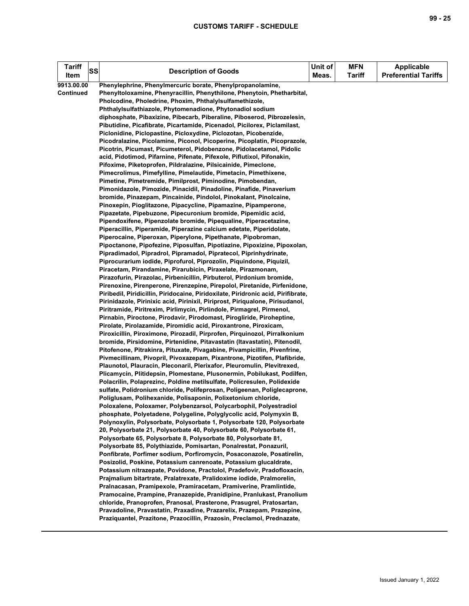| <b>Tariff</b><br>SS<br>Item    | <b>Description of Goods</b>                                                                                                                                                                                                                                                                                                                                                                                                                                                                                                                                                                                                                                                                                                                                                                                                                                                                                                                                                                                                                                                                                                                                                                                                                                                                                                                                                                                                                                                                                                                                                                                                                                                                                                                                                                                                                                                                                                                                                                                                                                                                                                                                                                                                                                                                                                                                                                                                                                                                                                                                                                                                                                                                                                                                                                                                                                                                                                                                                                                                                                                                                                                                                                                                                                                                                                  | Unit of<br>Meas. | <b>MFN</b><br><b>Tariff</b> | <b>Applicable</b><br><b>Preferential Tariffs</b> |
|--------------------------------|------------------------------------------------------------------------------------------------------------------------------------------------------------------------------------------------------------------------------------------------------------------------------------------------------------------------------------------------------------------------------------------------------------------------------------------------------------------------------------------------------------------------------------------------------------------------------------------------------------------------------------------------------------------------------------------------------------------------------------------------------------------------------------------------------------------------------------------------------------------------------------------------------------------------------------------------------------------------------------------------------------------------------------------------------------------------------------------------------------------------------------------------------------------------------------------------------------------------------------------------------------------------------------------------------------------------------------------------------------------------------------------------------------------------------------------------------------------------------------------------------------------------------------------------------------------------------------------------------------------------------------------------------------------------------------------------------------------------------------------------------------------------------------------------------------------------------------------------------------------------------------------------------------------------------------------------------------------------------------------------------------------------------------------------------------------------------------------------------------------------------------------------------------------------------------------------------------------------------------------------------------------------------------------------------------------------------------------------------------------------------------------------------------------------------------------------------------------------------------------------------------------------------------------------------------------------------------------------------------------------------------------------------------------------------------------------------------------------------------------------------------------------------------------------------------------------------------------------------------------------------------------------------------------------------------------------------------------------------------------------------------------------------------------------------------------------------------------------------------------------------------------------------------------------------------------------------------------------------------------------------------------------------------------------------------------------------|------------------|-----------------------------|--------------------------------------------------|
| 9913.00.00<br><b>Continued</b> | Phenylephrine, Phenylmercuric borate, Phenylpropanolamine,<br>Phenyltoloxamine, Phenyracillin, Phenythilone, Phenytoin, Phetharbital,<br>Pholcodine, Pholedrine, Phoxim, Phthalylsulfamethizole,<br>Phthalylsulfathiazole, Phytomenadione, Phytonadiol sodium<br>diphosphate, Pibaxizine, Pibecarb, Piberaline, Piboserod, Pibrozelesin,<br>Pibutidine, Picafibrate, Picartamide, Picenadol, Picilorex, Piclamilast,<br>Piclonidine, Piclopastine, Picloxydine, Piclozotan, Picobenzide,<br>Picodralazine, Picolamine, Piconol, Picoperine, Picoplatin, Picoprazole,<br>Picotrin, Picumast, Picumeterol, Pidobenzone, Pidolacetamol, Pidolic<br>acid, Pidotimod, Pifarnine, Pifenate, Pifexole, Piflutixol, Pifonakin,<br>Pifoxime, Piketoprofen, Pildralazine, Pilsicainide, Pimeclone,<br>Pimecrolimus, Pimefylline, Pimelautide, Pimetacin, Pimethixene,<br>Pimetine, Pimetremide, Pimilprost, Piminodine, Pimobendan,<br>Pimonidazole, Pimozide, Pinacidil, Pinadoline, Pinafide, Pinaverium<br>bromide, Pinazepam, Pincainide, Pindolol, Pinokalant, Pinolcaine,<br>Pinoxepin, Pioglitazone, Pipacycline, Pipamazine, Pipamperone,<br>Pipazetate, Pipebuzone, Pipecuronium bromide, Pipemidic acid,<br>Pipendoxifene, Pipenzolate bromide, Pipequaline, Piperacetazine,<br>Piperacillin, Piperamide, Piperazine calcium edetate, Piperidolate,<br>Piperocaine, Piperoxan, Piperylone, Pipethanate, Pipobroman,<br>Pipoctanone, Pipofezine, Piposulfan, Pipotiazine, Pipoxizine, Pipoxolan,<br>Pipradimadol, Pipradrol, Pipramadol, Pipratecol, Piprinhydrinate,<br>Piprocurarium iodide, Piprofurol, Piprozolin, Piquindone, Piquizil,<br>Piracetam, Pirandamine, Pirarubicin, Piraxelate, Pirazmonam,<br>Pirazofurin, Pirazolac, Pirbenicillin, Pirbuterol, Pirdonium bromide,<br>Pirenoxine, Pirenperone, Pirenzepine, Pirepolol, Piretanide, Pirfenidone,<br>Piribedil, Piridicillin, Piridocaine, Piridoxilate, Piridronic acid, Pirifibrate,<br>Pirinidazole, Pirinixic acid, Pirinixil, Piriprost, Piriqualone, Pirisudanol,<br>Piritramide, Piritrexim, Pirlimycin, Pirlindole, Pirmagrel, Pirmenol,<br>Pirnabin, Piroctone, Pirodavir, Pirodomast, Pirogliride, Piroheptine,<br>Pirolate, Pirolazamide, Piromidic acid, Piroxantrone, Piroxicam,<br>Piroxicillin, Piroximone, Pirozadil, Pirprofen, Pirquinozol, Pirralkonium<br>bromide, Pirsidomine, Pirtenidine, Pitavastatin (Itavastatin), Pitenodil,<br>Pitofenone, Pitrakinra, Pituxate, Pivagabine, Pivampicillin, Pivenfrine,<br>Pivmecillinam, Pivopril, Pivoxazepam, Pixantrone, Pizotifen, Plafibride,<br>Plaunotol, Plauracin, Pleconaril, Plerixafor, Pleuromulin, Plevitrexed,<br>Plicamycin, Plitidepsin, Plomestane, Plusonermin, Pobilukast, Podilfen,<br>Polacrilin, Polaprezinc, Poldine metilsulfate, Policresulen, Polidexide<br>sulfate, Polidronium chloride, Polifeprosan, Poligeenan, Poliglecaprone,<br>Poliglusam, Polihexanide, Polisaponin, Polixetonium chloride,<br>Poloxalene, Poloxamer, Polybenzarsol, Polycarbophil, Polyestradiol<br>phosphate, Polyetadene, Polygeline, Polyglycolic acid, Polymyxin B,<br>Polynoxylin, Polysorbate, Polysorbate 1, Polysorbate 120, Polysorbate<br>20, Polysorbate 21, Polysorbate 40, Polysorbate 60, Polysorbate 61,<br>Polysorbate 65, Polysorbate 8, Polysorbate 80, Polysorbate 81, |                  |                             |                                                  |
|                                |                                                                                                                                                                                                                                                                                                                                                                                                                                                                                                                                                                                                                                                                                                                                                                                                                                                                                                                                                                                                                                                                                                                                                                                                                                                                                                                                                                                                                                                                                                                                                                                                                                                                                                                                                                                                                                                                                                                                                                                                                                                                                                                                                                                                                                                                                                                                                                                                                                                                                                                                                                                                                                                                                                                                                                                                                                                                                                                                                                                                                                                                                                                                                                                                                                                                                                                              |                  |                             |                                                  |
|                                | Polysorbate 85, Polythiazide, Pomisartan, Ponalrestat, Ponazuril,<br>Ponfibrate, Porfimer sodium, Porfiromycin, Posaconazole, Posatirelin,<br>Posizolid, Poskine, Potassium canrenoate, Potassium glucaldrate,<br>Potassium nitrazepate, Povidone, Practolol, Pradefovir, Pradofloxacin,                                                                                                                                                                                                                                                                                                                                                                                                                                                                                                                                                                                                                                                                                                                                                                                                                                                                                                                                                                                                                                                                                                                                                                                                                                                                                                                                                                                                                                                                                                                                                                                                                                                                                                                                                                                                                                                                                                                                                                                                                                                                                                                                                                                                                                                                                                                                                                                                                                                                                                                                                                                                                                                                                                                                                                                                                                                                                                                                                                                                                                     |                  |                             |                                                  |
|                                | Prajmalium bitartrate, Pralatrexate, Pralidoxime iodide, Pralmorelin,<br>Pralnacasan, Pramipexole, Pramiracetam, Pramiverine, Pramlintide,<br>Pramocaine, Prampine, Pranazepide, Pranidipine, Pranlukast, Pranolium<br>chloride, Pranoprofen, Pranosal, Prasterone, Prasugrel, Pratosartan,<br>Pravadoline, Pravastatin, Praxadine, Prazarelix, Prazepam, Prazepine,<br>Praziquantel, Prazitone, Prazocillin, Prazosin, Preclamol, Prednazate,                                                                                                                                                                                                                                                                                                                                                                                                                                                                                                                                                                                                                                                                                                                                                                                                                                                                                                                                                                                                                                                                                                                                                                                                                                                                                                                                                                                                                                                                                                                                                                                                                                                                                                                                                                                                                                                                                                                                                                                                                                                                                                                                                                                                                                                                                                                                                                                                                                                                                                                                                                                                                                                                                                                                                                                                                                                                               |                  |                             |                                                  |
|                                |                                                                                                                                                                                                                                                                                                                                                                                                                                                                                                                                                                                                                                                                                                                                                                                                                                                                                                                                                                                                                                                                                                                                                                                                                                                                                                                                                                                                                                                                                                                                                                                                                                                                                                                                                                                                                                                                                                                                                                                                                                                                                                                                                                                                                                                                                                                                                                                                                                                                                                                                                                                                                                                                                                                                                                                                                                                                                                                                                                                                                                                                                                                                                                                                                                                                                                                              |                  |                             |                                                  |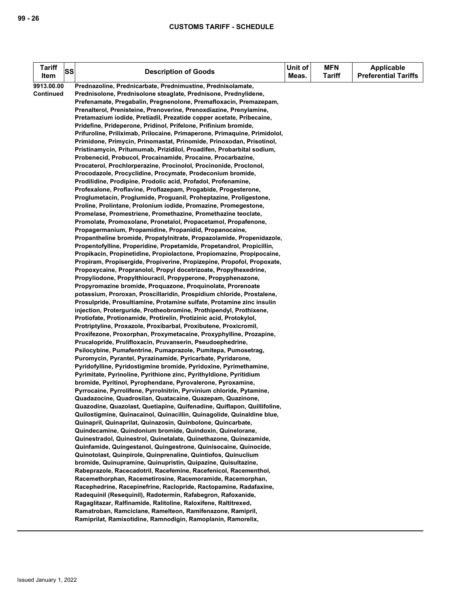| <b>Tariff</b>    | <b>SS</b> | <b>Description of Goods</b>                                                                                                                | Unit of | <b>MFN</b>    | <b>Applicable</b>           |
|------------------|-----------|--------------------------------------------------------------------------------------------------------------------------------------------|---------|---------------|-----------------------------|
| Item             |           |                                                                                                                                            | Meas.   | <b>Tariff</b> | <b>Preferential Tariffs</b> |
| 9913.00.00       |           | Prednazoline, Prednicarbate, Prednimustine, Prednisolamate,                                                                                |         |               |                             |
| <b>Continued</b> |           | Prednisolone, Prednisolone steaglate, Prednisone, Prednylidene,                                                                            |         |               |                             |
|                  |           | Prefenamate, Pregabalin, Pregnenolone, Premafloxacin, Premazepam,                                                                          |         |               |                             |
|                  |           | Prenalterol, Prenisteine, Prenoverine, Prenoxdiazine, Prenylamine,                                                                         |         |               |                             |
|                  |           | Pretamazium iodide, Pretiadil, Prezatide copper acetate, Pribecaine,                                                                       |         |               |                             |
|                  |           | Pridefine, Prideperone, Pridinol, Prifelone, Prifinium bromide,                                                                            |         |               |                             |
|                  |           | Prifuroline, Priliximab, Prilocaine, Primaperone, Primaquine, Primidolol,                                                                  |         |               |                             |
|                  |           | Primidone, Primycin, Prinomastat, Prinomide, Prinoxodan, Prisotinol,                                                                       |         |               |                             |
|                  |           | Pristinamycin, Pritumumab, Prizidilol, Proadifen, Probarbital sodium,<br>Probenecid, Probucol, Procainamide, Procaine, Procarbazine,       |         |               |                             |
|                  |           | Procaterol, Prochlorperazine, Procinolol, Procinonide, Proclonol,                                                                          |         |               |                             |
|                  |           | Procodazole, Procyclidine, Procymate, Prodeconium bromide,                                                                                 |         |               |                             |
|                  |           | Prodilidine, Prodipine, Prodolic acid, Profadol, Profenamine,                                                                              |         |               |                             |
|                  |           | Profexalone, Proflavine, Proflazepam, Progabide, Progesterone,                                                                             |         |               |                             |
|                  |           | Proglumetacin, Proglumide, Proguanil, Proheptazine, Proligestone,                                                                          |         |               |                             |
|                  |           | Proline, Prolintane, Prolonium iodide, Promazine, Promegestone,                                                                            |         |               |                             |
|                  |           | Promelase, Promestriene, Promethazine, Promethazine teoclate,                                                                              |         |               |                             |
|                  |           | Promolate, Promoxolane, Pronetalol, Propacetamol, Propafenone,                                                                             |         |               |                             |
|                  |           | Propagermanium, Propamidine, Propanidid, Propanocaine,                                                                                     |         |               |                             |
|                  |           | Propantheline bromide, Propatylnitrate, Propazolamide, Propenidazole,                                                                      |         |               |                             |
|                  |           | Propentofylline, Properidine, Propetamide, Propetandrol, Propicillin,                                                                      |         |               |                             |
|                  |           | Propikacin, Propinetidine, Propiolactone, Propiomazine, Propipocaine,                                                                      |         |               |                             |
|                  |           | Propiram, Propisergide, Propiverine, Propizepine, Propofol, Propoxate,<br>Propoxycaine, Propranolol, Propyl docetrizoate, Propylhexedrine, |         |               |                             |
|                  |           | Propyliodone, Propylthiouracil, Propyperone, Propyphenazone,                                                                               |         |               |                             |
|                  |           | Propyromazine bromide, Proquazone, Proquinolate, Prorenoate                                                                                |         |               |                             |
|                  |           | potassium, Proroxan, Proscillaridin, Prospidium chloride, Prostalene,                                                                      |         |               |                             |
|                  |           | Prosulpride, Prosultiamine, Protamine sulfate, Protamine zinc insulin                                                                      |         |               |                             |
|                  |           | injection, Proterguride, Protheobromine, Prothipendyl, Prothixene,                                                                         |         |               |                             |
|                  |           | Protiofate, Protionamide, Protirelin, Protizinic acid, Protokylol,                                                                         |         |               |                             |
|                  |           | Protriptyline, Proxazole, Proxibarbal, Proxibutene, Proxicromil,                                                                           |         |               |                             |
|                  |           | Proxifezone, Proxorphan, Proxymetacaine, Proxyphylline, Prozapine,                                                                         |         |               |                             |
|                  |           | Prucalopride, Prulifloxacin, Pruvanserin, Pseudoephedrine,                                                                                 |         |               |                             |
|                  |           | Psilocybine, Pumafentrine, Pumaprazole, Pumitepa, Pumosetrag,                                                                              |         |               |                             |
|                  |           | Puromycin, Pyrantel, Pyrazinamide, Pyricarbate, Pyridarone,                                                                                |         |               |                             |
|                  |           | Pyridofylline, Pyridostigmine bromide, Pyridoxine, Pyrimethamine,<br>Pyrimitate, Pyrinoline, Pyrithione zinc, Pyrithyldione, Pyritidium    |         |               |                             |
|                  |           | bromide, Pyritinol, Pyrophendane, Pyrovalerone, Pyroxamine,                                                                                |         |               |                             |
|                  |           | Pyrrocaine, Pyrrolifene, Pyrrolnitrin, Pyrvinium chloride, Pytamine,                                                                       |         |               |                             |
|                  |           | Quadazocine, Quadrosilan, Quatacaine, Quazepam, Quazinone,                                                                                 |         |               |                             |
|                  |           | Quazodine, Quazolast, Quetiapine, Quifenadine, Quiflapon, Quillifoline,                                                                    |         |               |                             |
|                  |           | Quilostigmine, Quinacainol, Quinacillin, Quinagolide, Quinaldine blue,                                                                     |         |               |                             |
|                  |           | Quinapril, Quinaprilat, Quinazosin, Quinbolone, Quincarbate,                                                                               |         |               |                             |
|                  |           | Quindecamine, Quindonium bromide, Quindoxin, Quinelorane,                                                                                  |         |               |                             |
|                  |           | Quinestradol, Quinestrol, Quinetalate, Quinethazone, Quinezamide,                                                                          |         |               |                             |
|                  |           | Quinfamide, Quingestanol, Quingestrone, Quinisocaine, Quinocide,                                                                           |         |               |                             |
|                  |           | Quinotolast, Quinpirole, Quinprenaline, Quintiofos, Quinuclium                                                                             |         |               |                             |
|                  |           | bromide, Quinupramine, Quinupristin, Quipazine, Quisultazine,                                                                              |         |               |                             |
|                  |           | Rabeprazole, Racecadotril, Racefemine, Racefenicol, Racementhol,<br>Racemethorphan, Racemetirosine, Racemoramide, Racemorphan,             |         |               |                             |
|                  |           | Racephedrine, Racepinefrine, Raclopride, Ractopamine, Radafaxine,                                                                          |         |               |                             |
|                  |           | Radequinil (Resequinil), Radotermin, Rafabegron, Rafoxanide,                                                                               |         |               |                             |
|                  |           | Ragaglitazar, Ralfinamide, Ralitoline, Raloxifene, Raltitrexed,                                                                            |         |               |                             |
|                  |           | Ramatroban, Ramciclane, Ramelteon, Ramifenazone, Ramipril,                                                                                 |         |               |                             |
|                  |           | Ramiprilat, Ramixotidine, Ramnodigin, Ramoplanin, Ramorelix,                                                                               |         |               |                             |
|                  |           |                                                                                                                                            |         |               |                             |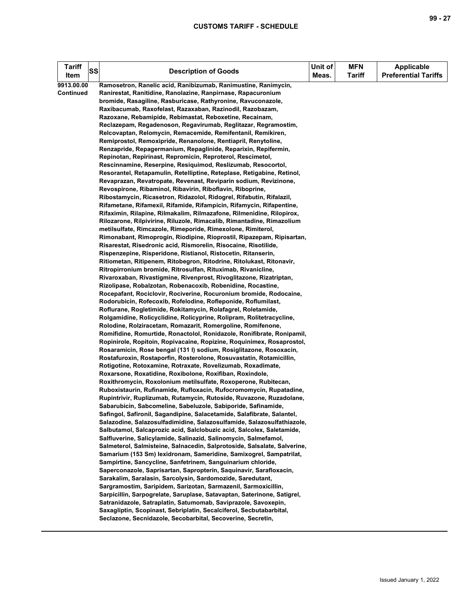| <b>Tariff</b><br>Item | SS | <b>Description of Goods</b>                                                                                                           | Unit of<br>Meas. | <b>MFN</b><br><b>Tariff</b> | <b>Applicable</b><br><b>Preferential Tariffs</b> |
|-----------------------|----|---------------------------------------------------------------------------------------------------------------------------------------|------------------|-----------------------------|--------------------------------------------------|
| 9913.00.00            |    | Ramosetron, Ranelic acid, Ranibizumab, Ranimustine, Ranimycin,                                                                        |                  |                             |                                                  |
| <b>Continued</b>      |    | Ranirestat, Ranitidine, Ranolazine, Ranpirnase, Rapacuronium                                                                          |                  |                             |                                                  |
|                       |    | bromide, Rasagiline, Rasburicase, Rathyronine, Ravuconazole,                                                                          |                  |                             |                                                  |
|                       |    | Raxibacumab, Raxofelast, Razaxaban, Razinodil, Razobazam,                                                                             |                  |                             |                                                  |
|                       |    | Razoxane, Rebamipide, Rebimastat, Reboxetine, Recainam,                                                                               |                  |                             |                                                  |
|                       |    | Reclazepam, Regadenoson, Regavirumab, Reglitazar, Regramostim,                                                                        |                  |                             |                                                  |
|                       |    | Relcovaptan, Relomycin, Remacemide, Remifentanil, Remikiren,                                                                          |                  |                             |                                                  |
|                       |    | Remiprostol, Remoxipride, Renanolone, Rentiapril, Renytoline,                                                                         |                  |                             |                                                  |
|                       |    | Renzapride, Repagermanium, Repaglinide, Reparixin, Repifermin,                                                                        |                  |                             |                                                  |
|                       |    | Repinotan, Repirinast, Repromicin, Reproterol, Rescimetol,                                                                            |                  |                             |                                                  |
|                       |    | Rescinnamine, Reserpine, Resiquimod, Reslizumab, Resocortol,                                                                          |                  |                             |                                                  |
|                       |    | Resorantel, Retapamulin, Retelliptine, Reteplase, Retigabine, Retinol,                                                                |                  |                             |                                                  |
|                       |    | Revaprazan, Revatropate, Revenast, Reviparin sodium, Revizinone,                                                                      |                  |                             |                                                  |
|                       |    | Revospirone, Ribaminol, Ribavirin, Riboflavin, Riboprine,                                                                             |                  |                             |                                                  |
|                       |    | Ribostamycin, Ricasetron, Ridazolol, Ridogrel, Rifabutin, Rifalazil,                                                                  |                  |                             |                                                  |
|                       |    | Rifametane, Rifamexil, Rifamide, Rifampicin, Rifamycin, Rifapentine,                                                                  |                  |                             |                                                  |
|                       |    | Rifaximin, Rilapine, Rilmakalim, Rilmazafone, Rilmenidine, Rilopirox,                                                                 |                  |                             |                                                  |
|                       |    | Rilozarone, Rilpivirine, Riluzole, Rimacalib, Rimantadine, Rimazolium                                                                 |                  |                             |                                                  |
|                       |    | metilsulfate, Rimcazole, Rimeporide, Rimexolone, Rimiterol,                                                                           |                  |                             |                                                  |
|                       |    | Rimonabant, Rimoprogin, Riodipine, Rioprostil, Ripazepam, Ripisartan,                                                                 |                  |                             |                                                  |
|                       |    | Risarestat, Risedronic acid, Rismorelin, Risocaine, Risotilide,                                                                       |                  |                             |                                                  |
|                       |    | Rispenzepine, Risperidone, Ristianol, Ristocetin, Ritanserin,                                                                         |                  |                             |                                                  |
|                       |    | Ritiometan, Ritipenem, Ritobegron, Ritodrine, Ritolukast, Ritonavir,<br>Ritropirronium bromide, Ritrosulfan, Rituximab, Rivanicline,  |                  |                             |                                                  |
|                       |    | Rivaroxaban, Rivastigmine, Rivenprost, Rivoglitazone, Rizatriptan,                                                                    |                  |                             |                                                  |
|                       |    | Rizolipase, Robalzotan, Robenacoxib, Robenidine, Rocastine,                                                                           |                  |                             |                                                  |
|                       |    | Rocepafant, Rociclovir, Rociverine, Rocuronium bromide, Rodocaine,                                                                    |                  |                             |                                                  |
|                       |    | Rodorubicin, Rofecoxib, Rofelodine, Rofleponide, Roflumilast,                                                                         |                  |                             |                                                  |
|                       |    | Roflurane, Rogletimide, Rokitamycin, Rolafagrel, Roletamide,                                                                          |                  |                             |                                                  |
|                       |    | Rolgamidine, Rolicyclidine, Rolicyprine, Rolipram, Rolitetracycline,                                                                  |                  |                             |                                                  |
|                       |    | Rolodine, Rolziracetam, Romazarit, Romergoline, Romifenone,                                                                           |                  |                             |                                                  |
|                       |    | Romifidine, Romurtide, Ronactolol, Ronidazole, Ronifibrate, Ronipamil,                                                                |                  |                             |                                                  |
|                       |    | Ropinirole, Ropitoin, Ropivacaine, Ropizine, Roquinimex, Rosaprostol,                                                                 |                  |                             |                                                  |
|                       |    | Rosaramicin, Rose bengal (131 I) sodium, Rosiglitazone, Rosoxacin,                                                                    |                  |                             |                                                  |
|                       |    | Rostafuroxin, Rostaporfin, Rosterolone, Rosuvastatin, Rotamicillin,                                                                   |                  |                             |                                                  |
|                       |    | Rotigotine, Rotoxamine, Rotraxate, Rovelizumab, Roxadimate,                                                                           |                  |                             |                                                  |
|                       |    | Roxarsone, Roxatidine, Roxibolone, Roxifiban, Roxindole,                                                                              |                  |                             |                                                  |
|                       |    | Roxithromycin, Roxolonium metilsulfate, Roxoperone, Rubitecan,                                                                        |                  |                             |                                                  |
|                       |    | Ruboxistaurin, Rufinamide, Rufloxacin, Rufocromomycin, Rupatadine,                                                                    |                  |                             |                                                  |
|                       |    | Rupintrivir, Ruplizumab, Rutamycin, Rutoside, Ruvazone, Ruzadolane,                                                                   |                  |                             |                                                  |
|                       |    | Sabarubicin, Sabcomeline, Sabeluzole, Sabiporide, Safinamide,                                                                         |                  |                             |                                                  |
|                       |    | Safingol, Safironil, Sagandipine, Salacetamide, Salafibrate, Salantel,                                                                |                  |                             |                                                  |
|                       |    | Salazodine, Salazosulfadimidine, Salazosulfamide, Salazosulfathiazole,                                                                |                  |                             |                                                  |
|                       |    | Salbutamol, Salcaprozic acid, Salclobuzic acid, Salcolex, Saletamide,                                                                 |                  |                             |                                                  |
|                       |    | Salfluverine, Salicylamide, Salinazid, Salinomycin, Salmefamol,                                                                       |                  |                             |                                                  |
|                       |    | Salmeterol, Salmisteine, Salnacedin, Salprotoside, Salsalate, Salverine,                                                              |                  |                             |                                                  |
|                       |    | Samarium (153 Sm) lexidronam, Sameridine, Samixogrel, Sampatrilat,                                                                    |                  |                             |                                                  |
|                       |    | Sampirtine, Sancycline, Sanfetrinem, Sanguinarium chloride,                                                                           |                  |                             |                                                  |
|                       |    | Saperconazole, Saprisartan, Sapropterin, Saquinavir, Sarafloxacin,                                                                    |                  |                             |                                                  |
|                       |    | Sarakalim, Saralasin, Sarcolysin, Sardomozide, Saredutant,                                                                            |                  |                             |                                                  |
|                       |    | Sargramostim, Saripidem, Sarizotan, Sarmazenil, Sarmoxicillin,                                                                        |                  |                             |                                                  |
|                       |    | Sarpicillin, Sarpogrelate, Saruplase, Satavaptan, Saterinone, Satigrel,                                                               |                  |                             |                                                  |
|                       |    | Satranidazole, Satraplatin, Satumomab, Saviprazole, Savoxepin,<br>Saxagliptin, Scopinast, Sebriplatin, Secalciferol, Secbutabarbital, |                  |                             |                                                  |
|                       |    | Seclazone, Secnidazole, Secobarbital, Secoverine, Secretin,                                                                           |                  |                             |                                                  |
|                       |    |                                                                                                                                       |                  |                             |                                                  |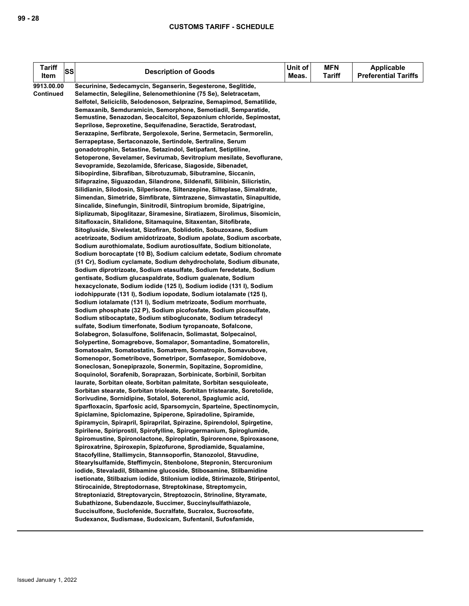| <b>Tariff</b>    | SS |                                                                                                                                           |       | <b>MFN</b>    | <b>Applicable</b>           |
|------------------|----|-------------------------------------------------------------------------------------------------------------------------------------------|-------|---------------|-----------------------------|
| Item             |    | <b>Description of Goods</b>                                                                                                               | Meas. | <b>Tariff</b> | <b>Preferential Tariffs</b> |
| 9913.00.00       |    | Securinine, Sedecamycin, Seganserin, Segesterone, Seglitide,                                                                              |       |               |                             |
| <b>Continued</b> |    | Selamectin, Selegiline, Selenomethionine (75 Se), Seletracetam,                                                                           |       |               |                             |
|                  |    | Selfotel, Seliciclib, Selodenoson, Selprazine, Semapimod, Sematilide,                                                                     |       |               |                             |
|                  |    | Semaxanib, Semduramicin, Semorphone, Semotiadil, Semparatide,                                                                             |       |               |                             |
|                  |    | Semustine, Senazodan, Seocalcitol, Sepazonium chloride, Sepimostat,                                                                       |       |               |                             |
|                  |    | Seprilose, Seproxetine, Sequifenadine, Seractide, Seratrodast,                                                                            |       |               |                             |
|                  |    | Serazapine, Serfibrate, Sergolexole, Serine, Sermetacin, Sermorelin,                                                                      |       |               |                             |
|                  |    | Serrapeptase, Sertaconazole, Sertindole, Sertraline, Serum                                                                                |       |               |                             |
|                  |    | gonadotrophin, Setastine, Setazindol, Setipafant, Setiptiline,                                                                            |       |               |                             |
|                  |    | Setoperone, Sevelamer, Sevirumab, Sevitropium mesilate, Sevoflurane,                                                                      |       |               |                             |
|                  |    | Sevopramide, Sezolamide, Sfericase, Siagoside, Sibenadet,                                                                                 |       |               |                             |
|                  |    | Sibopirdine, Sibrafiban, Sibrotuzumab, Sibutramine, Siccanin,                                                                             |       |               |                             |
|                  |    | Sifaprazine, Siguazodan, Silandrone, Sildenafil, Silibinin, Silicristin,                                                                  |       |               |                             |
|                  |    | Silidianin, Silodosin, Silperisone, Siltenzepine, Silteplase, Simaldrate,                                                                 |       |               |                             |
|                  |    | Simendan, Simetride, Simfibrate, Simtrazene, Simvastatin, Sinapultide,                                                                    |       |               |                             |
|                  |    | Sincalide, Sinefungin, Sinitrodil, Sintropium bromide, Sipatrigine,                                                                       |       |               |                             |
|                  |    | Siplizumab, Sipoglitazar, Siramesine, Siratiazem, Sirolimus, Sisomicin,                                                                   |       |               |                             |
|                  |    | Sitafloxacin, Sitalidone, Sitamaquine, Sitaxentan, Sitofibrate,                                                                           |       |               |                             |
|                  |    | Sitogluside, Sivelestat, Sizofiran, Soblidotin, Sobuzoxane, Sodium                                                                        |       |               |                             |
|                  |    | acetrizoate, Sodium amidotrizoate, Sodium apolate, Sodium ascorbate,<br>Sodium aurothiomalate, Sodium aurotiosulfate, Sodium bitionolate, |       |               |                             |
|                  |    | Sodium borocaptate (10 B), Sodium calcium edetate, Sodium chromate                                                                        |       |               |                             |
|                  |    | (51 Cr), Sodium cyclamate, Sodium dehydrocholate, Sodium dibunate,                                                                        |       |               |                             |
|                  |    | Sodium diprotrizoate, Sodium etasulfate, Sodium feredetate, Sodium                                                                        |       |               |                             |
|                  |    | gentisate, Sodium glucaspaldrate, Sodium gualenate, Sodium                                                                                |       |               |                             |
|                  |    | hexacyclonate, Sodium iodide (125 l), Sodium iodide (131 l), Sodium                                                                       |       |               |                             |
|                  |    | iodohippurate (131 I), Sodium iopodate, Sodium iotalamate (125 I),                                                                        |       |               |                             |
|                  |    | Sodium iotalamate (131 I), Sodium metrizoate, Sodium morrhuate,                                                                           |       |               |                             |
|                  |    | Sodium phosphate (32 P), Sodium picofosfate, Sodium picosulfate,                                                                          |       |               |                             |
|                  |    | Sodium stibocaptate, Sodium stibogluconate, Sodium tetradecyl                                                                             |       |               |                             |
|                  |    | sulfate, Sodium timerfonate, Sodium tyropanoate, Sofalcone,                                                                               |       |               |                             |
|                  |    | Solabegron, Solasulfone, Solifenacin, Solimastat, Solpecainol,                                                                            |       |               |                             |
|                  |    | Solypertine, Somagrebove, Somalapor, Somantadine, Somatorelin,                                                                            |       |               |                             |
|                  |    | Somatosalm, Somatostatin, Somatrem, Somatropin, Somavubove,                                                                               |       |               |                             |
|                  |    | Somenopor, Sometribove, Sometripor, Somfasepor, Somidobove,                                                                               |       |               |                             |
|                  |    | Soneclosan, Sonepiprazole, Sonermin, Sopitazine, Sopromidine,                                                                             |       |               |                             |
|                  |    | Soquinolol, Sorafenib, Soraprazan, Sorbinicate, Sorbinil, Sorbitan                                                                        |       |               |                             |
|                  |    | laurate, Sorbitan oleate, Sorbitan palmitate, Sorbitan sesquioleate,                                                                      |       |               |                             |
|                  |    | Sorbitan stearate, Sorbitan trioleate, Sorbitan tristearate, Soretolide,                                                                  |       |               |                             |
|                  |    | Sorivudine, Sornidipine, Sotalol, Soterenol, Spaglumic acid,<br>Sparfloxacin, Sparfosic acid, Sparsomycin, Sparteine, Spectinomycin,      |       |               |                             |
|                  |    | Spiclamine, Spiclomazine, Spiperone, Spiradoline, Spiramide,                                                                              |       |               |                             |
|                  |    | Spiramycin, Spirapril, Spiraprilat, Spirazine, Spirendolol, Spirgetine,                                                                   |       |               |                             |
|                  |    | Spirilene, Spiriprostil, Spirofylline, Spirogermanium, Spiroglumide,                                                                      |       |               |                             |
|                  |    | Spiromustine, Spironolactone, Spiroplatin, Spirorenone, Spiroxasone,                                                                      |       |               |                             |
|                  |    | Spiroxatrine, Spiroxepin, Spizofurone, Sprodiamide, Squalamine,                                                                           |       |               |                             |
|                  |    | Stacofylline, Stallimycin, Stannsoporfin, Stanozolol, Stavudine,                                                                          |       |               |                             |
|                  |    | Stearylsulfamide, Steffimycin, Stenbolone, Stepronin, Stercuronium                                                                        |       |               |                             |
|                  |    | iodide, Stevaladil, Stibamine glucoside, Stibosamine, Stilbamidine                                                                        |       |               |                             |
|                  |    | isetionate, Stilbazium iodide, Stilonium iodide, Stirimazole, Stiripentol,                                                                |       |               |                             |
|                  |    | Stirocainide, Streptodornase, Streptokinase, Streptomycin,                                                                                |       |               |                             |
|                  |    | Streptoniazid, Streptovarycin, Streptozocin, Strinoline, Styramate,                                                                       |       |               |                             |
|                  |    | Subathizone, Subendazole, Succimer, Succinylsulfathiazole,                                                                                |       |               |                             |
|                  |    | Succisulfone, Suclofenide, Sucralfate, Sucralox, Sucrosofate,                                                                             |       |               |                             |
|                  |    | Sudexanox, Sudismase, Sudoxicam, Sufentanil, Sufosfamide,                                                                                 |       |               |                             |
|                  |    |                                                                                                                                           |       |               |                             |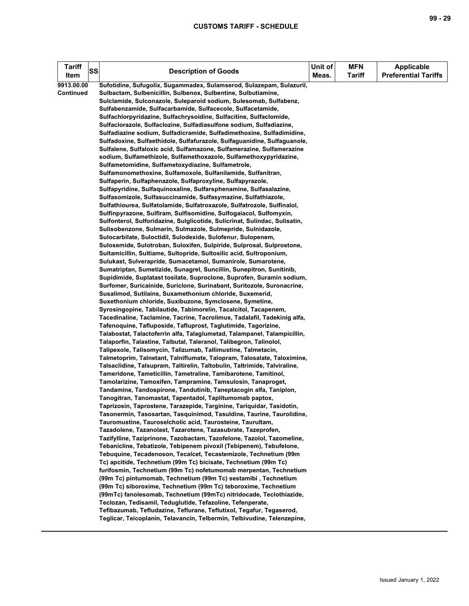| <b>Tariff</b>    | SS | <b>Description of Goods</b>                                                                                                       | Unit of<br>Meas. | <b>MFN</b><br><b>Tariff</b> | <b>Applicable</b><br><b>Preferential Tariffs</b> |
|------------------|----|-----------------------------------------------------------------------------------------------------------------------------------|------------------|-----------------------------|--------------------------------------------------|
| Item             |    |                                                                                                                                   |                  |                             |                                                  |
| 9913.00.00       |    | Sufotidine, Sufugolix, Sugammadex, Sulamserod, Sulazepam, Sulazuril,                                                              |                  |                             |                                                  |
| <b>Continued</b> |    | Sulbactam, Sulbenicillin, Sulbenox, Sulbentine, Sulbutiamine,                                                                     |                  |                             |                                                  |
|                  |    | Sulclamide, Sulconazole, Suleparoid sodium, Sulesomab, Sulfabenz,                                                                 |                  |                             |                                                  |
|                  |    | Sulfabenzamide, Sulfacarbamide, Sulfacecole, Sulfacetamide,<br>Sulfachlorpyridazine, Sulfachrysoidine, Sulfacitine, Sulfaclomide, |                  |                             |                                                  |
|                  |    | Sulfaclorazole, Sulfaclozine, Sulfadiasulfone sodium, Sulfadiazine,                                                               |                  |                             |                                                  |
|                  |    | Sulfadiazine sodium, Sulfadicramide, Sulfadimethoxine, Sulfadimidine,                                                             |                  |                             |                                                  |
|                  |    | Sulfadoxine, Sulfaethidole, Sulfafurazole, Sulfaguanidine, Sulfaguanole,                                                          |                  |                             |                                                  |
|                  |    | Sulfalene, Sulfaloxic acid, Sulfamazone, Sulfamerazine, Sulfamerazine                                                             |                  |                             |                                                  |
|                  |    | sodium, Sulfamethizole, Sulfamethoxazole, Sulfamethoxypyridazine,                                                                 |                  |                             |                                                  |
|                  |    | Sulfametomidine, Sulfametoxydiazine, Sulfametrole,                                                                                |                  |                             |                                                  |
|                  |    | Sulfamonomethoxine, Sulfamoxole, Sulfanilamide, Sulfanitran,                                                                      |                  |                             |                                                  |
|                  |    | Sulfaperin, Sulfaphenazole, Sulfaproxyline, Sulfapyrazole,                                                                        |                  |                             |                                                  |
|                  |    | Sulfapyridine, Sulfaquinoxaline, Sulfarsphenamine, Sulfasalazine,                                                                 |                  |                             |                                                  |
|                  |    | Sulfasomizole, Sulfasuccinamide, Sulfasymazine, Sulfathiazole,                                                                    |                  |                             |                                                  |
|                  |    | Sulfathiourea, Sulfatolamide, Sulfatroxazole, Sulfatrozole, Sulfinalol,                                                           |                  |                             |                                                  |
|                  |    | Sulfinpyrazone, Sulfiram, Sulfisomidine, Sulfogaiacol, Sulfomyxin,                                                                |                  |                             |                                                  |
|                  |    | Sulfonterol, Sulforidazine, Sulglicotide, Sulicrinat, Sulindac, Sulisatin,                                                        |                  |                             |                                                  |
|                  |    | Sulisobenzone, Sulmarin, Sulmazole, Sulmepride, Sulnidazole,                                                                      |                  |                             |                                                  |
|                  |    | Sulocarbilate, Suloctidil, Sulodexide, Sulofenur, Sulopenem,                                                                      |                  |                             |                                                  |
|                  |    | Sulosemide, Sulotroban, Suloxifen, Sulpiride, Sulprosal, Sulprostone,                                                             |                  |                             |                                                  |
|                  |    | Sultamicillin, Sultiame, Sultopride, Sultosilic acid, Sultroponium,                                                               |                  |                             |                                                  |
|                  |    | Sulukast, Sulverapride, Sumacetamol, Sumanirole, Sumarotene,                                                                      |                  |                             |                                                  |
|                  |    | Sumatriptan, Sumetizide, Sunagrel, Suncillin, Sunepitron, Sunitinib,                                                              |                  |                             |                                                  |
|                  |    | Supidimide, Suplatast tosilate, Suproclone, Suprofen, Suramin sodium,                                                             |                  |                             |                                                  |
|                  |    | Surfomer, Suricainide, Suriclone, Surinabant, Suritozole, Suronacrine,                                                            |                  |                             |                                                  |
|                  |    | Susalimod, Sutilains, Suxamethonium chloride, Suxemerid,                                                                          |                  |                             |                                                  |
|                  |    | Suxethonium chloride, Suxibuzone, Symclosene, Symetine,                                                                           |                  |                             |                                                  |
|                  |    | Syrosingopine, Tabilautide, Tabimorelin, Tacalcitol, Tacapenem,                                                                   |                  |                             |                                                  |
|                  |    | Tacedinaline, Taclamine, Tacrine, Tacrolimus, Tadalafil, Tadekinig alfa,                                                          |                  |                             |                                                  |
|                  |    | Tafenoquine, Tafluposide, Tafluprost, Taglutimide, Tagorizine,                                                                    |                  |                             |                                                  |
|                  |    | Talabostat, Talactoferrin alfa, Talaglumetad, Talampanel, Talampicillin,                                                          |                  |                             |                                                  |
|                  |    | Talaporfin, Talastine, Talbutal, Taleranol, Talibegron, Talinolol,                                                                |                  |                             |                                                  |
|                  |    | Talipexole, Talisomycin, Talizumab, Tallimustine, Talmetacin,                                                                     |                  |                             |                                                  |
|                  |    | Talmetoprim, Talnetant, Talniflumate, Talopram, Talosalate, Taloximine,                                                           |                  |                             |                                                  |
|                  |    | Talsaclidine, Talsupram, Taltirelin, Taltobulin, Taltrimide, Talviraline,                                                         |                  |                             |                                                  |
|                  |    | Tameridone, Tameticillin, Tametraline, Tamibarotene, Tamitinol,                                                                   |                  |                             |                                                  |
|                  |    | Tamolarizine, Tamoxifen, Tampramine, Tamsulosin, Tanaproget,                                                                      |                  |                             |                                                  |
|                  |    | Tandamine, Tandospirone, Tandutinib, Taneptacogin alfa, Taniplon,                                                                 |                  |                             |                                                  |
|                  |    | Tanogitran, Tanomastat, Tapentadol, Taplitumomab paptox,                                                                          |                  |                             |                                                  |
|                  |    | Taprizosin, Taprostene, Tarazepide, Targinine, Tariquidar, Tasidotin,                                                             |                  |                             |                                                  |
|                  |    | Tasonermin, Tasosartan, Tasquinimod, Tasuldine, Taurine, Taurolidine,                                                             |                  |                             |                                                  |
|                  |    | Tauromustine, Tauroselcholic acid, Taurosteine, Taurultam,<br>Tazadolene, Tazanolast, Tazarotene, Tazasubrate, Tazeprofen,        |                  |                             |                                                  |
|                  |    | Tazifylline, Taziprinone, Tazobactam, Tazofelone, Tazolol, Tazomeline,                                                            |                  |                             |                                                  |
|                  |    | Tebanicline, Tebatizole, Tebipenem pivoxil (Tebipenem), Tebufelone,                                                               |                  |                             |                                                  |
|                  |    | Tebuquine, Tecadenoson, Tecalcet, Tecastemizole, Technetium (99m                                                                  |                  |                             |                                                  |
|                  |    | Tc) apcitide, Technetium (99m Tc) bicisate, Technetium (99m Tc)                                                                   |                  |                             |                                                  |
|                  |    | furifosmin, Technetium (99m Tc) nofetumomab merpentan, Technetium                                                                 |                  |                             |                                                  |
|                  |    | (99m Tc) pintumomab, Technetium (99m Tc) sestamibi, Technetium                                                                    |                  |                             |                                                  |
|                  |    | (99m Tc) siboroxime, Technetium (99m Tc) teboroxime, Technetium                                                                   |                  |                             |                                                  |
|                  |    | (99mTc) fanolesomab, Technetium (99mTc) nitridocade, Teclothiazide,                                                               |                  |                             |                                                  |
|                  |    | Teclozan, Tedisamil, Teduglutide, Tefazoline, Tefenperate,                                                                        |                  |                             |                                                  |
|                  |    | Tefibazumab, Tefludazine, Teflurane, Teflutixol, Tegafur, Tegaserod,                                                              |                  |                             |                                                  |
|                  |    | Teglicar, Teicoplanin, Telavancin, Telbermin, Telbivudine, Telenzepine,                                                           |                  |                             |                                                  |
|                  |    |                                                                                                                                   |                  |                             |                                                  |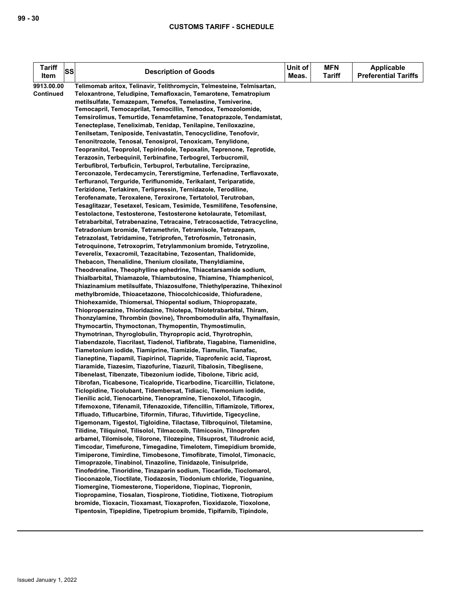| <b>Tariff</b><br>ltem | <b>SS</b> | <b>Description of Goods</b>                                                                                                                 | Unit of<br>Meas. | <b>MFN</b><br>Tariff | <b>Applicable</b><br><b>Preferential Tariffs</b> |
|-----------------------|-----------|---------------------------------------------------------------------------------------------------------------------------------------------|------------------|----------------------|--------------------------------------------------|
| 9913.00.00            |           | Telimomab aritox, Telinavir, Telithromycin, Telmesteine, Telmisartan,                                                                       |                  |                      |                                                  |
| <b>Continued</b>      |           | Teloxantrone, Teludipine, Temafloxacin, Temarotene, Tematropium                                                                             |                  |                      |                                                  |
|                       |           | metilsulfate, Temazepam, Temefos, Temelastine, Temiverine,<br>Temocapril, Temocaprilat, Temocillin, Temodox, Temozolomide,                  |                  |                      |                                                  |
|                       |           | Temsirolimus, Temurtide, Tenamfetamine, Tenatoprazole, Tendamistat,                                                                         |                  |                      |                                                  |
|                       |           | Tenecteplase, Teneliximab, Tenidap, Tenilapine, Teniloxazine,                                                                               |                  |                      |                                                  |
|                       |           | Tenilsetam, Teniposide, Tenivastatin, Tenocyclidine, Tenofovir,                                                                             |                  |                      |                                                  |
|                       |           | Tenonitrozole, Tenosal, Tenosiprol, Tenoxicam, Tenylidone,                                                                                  |                  |                      |                                                  |
|                       |           | Teopranitol, Teoprolol, Tepirindole, Tepoxalin, Teprenone, Teprotide,<br>Terazosin, Terbequinil, Terbinafine, Terbogrel, Terbucromil,       |                  |                      |                                                  |
|                       |           | Terbufibrol, Terbuficin, Terbuprol, Terbutaline, Terciprazine,                                                                              |                  |                      |                                                  |
|                       |           | Terconazole, Terdecamycin, Tererstigmine, Terfenadine, Terflavoxate,                                                                        |                  |                      |                                                  |
|                       |           | Terfluranol, Terguride, Teriflunomide, Terikalant, Teriparatide,                                                                            |                  |                      |                                                  |
|                       |           | Terizidone, Terlakiren, Terlipressin, Ternidazole, Terodiline,                                                                              |                  |                      |                                                  |
|                       |           | Terofenamate, Teroxalene, Teroxirone, Tertatolol, Terutroban,<br>Tesaglitazar, Tesetaxel, Tesicam, Tesimide, Tesmilifene, Tesofensine,      |                  |                      |                                                  |
|                       |           | Testolactone, Testosterone, Testosterone ketolaurate, Tetomilast,                                                                           |                  |                      |                                                  |
|                       |           | Tetrabarbital, Tetrabenazine, Tetracaine, Tetracosactide, Tetracycline,                                                                     |                  |                      |                                                  |
|                       |           | Tetradonium bromide, Tetramethrin, Tetramisole, Tetrazepam,                                                                                 |                  |                      |                                                  |
|                       |           | Tetrazolast, Tetridamine, Tetriprofen, Tetrofosmin, Tetronasin,                                                                             |                  |                      |                                                  |
|                       |           | Tetroquinone, Tetroxoprim, Tetrylammonium bromide, Tetryzoline,                                                                             |                  |                      |                                                  |
|                       |           | Teverelix, Texacromil, Tezacitabine, Tezosentan, Thalidomide,                                                                               |                  |                      |                                                  |
|                       |           | Thebacon, Thenalidine, Thenium closilate, Thenyldiamine,                                                                                    |                  |                      |                                                  |
|                       |           | Theodrenaline, Theophylline ephedrine, Thiacetarsamide sodium,                                                                              |                  |                      |                                                  |
|                       |           | Thialbarbital, Thiamazole, Thiambutosine, Thiamine, Thiamphenicol,                                                                          |                  |                      |                                                  |
|                       |           | Thiazinamium metilsulfate, Thiazosulfone, Thiethylperazine, Thihexinol<br>methylbromide, Thioacetazone, Thiocolchicoside, Thiofuradene,     |                  |                      |                                                  |
|                       |           | Thiohexamide, Thiomersal, Thiopental sodium, Thiopropazate,                                                                                 |                  |                      |                                                  |
|                       |           | Thioproperazine, Thioridazine, Thiotepa, Thiotetrabarbital, Thiram,                                                                         |                  |                      |                                                  |
|                       |           | Thonzylamine, Thrombin (bovine), Thrombomodulin alfa, Thymalfasin,                                                                          |                  |                      |                                                  |
|                       |           | Thymocartin, Thymoctonan, Thymopentin, Thymostimulin,                                                                                       |                  |                      |                                                  |
|                       |           | Thymotrinan, Thyroglobulin, Thyropropic acid, Thyrotrophin,                                                                                 |                  |                      |                                                  |
|                       |           | Tiabendazole, Tiacrilast, Tiadenol, Tiafibrate, Tiagabine, Tiamenidine,                                                                     |                  |                      |                                                  |
|                       |           | Tiametonium iodide, Tiamiprine, Tiamizide, Tiamulin, Tianafac,                                                                              |                  |                      |                                                  |
|                       |           | Tianeptine, Tiapamil, Tiapirinol, Tiapride, Tiaprofenic acid, Tiaprost,                                                                     |                  |                      |                                                  |
|                       |           | Tiaramide, Tiazesim, Tiazofurine, Tiazuril, Tibalosin, Tibeglisene,<br>Tibenelast, Tibenzate, Tibezonium iodide, Tibolone, Tibric acid,     |                  |                      |                                                  |
|                       |           | Tibrofan, Ticabesone, Ticalopride, Ticarbodine, Ticarcillin, Ticlatone,                                                                     |                  |                      |                                                  |
|                       |           | Ticlopidine, Ticolubant, Tidembersat, Tidiacic, Tiemonium iodide,                                                                           |                  |                      |                                                  |
|                       |           | Tienilic acid, Tienocarbine, Tienopramine, Tienoxolol, Tifacogin,                                                                           |                  |                      |                                                  |
|                       |           | Tifemoxone, Tifenamil, Tifenazoxide, Tifencillin, Tiflamizole, Tiflorex,                                                                    |                  |                      |                                                  |
|                       |           | Tifluado, Tiflucarbine, Tiformin, Tifurac, Tifuvirtide, Tigecycline,                                                                        |                  |                      |                                                  |
|                       |           | Tigemonam, Tigestol, Tigloidine, Tilactase, Tilbroquinol, Tiletamine,                                                                       |                  |                      |                                                  |
|                       |           | Tilidine, Tiliquinol, Tilisolol, Tilmacoxib, Tilmicosin, Tilnoprofen                                                                        |                  |                      |                                                  |
|                       |           | arbamel, Tilomisole, Tilorone, Tilozepine, Tilsuprost, Tiludronic acid,<br>Timcodar, Timefurone, Timegadine, Timelotem, Timepidium bromide, |                  |                      |                                                  |
|                       |           | Timiperone, Timirdine, Timobesone, Timofibrate, Timolol, Timonacic,                                                                         |                  |                      |                                                  |
|                       |           | Timoprazole, Tinabinol, Tinazoline, Tinidazole, Tinisulpride,                                                                               |                  |                      |                                                  |
|                       |           | Tinofedrine, Tinoridine, Tinzaparin sodium, Tiocarlide, Tioclomarol,                                                                        |                  |                      |                                                  |
|                       |           | Tioconazole, Tioctilate, Tiodazosin, Tiodonium chloride, Tioguanine,                                                                        |                  |                      |                                                  |
|                       |           | Tiomergine, Tiomesterone, Tioperidone, Tiopinac, Tiopronin,                                                                                 |                  |                      |                                                  |
|                       |           | Tiopropamine, Tiosalan, Tiospirone, Tiotidine, Tiotixene, Tiotropium                                                                        |                  |                      |                                                  |
|                       |           | bromide, Tioxacin, Tioxamast, Tioxaprofen, Tioxidazole, Tioxolone,                                                                          |                  |                      |                                                  |
|                       |           | Tipentosin, Tipepidine, Tipetropium bromide, Tipifarnib, Tipindole,                                                                         |                  |                      |                                                  |
|                       |           |                                                                                                                                             |                  |                      |                                                  |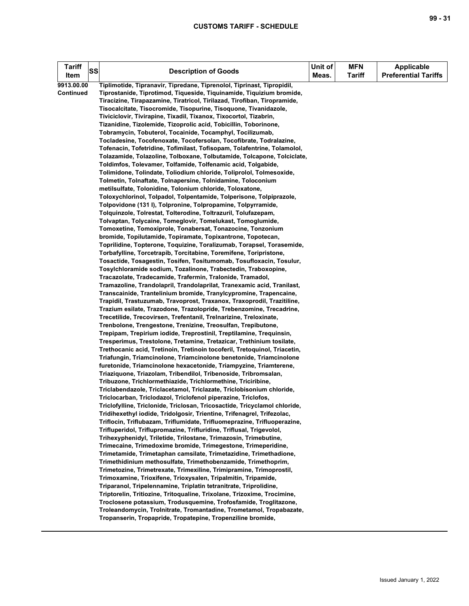| <b>Tariff</b> | SS | <b>Description of Goods</b>                                                                                              | Unit of | <b>MFN</b>    | <b>Applicable</b>           |
|---------------|----|--------------------------------------------------------------------------------------------------------------------------|---------|---------------|-----------------------------|
| Item          |    |                                                                                                                          | Meas.   | <b>Tariff</b> | <b>Preferential Tariffs</b> |
| 9913.00.00    |    | Tiplimotide, Tipranavir, Tipredane, Tiprenolol, Tiprinast, Tipropidil,                                                   |         |               |                             |
| Continued     |    | Tiprostanide, Tiprotimod, Tiqueside, Tiquinamide, Tiquizium bromide,                                                     |         |               |                             |
|               |    | Tiracizine, Tirapazamine, Tiratricol, Tirilazad, Tirofiban, Tiropramide,                                                 |         |               |                             |
|               |    | Tisocalcitate, Tisocromide, Tisopurine, Tisoquone, Tivanidazole,                                                         |         |               |                             |
|               |    | Tiviciclovir, Tivirapine, Tixadil, Tixanox, Tixocortol, Tizabrin,                                                        |         |               |                             |
|               |    | Tizanidine, Tizolemide, Tizoprolic acid, Tobicillin, Toborinone,                                                         |         |               |                             |
|               |    | Tobramycin, Tobuterol, Tocainide, Tocamphyl, Tocilizumab,                                                                |         |               |                             |
|               |    | Tocladesine, Tocofenoxate, Tocofersolan, Tocofibrate, Todralazine,                                                       |         |               |                             |
|               |    | Tofenacin, Tofetridine, Tofimilast, Tofisopam, Tolafentrine, Tolamolol,                                                  |         |               |                             |
|               |    | Tolazamide, Tolazoline, Tolboxane, Tolbutamide, Tolcapone, Tolciclate,                                                   |         |               |                             |
|               |    | Toldimfos, Tolevamer, Tolfamide, Tolfenamic acid, Tolgabide,                                                             |         |               |                             |
|               |    | Tolimidone, Tolindate, Toliodium chloride, Toliprolol, Tolmesoxide,                                                      |         |               |                             |
|               |    | Tolmetin, Tolnaftate, Tolnapersine, Tolnidamine, Toloconium                                                              |         |               |                             |
|               |    | metilsulfate, Tolonidine, Tolonium chloride, Toloxatone,                                                                 |         |               |                             |
|               |    | Toloxychlorinol, Tolpadol, Tolpentamide, Tolperisone, Tolpiprazole,                                                      |         |               |                             |
|               |    | Tolpovidone (131 I), Tolpronine, Tolpropamine, Tolpyrramide,                                                             |         |               |                             |
|               |    | Tolquinzole, Tolrestat, Tolterodine, Toltrazuril, Tolufazepam,                                                           |         |               |                             |
|               |    | Tolvaptan, Tolycaine, Tomeglovir, Tomelukast, Tomoglumide,<br>Tomoxetine, Tomoxiprole, Tonabersat, Tonazocine, Tonzonium |         |               |                             |
|               |    | bromide, Topilutamide, Topiramate, Topixantrone, Topotecan,                                                              |         |               |                             |
|               |    | Toprilidine, Topterone, Toquizine, Toralizumab, Torapsel, Torasemide,                                                    |         |               |                             |
|               |    | Torbafylline, Torcetrapib, Torcitabine, Toremifene, Toripristone,                                                        |         |               |                             |
|               |    | Tosactide, Tosagestin, Tosifen, Tositumomab, Tosufloxacin, Tosulur,                                                      |         |               |                             |
|               |    | Tosylchloramide sodium, Tozalinone, Trabectedin, Traboxopine,                                                            |         |               |                             |
|               |    | Tracazolate, Tradecamide, Trafermin, Tralonide, Tramadol,                                                                |         |               |                             |
|               |    | Tramazoline, Trandolapril, Trandolaprilat, Tranexamic acid, Tranilast,                                                   |         |               |                             |
|               |    | Transcainide, Trantelinium bromide, Tranylcypromine, Trapencaine,                                                        |         |               |                             |
|               |    | Trapidil, Trastuzumab, Travoprost, Traxanox, Traxoprodil, Trazitiline,                                                   |         |               |                             |
|               |    | Trazium esilate, Trazodone, Trazolopride, Trebenzomine, Trecadrine,                                                      |         |               |                             |
|               |    | Trecetilide, Trecovirsen, Trefentanil, Trelnarizine, Treloxinate,                                                        |         |               |                             |
|               |    | Trenbolone, Trengestone, Trenizine, Treosulfan, Trepibutone,                                                             |         |               |                             |
|               |    | Trepipam, Trepirium iodide, Treprostinil, Treptilamine, Trequinsin,                                                      |         |               |                             |
|               |    | Tresperimus, Trestolone, Tretamine, Tretazicar, Trethinium tosilate,                                                     |         |               |                             |
|               |    | Trethocanic acid, Tretinoin, Tretinoin tocoferil, Tretoquinol, Triacetin,                                                |         |               |                             |
|               |    | Triafungin, Triamcinolone, Triamcinolone benetonide, Triamcinolone                                                       |         |               |                             |
|               |    | furetonide, Triamcinolone hexacetonide, Triampyzine, Triamterene,                                                        |         |               |                             |
|               |    | Triaziquone, Triazolam, Tribendilol, Tribenoside, Tribromsalan,                                                          |         |               |                             |
|               |    | Tribuzone, Trichlormethiazide, Trichlormethine, Triciribine,                                                             |         |               |                             |
|               |    | Triclabendazole, Triclacetamol, Triclazate, Triclobisonium chloride,                                                     |         |               |                             |
|               |    | Triclocarban, Triclodazol, Triclofenol piperazine, Triclofos,                                                            |         |               |                             |
|               |    | Triclofylline, Triclonide, Triclosan, Tricosactide, Tricyclamol chloride,                                                |         |               |                             |
|               |    | Tridihexethyl iodide, Tridolgosir, Trientine, Trifenagrel, Trifezolac,                                                   |         |               |                             |
|               |    | Triflocin, Triflubazam, Triflumidate, Trifluomeprazine, Trifluoperazine,                                                 |         |               |                             |
|               |    | Trifluperidol, Triflupromazine, Trifluridine, Triflusal, Trigevolol,                                                     |         |               |                             |
|               |    | Trihexyphenidyl, Triletide, Trilostane, Trimazosin, Trimebutine,                                                         |         |               |                             |
|               |    | Trimecaine, Trimedoxime bromide, Trimegestone, Trimeperidine,                                                            |         |               |                             |
|               |    | Trimetamide, Trimetaphan camsilate, Trimetazidine, Trimethadione,                                                        |         |               |                             |
|               |    | Trimethidinium methosulfate, Trimethobenzamide, Trimethoprim,                                                            |         |               |                             |
|               |    | Trimetozine, Trimetrexate, Trimexiline, Trimipramine, Trimoprostil,                                                      |         |               |                             |
|               |    | Trimoxamine, Trioxifene, Trioxysalen, Tripalmitin, Tripamide,                                                            |         |               |                             |
|               |    | Triparanol, Tripelennamine, Triplatin tetranitrate, Triprolidine,                                                        |         |               |                             |
|               |    | Triptorelin, Tritiozine, Tritoqualine, Trixolane, Trizoxime, Trocimine,                                                  |         |               |                             |
|               |    | Troclosene potassium, Trodusquemine, Trofosfamide, Troglitazone,                                                         |         |               |                             |
|               |    | Troleandomycin, Trolnitrate, Tromantadine, Trometamol, Tropabazate,                                                      |         |               |                             |
|               |    | Tropanserin, Tropapride, Tropatepine, Tropenziline bromide,                                                              |         |               |                             |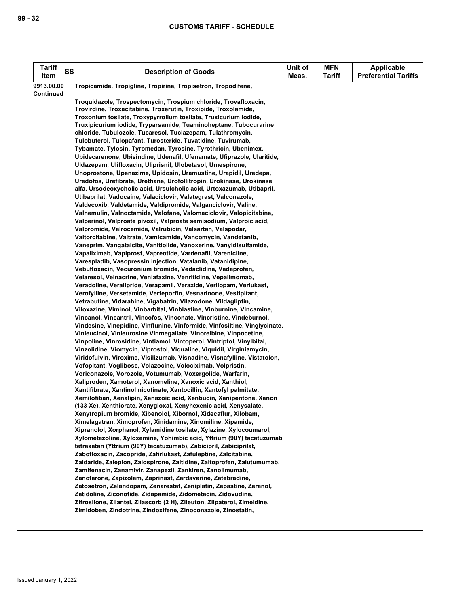| <b>Tariff</b><br>Item | SS | <b>Description of Goods</b>                                                                                                                 | Unit of<br>Meas. | <b>MFN</b><br><b>Tariff</b> | Applicable<br><b>Preferential Tariffs</b> |
|-----------------------|----|---------------------------------------------------------------------------------------------------------------------------------------------|------------------|-----------------------------|-------------------------------------------|
| 9913.00.00            |    | Tropicamide, Tropigline, Tropirine, Tropisetron, Tropodifene,                                                                               |                  |                             |                                           |
| Continued             |    |                                                                                                                                             |                  |                             |                                           |
|                       |    | Troquidazole, Trospectomycin, Trospium chloride, Trovafloxacin,                                                                             |                  |                             |                                           |
|                       |    | Trovirdine, Troxacitabine, Troxerutin, Troxipide, Troxolamide,                                                                              |                  |                             |                                           |
|                       |    | Troxonium tosilate, Troxypyrrolium tosilate, Truxicurium iodide,                                                                            |                  |                             |                                           |
|                       |    | Truxipicurium iodide, Tryparsamide, Tuaminoheptane, Tubocurarine                                                                            |                  |                             |                                           |
|                       |    | chloride, Tubulozole, Tucaresol, Tuclazepam, Tulathromycin,                                                                                 |                  |                             |                                           |
|                       |    | Tulobuterol, Tulopafant, Turosteride, Tuvatidine, Tuvirumab,                                                                                |                  |                             |                                           |
|                       |    | Tybamate, Tylosin, Tyromedan, Tyrosine, Tyrothricin, Ubenimex,                                                                              |                  |                             |                                           |
|                       |    | Ubidecarenone, Ubisindine, Udenafil, Ufenamate, Ufiprazole, Ularitide,                                                                      |                  |                             |                                           |
|                       |    | Uldazepam, Ulifloxacin, Uliprisnil, Ulobetasol, Umespirone,                                                                                 |                  |                             |                                           |
|                       |    | Unoprostone, Upenazime, Upidosin, Uramustine, Urapidil, Uredepa,                                                                            |                  |                             |                                           |
|                       |    | Uredofos, Urefibrate, Urethane, Urofollitropin, Urokinase, Urokinase                                                                        |                  |                             |                                           |
|                       |    | alfa, Ursodeoxycholic acid, Ursulcholic acid, Urtoxazumab, Utibapril,                                                                       |                  |                             |                                           |
|                       |    | Utibaprilat, Vadocaine, Valaciclovir, Valategrast, Valconazole,                                                                             |                  |                             |                                           |
|                       |    | Valdecoxib, Valdetamide, Valdipromide, Valganciclovir, Valine,<br>Valnemulin, Valnoctamide, Valofane, Valomaciclovir, Valopicitabine,       |                  |                             |                                           |
|                       |    | Valperinol, Valproate pivoxil, Valproate semisodium, Valproic acid,                                                                         |                  |                             |                                           |
|                       |    | Valpromide, Valrocemide, Valrubicin, Valsartan, Valspodar,                                                                                  |                  |                             |                                           |
|                       |    | Valtorcitabine, Valtrate, Vamicamide, Vancomycin, Vandetanib,                                                                               |                  |                             |                                           |
|                       |    | Vaneprim, Vangatalcite, Vanitiolide, Vanoxerine, Vanyldisulfamide,                                                                          |                  |                             |                                           |
|                       |    | Vapaliximab, Vapiprost, Vapreotide, Vardenafil, Varenicline,                                                                                |                  |                             |                                           |
|                       |    | Varespladib, Vasopressin injection, Vatalanib, Vatanidipine,                                                                                |                  |                             |                                           |
|                       |    | Vebufloxacin, Vecuronium bromide, Vedaclidine, Vedaprofen,                                                                                  |                  |                             |                                           |
|                       |    | Velaresol, Velnacrine, Venlafaxine, Venritidine, Vepalimomab,                                                                               |                  |                             |                                           |
|                       |    | Veradoline, Veralipride, Verapamil, Verazide, Verilopam, Verlukast,                                                                         |                  |                             |                                           |
|                       |    | Verofylline, Versetamide, Verteporfin, Vesnarinone, Vestipitant,                                                                            |                  |                             |                                           |
|                       |    | Vetrabutine, Vidarabine, Vigabatrin, Vilazodone, Vildagliptin,                                                                              |                  |                             |                                           |
|                       |    | Viloxazine, Viminol, Vinbarbital, Vinblastine, Vinburnine, Vincamine,                                                                       |                  |                             |                                           |
|                       |    | Vincanol, Vincantril, Vincofos, Vinconate, Vincristine, Vindeburnol,                                                                        |                  |                             |                                           |
|                       |    | Vindesine, Vinepidine, Vinflunine, Vinformide, Vinfosiltine, Vinglycinate,                                                                  |                  |                             |                                           |
|                       |    | Vinleucinol, Vinleurosine Vinmegallate, Vinorelbine, Vinpocetine,                                                                           |                  |                             |                                           |
|                       |    | Vinpoline, Vinrosidine, Vintiamol, Vintoperol, Vintriptol, Vinylbital,                                                                      |                  |                             |                                           |
|                       |    | Vinzolidine, Viomycin, Viprostol, Viqualine, Viquidil, Virginiamycin,                                                                       |                  |                             |                                           |
|                       |    | Viridofulvin, Viroxime, Visilizumab, Visnadine, Visnafylline, Vistatolon,                                                                   |                  |                             |                                           |
|                       |    | Vofopitant, Voglibose, Volazocine, Volociximab, Volpristin,                                                                                 |                  |                             |                                           |
|                       |    | Voriconazole, Vorozole, Votumumab, Voxergolide, Warfarin,                                                                                   |                  |                             |                                           |
|                       |    | Xaliproden, Xamoterol, Xanomeline, Xanoxic acid, Xanthiol,                                                                                  |                  |                             |                                           |
|                       |    | Xantifibrate, Xantinol nicotinate, Xantocillin, Xantofyl palmitate,                                                                         |                  |                             |                                           |
|                       |    | Xemilofiban, Xenalipin, Xenazoic acid, Xenbucin, Xenipentone, Xenon                                                                         |                  |                             |                                           |
|                       |    | (133 Xe), Xenthiorate, Xenygloxal, Xenyhexenic acid, Xenysalate,                                                                            |                  |                             |                                           |
|                       |    | Xenytropium bromide, Xibenolol, Xibornol, Xidecaflur, Xilobam,                                                                              |                  |                             |                                           |
|                       |    | Ximelagatran, Ximoprofen, Xinidamine, Xinomiline, Xipamide,                                                                                 |                  |                             |                                           |
|                       |    | Xipranolol, Xorphanol, Xylamidine tosilate, Xylazine, Xylocoumarol,<br>Xylometazoline, Xyloxemine, Yohimbic acid, Yttrium (90Y) tacatuzumab |                  |                             |                                           |
|                       |    | tetraxetan (Yttrium (90Y) tacatuzumab), Zabicipril, Zabiciprilat,                                                                           |                  |                             |                                           |
|                       |    | Zabofloxacin, Zacopride, Zafirlukast, Zafuleptine, Zalcitabine,                                                                             |                  |                             |                                           |
|                       |    | Zaldaride, Zaleplon, Zalospirone, Zaltidine, Zaltoprofen, Zalutumumab,                                                                      |                  |                             |                                           |
|                       |    | Zamifenacin, Zanamivir, Zanapezil, Zankiren, Zanolimumab,                                                                                   |                  |                             |                                           |
|                       |    | Zanoterone, Zapizolam, Zaprinast, Zardaverine, Zatebradine,                                                                                 |                  |                             |                                           |
|                       |    | Zatosetron, Zelandopam, Zenarestat, Zeniplatin, Zepastine, Zeranol,                                                                         |                  |                             |                                           |
|                       |    | Zetidoline, Ziconotide, Zidapamide, Zidometacin, Zidovudine,                                                                                |                  |                             |                                           |
|                       |    | Zifrosilone, Zilantel, Zilascorb (2 H), Zileuton, Zilpaterol, Zimeldine,                                                                    |                  |                             |                                           |
|                       |    | Zimidoben, Zindotrine, Zindoxifene, Zinoconazole, Zinostatin,                                                                               |                  |                             |                                           |
|                       |    |                                                                                                                                             |                  |                             |                                           |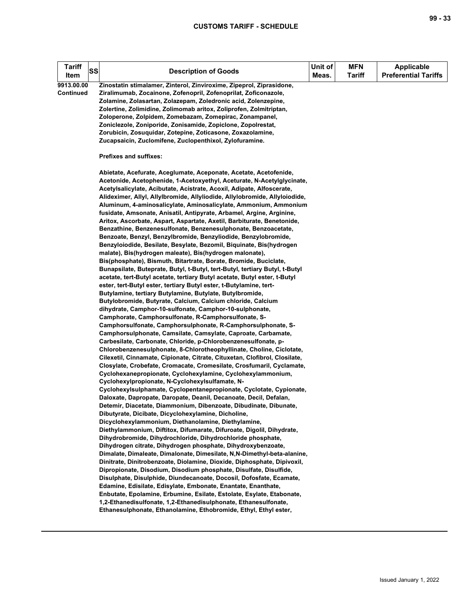| <b>Tariff</b><br><b>SS</b><br>Item | <b>Description of Goods</b>                                                                                                                                                                                                                                                                                                                                                                                                                                                                                                                                                                                                                                                                                                                                                                                                                                                                                                                                                                                                                                                                                                                                                                                                                                                                                                                                                                                                                                                                                                                                                                                                                                                                                                                                                                                                                                                                                                                                                                                                                                                                                                                                                                                                                                                                                                                                                                                                                                                                                                                                                                                                                                              | Unit of<br>Meas. | <b>MFN</b><br><b>Tariff</b> | <b>Applicable</b><br><b>Preferential Tariffs</b> |
|------------------------------------|--------------------------------------------------------------------------------------------------------------------------------------------------------------------------------------------------------------------------------------------------------------------------------------------------------------------------------------------------------------------------------------------------------------------------------------------------------------------------------------------------------------------------------------------------------------------------------------------------------------------------------------------------------------------------------------------------------------------------------------------------------------------------------------------------------------------------------------------------------------------------------------------------------------------------------------------------------------------------------------------------------------------------------------------------------------------------------------------------------------------------------------------------------------------------------------------------------------------------------------------------------------------------------------------------------------------------------------------------------------------------------------------------------------------------------------------------------------------------------------------------------------------------------------------------------------------------------------------------------------------------------------------------------------------------------------------------------------------------------------------------------------------------------------------------------------------------------------------------------------------------------------------------------------------------------------------------------------------------------------------------------------------------------------------------------------------------------------------------------------------------------------------------------------------------------------------------------------------------------------------------------------------------------------------------------------------------------------------------------------------------------------------------------------------------------------------------------------------------------------------------------------------------------------------------------------------------------------------------------------------------------------------------------------------------|------------------|-----------------------------|--------------------------------------------------|
| 9913.00.00<br><b>Continued</b>     | Zinostatin stimalamer, Zinterol, Zinviroxime, Zipeprol, Ziprasidone,<br>Ziralimumab, Zocainone, Zofenopril, Zofenoprilat, Zoficonazole,<br>Zolamine, Zolasartan, Zolazepam, Zoledronic acid, Zolenzepine,<br>Zolertine, Zolimidine, Zolimomab aritox, Zoliprofen, Zolmitriptan,<br>Zoloperone, Zolpidem, Zomebazam, Zomepirac, Zonampanel,<br>Zoniclezole, Zoniporide, Zonisamide, Zopiclone, Zopolrestat,<br>Zorubicin, Zosuquidar, Zotepine, Zoticasone, Zoxazolamine,<br>Zucapsaicin, Zuclomifene, Zuclopenthixol, Zylofuramine.                                                                                                                                                                                                                                                                                                                                                                                                                                                                                                                                                                                                                                                                                                                                                                                                                                                                                                                                                                                                                                                                                                                                                                                                                                                                                                                                                                                                                                                                                                                                                                                                                                                                                                                                                                                                                                                                                                                                                                                                                                                                                                                                      |                  |                             |                                                  |
|                                    | Prefixes and suffixes:                                                                                                                                                                                                                                                                                                                                                                                                                                                                                                                                                                                                                                                                                                                                                                                                                                                                                                                                                                                                                                                                                                                                                                                                                                                                                                                                                                                                                                                                                                                                                                                                                                                                                                                                                                                                                                                                                                                                                                                                                                                                                                                                                                                                                                                                                                                                                                                                                                                                                                                                                                                                                                                   |                  |                             |                                                  |
|                                    | Abietate, Acefurate, Aceglumate, Aceponate, Acetate, Acetofenide,<br>Acetonide, Acetophenide, 1-Acetoxyethyl, Aceturate, N-Acetylglycinate,<br>Acetylsalicylate, Acibutate, Acistrate, Acoxil, Adipate, Alfoscerate,<br>Alideximer, Allyl, Allylbromide, Allyliodide, Allylobromide, Allyloiodide,<br>Aluminum, 4-aminosalicylate, Aminosalicylate, Ammonium, Ammonium<br>fusidate, Amsonate, Anisatil, Antipyrate, Arbamel, Argine, Arginine,<br>Aritox, Ascorbate, Aspart, Aspartate, Axetil, Barbiturate, Benetonide,<br>Benzathine, Benzenesulfonate, Benzenesulphonate, Benzoacetate,<br>Benzoate, Benzyl, Benzylbromide, Benzyliodide, Benzylobromide,<br>Benzyloiodide, Besilate, Besylate, Bezomil, Biquinate, Bis(hydrogen<br>malate), Bis(hydrogen maleate), Bis(hydrogen malonate),<br>Bis(phosphate), Bismuth, Bitartrate, Borate, Bromide, Buciclate,<br>Bunapsilate, Buteprate, Butyl, t-Butyl, tert-Butyl, tertiary Butyl, t-Butyl<br>acetate, tert-Butyl acetate, tertiary Butyl acetate, Butyl ester, t-Butyl<br>ester, tert-Butyl ester, tertiary Butyl ester, t-Butylamine, tert-<br>Butylamine, tertiary Butylamine, Butylate, Butylbromide,<br>Butylobromide, Butyrate, Calcium, Calcium chloride, Calcium<br>dihydrate, Camphor-10-sulfonate, Camphor-10-sulphonate,<br>Camphorate, Camphorsulfonate, R-Camphorsulfonate, S-<br>Camphorsulfonate, Camphorsulphonate, R-Camphorsulphonate, S-<br>Camphorsulphonate, Camsilate, Camsylate, Caproate, Carbamate,<br>Carbesilate, Carbonate, Chloride, p-Chlorobenzenesulfonate, p-<br>Chlorobenzenesulphonate, 8-Chlorotheophyllinate, Choline, Ciclotate,<br>Cilexetil, Cinnamate, Cipionate, Citrate, Cituxetan, Clofibrol, Closilate,<br>Closylate, Crobefate, Cromacate, Cromesilate, Crosfumaril, Cyclamate,<br>Cyclohexanepropionate, Cyclohexylamine, Cyclohexylammonium,<br>Cyclohexylpropionate, N-Cyclohexylsulfamate, N-<br>Cyclohexylsulphamate, Cyclopentanepropionate, Cyclotate, Cypionate,<br>Daloxate, Dapropate, Daropate, Deanil, Decanoate, Decil, Defalan,<br>Detemir, Diacetate, Diammonium, Dibenzoate, Dibudinate, Dibunate,<br>Dibutyrate, Dicibate, Dicyclohexylamine, Dicholine,<br>Dicyclohexylammonium, Diethanolamine, Diethylamine,<br>Diethylammonium, Diftitox, Difumarate, Difuroate, Digolil, Dihydrate,<br>Dihydrobromide, Dihydrochloride, Dihydrochloride phosphate,<br>Dihydrogen citrate, Dihydrogen phosphate, Dihydroxybenzoate,<br>Dimalate, Dimaleate, Dimalonate, Dimesilate, N,N-Dimethyl-beta-alanine,<br>Dinitrate, Dinitrobenzoate, Diolamine, Dioxide, Diphosphate, Dipivoxil,<br>Dipropionate, Disodium, Disodium phosphate, Disulfate, Disulfide, |                  |                             |                                                  |
|                                    | Disulphate, Disulphide, Diundecanoate, Docosil, Dofosfate, Ecamate,<br>Edamine, Edisilate, Edisylate, Embonate, Enantate, Enanthate,<br>Enbutate, Epolamine, Erbumine, Esilate, Estolate, Esylate, Etabonate,<br>1,2-Ethanedisulfonate, 1,2-Ethanedisulphonate, Ethanesulfonate,                                                                                                                                                                                                                                                                                                                                                                                                                                                                                                                                                                                                                                                                                                                                                                                                                                                                                                                                                                                                                                                                                                                                                                                                                                                                                                                                                                                                                                                                                                                                                                                                                                                                                                                                                                                                                                                                                                                                                                                                                                                                                                                                                                                                                                                                                                                                                                                         |                  |                             |                                                  |
|                                    | Ethanesulphonate, Ethanolamine, Ethobromide, Ethyl, Ethyl ester,                                                                                                                                                                                                                                                                                                                                                                                                                                                                                                                                                                                                                                                                                                                                                                                                                                                                                                                                                                                                                                                                                                                                                                                                                                                                                                                                                                                                                                                                                                                                                                                                                                                                                                                                                                                                                                                                                                                                                                                                                                                                                                                                                                                                                                                                                                                                                                                                                                                                                                                                                                                                         |                  |                             |                                                  |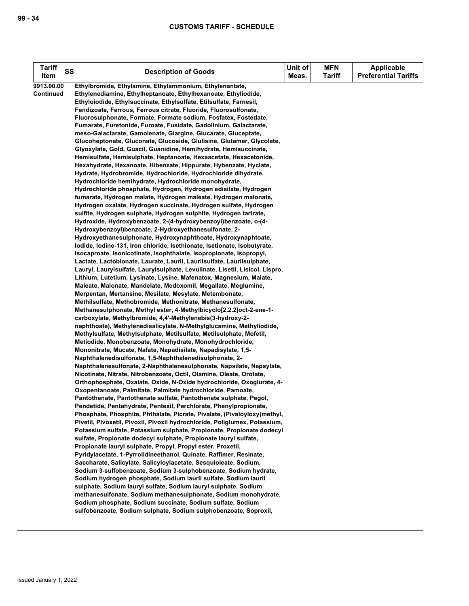| Tariff<br><b>SS</b> | <b>Description of Goods</b>                                                                                                           | Unit of | <b>MFN</b>    | <b>Applicable</b>           |
|---------------------|---------------------------------------------------------------------------------------------------------------------------------------|---------|---------------|-----------------------------|
| Item                |                                                                                                                                       | Meas.   | <b>Tariff</b> | <b>Preferential Tariffs</b> |
| 9913.00.00          | Ethylbromide, Ethylamine, Ethylammonium, Ethylenantate,                                                                               |         |               |                             |
| Continued           | Ethylenediamine, Ethylheptanoate, Ethylhexanoate, Ethyliodide,                                                                        |         |               |                             |
|                     | Ethyloiodide, Ethylsuccinate, Ethylsulfate, Etilsulfate, Farnesil,                                                                    |         |               |                             |
|                     | Fendizoate, Ferrous, Ferrous citrate, Fluoride, Fluorosulfonate,                                                                      |         |               |                             |
|                     | Fluorosulphonate, Formate, Formate sodium, Fosfatex, Fostedate,                                                                       |         |               |                             |
|                     | Fumarate, Furetonide, Furoate, Fusidate, Gadolinium, Galactarate,                                                                     |         |               |                             |
|                     | meso-Galactarate, Gamolenate, Glargine, Glucarate, Gluceptate,                                                                        |         |               |                             |
|                     | Glucoheptonate, Gluconate, Glucoside, Glulisine, Glutamer, Glycolate,                                                                 |         |               |                             |
|                     | Glyoxylate, Gold, Guacil, Guanidine, Hemihydrate, Hemisuccinate,<br>Hemisulfate, Hemisulphate, Heptanoate, Hexaacetate, Hexacetonide, |         |               |                             |
|                     | Hexahydrate, Hexanoate, Hibenzate, Hippurate, Hybenzate, Hyclate,                                                                     |         |               |                             |
|                     | Hydrate, Hydrobromide, Hydrochloride, Hydrochloride dihydrate,                                                                        |         |               |                             |
|                     | Hydrochloride hemihydrate, Hydrochloride monohydrate,                                                                                 |         |               |                             |
|                     | Hydrochloride phosphate, Hydrogen, Hydrogen edisilate, Hydrogen                                                                       |         |               |                             |
|                     | fumarate, Hydrogen malate, Hydrogen maleate, Hydrogen malonate,                                                                       |         |               |                             |
|                     | Hydrogen oxalate, Hydrogen succinate, Hydrogen sulfate, Hydrogen                                                                      |         |               |                             |
|                     | sulfite, Hydrogen sulphate, Hydrogen sulphite, Hydrogen tartrate,                                                                     |         |               |                             |
|                     | Hydroxide, Hydroxybenzoate, 2-(4-hydroxybenzoyl)benzoate, o-(4-                                                                       |         |               |                             |
|                     | Hydroxybenzoyl)benzoate, 2-Hydroxyethanesulfonate, 2-                                                                                 |         |               |                             |
|                     | Hydroxyethanesulphonate, Hydroxynaphthoate, Hydroxynaphtoate,                                                                         |         |               |                             |
|                     | lodide, lodine-131, Iron chloride, Isethionate, Isetionate, Isobutyrate,                                                              |         |               |                             |
|                     | Isocaproate, Isonicotinate, Isophthalate, Isopropionate, Isopropyl,                                                                   |         |               |                             |
|                     | Lactate, Lactobionate, Laurate, Lauril, Laurilsulfate, Laurilsulphate,                                                                |         |               |                             |
|                     | Lauryl, Laurylsulfate, Laurylsulphate, Levulinate, Lisetil, Lisicol, Lispro,                                                          |         |               |                             |
|                     | Lithium, Lutetium, Lysinate, Lysine, Mafenatox, Magnesium, Malate,                                                                    |         |               |                             |
|                     | Maleate, Malonate, Mandelate, Medoxomil, Megallate, Meglumine,                                                                        |         |               |                             |
|                     | Merpentan, Mertansine, Mesilate, Mesylate, Metembonate,                                                                               |         |               |                             |
|                     | Methilsulfate, Methobromide, Methonitrate, Methanesulfonate,                                                                          |         |               |                             |
|                     | Methanesulphonate, Methyl ester, 4-Methylbicyclo[2.2.2] oct-2-ene-1-                                                                  |         |               |                             |
|                     | carboxylate, Methylbromide, 4,4'-Methylenebis(3-hydroxy-2-                                                                            |         |               |                             |
|                     | naphthoate), Methylenedisalicylate, N-Methylglucamine, Methyliodide,                                                                  |         |               |                             |
|                     | Methylsulfate, Methylsulphate, Metilsulfate, Metilsulphate, Mofetil,                                                                  |         |               |                             |
|                     | Metiodide, Monobenzoate, Monohydrate, Monohydrochloride,                                                                              |         |               |                             |
|                     | Mononitrate, Mucate, Nafate, Napadisilate, Napadisylate, 1,5-                                                                         |         |               |                             |
|                     | Naphthalenedisulfonate, 1,5-Naphthalenedisulphonate, 2-                                                                               |         |               |                             |
|                     | Naphthalenesulfonate, 2-Naphthalenesulphonate, Napsilate, Napsylate,                                                                  |         |               |                             |
|                     | Nicotinate, Nitrate, Nitrobenzoate, Octil, Olamine, Oleate, Orotate,                                                                  |         |               |                             |
|                     | Orthophosphate, Oxalate, Oxide, N-Oxide hydrochloride, Oxoglurate, 4-                                                                 |         |               |                             |
|                     | Oxopentanoate, Palmitate, Palmitate hydrochloride, Pamoate,                                                                           |         |               |                             |
|                     | Pantothenate, Pantothenate sulfate, Pantothenate sulphate, Pegol,                                                                     |         |               |                             |
|                     | Pendetide, Pentahydrate, Pentexil, Perchlorate, Phenylpropionate,                                                                     |         |               |                             |
|                     | Phosphate, Phosphite, Phthalate, Picrate, Pivalate, (Pivaloyloxy)methyl,                                                              |         |               |                             |
|                     | Pivetil, Pivoxetil, Pivoxil, Pivoxil hydrochloride, Poliglumex, Potassium,                                                            |         |               |                             |
|                     | Potassium sulfate, Potassium sulphate, Propionate, Propionate dodecyl                                                                 |         |               |                             |
|                     | sulfate, Propionate dodecyl sulphate, Propionate lauryl sulfate,                                                                      |         |               |                             |
|                     | Propionate lauryl sulphate, Propyl, Propyl ester, Proxetil,                                                                           |         |               |                             |
|                     | Pyridylacetate, 1-Pyrrolidineethanol, Quinate, Raffimer, Resinate,                                                                    |         |               |                             |
|                     | Saccharate, Salicylate, Salicyloylacetate, Sesquioleate, Sodium,                                                                      |         |               |                             |
|                     | Sodium 3-sulfobenzoate, Sodium 3-sulphobenzoate, Sodium hydrate,                                                                      |         |               |                             |
|                     | Sodium hydrogen phosphate, Sodium lauril sulfate, Sodium lauril<br>sulphate, Sodium lauryl sulfate, Sodium lauryl sulphate, Sodium    |         |               |                             |
|                     | methanesulfonate, Sodium methanesulphonate, Sodium monohydrate,                                                                       |         |               |                             |
|                     | Sodium phosphate, Sodium succinate, Sodium sulfate, Sodium                                                                            |         |               |                             |
|                     | sulfobenzoate, Sodium sulphate, Sodium sulphobenzoate, Soproxil,                                                                      |         |               |                             |
|                     |                                                                                                                                       |         |               |                             |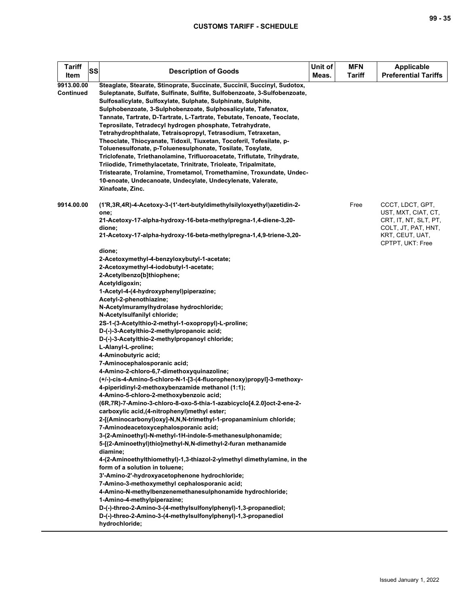| <b>Tariff</b><br>SS<br>Item | <b>Description of Goods</b>                                                                                                                                                                                                                                                                                                                                                                                                                                                                                                                                                                                                                                                                                                                                                                                                                                                                                                                                                                                                                                                                                                                                                                                                                                                                                                                                                                                                                                                                                                                                                                                        | Unit of<br>Meas. | <b>MFN</b><br><b>Tariff</b> | <b>Applicable</b><br><b>Preferential Tariffs</b>                                                           |
|-----------------------------|--------------------------------------------------------------------------------------------------------------------------------------------------------------------------------------------------------------------------------------------------------------------------------------------------------------------------------------------------------------------------------------------------------------------------------------------------------------------------------------------------------------------------------------------------------------------------------------------------------------------------------------------------------------------------------------------------------------------------------------------------------------------------------------------------------------------------------------------------------------------------------------------------------------------------------------------------------------------------------------------------------------------------------------------------------------------------------------------------------------------------------------------------------------------------------------------------------------------------------------------------------------------------------------------------------------------------------------------------------------------------------------------------------------------------------------------------------------------------------------------------------------------------------------------------------------------------------------------------------------------|------------------|-----------------------------|------------------------------------------------------------------------------------------------------------|
| 9913.00.00<br>Continued     | Steaglate, Stearate, Stinoprate, Succinate, Succinil, Succinyl, Sudotox,<br>Suleptanate, Sulfate, Sulfinate, Sulfite, Sulfobenzoate, 3-Sulfobenzoate,<br>Sulfosalicylate, Sulfoxylate, Sulphate, Sulphinate, Sulphite,<br>Sulphobenzoate, 3-Sulphobenzoate, Sulphosalicylate, Tafenatox,<br>Tannate, Tartrate, D-Tartrate, L-Tartrate, Tebutate, Tenoate, Teoclate,<br>Teprosilate, Tetradecyl hydrogen phosphate, Tetrahydrate,<br>Tetrahydrophthalate, Tetraisopropyl, Tetrasodium, Tetraxetan,<br>Theoclate, Thiocyanate, Tidoxil, Tiuxetan, Tocoferil, Tofesilate, p-<br>Toluenesulfonate, p-Toluenesulphonate, Tosilate, Tosylate,<br>Triclofenate, Triethanolamine, Trifluoroacetate, Triflutate, Trihydrate,<br>Triiodide, Trimethylacetate, Trinitrate, Trioleate, Tripalmitate,<br>Tristearate, Trolamine, Trometamol, Tromethamine, Troxundate, Undec-<br>10-enoate, Undecanoate, Undecylate, Undecylenate, Valerate,<br>Xinafoate, Zinc.                                                                                                                                                                                                                                                                                                                                                                                                                                                                                                                                                                                                                                                                |                  |                             |                                                                                                            |
| 9914.00.00                  | (1'R,3R,4R)-4-Acetoxy-3-(1'-tert-butyldimethylsilyloxyethyl)azetidin-2-<br>one;<br>21-Acetoxy-17-alpha-hydroxy-16-beta-methylpregna-1,4-diene-3,20-<br>dione;<br>21-Acetoxy-17-alpha-hydroxy-16-beta-methylpregna-1,4,9-triene-3,20-                                                                                                                                                                                                                                                                                                                                                                                                                                                                                                                                                                                                                                                                                                                                                                                                                                                                                                                                                                                                                                                                                                                                                                                                                                                                                                                                                                               |                  | Free                        | CCCT, LDCT, GPT,<br>UST, MXT, CIAT, CT,<br>CRT, IT, NT, SLT, PT,<br>COLT, JT, PAT, HNT,<br>KRT, CEUT, UAT, |
|                             | dione;<br>2-Acetoxymethyl-4-benzyloxybutyl-1-acetate;<br>2-Acetoxymethyl-4-iodobutyl-1-acetate;<br>2-Acetylbenzo[b]thiophene;<br>Acetyldigoxin;<br>1-Acetyl-4-(4-hydroxyphenyl)piperazine;<br>Acetyl-2-phenothiazine;<br>N-Acetylmuramylhydrolase hydrochloride;<br>N-Acetylsulfanilyl chloride;<br>2S-1-(3-Acetylthio-2-methyl-1-oxopropyl)-L-proline;<br>D-(-)-3-Acetylthio-2-methylpropanoic acid;<br>D-(-)-3-Acetylthio-2-methylpropanoyl chloride;<br>L-Alanyl-L-proline;<br>4-Aminobutyric acid;<br>7-Aminocephalosporanic acid;<br>4-Amino-2-chloro-6,7-dimethoxyquinazoline;<br>(+/-)-cis-4-Amino-5-chloro-N-1-[3-(4-fluorophenoxy)propyl]-3-methoxy-<br>4-piperidinyl-2-methoxybenzamide methanol (1:1);<br>4-Amino-5-chloro-2-methoxybenzoic acid;<br>(6R,7R)-7-Amino-3-chloro-8-oxo-5-thia-1-azabicyclo[4.2.0]oct-2-ene-2-<br>carboxylic acid, (4-nitrophenyl) methyl ester;<br>2-[(Aminocarbonyl)oxy]-N,N,N-trimethyl-1-propanaminium chloride;<br>7-Aminodeacetoxycephalosporanic acid;<br>3-(2-Aminoethyl)-N-methyl-1H-indole-5-methanesulphonamide;<br>5-[(2-Aminoethyl)thio]methyl-N,N-dimethyl-2-furan methanamide<br>diamine;<br>4-(2-Aminoethylthiomethyl)-1,3-thiazol-2-ylmethyl dimethylamine, in the<br>form of a solution in toluene;<br>3'-Amino-2'-hydroxyacetophenone hydrochloride;<br>7-Amino-3-methoxymethyl cephalosporanic acid;<br>4-Amino-N-methylbenzenemethanesulphonamide hydrochloride;<br>1-Amino-4-methylpiperazine;<br>D-(-)-threo-2-Amino-3-(4-methylsulfonylphenyl)-1,3-propanediol;<br>D-(-)-threo-2-Amino-3-(4-methylsulfonylphenyl)-1,3-propanediol<br>hydrochloride; |                  |                             | CPTPT, UKT: Free                                                                                           |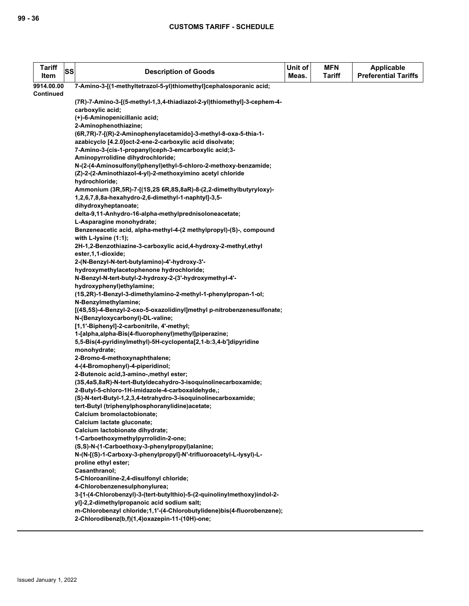| <b>Tariff</b><br>Item | SS | <b>Description of Goods</b>                                                    | Unit of<br>Meas. | <b>MFN</b><br><b>Tariff</b> | Applicable<br><b>Preferential Tariffs</b> |
|-----------------------|----|--------------------------------------------------------------------------------|------------------|-----------------------------|-------------------------------------------|
| 9914.00.00            |    | 7-Amino-3-[(1-methyltetrazol-5-yl)thiomethyl]cephalosporanic acid;             |                  |                             |                                           |
| <b>Continued</b>      |    |                                                                                |                  |                             |                                           |
|                       |    | (7R)-7-Amino-3-[(5-methyl-1,3,4-thiadiazol-2-yl)thiomethyl]-3-cephem-4-        |                  |                             |                                           |
|                       |    | carboxylic acid;                                                               |                  |                             |                                           |
|                       |    | (+)-6-Aminopenicillanic acid;                                                  |                  |                             |                                           |
|                       |    | 2-Aminophenothiazine;                                                          |                  |                             |                                           |
|                       |    | (6R,7R)-7-[(R)-2-Aminophenylacetamido]-3-methyl-8-oxa-5-thia-1-                |                  |                             |                                           |
|                       |    | azabicyclo [4.2.0]oct-2-ene-2-carboxylic acid disolvate;                       |                  |                             |                                           |
|                       |    | 7-Amino-3-(cis-1-propanyl)ceph-3-emcarboxylic acid;3-                          |                  |                             |                                           |
|                       |    | Aminopyrrolidine dihydrochloride;                                              |                  |                             |                                           |
|                       |    | N-(2-(4-Aminosulfonyl)phenyl)ethyl-5-chloro-2-methoxy-benzamide;               |                  |                             |                                           |
|                       |    | (Z)-2-(2-Aminothiazol-4-yl)-2-methoxyimino acetyl chloride                     |                  |                             |                                           |
|                       |    | hydrochloride;                                                                 |                  |                             |                                           |
|                       |    | Ammonium (3R,5R)-7-[(1S,2S 6R,8S,8aR)-8-(2,2-dimethylbutyryloxy)-              |                  |                             |                                           |
|                       |    | 1,2,6,7,8,8a-hexahydro-2,6-dimethyl-1-naphtyl]-3,5-                            |                  |                             |                                           |
|                       |    | dihydroxyheptanoate;                                                           |                  |                             |                                           |
|                       |    | delta-9,11-Anhydro-16-alpha-methylprednisoloneacetate;                         |                  |                             |                                           |
|                       |    | L-Asparagine monohydrate;                                                      |                  |                             |                                           |
|                       |    | Benzeneacetic acid, alpha-methyl-4-(2 methylpropyl)-(S)-, compound             |                  |                             |                                           |
|                       |    | with L-lysine $(1:1)$ ;                                                        |                  |                             |                                           |
|                       |    | 2H-1,2-Benzothiazine-3-carboxylic acid,4-hydroxy-2-methyl,ethyl                |                  |                             |                                           |
|                       |    | ester, 1, 1-dioxide;                                                           |                  |                             |                                           |
|                       |    | 2-(N-Benzyl-N-tert-butylamino)-4'-hydroxy-3'-                                  |                  |                             |                                           |
|                       |    | hydroxymethylacetophenone hydrochloride;                                       |                  |                             |                                           |
|                       |    | N-Benzyl-N-tert-butyl-2-hydroxy-2-(3'-hydroxymethyl-4'-                        |                  |                             |                                           |
|                       |    | hydroxyphenyl)ethylamine;                                                      |                  |                             |                                           |
|                       |    | (1S,2R)-1-Benzyl-3-dimethylamino-2-methyl-1-phenylpropan-1-ol;                 |                  |                             |                                           |
|                       |    | N-Benzylmethylamine;                                                           |                  |                             |                                           |
|                       |    | [(4S,5S)-4-Benzyl-2-oxo-5-oxazolidinyl]methyl p-nitrobenzenesulfonate;         |                  |                             |                                           |
|                       |    | N-(Benzyloxycarbonyl)-DL-valine;<br>[1,1'-Biphenyl]-2-carbonitrile, 4'-methyl; |                  |                             |                                           |
|                       |    | 1-[alpha,alpha-Bis(4-fluorophenyl)methyl]piperazine;                           |                  |                             |                                           |
|                       |    | 5,5-Bis(4-pyridinylmethyl)-5H-cyclopenta[2,1-b:3,4-b']dipyridine               |                  |                             |                                           |
|                       |    | monohydrate;                                                                   |                  |                             |                                           |
|                       |    | 2-Bromo-6-methoxynaphthalene;                                                  |                  |                             |                                           |
|                       |    | 4-(4-Bromophenyl)-4-piperidinol;                                               |                  |                             |                                           |
|                       |    | 2-Butenoic acid, 3-amino-, methyl ester;                                       |                  |                             |                                           |
|                       |    | (3S,4aS,8aR)-N-tert-Butyldecahydro-3-isoquinolinecarboxamide;                  |                  |                             |                                           |
|                       |    | 2-Butyl-5-chloro-1H-imidazole-4-carboxaldehyde,;                               |                  |                             |                                           |
|                       |    | (S)-N-tert-Butyl-1,2,3,4-tetrahydro-3-isoquinolinecarboxamide;                 |                  |                             |                                           |
|                       |    | tert-Butyl (triphenylphosphoranylidine)acetate;                                |                  |                             |                                           |
|                       |    | Calcium bromolactobionate;                                                     |                  |                             |                                           |
|                       |    | Calcium lactate gluconate;                                                     |                  |                             |                                           |
|                       |    | Calcium lactobionate dihydrate;                                                |                  |                             |                                           |
|                       |    | 1-Carboethoxymethylpyrrolidin-2-one;                                           |                  |                             |                                           |
|                       |    | (S,S)-N-(1-Carboethoxy-3-phenylpropyl)alanine;                                 |                  |                             |                                           |
|                       |    | N-(N-[(S)-1-Carboxy-3-phenylpropyl]-N'-trifluoroacetyl-L-lysyl)-L-             |                  |                             |                                           |
|                       |    | proline ethyl ester;                                                           |                  |                             |                                           |
|                       |    | Casanthranol;                                                                  |                  |                             |                                           |
|                       |    | 5-Chloroaniline-2,4-disulfonyl chloride;                                       |                  |                             |                                           |
|                       |    | 4-Chlorobenzenesulphonylurea;                                                  |                  |                             |                                           |
|                       |    | 3-[1-(4-Chlorobenzyl)-3-(tert-butylthio)-5-(2-quinolinylmethoxy)indol-2-       |                  |                             |                                           |
|                       |    | yl]-2,2-dimethylpropanoic acid sodium salt;                                    |                  |                             |                                           |
|                       |    | m-Chlorobenzyl chloride;1,1'-(4-Chlorobutylidene)bis(4-fluorobenzene);         |                  |                             |                                           |
|                       |    | 2-Chlorodibenz(b,f)(1,4)oxazepin-11-(10H)-one;                                 |                  |                             |                                           |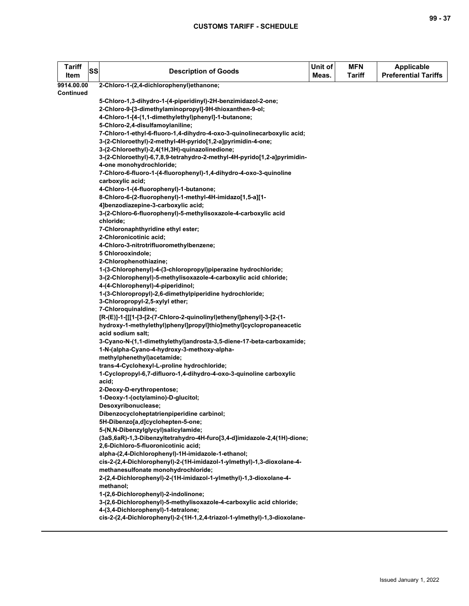| 2-Chloro-1-(2,4-dichlorophenyl)ethanone;<br>9914.00.00<br>Continued<br>5-Chloro-1,3-dihydro-1-(4-piperidinyl)-2H-benzimidazol-2-one;<br>2-Chloro-9-[3-dimethylaminopropyl]-9H-thioxanthen-9-ol;<br>4-Chloro-1-[4-(1,1-dimethylethyl)phenyl]-1-butanone;<br>5-Chloro-2,4-disulfamoylaniline;<br>7-Chloro-1-ethyl-6-fluoro-1,4-dihydro-4-oxo-3-quinolinecarboxylic acid;<br>3-(2-Chloroethyl)-2-methyl-4H-pyrido[1,2-a]pyrimidin-4-one;<br>3-(2-Chloroethyl)-2,4(1H,3H)-quinazolinedione;<br>3-(2-Chloroethyl)-6,7,8,9-tetrahydro-2-methyl-4H-pyrido[1,2-a]pyrimidin-<br>4-one monohydrochloride;<br>7-Chloro-6-fluoro-1-(4-fluorophenyl)-1,4-dihydro-4-oxo-3-quinoline<br>carboxylic acid;<br>4-Chloro-1-(4-fluorophenyl)-1-butanone;<br>8-Chloro-6-(2-fluorophenyl)-1-methyl-4H-imidazo[1,5-a][1-<br>4]benzodiazepine-3-carboxylic acid;<br>3-(2-Chloro-6-fluorophenyl)-5-methylisoxazole-4-carboxylic acid<br>chloride;<br>7-Chloronaphthyridine ethyl ester;<br>2-Chloronicotinic acid;<br>4-Chloro-3-nitrotrifluoromethylbenzene;<br>5 Chlorooxindole;<br>2-Chlorophenothiazine; | <b>Tariff</b><br>SS<br>Item | <b>Description of Goods</b>                                    | Unit of<br>Meas. | <b>MFN</b><br><b>Tariff</b> | <b>Applicable</b><br><b>Preferential Tariffs</b> |
|-------------------------------------------------------------------------------------------------------------------------------------------------------------------------------------------------------------------------------------------------------------------------------------------------------------------------------------------------------------------------------------------------------------------------------------------------------------------------------------------------------------------------------------------------------------------------------------------------------------------------------------------------------------------------------------------------------------------------------------------------------------------------------------------------------------------------------------------------------------------------------------------------------------------------------------------------------------------------------------------------------------------------------------------------------------------------------------|-----------------------------|----------------------------------------------------------------|------------------|-----------------------------|--------------------------------------------------|
|                                                                                                                                                                                                                                                                                                                                                                                                                                                                                                                                                                                                                                                                                                                                                                                                                                                                                                                                                                                                                                                                                     |                             |                                                                |                  |                             |                                                  |
|                                                                                                                                                                                                                                                                                                                                                                                                                                                                                                                                                                                                                                                                                                                                                                                                                                                                                                                                                                                                                                                                                     |                             |                                                                |                  |                             |                                                  |
|                                                                                                                                                                                                                                                                                                                                                                                                                                                                                                                                                                                                                                                                                                                                                                                                                                                                                                                                                                                                                                                                                     |                             |                                                                |                  |                             |                                                  |
|                                                                                                                                                                                                                                                                                                                                                                                                                                                                                                                                                                                                                                                                                                                                                                                                                                                                                                                                                                                                                                                                                     |                             |                                                                |                  |                             |                                                  |
|                                                                                                                                                                                                                                                                                                                                                                                                                                                                                                                                                                                                                                                                                                                                                                                                                                                                                                                                                                                                                                                                                     |                             |                                                                |                  |                             |                                                  |
|                                                                                                                                                                                                                                                                                                                                                                                                                                                                                                                                                                                                                                                                                                                                                                                                                                                                                                                                                                                                                                                                                     |                             |                                                                |                  |                             |                                                  |
|                                                                                                                                                                                                                                                                                                                                                                                                                                                                                                                                                                                                                                                                                                                                                                                                                                                                                                                                                                                                                                                                                     |                             |                                                                |                  |                             |                                                  |
|                                                                                                                                                                                                                                                                                                                                                                                                                                                                                                                                                                                                                                                                                                                                                                                                                                                                                                                                                                                                                                                                                     |                             |                                                                |                  |                             |                                                  |
|                                                                                                                                                                                                                                                                                                                                                                                                                                                                                                                                                                                                                                                                                                                                                                                                                                                                                                                                                                                                                                                                                     |                             |                                                                |                  |                             |                                                  |
|                                                                                                                                                                                                                                                                                                                                                                                                                                                                                                                                                                                                                                                                                                                                                                                                                                                                                                                                                                                                                                                                                     |                             |                                                                |                  |                             |                                                  |
|                                                                                                                                                                                                                                                                                                                                                                                                                                                                                                                                                                                                                                                                                                                                                                                                                                                                                                                                                                                                                                                                                     |                             |                                                                |                  |                             |                                                  |
|                                                                                                                                                                                                                                                                                                                                                                                                                                                                                                                                                                                                                                                                                                                                                                                                                                                                                                                                                                                                                                                                                     |                             |                                                                |                  |                             |                                                  |
|                                                                                                                                                                                                                                                                                                                                                                                                                                                                                                                                                                                                                                                                                                                                                                                                                                                                                                                                                                                                                                                                                     |                             |                                                                |                  |                             |                                                  |
|                                                                                                                                                                                                                                                                                                                                                                                                                                                                                                                                                                                                                                                                                                                                                                                                                                                                                                                                                                                                                                                                                     |                             |                                                                |                  |                             |                                                  |
|                                                                                                                                                                                                                                                                                                                                                                                                                                                                                                                                                                                                                                                                                                                                                                                                                                                                                                                                                                                                                                                                                     |                             |                                                                |                  |                             |                                                  |
|                                                                                                                                                                                                                                                                                                                                                                                                                                                                                                                                                                                                                                                                                                                                                                                                                                                                                                                                                                                                                                                                                     |                             |                                                                |                  |                             |                                                  |
|                                                                                                                                                                                                                                                                                                                                                                                                                                                                                                                                                                                                                                                                                                                                                                                                                                                                                                                                                                                                                                                                                     |                             |                                                                |                  |                             |                                                  |
|                                                                                                                                                                                                                                                                                                                                                                                                                                                                                                                                                                                                                                                                                                                                                                                                                                                                                                                                                                                                                                                                                     |                             |                                                                |                  |                             |                                                  |
|                                                                                                                                                                                                                                                                                                                                                                                                                                                                                                                                                                                                                                                                                                                                                                                                                                                                                                                                                                                                                                                                                     |                             |                                                                |                  |                             |                                                  |
|                                                                                                                                                                                                                                                                                                                                                                                                                                                                                                                                                                                                                                                                                                                                                                                                                                                                                                                                                                                                                                                                                     |                             |                                                                |                  |                             |                                                  |
|                                                                                                                                                                                                                                                                                                                                                                                                                                                                                                                                                                                                                                                                                                                                                                                                                                                                                                                                                                                                                                                                                     |                             |                                                                |                  |                             |                                                  |
|                                                                                                                                                                                                                                                                                                                                                                                                                                                                                                                                                                                                                                                                                                                                                                                                                                                                                                                                                                                                                                                                                     |                             |                                                                |                  |                             |                                                  |
|                                                                                                                                                                                                                                                                                                                                                                                                                                                                                                                                                                                                                                                                                                                                                                                                                                                                                                                                                                                                                                                                                     |                             |                                                                |                  |                             |                                                  |
|                                                                                                                                                                                                                                                                                                                                                                                                                                                                                                                                                                                                                                                                                                                                                                                                                                                                                                                                                                                                                                                                                     |                             | 1-(3-Chlorophenyl)-4-(3-chloropropyl)piperazine hydrochloride; |                  |                             |                                                  |
| 3-(2-Chlorophenyl)-5-methylisoxazole-4-carboxylic acid chloride;                                                                                                                                                                                                                                                                                                                                                                                                                                                                                                                                                                                                                                                                                                                                                                                                                                                                                                                                                                                                                    |                             |                                                                |                  |                             |                                                  |
| 4-(4-Chlorophenyl)-4-piperidinol;                                                                                                                                                                                                                                                                                                                                                                                                                                                                                                                                                                                                                                                                                                                                                                                                                                                                                                                                                                                                                                                   |                             |                                                                |                  |                             |                                                  |
| 1-(3-Chloropropyl)-2,6-dimethylpiperidine hydrochloride;                                                                                                                                                                                                                                                                                                                                                                                                                                                                                                                                                                                                                                                                                                                                                                                                                                                                                                                                                                                                                            |                             |                                                                |                  |                             |                                                  |
| 3-Chloropropyl-2,5-xylyl ether;                                                                                                                                                                                                                                                                                                                                                                                                                                                                                                                                                                                                                                                                                                                                                                                                                                                                                                                                                                                                                                                     |                             |                                                                |                  |                             |                                                  |
| 7-Chloroquinaldine;                                                                                                                                                                                                                                                                                                                                                                                                                                                                                                                                                                                                                                                                                                                                                                                                                                                                                                                                                                                                                                                                 |                             |                                                                |                  |                             |                                                  |
| [R-(E)]-1-[[[1-[3-[2-(7-Chloro-2-quinolinyl)ethenyl]phenyl]-3-[2-(1-                                                                                                                                                                                                                                                                                                                                                                                                                                                                                                                                                                                                                                                                                                                                                                                                                                                                                                                                                                                                                |                             |                                                                |                  |                             |                                                  |
| hydroxy-1-methylethyl)phenyl]propyl]thio]methyl]cyclopropaneacetic                                                                                                                                                                                                                                                                                                                                                                                                                                                                                                                                                                                                                                                                                                                                                                                                                                                                                                                                                                                                                  |                             |                                                                |                  |                             |                                                  |
| acid sodium salt;                                                                                                                                                                                                                                                                                                                                                                                                                                                                                                                                                                                                                                                                                                                                                                                                                                                                                                                                                                                                                                                                   |                             |                                                                |                  |                             |                                                  |
| 3-Cyano-N-(1,1-dimethylethyl)androsta-3,5-diene-17-beta-carboxamide;                                                                                                                                                                                                                                                                                                                                                                                                                                                                                                                                                                                                                                                                                                                                                                                                                                                                                                                                                                                                                |                             |                                                                |                  |                             |                                                  |
| 1-N-(alpha-Cyano-4-hydroxy-3-methoxy-alpha-                                                                                                                                                                                                                                                                                                                                                                                                                                                                                                                                                                                                                                                                                                                                                                                                                                                                                                                                                                                                                                         |                             |                                                                |                  |                             |                                                  |
| methylphenethyl)acetamide;                                                                                                                                                                                                                                                                                                                                                                                                                                                                                                                                                                                                                                                                                                                                                                                                                                                                                                                                                                                                                                                          |                             |                                                                |                  |                             |                                                  |
| trans-4-Cyclohexyl-L-proline hydrochloride;                                                                                                                                                                                                                                                                                                                                                                                                                                                                                                                                                                                                                                                                                                                                                                                                                                                                                                                                                                                                                                         |                             |                                                                |                  |                             |                                                  |
| 1-Cyclopropyl-6,7-difluoro-1,4-dihydro-4-oxo-3-quinoline carboxylic                                                                                                                                                                                                                                                                                                                                                                                                                                                                                                                                                                                                                                                                                                                                                                                                                                                                                                                                                                                                                 |                             |                                                                |                  |                             |                                                  |
| acid;                                                                                                                                                                                                                                                                                                                                                                                                                                                                                                                                                                                                                                                                                                                                                                                                                                                                                                                                                                                                                                                                               |                             |                                                                |                  |                             |                                                  |
| 2-Deoxy-D-erythropentose;                                                                                                                                                                                                                                                                                                                                                                                                                                                                                                                                                                                                                                                                                                                                                                                                                                                                                                                                                                                                                                                           |                             |                                                                |                  |                             |                                                  |
| 1-Deoxy-1-(octylamino)-D-glucitol;                                                                                                                                                                                                                                                                                                                                                                                                                                                                                                                                                                                                                                                                                                                                                                                                                                                                                                                                                                                                                                                  |                             |                                                                |                  |                             |                                                  |
| Desoxyribonuclease;                                                                                                                                                                                                                                                                                                                                                                                                                                                                                                                                                                                                                                                                                                                                                                                                                                                                                                                                                                                                                                                                 |                             |                                                                |                  |                             |                                                  |
| Dibenzocycloheptatrienpiperidine carbinol;                                                                                                                                                                                                                                                                                                                                                                                                                                                                                                                                                                                                                                                                                                                                                                                                                                                                                                                                                                                                                                          |                             |                                                                |                  |                             |                                                  |
| 5H-Dibenzo[a,d]cyclohepten-5-one;                                                                                                                                                                                                                                                                                                                                                                                                                                                                                                                                                                                                                                                                                                                                                                                                                                                                                                                                                                                                                                                   |                             |                                                                |                  |                             |                                                  |
| 5-(N,N-Dibenzylglycyl)salicylamide;                                                                                                                                                                                                                                                                                                                                                                                                                                                                                                                                                                                                                                                                                                                                                                                                                                                                                                                                                                                                                                                 |                             |                                                                |                  |                             |                                                  |
| (3aS,6aR)-1,3-Dibenzyltetrahydro-4H-furo[3,4-d]imidazole-2,4(1H)-dione;                                                                                                                                                                                                                                                                                                                                                                                                                                                                                                                                                                                                                                                                                                                                                                                                                                                                                                                                                                                                             |                             |                                                                |                  |                             |                                                  |
| 2,6-Dichloro-5-fluoronicotinic acid;                                                                                                                                                                                                                                                                                                                                                                                                                                                                                                                                                                                                                                                                                                                                                                                                                                                                                                                                                                                                                                                |                             |                                                                |                  |                             |                                                  |
| alpha-(2,4-Dichlorophenyl)-1H-imidazole-1-ethanol;                                                                                                                                                                                                                                                                                                                                                                                                                                                                                                                                                                                                                                                                                                                                                                                                                                                                                                                                                                                                                                  |                             |                                                                |                  |                             |                                                  |
| cis-2-(2,4-Dichlorophenyl)-2-(1H-imidazol-1-ylmethyl)-1,3-dioxolane-4-                                                                                                                                                                                                                                                                                                                                                                                                                                                                                                                                                                                                                                                                                                                                                                                                                                                                                                                                                                                                              |                             |                                                                |                  |                             |                                                  |
| methanesulfonate monohydrochloride;                                                                                                                                                                                                                                                                                                                                                                                                                                                                                                                                                                                                                                                                                                                                                                                                                                                                                                                                                                                                                                                 |                             |                                                                |                  |                             |                                                  |
| 2-(2,4-Dichlorophenyl)-2-(1H-imidazol-1-ylmethyl)-1,3-dioxolane-4-                                                                                                                                                                                                                                                                                                                                                                                                                                                                                                                                                                                                                                                                                                                                                                                                                                                                                                                                                                                                                  |                             |                                                                |                  |                             |                                                  |
| methanol;                                                                                                                                                                                                                                                                                                                                                                                                                                                                                                                                                                                                                                                                                                                                                                                                                                                                                                                                                                                                                                                                           |                             |                                                                |                  |                             |                                                  |
| 1-(2,6-Dichlorophenyl)-2-indolinone;                                                                                                                                                                                                                                                                                                                                                                                                                                                                                                                                                                                                                                                                                                                                                                                                                                                                                                                                                                                                                                                |                             |                                                                |                  |                             |                                                  |
| 3-(2,6-Dichlorophenyl)-5-methylisoxazole-4-carboxylic acid chloride;                                                                                                                                                                                                                                                                                                                                                                                                                                                                                                                                                                                                                                                                                                                                                                                                                                                                                                                                                                                                                |                             |                                                                |                  |                             |                                                  |
| 4-(3,4-Dichlorophenyl)-1-tetralone;                                                                                                                                                                                                                                                                                                                                                                                                                                                                                                                                                                                                                                                                                                                                                                                                                                                                                                                                                                                                                                                 |                             |                                                                |                  |                             |                                                  |
| cis-2-(2,4-Dichlorophenyl)-2-(1H-1,2,4-triazol-1-ylmethyl)-1,3-dioxolane-                                                                                                                                                                                                                                                                                                                                                                                                                                                                                                                                                                                                                                                                                                                                                                                                                                                                                                                                                                                                           |                             |                                                                |                  |                             |                                                  |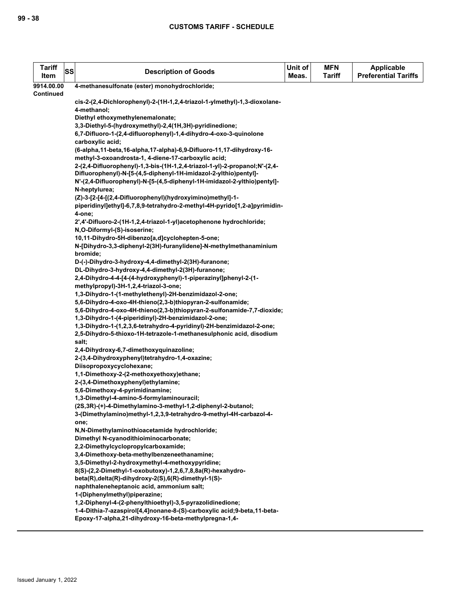| <b>Tariff</b><br>Item | SS | <b>Description of Goods</b>                                                                                   | Unit of<br>Meas. | <b>MFN</b><br>Tariff | <b>Applicable</b><br><b>Preferential Tariffs</b> |
|-----------------------|----|---------------------------------------------------------------------------------------------------------------|------------------|----------------------|--------------------------------------------------|
| 9914.00.00            |    | 4-methanesulfonate (ester) monohydrochloride;                                                                 |                  |                      |                                                  |
| <b>Continued</b>      |    |                                                                                                               |                  |                      |                                                  |
|                       |    | cis-2-(2,4-Dichlorophenyl)-2-(1H-1,2,4-triazol-1-ylmethyl)-1,3-dioxolane-                                     |                  |                      |                                                  |
|                       |    | 4-methanol;                                                                                                   |                  |                      |                                                  |
|                       |    | Diethyl ethoxymethylenemalonate;                                                                              |                  |                      |                                                  |
|                       |    | 3,3-Diethyl-5-(hydroxymethyl)-2,4(1H,3H)-pyridinedione;                                                       |                  |                      |                                                  |
|                       |    | 6,7-Difluoro-1-(2,4-difluorophenyl)-1,4-dihydro-4-oxo-3-quinolone<br>carboxylic acid;                         |                  |                      |                                                  |
|                       |    | (6-alpha, 11-beta, 16-alpha, 17-alpha)-6, 9-Difluoro-11, 17-dihydroxy-16-                                     |                  |                      |                                                  |
|                       |    | methyl-3-oxoandrosta-1, 4-diene-17-carboxylic acid;                                                           |                  |                      |                                                  |
|                       |    | 2-(2,4-Difluorophenyl)-1,3-bis-(1H-1,2,4-triazol-1-yl)-2-propanol;N'-(2,4-                                    |                  |                      |                                                  |
|                       |    | Difluorophenyl)-N-[5-(4,5-diphenyl-1H-imidazol-2-ylthio)pentyl]-                                              |                  |                      |                                                  |
|                       |    | N'-(2,4-Difluorophenyl)-N-[5-(4,5-diphenyl-1H-imidazol-2-ylthio)pentyl]-                                      |                  |                      |                                                  |
|                       |    | N-heptylurea;                                                                                                 |                  |                      |                                                  |
|                       |    | (Z)-3-[2-[4-[(2,4-Difluorophenyl)(hydroxyimino)methyl]-1-                                                     |                  |                      |                                                  |
|                       |    | piperidinyl]ethyl]-6,7,8,9-tetrahydro-2-methyl-4H-pyrido[1,2-a]pyrimidin-                                     |                  |                      |                                                  |
|                       |    | 4-one:                                                                                                        |                  |                      |                                                  |
|                       |    | 2',4'-Difluoro-2-(1H-1,2,4-triazol-1-yl)acetophenone hydrochloride;                                           |                  |                      |                                                  |
|                       |    | N,O-Diformyl-(S)-isoserine;                                                                                   |                  |                      |                                                  |
|                       |    | 10,11-Dihydro-5H-dibenzo[a,d]cyclohepten-5-one;                                                               |                  |                      |                                                  |
|                       |    | N-[Dihydro-3,3-diphenyl-2(3H)-furanylidene]-N-methylmethanaminium                                             |                  |                      |                                                  |
|                       |    | bromide:                                                                                                      |                  |                      |                                                  |
|                       |    | D-(-)-Dihydro-3-hydroxy-4,4-dimethyl-2(3H)-furanone;<br>DL-Dihydro-3-hydroxy-4,4-dimethyl-2(3H)-furanone;     |                  |                      |                                                  |
|                       |    | 2,4-Dihydro-4-4-[4-(4-hydroxyphenyl)-1-piperazinyl]phenyl-2-(1-                                               |                  |                      |                                                  |
|                       |    | methylpropyl)-3H-1,2,4-triazol-3-one;                                                                         |                  |                      |                                                  |
|                       |    | 1,3-Dihydro-1-(1-methylethenyl)-2H-benzimidazol-2-one;                                                        |                  |                      |                                                  |
|                       |    | 5,6-Dihydro-4-oxo-4H-thieno(2,3-b)thiopyran-2-sulfonamide;                                                    |                  |                      |                                                  |
|                       |    | 5,6-Dihydro-4-oxo-4H-thieno(2,3-b)thiopyran-2-sulfonamide-7,7-dioxide;                                        |                  |                      |                                                  |
|                       |    | 1,3-Dihydro-1-(4-piperidinyl)-2H-benzimidazol-2-one;                                                          |                  |                      |                                                  |
|                       |    | 1,3-Dihydro-1-(1,2,3,6-tetrahydro-4-pyridinyl)-2H-benzimidazol-2-one;                                         |                  |                      |                                                  |
|                       |    | 2,5-Dihydro-5-thioxo-1H-tetrazole-1-methanesulphonic acid, disodium                                           |                  |                      |                                                  |
|                       |    | salt;                                                                                                         |                  |                      |                                                  |
|                       |    | 2,4-Dihydroxy-6,7-dimethoxyquinazoline;                                                                       |                  |                      |                                                  |
|                       |    | 2-(3,4-Dihydroxyphenyl)tetrahydro-1,4-oxazine;                                                                |                  |                      |                                                  |
|                       |    | Diisopropoxycyclohexane;<br>1,1-Dimethoxy-2-(2-methoxyethoxy)ethane;                                          |                  |                      |                                                  |
|                       |    | 2-(3,4-Dimethoxyphenyl)ethylamine;                                                                            |                  |                      |                                                  |
|                       |    | 5,6-Dimethoxy-4-pyrimidinamine;                                                                               |                  |                      |                                                  |
|                       |    | 1,3-Dimethyl-4-amino-5-formylaminouracil;                                                                     |                  |                      |                                                  |
|                       |    | (2S,3R)-(+)-4-Dimethylamino-3-methyl-1,2-diphenyl-2-butanol;                                                  |                  |                      |                                                  |
|                       |    | 3-(Dimethylamino)methyl-1,2,3,9-tetrahydro-9-methyl-4H-carbazol-4-                                            |                  |                      |                                                  |
|                       |    | one;                                                                                                          |                  |                      |                                                  |
|                       |    | N,N-Dimethylaminothioacetamide hydrochloride;                                                                 |                  |                      |                                                  |
|                       |    | Dimethyl N-cyanodithioiminocarbonate;                                                                         |                  |                      |                                                  |
|                       |    | 2,2-Dimethylcyclopropylcarboxamide;                                                                           |                  |                      |                                                  |
|                       |    | 3.4-Dimethoxy-beta-methylbenzeneethanamine;                                                                   |                  |                      |                                                  |
|                       |    | 3,5-Dimethyl-2-hydroxymethyl-4-methoxypyridine;<br>8(S)-(2,2-Dimethyl-1-oxobutoxy)-1,2,6,7,8,8a(R)-hexahydro- |                  |                      |                                                  |
|                       |    | beta(R), delta(R)-dihydroxy-2(S), 6(R)-dimethyl-1(S)-                                                         |                  |                      |                                                  |
|                       |    | naphthaleneheptanoic acid, ammonium salt;                                                                     |                  |                      |                                                  |
|                       |    | 1-(Diphenylmethyl)piperazine;                                                                                 |                  |                      |                                                  |
|                       |    | 1,2-Diphenyl-4-(2-phenylthioethyl)-3,5-pyrazolidinedione;                                                     |                  |                      |                                                  |
|                       |    | 1-4-Dithia-7-azaspirol[4,4]nonane-8-(S)-carboxylic acid;9-beta,11-beta-                                       |                  |                      |                                                  |
|                       |    | Epoxy-17-alpha,21-dihydroxy-16-beta-methylpregna-1,4-                                                         |                  |                      |                                                  |
|                       |    |                                                                                                               |                  |                      |                                                  |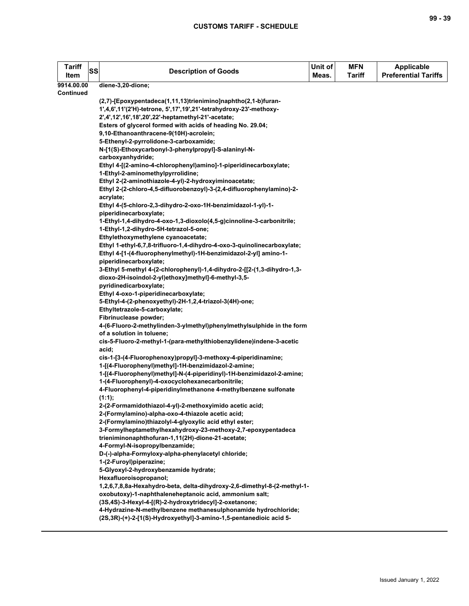| <b>Tariff</b>           | SS | <b>Description of Goods</b>                                              | Unit of | <b>MFN</b>    | Applicable                  |
|-------------------------|----|--------------------------------------------------------------------------|---------|---------------|-----------------------------|
| Item                    |    |                                                                          | Meas.   | <b>Tariff</b> | <b>Preferential Tariffs</b> |
| 9914.00.00<br>Continued |    | diene-3,20-dione;                                                        |         |               |                             |
|                         |    | (2,7)-[Epoxypentadeca(1,11,13)trienimino]naphtho(2,1-b)furan-            |         |               |                             |
|                         |    | 1',4,6',11'(2'H)-tetrone, 5',17',19',21'-tetrahydroxy-23'-methoxy-       |         |               |                             |
|                         |    | 2',4',12',16',18',20',22'-heptamethyl-21'-acetate;                       |         |               |                             |
|                         |    | Esters of glycerol formed with acids of heading No. 29.04;               |         |               |                             |
|                         |    | 9,10-Ethanoanthracene-9(10H)-acrolein;                                   |         |               |                             |
|                         |    | 5-Ethenyl-2-pyrrolidone-3-carboxamide;                                   |         |               |                             |
|                         |    | N-[1(S)-Ethoxycarbonyl-3-phenylpropyl]-S-alaninyl-N-                     |         |               |                             |
|                         |    | carboxyanhydride;                                                        |         |               |                             |
|                         |    | Ethyl 4-[(2-amino-4-chlorophenyl)amino]-1-piperidinecarboxylate;         |         |               |                             |
|                         |    | 1-Ethyl-2-aminomethylpyrrolidine;                                        |         |               |                             |
|                         |    | Ethyl 2-(2-aminothiazole-4-yl)-2-hydroxyiminoacetate;                    |         |               |                             |
|                         |    | Ethyl 2-(2-chloro-4,5-difluorobenzoyl)-3-(2,4-difluorophenylamino)-2-    |         |               |                             |
|                         |    | acrylate;                                                                |         |               |                             |
|                         |    | Ethyl 4-(5-chloro-2,3-dihydro-2-oxo-1H-benzimidazol-1-yl)-1-             |         |               |                             |
|                         |    | piperidinecarboxylate;                                                   |         |               |                             |
|                         |    | 1-Ethyl-1,4-dihydro-4-oxo-1,3-dioxolo(4,5-g)cinnoline-3-carbonitrile;    |         |               |                             |
|                         |    | 1-Ethyl-1,2-dihydro-5H-tetrazol-5-one;                                   |         |               |                             |
|                         |    | Ethylethoxymethylene cyanoacetate;                                       |         |               |                             |
|                         |    | Ethyl 1-ethyl-6,7,8-trifluoro-1,4-dihydro-4-oxo-3-quinolinecarboxylate;  |         |               |                             |
|                         |    | Ethyl 4-[1-(4-fluorophenylmethyl)-1H-benzimidazol-2-yl] amino-1-         |         |               |                             |
|                         |    | piperidinecarboxylate;                                                   |         |               |                             |
|                         |    | 3-Ethyl 5-methyl 4-(2-chlorophenyl)-1,4-dihydro-2-[[2-(1,3-dihydro-1,3-  |         |               |                             |
|                         |    | dioxo-2H-isoindol-2-yl)ethoxy]methyl]-6-methyl-3,5-                      |         |               |                             |
|                         |    | pyridinedicarboxylate;                                                   |         |               |                             |
|                         |    | Ethyl 4-oxo-1-piperidinecarboxylate;                                     |         |               |                             |
|                         |    | 5-Ethyl-4-(2-phenoxyethyl)-2H-1,2,4-triazol-3(4H)-one;                   |         |               |                             |
|                         |    | Ethyltetrazole-5-carboxylate;<br>Fibrinuclease powder;                   |         |               |                             |
|                         |    | 4-(6-Fluoro-2-methylinden-3-ylmethyl)phenylmethylsulphide in the form    |         |               |                             |
|                         |    | of a solution in toluene;                                                |         |               |                             |
|                         |    | cis-5-Fluoro-2-methyl-1-(para-methylthiobenzylidene)indene-3-acetic      |         |               |                             |
|                         |    | acid;                                                                    |         |               |                             |
|                         |    | cis-1-[3-(4-Fluorophenoxy)propyl]-3-methoxy-4-piperidinamine;            |         |               |                             |
|                         |    | 1-[(4-Fluorophenyl)methyl]-1H-benzimidazol-2-amine;                      |         |               |                             |
|                         |    | 1-[(4-Fluorophenyl)methyl]-N-(4-piperidinyl)-1H-benzimidazol-2-amine;    |         |               |                             |
|                         |    | 1-(4-Fluorophenyl)-4-oxocyclohexanecarbonitrile;                         |         |               |                             |
|                         |    | 4-Fluorophenyl-4-piperidinylmethanone 4-methylbenzene sulfonate          |         |               |                             |
|                         |    | (1:1);                                                                   |         |               |                             |
|                         |    | 2-(2-Formamidothiazol-4-yl)-2-methoxyimido acetic acid;                  |         |               |                             |
|                         |    | 2-(Formylamino)-alpha-oxo-4-thiazole acetic acid;                        |         |               |                             |
|                         |    | 2-(Formylamino)thiazolyl-4-glyoxylic acid ethyl ester;                   |         |               |                             |
|                         |    | 3-Formylheptamethylhexahydroxy-23-methoxy-2,7-epoxypentadeca             |         |               |                             |
|                         |    | trieniminonaphthofuran-1,11(2H)-dione-21-acetate;                        |         |               |                             |
|                         |    | 4-Formyl-N-isopropylbenzamide;                                           |         |               |                             |
|                         |    | D-(-)-alpha-Formyloxy-alpha-phenylacetyl chloride;                       |         |               |                             |
|                         |    | 1-(2-Furoyl)piperazine;                                                  |         |               |                             |
|                         |    | 5-Glyoxyl-2-hydroxybenzamide hydrate;                                    |         |               |                             |
|                         |    | Hexafluoroisopropanol;                                                   |         |               |                             |
|                         |    | 1,2,6,7,8,8a-Hexahydro-beta, delta-dihydroxy-2,6-dimethyl-8-(2-methyl-1- |         |               |                             |
|                         |    | oxobutoxy)-1-naphthaleneheptanoic acid, ammonium salt;                   |         |               |                             |
|                         |    | (3S,4S)-3-Hexyl-4-[(R)-2-hydroxytridecyl]-2-oxetanone;                   |         |               |                             |
|                         |    | 4-Hydrazine-N-methylbenzene methanesulphonamide hydrochloride;           |         |               |                             |
|                         |    | (2S,3R)-(+)-2-[1(S)-Hydroxyethyl]-3-amino-1,5-pentanedioic acid 5-       |         |               |                             |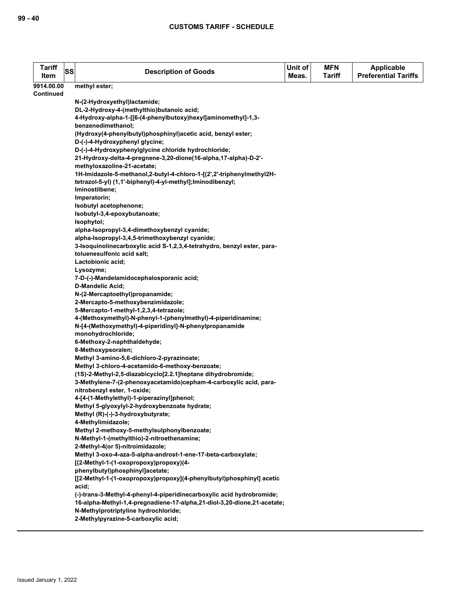| <b>Tariff</b><br>Item | <b>SS</b> | <b>Description of Goods</b>                                                                                                | Unit of<br>Meas. | <b>MFN</b><br>Tariff | <b>Applicable</b><br><b>Preferential Tariffs</b> |
|-----------------------|-----------|----------------------------------------------------------------------------------------------------------------------------|------------------|----------------------|--------------------------------------------------|
| 9914.00.00            |           | methyl ester;                                                                                                              |                  |                      |                                                  |
| Continued             |           |                                                                                                                            |                  |                      |                                                  |
|                       |           | N-(2-Hydroxyethyl)lactamide;                                                                                               |                  |                      |                                                  |
|                       |           | DL-2-Hydroxy-4-(methylthio)butanoic acid;                                                                                  |                  |                      |                                                  |
|                       |           | 4-Hydroxy-alpha-1-[[6-(4-phenylbutoxy)hexyl]aminomethyl]-1,3-<br>benzenedimethanol;                                        |                  |                      |                                                  |
|                       |           | (Hydroxy(4-phenylbutyl)phosphinyl)acetic acid, benzyl ester;                                                               |                  |                      |                                                  |
|                       |           | D-(-)-4-Hydroxyphenyl glycine;                                                                                             |                  |                      |                                                  |
|                       |           | D-(-)-4-Hydroxyphenylglycine chloride hydrochloride;                                                                       |                  |                      |                                                  |
|                       |           | 21-Hydroxy-delta-4-pregnene-3,20-dione(16-alpha,17-alpha)-D-2'-                                                            |                  |                      |                                                  |
|                       |           | methyloxazoline-21-acetate;                                                                                                |                  |                      |                                                  |
|                       |           | 1H-Imidazole-5-methanol,2-butyl-4-chloro-1-[(2',2'-triphenylmethyl2H-                                                      |                  |                      |                                                  |
|                       |           | tetrazol-5-yl) (1,1'-biphenyl)-4-yl-methyl]; lminodibenzyl;                                                                |                  |                      |                                                  |
|                       |           | Iminostilbene;                                                                                                             |                  |                      |                                                  |
|                       |           | Imperatorin;                                                                                                               |                  |                      |                                                  |
|                       |           | Isobutyl acetophenone;                                                                                                     |                  |                      |                                                  |
|                       |           | Isobutyl-3,4-epoxybutanoate;                                                                                               |                  |                      |                                                  |
|                       |           | Isophytol;                                                                                                                 |                  |                      |                                                  |
|                       |           | alpha-Isopropyl-3,4-dimethoxybenzyl cyanide;                                                                               |                  |                      |                                                  |
|                       |           | alpha-Isopropyl-3,4,5-trimethoxybenzyl cyanide;<br>3-Isoquinolinecarboxylic acid S-1,2,3,4-tetrahydro, benzyl ester, para- |                  |                      |                                                  |
|                       |           | toluenesulfonic acid salt;                                                                                                 |                  |                      |                                                  |
|                       |           | Lactobionic acid;                                                                                                          |                  |                      |                                                  |
|                       |           | Lysozyme;                                                                                                                  |                  |                      |                                                  |
|                       |           | 7-D-(-)-Mandelamidocephalosporanic acid;                                                                                   |                  |                      |                                                  |
|                       |           | <b>D-Mandelic Acid;</b>                                                                                                    |                  |                      |                                                  |
|                       |           | N-(2-Mercaptoethyl)propanamide;                                                                                            |                  |                      |                                                  |
|                       |           | 2-Mercapto-5-methoxybenzimidazole;                                                                                         |                  |                      |                                                  |
|                       |           | 5-Mercapto-1-methyl-1,2,3,4-tetrazole;                                                                                     |                  |                      |                                                  |
|                       |           | 4-(Methoxymethyl)-N-phenyl-1-(phenylmethyl)-4-piperidinamine;                                                              |                  |                      |                                                  |
|                       |           | N-[4-(Methoxymethyl)-4-piperidinyl]-N-phenylpropanamide                                                                    |                  |                      |                                                  |
|                       |           | monohydrochloride;                                                                                                         |                  |                      |                                                  |
|                       |           | 6-Methoxy-2-naphthaldehyde;<br>8-Methoxypsoralen;                                                                          |                  |                      |                                                  |
|                       |           | Methyl 3-amino-5,6-dichloro-2-pyrazinoate;                                                                                 |                  |                      |                                                  |
|                       |           | Methyl 3-chloro-4-acetamido-6-methoxy-benzoate;                                                                            |                  |                      |                                                  |
|                       |           | (1S)-2-Methyl-2,5-diazabicyclo[2.2.1] heptane dihydrobromide;                                                              |                  |                      |                                                  |
|                       |           | 3-Methylene-7-(2-phenoxyacetamido)cepham-4-carboxylic acid, para-                                                          |                  |                      |                                                  |
|                       |           | nitrobenzyl ester, 1-oxide;                                                                                                |                  |                      |                                                  |
|                       |           | 4-[4-(1-Methylethyl)-1-piperazinyl]phenol;                                                                                 |                  |                      |                                                  |
|                       |           | Methyl 5-glyoxylyl-2-hydroxybenzoate hydrate;                                                                              |                  |                      |                                                  |
|                       |           | Methyl (R)-(-)-3-hydroxybutyrate;                                                                                          |                  |                      |                                                  |
|                       |           | 4-Methylimidazole;                                                                                                         |                  |                      |                                                  |
|                       |           | Methyl 2-methoxy-5-methylsulphonylbenzoate;                                                                                |                  |                      |                                                  |
|                       |           | N-Methyl-1-(methylthio)-2-nitroethenamine;                                                                                 |                  |                      |                                                  |
|                       |           | 2-Methyl-4(or 5)-nitroimidazole;<br>Methyl 3-oxo-4-aza-5-alpha-androst-1-ene-17-beta-carboxylate;                          |                  |                      |                                                  |
|                       |           | [(2-Methyl-1-(1-oxopropoxy)propoxy)(4-                                                                                     |                  |                      |                                                  |
|                       |           | phenylbutyl)phosphinyl]acetate;                                                                                            |                  |                      |                                                  |
|                       |           | [[2-Methyl-1-(1-oxopropoxy)propoxy](4-phenylbutyl)phosphinyl] acetic                                                       |                  |                      |                                                  |
|                       |           | acid;                                                                                                                      |                  |                      |                                                  |
|                       |           | (-)-trans-3-Methyl-4-phenyl-4-piperidinecarboxylic acid hydrobromide;                                                      |                  |                      |                                                  |
|                       |           | 16-alpha-Methyl-1,4-pregnadiene-17-alpha,21-diol-3,20-dione,21-acetate;                                                    |                  |                      |                                                  |
|                       |           | N-Methylprotriptyline hydrochloride;                                                                                       |                  |                      |                                                  |
|                       |           | 2-Methylpyrazine-5-carboxylic acid;                                                                                        |                  |                      |                                                  |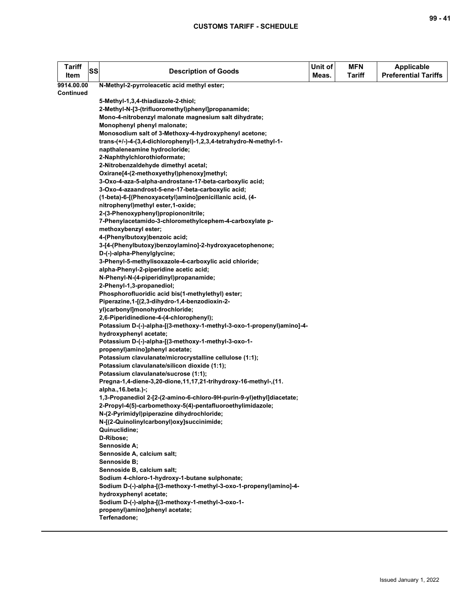| Tariff<br>Item   | SS | <b>Description of Goods</b>                                                                     | Unit of<br>Meas. | <b>MFN</b><br><b>Tariff</b> | <b>Applicable</b><br><b>Preferential Tariffs</b> |
|------------------|----|-------------------------------------------------------------------------------------------------|------------------|-----------------------------|--------------------------------------------------|
| 9914.00.00       |    | N-Methyl-2-pyrroleacetic acid methyl ester;                                                     |                  |                             |                                                  |
| <b>Continued</b> |    |                                                                                                 |                  |                             |                                                  |
|                  |    | 5-Methyl-1,3,4-thiadiazole-2-thiol;                                                             |                  |                             |                                                  |
|                  |    | 2-Methyl-N-[3-(trifluoromethyl)phenyl]propanamide;                                              |                  |                             |                                                  |
|                  |    | Mono-4-nitrobenzyl malonate magnesium salt dihydrate;                                           |                  |                             |                                                  |
|                  |    | Monophenyl phenyl malonate;                                                                     |                  |                             |                                                  |
|                  |    | Monosodium salt of 3-Methoxy-4-hydroxyphenyl acetone;                                           |                  |                             |                                                  |
|                  |    | trans-(+/-)-4-(3,4-dichlorophenyl)-1,2,3,4-tetrahydro-N-methyl-1-                               |                  |                             |                                                  |
|                  |    | napthaleneamine hydrocloride;                                                                   |                  |                             |                                                  |
|                  |    | 2-Naphthylchlorothioformate;                                                                    |                  |                             |                                                  |
|                  |    | 2-Nitrobenzaldehyde dimethyl acetal;                                                            |                  |                             |                                                  |
|                  |    | Oxirane[4-(2-methoxyethyl)phenoxy]methyl;                                                       |                  |                             |                                                  |
|                  |    | 3-Oxo-4-aza-5-alpha-androstane-17-beta-carboxylic acid;                                         |                  |                             |                                                  |
|                  |    | 3-Oxo-4-azaandrost-5-ene-17-beta-carboxylic acid;                                               |                  |                             |                                                  |
|                  |    | (1-beta)-6-[(Phenoxyacetyl)amino]penicillanic acid, (4-                                         |                  |                             |                                                  |
|                  |    | nitrophenyl)methyl ester,1-oxide;                                                               |                  |                             |                                                  |
|                  |    | 2-(3-Phenoxyphenyl)propiononitrile;                                                             |                  |                             |                                                  |
|                  |    | 7-Phenylacetamido-3-chloromethylcephem-4-carboxylate p-                                         |                  |                             |                                                  |
|                  |    | methoxybenzyl ester;                                                                            |                  |                             |                                                  |
|                  |    | 4-(Phenylbutoxy)benzoic acid;                                                                   |                  |                             |                                                  |
|                  |    | 3-[4-(Phenylbutoxy)benzoylamino]-2-hydroxyacetophenone;                                         |                  |                             |                                                  |
|                  |    | D-(-)-alpha-Phenylglycine;                                                                      |                  |                             |                                                  |
|                  |    | 3-Phenyl-5-methylisoxazole-4-carboxylic acid chloride;                                          |                  |                             |                                                  |
|                  |    | alpha-Phenyl-2-piperidine acetic acid;                                                          |                  |                             |                                                  |
|                  |    | N-Phenyl-N-(4-piperidinyl)propanamide;                                                          |                  |                             |                                                  |
|                  |    | 2-Phenyl-1,3-propanediol;                                                                       |                  |                             |                                                  |
|                  |    | Phosphorofluoridic acid bis(1-methylethyl) ester;                                               |                  |                             |                                                  |
|                  |    | Piperazine, 1-[(2,3-dihydro-1,4-benzodioxin-2-                                                  |                  |                             |                                                  |
|                  |    | yl)carbonyl]monohydrochloride;                                                                  |                  |                             |                                                  |
|                  |    | 2,6-Piperidinedione-4-(4-chlorophenyl);                                                         |                  |                             |                                                  |
|                  |    | Potassium D-(-)-alpha-[(3-methoxy-1-methyl-3-oxo-1-propenyl)amino]-4-<br>hydroxyphenyl acetate; |                  |                             |                                                  |
|                  |    | Potassium D-(-)-alpha-[(3-methoxy-1-methyl-3-oxo-1-                                             |                  |                             |                                                  |
|                  |    | propenyl)amino]phenyl acetate;                                                                  |                  |                             |                                                  |
|                  |    | Potassium clavulanate/microcrystalline cellulose (1:1);                                         |                  |                             |                                                  |
|                  |    | Potassium clavulanate/silicon dioxide (1:1);                                                    |                  |                             |                                                  |
|                  |    | Potassium clavulanate/sucrose (1:1);                                                            |                  |                             |                                                  |
|                  |    | Pregna-1,4-diene-3,20-dione,11,17,21-trihydroxy-16-methyl-,(11.                                 |                  |                             |                                                  |
|                  |    | alpha.,16.beta.)-;                                                                              |                  |                             |                                                  |
|                  |    | 1,3-Propanediol 2-[2-(2-amino-6-chloro-9H-purin-9-yl)ethyl]diacetate;                           |                  |                             |                                                  |
|                  |    | 2-Propyl-4(5)-carbomethoxy-5(4)-pentafluoroethylimidazole;                                      |                  |                             |                                                  |
|                  |    | N-(2-Pyrimidyl)piperazine dihydrochloride;                                                      |                  |                             |                                                  |
|                  |    | N-[(2-Quinolinylcarbonyl)oxy]succinimide;                                                       |                  |                             |                                                  |
|                  |    | Quinuclidine:                                                                                   |                  |                             |                                                  |
|                  |    | D-Ribose;                                                                                       |                  |                             |                                                  |
|                  |    | Sennoside A;                                                                                    |                  |                             |                                                  |
|                  |    | Sennoside A, calcium salt;                                                                      |                  |                             |                                                  |
|                  |    | Sennoside B;                                                                                    |                  |                             |                                                  |
|                  |    | Sennoside B, calcium salt;                                                                      |                  |                             |                                                  |
|                  |    | Sodium 4-chloro-1-hydroxy-1-butane sulphonate;                                                  |                  |                             |                                                  |
|                  |    | Sodium D-(-)-alpha-[(3-methoxy-1-methyl-3-oxo-1-propenyl)amino]-4-                              |                  |                             |                                                  |
|                  |    | hydroxyphenyl acetate;                                                                          |                  |                             |                                                  |
|                  |    | Sodium D-(-)-alpha-[(3-methoxy-1-methyl-3-oxo-1-                                                |                  |                             |                                                  |
|                  |    | propenyl)amino]phenyl acetate;                                                                  |                  |                             |                                                  |
|                  |    | Terfenadone;                                                                                    |                  |                             |                                                  |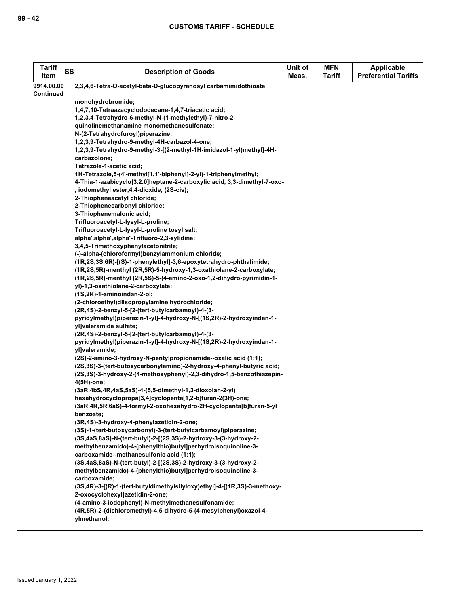| <b>Tariff</b><br>Item | SS | <b>Description of Goods</b>                                                                                             | Unit of<br>Meas. | <b>MFN</b><br><b>Tariff</b> | <b>Applicable</b><br><b>Preferential Tariffs</b> |
|-----------------------|----|-------------------------------------------------------------------------------------------------------------------------|------------------|-----------------------------|--------------------------------------------------|
| 9914.00.00            |    | 2,3,4,6-Tetra-O-acetyl-beta-D-glucopyranosyl carbamimidothioate                                                         |                  |                             |                                                  |
| <b>Continued</b>      |    |                                                                                                                         |                  |                             |                                                  |
|                       |    | monohydrobromide;                                                                                                       |                  |                             |                                                  |
|                       |    | 1,4,7,10-Tetraazacyclododecane-1,4,7-triacetic acid;                                                                    |                  |                             |                                                  |
|                       |    | 1,2,3,4-Tetrahydro-6-methyl-N-(1-methylethyl)-7-nitro-2-                                                                |                  |                             |                                                  |
|                       |    | quinolinemethanamine monomethanesulfonate;                                                                              |                  |                             |                                                  |
|                       |    | N-(2-Tetrahydrofuroyl)piperazine;                                                                                       |                  |                             |                                                  |
|                       |    | 1,2,3,9-Tetrahydro-9-methyl-4H-carbazol-4-one;<br>1,2,3,9-Tetrahydro-9-methyl-3-[(2-methyl-1H-imidazol-1-yl)methyl]-4H- |                  |                             |                                                  |
|                       |    | carbazolone;                                                                                                            |                  |                             |                                                  |
|                       |    | Tetrazole-1-acetic acid;                                                                                                |                  |                             |                                                  |
|                       |    | 1H-Tetrazole,5-(4'-methyl[1,1'-biphenyl]-2-yl)-1-triphenylmethyl;                                                       |                  |                             |                                                  |
|                       |    | 4-Thia-1-azabicyclo[3.2.0]heptane-2-carboxylic acid, 3,3-dimethyl-7-oxo-                                                |                  |                             |                                                  |
|                       |    | , iodomethyl ester, 4, 4-dioxide, (2S-cis);                                                                             |                  |                             |                                                  |
|                       |    | 2-Thiopheneacetyl chloride;                                                                                             |                  |                             |                                                  |
|                       |    | 2-Thiophenecarbonyl chloride;                                                                                           |                  |                             |                                                  |
|                       |    | 3-Thiophenemalonic acid;                                                                                                |                  |                             |                                                  |
|                       |    | Trifluoroacetyl-L-lysyl-L-proline;                                                                                      |                  |                             |                                                  |
|                       |    | Trifluoroacetyl-L-lysyl-L-proline tosyl salt;                                                                           |                  |                             |                                                  |
|                       |    | alpha',alpha',alpha'-Trifluoro-2,3-xylidine;                                                                            |                  |                             |                                                  |
|                       |    | 3,4,5-Trimethoxyphenylacetonitrile;<br>(-)-alpha-(chloroformyl)benzylammonium chloride;                                 |                  |                             |                                                  |
|                       |    | (1R,2S,3S,6R)-[(S)-1-phenylethyl]-3,6-epoxytetrahydro-phthalimide;                                                      |                  |                             |                                                  |
|                       |    | (1R,2S,5R)-menthyl (2R,5R)-5-hydroxy-1,3-oxathiolane-2-carboxylate;                                                     |                  |                             |                                                  |
|                       |    | (1R,2S,5R)-menthyl (2R,5S)-5-(4-amino-2-oxo-1,2-dihydro-pyrimidin-1-                                                    |                  |                             |                                                  |
|                       |    | yl)-1,3-oxathiolane-2-carboxylate;                                                                                      |                  |                             |                                                  |
|                       |    | (1S,2R)-1-aminoindan-2-ol;                                                                                              |                  |                             |                                                  |
|                       |    | (2-chloroethyl)diisopropylamine hydrochloride;                                                                          |                  |                             |                                                  |
|                       |    | (2R,4S)-2-benzyl-5-[2-(tert-butylcarbamoyl)-4-(3-                                                                       |                  |                             |                                                  |
|                       |    | pyridylmethyl)piperazin-1-yl]-4-hydroxy-N-[(1S,2R)-2-hydroxyindan-1-                                                    |                  |                             |                                                  |
|                       |    | yl]valeramide sulfate;<br>(2R,4S)-2-benzyl-5-[2-(tert-butylcarbamoyl)-4-(3-                                             |                  |                             |                                                  |
|                       |    | pyridylmethyl)piperazin-1-yl]-4-hydroxy-N-[(1S,2R)-2-hydroxyindan-1-                                                    |                  |                             |                                                  |
|                       |    | yl]valeramide;                                                                                                          |                  |                             |                                                  |
|                       |    | (2S)-2-amino-3-hydroxy-N-pentylpropionamide--oxalic acid (1:1);                                                         |                  |                             |                                                  |
|                       |    | (2S,3S)-3-(tert-butoxycarbonylamino)-2-hydroxy-4-phenyl-butyric acid;                                                   |                  |                             |                                                  |
|                       |    | (2S,3S)-3-hydroxy-2-(4-methoxyphenyl)-2,3-dihydro-1,5-benzothiazepin-                                                   |                  |                             |                                                  |
|                       |    | 4(5H)-one;                                                                                                              |                  |                             |                                                  |
|                       |    | (3aR,4bS,4R,4aS,5aS)-4-(5,5-dimethyl-1,3-dioxolan-2-yl)                                                                 |                  |                             |                                                  |
|                       |    | hexahydrocyclopropa[3,4]cyclopenta[1,2-b]furan-2(3H)-one;                                                               |                  |                             |                                                  |
|                       |    | (3aR,4R,5R,6aS)-4-formyl-2-oxohexahydro-2H-cyclopenta[b]furan-5-yl<br>benzoate;                                         |                  |                             |                                                  |
|                       |    | (3R,4S)-3-hydroxy-4-phenylazetidin-2-one;                                                                               |                  |                             |                                                  |
|                       |    | (3S)-1-(tert-butoxycarbonyl)-3-(tert-butylcarbamoyl)piperazine;                                                         |                  |                             |                                                  |
|                       |    | (3S,4aS,8aS)-N-(tert-butyl)-2-[(2S,3S)-2-hydroxy-3-(3-hydroxy-2-                                                        |                  |                             |                                                  |
|                       |    | methylbenzamido)-4-(phenylthio)butyl]perhydroisoquinoline-3-                                                            |                  |                             |                                                  |
|                       |    | carboxamide--methanesulfonic acid (1:1);                                                                                |                  |                             |                                                  |
|                       |    | (3S,4aS,8aS)-N-(tert-butyl)-2-[(2S,3S)-2-hydroxy-3-(3-hydroxy-2-                                                        |                  |                             |                                                  |
|                       |    | methylbenzamido)-4-(phenylthio)butyl]perhydroisoquinoline-3-                                                            |                  |                             |                                                  |
|                       |    | carboxamide;                                                                                                            |                  |                             |                                                  |
|                       |    | (3S,4R)-3-[(R)-1-(tert-butyldimethylsilyloxy)ethyl]-4-[(1R,3S)-3-methoxy-<br>2-oxocyclohexyl]azetidin-2-one;            |                  |                             |                                                  |
|                       |    | (4-amino-3-iodophenyl)-N-methylmethanesulfonamide;                                                                      |                  |                             |                                                  |
|                       |    | (4R,5R)-2-(dichloromethyl)-4,5-dihydro-5-(4-mesylphenyl)oxazol-4-                                                       |                  |                             |                                                  |
|                       |    | ylmethanol;                                                                                                             |                  |                             |                                                  |
|                       |    |                                                                                                                         |                  |                             |                                                  |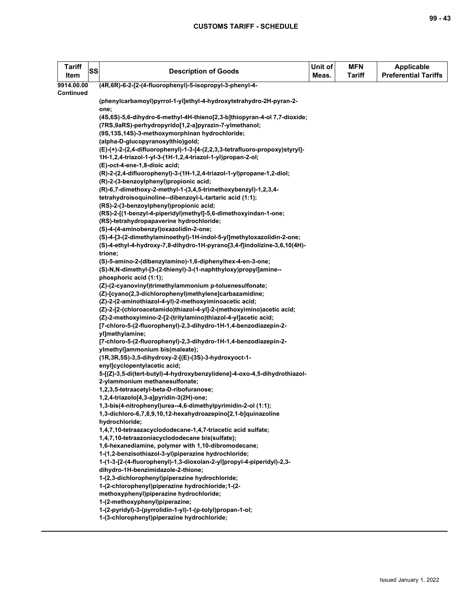| <b>Tariff</b><br>Item | SS | <b>Description of Goods</b>                                                                                                       | Unit of<br>Meas. | <b>MFN</b><br><b>Tariff</b> | <b>Applicable</b><br><b>Preferential Tariffs</b> |
|-----------------------|----|-----------------------------------------------------------------------------------------------------------------------------------|------------------|-----------------------------|--------------------------------------------------|
| 9914.00.00            |    | (4R,6R)-6-2-[2-(4-fluorophenyl)-5-isopropyl-3-phenyl-4-                                                                           |                  |                             |                                                  |
| Continued             |    |                                                                                                                                   |                  |                             |                                                  |
|                       |    | (phenylcarbamoyl)pyrrol-1-yl]ethyl-4-hydroxytetrahydro-2H-pyran-2-                                                                |                  |                             |                                                  |
|                       |    | one;                                                                                                                              |                  |                             |                                                  |
|                       |    | (4S,6S)-5,6-dihydro-6-methyl-4H-thieno[2,3-b]thiopyran-4-ol 7,7-dioxide;<br>(7RS,9aRS)-perhydropyrido[1,2-a]pyrazin-7-ylmethanol; |                  |                             |                                                  |
|                       |    | (9S,13S,14S)-3-methoxymorphinan hydrochloride;                                                                                    |                  |                             |                                                  |
|                       |    | (alpha-D-glucopyranosylthio)gold;                                                                                                 |                  |                             |                                                  |
|                       |    | (E)-(+)-2-(2,4-difluorophenyl)-1-3-[4-(2,2,3,3-tetrafluoro-propoxy)styryl]-                                                       |                  |                             |                                                  |
|                       |    | 1H-1,2,4-triazol-1-yl-3-(1H-1,2,4-triazol-1-yl)propan-2-ol;                                                                       |                  |                             |                                                  |
|                       |    | (E)-oct-4-ene-1,8-dioic acid;                                                                                                     |                  |                             |                                                  |
|                       |    | (R)-2-(2,4-difluorophenyl)-3-(1H-1,2,4-triazol-1-yl)propane-1,2-diol;                                                             |                  |                             |                                                  |
|                       |    | (R)-2-(3-benzoylphenyl)propionic acid;                                                                                            |                  |                             |                                                  |
|                       |    | (R)-6,7-dimethoxy-2-methyl-1-(3,4,5-trimethoxybenzyl)-1,2,3,4-                                                                    |                  |                             |                                                  |
|                       |    | tetrahydroisoquinoline--dibenzoyl-L-tartaric acid (1:1);                                                                          |                  |                             |                                                  |
|                       |    | (RS)-2-(3-benzoylphenyl)propionic acid;                                                                                           |                  |                             |                                                  |
|                       |    | (RS)-2-[(1-benzyl-4-piperidyl)methyl]-5,6-dimethoxyindan-1-one;                                                                   |                  |                             |                                                  |
|                       |    | (RS)-tetrahydropapaverine hydrochloride;                                                                                          |                  |                             |                                                  |
|                       |    | (S)-4-(4-aminobenzyl)oxazolidin-2-one;                                                                                            |                  |                             |                                                  |
|                       |    | (S)-4-[3-(2-dimethylaminoethyl)-1H-indol-5-yl]methyloxazolidin-2-one;                                                             |                  |                             |                                                  |
|                       |    | (S)-4-ethyl-4-hydroxy-7,8-dihydro-1H-pyrano[3,4-f]indolizine-3,6,10(4H)-<br>trione;                                               |                  |                             |                                                  |
|                       |    | (S)-5-amino-2-(dibenzylamino)-1,6-diphenylhex-4-en-3-one;                                                                         |                  |                             |                                                  |
|                       |    | (S)-N,N-dimethyl-[3-(2-thienyl)-3-(1-naphthyloxy)propyl]amine--                                                                   |                  |                             |                                                  |
|                       |    | phosphoric acid (1:1);                                                                                                            |                  |                             |                                                  |
|                       |    | (Z)-(2-cyanovinyl)trimethylammonium p-toluenesulfonate;                                                                           |                  |                             |                                                  |
|                       |    | (Z)-[cyano(2,3-dichlorophenyl)methylene]carbazamidine;                                                                            |                  |                             |                                                  |
|                       |    | (Z)-2-(2-aminothiazol-4-yl)-2-methoxyiminoacetic acid;                                                                            |                  |                             |                                                  |
|                       |    | (Z)-2-[2-(chloroacetamido)thiazol-4-yl]-2-(methoxyimino)acetic acid;                                                              |                  |                             |                                                  |
|                       |    | (Z)-2-methoxyimino-2-[2-(tritylamino)thiazol-4-yl]acetic acid;                                                                    |                  |                             |                                                  |
|                       |    | [7-chloro-5-(2-fluorophenyl)-2,3-dihydro-1H-1,4-benzodiazepin-2-                                                                  |                  |                             |                                                  |
|                       |    | yl]methylamine;                                                                                                                   |                  |                             |                                                  |
|                       |    | [7-chloro-5-(2-fluorophenyl)-2,3-dihydro-1H-1,4-benzodiazepin-2-                                                                  |                  |                             |                                                  |
|                       |    | ylmethyl]ammonium bis(maleate);                                                                                                   |                  |                             |                                                  |
|                       |    | (1R, 3R, 5S)-3, 5-dihydroxy-2-[(E)-(3S)-3-hydroxyoct-1-                                                                           |                  |                             |                                                  |
|                       |    | enyl]cyclopentylacetic acid;                                                                                                      |                  |                             |                                                  |
|                       |    | 5-[(Z)-3,5-di(tert-butyl)-4-hydroxybenzylidene]-4-oxo-4,5-dihydrothiazol-<br>2-ylammonium methanesulfonate;                       |                  |                             |                                                  |
|                       |    | 1,2,3,5-tetraacetyl-beta-D-ribofuranose;                                                                                          |                  |                             |                                                  |
|                       |    | 1,2,4-triazolo[4,3-a]pyridin-3(2H)-one;                                                                                           |                  |                             |                                                  |
|                       |    | 1,3-bis(4-nitrophenyl)urea--4,6-dimethylpyrimidin-2-ol (1:1);                                                                     |                  |                             |                                                  |
|                       |    | 1,3-dichloro-6,7,8,9,10,12-hexahydroazepino[2,1-b]quinazoline                                                                     |                  |                             |                                                  |
|                       |    | hydrochloride;                                                                                                                    |                  |                             |                                                  |
|                       |    | 1,4,7,10-tetraazacyclododecane-1,4,7-triacetic acid sulfate;                                                                      |                  |                             |                                                  |
|                       |    | 1,4,7,10-tetraazoniacyclododecane bis(sulfate);                                                                                   |                  |                             |                                                  |
|                       |    | 1,6-hexanediamine, polymer with 1,10-dibromodecane;                                                                               |                  |                             |                                                  |
|                       |    | 1-(1,2-benzisothiazol-3-yl)piperazine hydrochloride;                                                                              |                  |                             |                                                  |
|                       |    | 1-(1-3-[2-(4-fluorophenyl)-1,3-dioxolan-2-yl]propyl-4-piperidyl)-2,3-                                                             |                  |                             |                                                  |
|                       |    | dihydro-1H-benzimidazole-2-thione;                                                                                                |                  |                             |                                                  |
|                       |    | 1-(2,3-dichlorophenyl)piperazine hydrochloride;                                                                                   |                  |                             |                                                  |
|                       |    | 1-(2-chlorophenyl)piperazine hydrochloride; 1-(2-                                                                                 |                  |                             |                                                  |
|                       |    | methoxyphenyl)piperazine hydrochloride;                                                                                           |                  |                             |                                                  |
|                       |    | 1-(2-methoxyphenyl)piperazine;                                                                                                    |                  |                             |                                                  |
|                       |    | 1-(2-pyridyl)-3-(pyrrolidin-1-yl)-1-(p-tolyl)propan-1-ol;<br>1-(3-chlorophenyl)piperazine hydrochloride;                          |                  |                             |                                                  |
|                       |    |                                                                                                                                   |                  |                             |                                                  |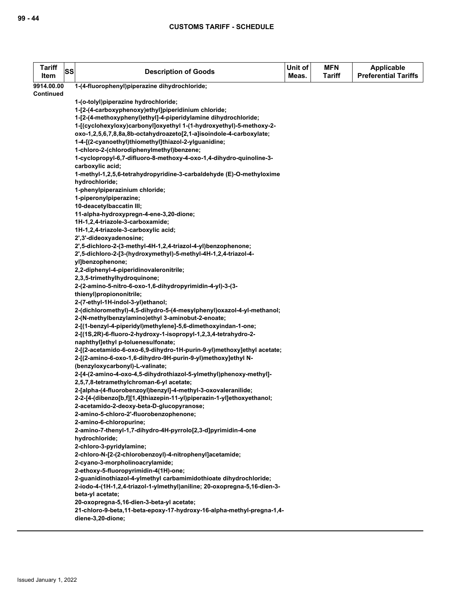| <b>Tariff</b><br>Item | SS | <b>Description of Goods</b>                                                                  | Unit of<br>Meas. | <b>MFN</b><br>Tariff | <b>Applicable</b><br><b>Preferential Tariffs</b> |
|-----------------------|----|----------------------------------------------------------------------------------------------|------------------|----------------------|--------------------------------------------------|
| 9914.00.00            |    | 1-(4-fluorophenyl)piperazine dihydrochloride;                                                |                  |                      |                                                  |
| <b>Continued</b>      |    |                                                                                              |                  |                      |                                                  |
|                       |    | 1-(o-tolyl)piperazine hydrochloride;                                                         |                  |                      |                                                  |
|                       |    | 1-[2-(4-carboxyphenoxy)ethyl]piperidinium chloride;                                          |                  |                      |                                                  |
|                       |    | 1-[2-(4-methoxyphenyl)ethyl]-4-piperidylamine dihydrochloride;                               |                  |                      |                                                  |
|                       |    | 1-[(cyclohexyloxy)carbonyl]oxyethyl 1-(1-hydroxyethyl)-5-methoxy-2-                          |                  |                      |                                                  |
|                       |    | oxo-1,2,5,6,7,8,8a,8b-octahydroazeto[2,1-a]isoindole-4-carboxylate;                          |                  |                      |                                                  |
|                       |    | 1-4-[(2-cyanoethyl)thiomethyl]thiazol-2-ylguanidine;                                         |                  |                      |                                                  |
|                       |    | 1-chloro-2-(chlorodiphenylmethyl)benzene;                                                    |                  |                      |                                                  |
|                       |    | 1-cyclopropyl-6,7-difluoro-8-methoxy-4-oxo-1,4-dihydro-quinoline-3-                          |                  |                      |                                                  |
|                       |    | carboxylic acid;                                                                             |                  |                      |                                                  |
|                       |    | 1-methyl-1,2,5,6-tetrahydropyridine-3-carbaldehyde (E)-O-methyloxime                         |                  |                      |                                                  |
|                       |    | hydrochloride;                                                                               |                  |                      |                                                  |
|                       |    | 1-phenylpiperazinium chloride;                                                               |                  |                      |                                                  |
|                       |    | 1-piperonylpiperazine;                                                                       |                  |                      |                                                  |
|                       |    | 10-deacetylbaccatin III;                                                                     |                  |                      |                                                  |
|                       |    | 11-alpha-hydroxypregn-4-ene-3,20-dione;                                                      |                  |                      |                                                  |
|                       |    | 1H-1,2,4-triazole-3-carboxamide;                                                             |                  |                      |                                                  |
|                       |    | 1H-1,2,4-triazole-3-carboxylic acid;                                                         |                  |                      |                                                  |
|                       |    | 2',3'-dideoxyadenosine;                                                                      |                  |                      |                                                  |
|                       |    | 2',5-dichloro-2-(3-methyl-4H-1,2,4-triazol-4-yl)benzophenone;                                |                  |                      |                                                  |
|                       |    | 2',5-dichloro-2-[3-(hydroxymethyl)-5-methyl-4H-1,2,4-triazol-4-                              |                  |                      |                                                  |
|                       |    | vilbenzophenone;                                                                             |                  |                      |                                                  |
|                       |    | 2,2-diphenyl-4-piperidinovaleronitrile;                                                      |                  |                      |                                                  |
|                       |    | 2,3,5-trimethylhydroquinone;                                                                 |                  |                      |                                                  |
|                       |    | 2-(2-amino-5-nitro-6-oxo-1,6-dihydropyrimidin-4-yl)-3-(3-                                    |                  |                      |                                                  |
|                       |    | thienyl)propiononitrile;                                                                     |                  |                      |                                                  |
|                       |    | 2-(7-ethyl-1H-indol-3-yl)ethanol;                                                            |                  |                      |                                                  |
|                       |    | 2-(dichloromethyl)-4,5-dihydro-5-(4-mesylphenyl)oxazol-4-yl-methanol;                        |                  |                      |                                                  |
|                       |    | 2-(N-methylbenzylamino)ethyl 3-aminobut-2-enoate;                                            |                  |                      |                                                  |
|                       |    | 2-[(1-benzyl-4-piperidyl)methylene]-5,6-dimethoxyindan-1-one;                                |                  |                      |                                                  |
|                       |    | 2-[(1S,2R)-6-fluoro-2-hydroxy-1-isopropyl-1,2,3,4-tetrahydro-2-                              |                  |                      |                                                  |
|                       |    | naphthyl]ethyl p-toluenesulfonate;                                                           |                  |                      |                                                  |
|                       |    | 2-[(2-acetamido-6-oxo-6,9-dihydro-1H-purin-9-yl)methoxy]ethyl acetate;                       |                  |                      |                                                  |
|                       |    | 2-[(2-amino-6-oxo-1,6-dihydro-9H-purin-9-yl)methoxy]ethyl N-                                 |                  |                      |                                                  |
|                       |    | (benzyloxycarbonyl)-L-valinate;                                                              |                  |                      |                                                  |
|                       |    | 2-[4-(2-amino-4-oxo-4,5-dihydrothiazol-5-ylmethyl)phenoxy-methyl]-                           |                  |                      |                                                  |
|                       |    | 2,5,7,8-tetramethylchroman-6-yl acetate;                                                     |                  |                      |                                                  |
|                       |    | 2-[alpha-(4-fluorobenzoyl)benzyl]-4-methyl-3-oxovaleranilide;                                |                  |                      |                                                  |
|                       |    | 2-2-[4-(dibenzo[b,f][1,4]thiazepin-11-yl)piperazin-1-yl]ethoxyethanol;                       |                  |                      |                                                  |
|                       |    | 2-acetamido-2-deoxy-beta-D-glucopyranose;                                                    |                  |                      |                                                  |
|                       |    | 2-amino-5-chloro-2'-fluorobenzophenone;                                                      |                  |                      |                                                  |
|                       |    | 2-amino-6-chloropurine;                                                                      |                  |                      |                                                  |
|                       |    | 2-amino-7-thenyl-1,7-dihydro-4H-pyrrolo[2,3-d]pyrimidin-4-one                                |                  |                      |                                                  |
|                       |    | hydrochloride;                                                                               |                  |                      |                                                  |
|                       |    | 2-chloro-3-pyridylamine;                                                                     |                  |                      |                                                  |
|                       |    | 2-chloro-N-[2-(2-chlorobenzoyl)-4-nitrophenyl]acetamide;                                     |                  |                      |                                                  |
|                       |    | 2-cyano-3-morpholinoacrylamide;                                                              |                  |                      |                                                  |
|                       |    | 2-ethoxy-5-fluoropyrimidin-4(1H)-one;                                                        |                  |                      |                                                  |
|                       |    | 2-guanidinothiazol-4-ylmethyl carbamimidothioate dihydrochloride;                            |                  |                      |                                                  |
|                       |    | 2-iodo-4-(1H-1,2,4-triazol-1-ylmethyl)aniline; 20-oxopregna-5,16-dien-3-<br>beta-yl acetate; |                  |                      |                                                  |
|                       |    |                                                                                              |                  |                      |                                                  |
|                       |    | 20-oxopregna-5,16-dien-3-beta-yl acetate;                                                    |                  |                      |                                                  |
|                       |    | 21-chloro-9-beta,11-beta-epoxy-17-hydroxy-16-alpha-methyl-pregna-1,4-                        |                  |                      |                                                  |
|                       |    | diene-3,20-dione;                                                                            |                  |                      |                                                  |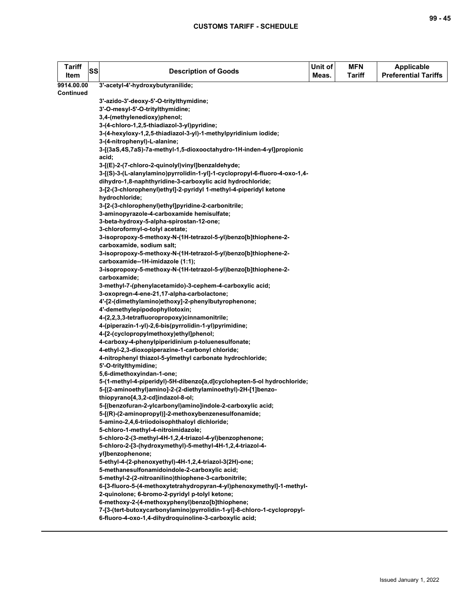| <b>Tariff</b><br>Item | SS | <b>Description of Goods</b>                                                                                             | Unit of<br>Meas. | <b>MFN</b><br><b>Tariff</b> | <b>Applicable</b><br><b>Preferential Tariffs</b> |
|-----------------------|----|-------------------------------------------------------------------------------------------------------------------------|------------------|-----------------------------|--------------------------------------------------|
| 9914.00.00            |    | 3'-acetyl-4'-hydroxybutyranilide;                                                                                       |                  |                             |                                                  |
| Continued             |    |                                                                                                                         |                  |                             |                                                  |
|                       |    | 3'-azido-3'-deoxy-5'-O-tritylthymidine;                                                                                 |                  |                             |                                                  |
|                       |    | 3'-O-mesyl-5'-O-tritylthymidine;                                                                                        |                  |                             |                                                  |
|                       |    | 3,4-(methylenedioxy)phenol;                                                                                             |                  |                             |                                                  |
|                       |    | 3-(4-chloro-1,2,5-thiadiazol-3-yl)pyridine;                                                                             |                  |                             |                                                  |
|                       |    | 3-(4-hexyloxy-1,2,5-thiadiazol-3-yl)-1-methylpyridinium iodide;                                                         |                  |                             |                                                  |
|                       |    | 3-(4-nitrophenyl)-L-alanine;                                                                                            |                  |                             |                                                  |
|                       |    | 3-[(3aS,4S,7aS)-7a-methyl-1,5-dioxooctahydro-1H-inden-4-yl]propionic<br>acid;                                           |                  |                             |                                                  |
|                       |    | 3-[(E)-2-(7-chloro-2-quinolyl)vinyl]benzaldehyde;                                                                       |                  |                             |                                                  |
|                       |    | 3-[(S)-3-(L-alanylamino)pyrrolidin-1-yl]-1-cyclopropyl-6-fluoro-4-oxo-1,4-                                              |                  |                             |                                                  |
|                       |    | dihydro-1,8-naphthyridine-3-carboxylic acid hydrochloride;                                                              |                  |                             |                                                  |
|                       |    | 3-[2-(3-chlorophenyl)ethyl]-2-pyridyl 1-methyl-4-piperidyl ketone                                                       |                  |                             |                                                  |
|                       |    | hydrochloride;                                                                                                          |                  |                             |                                                  |
|                       |    | 3-[2-(3-chlorophenyl)ethyl]pyridine-2-carbonitrile;                                                                     |                  |                             |                                                  |
|                       |    | 3-aminopyrazole-4-carboxamide hemisulfate;                                                                              |                  |                             |                                                  |
|                       |    | 3-beta-hydroxy-5-alpha-spirostan-12-one;                                                                                |                  |                             |                                                  |
|                       |    | 3-chloroformyl-o-tolyl acetate;                                                                                         |                  |                             |                                                  |
|                       |    | 3-isopropoxy-5-methoxy-N-(1H-tetrazol-5-yl)benzo[b]thiophene-2-                                                         |                  |                             |                                                  |
|                       |    | carboxamide, sodium salt;                                                                                               |                  |                             |                                                  |
|                       |    | 3-isopropoxy-5-methoxy-N-(1H-tetrazol-5-yl)benzo[b]thiophene-2-                                                         |                  |                             |                                                  |
|                       |    | carboxamide--1H-imidazole (1:1);                                                                                        |                  |                             |                                                  |
|                       |    | 3-isopropoxy-5-methoxy-N-(1H-tetrazol-5-yl)benzo[b]thiophene-2-                                                         |                  |                             |                                                  |
|                       |    | carboxamide;                                                                                                            |                  |                             |                                                  |
|                       |    | 3-methyl-7-(phenylacetamido)-3-cephem-4-carboxylic acid;                                                                |                  |                             |                                                  |
|                       |    | 3-oxopregn-4-ene-21,17-alpha-carbolactone;                                                                              |                  |                             |                                                  |
|                       |    | 4'-[2-(dimethylamino)ethoxy]-2-phenylbutyrophenone;                                                                     |                  |                             |                                                  |
|                       |    | 4'-demethylepipodophyllotoxin;                                                                                          |                  |                             |                                                  |
|                       |    | 4-(2,2,3,3-tetrafluoropropoxy)cinnamonitrile;                                                                           |                  |                             |                                                  |
|                       |    | 4-(piperazin-1-yl)-2,6-bis(pyrrolidin-1-yl)pyrimidine;                                                                  |                  |                             |                                                  |
|                       |    | 4-[2-(cyclopropylmethoxy)ethyl]phenol;                                                                                  |                  |                             |                                                  |
|                       |    | 4-carboxy-4-phenylpiperidinium p-toluenesulfonate;                                                                      |                  |                             |                                                  |
|                       |    | 4-ethyl-2,3-dioxopiperazine-1-carbonyl chloride;                                                                        |                  |                             |                                                  |
|                       |    | 4-nitrophenyl thiazol-5-ylmethyl carbonate hydrochloride;                                                               |                  |                             |                                                  |
|                       |    | 5'-O-tritylthymidine;                                                                                                   |                  |                             |                                                  |
|                       |    | 5,6-dimethoxyindan-1-one;                                                                                               |                  |                             |                                                  |
|                       |    | 5-(1-methyl-4-piperidyl)-5H-dibenzo[a,d]cyclohepten-5-ol hydrochloride;                                                 |                  |                             |                                                  |
|                       |    | 5-[(2-aminoethyl)amino]-2-(2-diethylaminoethyl)-2H-[1]benzo-                                                            |                  |                             |                                                  |
|                       |    | thiopyrano[4,3,2-cd]indazol-8-ol;                                                                                       |                  |                             |                                                  |
|                       |    | 5-[(benzofuran-2-ylcarbonyl)amino]indole-2-carboxylic acid;                                                             |                  |                             |                                                  |
|                       |    | 5-[(R)-(2-aminopropyl)]-2-methoxybenzenesulfonamide;                                                                    |                  |                             |                                                  |
|                       |    | 5-amino-2,4,6-triiodoisophthaloyl dichloride;                                                                           |                  |                             |                                                  |
|                       |    | 5-chloro-1-methyl-4-nitroimidazole;                                                                                     |                  |                             |                                                  |
|                       |    | 5-chloro-2-(3-methyl-4H-1,2,4-triazol-4-yl)benzophenone;                                                                |                  |                             |                                                  |
|                       |    | 5-chloro-2-[3-(hydroxymethyl)-5-methyl-4H-1,2,4-triazol-4-                                                              |                  |                             |                                                  |
|                       |    | yl]benzophenone;                                                                                                        |                  |                             |                                                  |
|                       |    | 5-ethyl-4-(2-phenoxyethyl)-4H-1,2,4-triazol-3(2H)-one;                                                                  |                  |                             |                                                  |
|                       |    | 5-methanesulfonamidoindole-2-carboxylic acid;                                                                           |                  |                             |                                                  |
|                       |    | 5-methyl-2-(2-nitroanilino)thiophene-3-carbonitrile;                                                                    |                  |                             |                                                  |
|                       |    | 6-[3-fluoro-5-(4-methoxytetrahydropyran-4-yl)phenoxymethyl]-1-methyl-<br>2-quinolone; 6-bromo-2-pyridyl p-tolyl ketone; |                  |                             |                                                  |
|                       |    | 6-methoxy-2-(4-methoxyphenyl)benzo[b]thiophene;                                                                         |                  |                             |                                                  |
|                       |    | 7-[3-(tert-butoxycarbonylamino)pyrrolidin-1-yl]-8-chloro-1-cyclopropyl-                                                 |                  |                             |                                                  |
|                       |    | 6-fluoro-4-oxo-1,4-dihydroquinoline-3-carboxylic acid;                                                                  |                  |                             |                                                  |
|                       |    |                                                                                                                         |                  |                             |                                                  |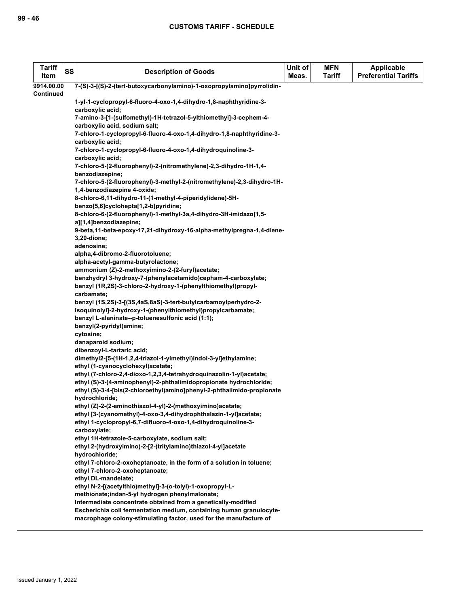| <b>Tariff</b><br>Item | SS | <b>Description of Goods</b>                                                                                      | Unit of<br>Meas. | <b>MFN</b><br><b>Tariff</b> | <b>Applicable</b><br><b>Preferential Tariffs</b> |
|-----------------------|----|------------------------------------------------------------------------------------------------------------------|------------------|-----------------------------|--------------------------------------------------|
| 9914.00.00            |    | 7-(S)-3-[(S)-2-(tert-butoxycarbonylamino)-1-oxopropylamino]pyrrolidin-                                           |                  |                             |                                                  |
| <b>Continued</b>      |    |                                                                                                                  |                  |                             |                                                  |
|                       |    | 1-yl-1-cyclopropyl-6-fluoro-4-oxo-1,4-dihydro-1,8-naphthyridine-3-                                               |                  |                             |                                                  |
|                       |    | carboxylic acid;                                                                                                 |                  |                             |                                                  |
|                       |    | 7-amino-3-[1-(sulfomethyl)-1H-tetrazol-5-ylthiomethyl]-3-cephem-4-                                               |                  |                             |                                                  |
|                       |    | carboxylic acid, sodium salt;                                                                                    |                  |                             |                                                  |
|                       |    | 7-chloro-1-cyclopropyl-6-fluoro-4-oxo-1,4-dihydro-1,8-naphthyridine-3-                                           |                  |                             |                                                  |
|                       |    | carboxylic acid;<br>7-chloro-1-cyclopropyl-6-fluoro-4-oxo-1,4-dihydroquinoline-3-                                |                  |                             |                                                  |
|                       |    | carboxylic acid;                                                                                                 |                  |                             |                                                  |
|                       |    | 7-chloro-5-(2-fluorophenyl)-2-(nitromethylene)-2,3-dihydro-1H-1,4-                                               |                  |                             |                                                  |
|                       |    | benzodiazepine;                                                                                                  |                  |                             |                                                  |
|                       |    | 7-chloro-5-(2-fluorophenyl)-3-methyl-2-(nitromethylene)-2,3-dihydro-1H-                                          |                  |                             |                                                  |
|                       |    | 1,4-benzodiazepine 4-oxide;                                                                                      |                  |                             |                                                  |
|                       |    | 8-chloro-6,11-dihydro-11-(1-methyl-4-piperidylidene)-5H-                                                         |                  |                             |                                                  |
|                       |    | benzo[5,6]cyclohepta[1,2-b]pyridine;                                                                             |                  |                             |                                                  |
|                       |    | 8-chloro-6-(2-fluorophenyl)-1-methyl-3a,4-dihydro-3H-imidazo[1,5-                                                |                  |                             |                                                  |
|                       |    | a][1,4]benzodiazepine;                                                                                           |                  |                             |                                                  |
|                       |    | 9-beta, 11-beta-epoxy-17, 21-dihydroxy-16-alpha-methylpregna-1, 4-diene-                                         |                  |                             |                                                  |
|                       |    | 3,20-dione;                                                                                                      |                  |                             |                                                  |
|                       |    | adenosine;                                                                                                       |                  |                             |                                                  |
|                       |    | alpha,4-dibromo-2-fluorotoluene;                                                                                 |                  |                             |                                                  |
|                       |    | alpha-acetyl-gamma-butyrolactone;                                                                                |                  |                             |                                                  |
|                       |    | ammonium (Z)-2-methoxyimino-2-(2-furyl)acetate;                                                                  |                  |                             |                                                  |
|                       |    | benzhydryl 3-hydroxy-7-(phenylacetamido)cepham-4-carboxylate;                                                    |                  |                             |                                                  |
|                       |    | benzyl (1R,2S)-3-chloro-2-hydroxy-1-(phenylthiomethyl)propyl-                                                    |                  |                             |                                                  |
|                       |    | carbamate;                                                                                                       |                  |                             |                                                  |
|                       |    | benzyl (1S,2S)-3-[(3S,4aS,8aS)-3-tert-butylcarbamoylperhydro-2-                                                  |                  |                             |                                                  |
|                       |    | isoquinolyl]-2-hydroxy-1-(phenylthiomethyl)propylcarbamate;<br>benzyl L-alaninate--p-toluenesulfonic acid (1:1); |                  |                             |                                                  |
|                       |    | benzyl(2-pyridyl)amine;                                                                                          |                  |                             |                                                  |
|                       |    | cytosine;                                                                                                        |                  |                             |                                                  |
|                       |    | danaparoid sodium;                                                                                               |                  |                             |                                                  |
|                       |    | dibenzoyl-L-tartaric acid;                                                                                       |                  |                             |                                                  |
|                       |    | dimethyl2-[5-(1H-1,2,4-triazol-1-ylmethyl)indol-3-yl]ethylamine;                                                 |                  |                             |                                                  |
|                       |    | ethyl (1-cyanocyclohexyl)acetate;                                                                                |                  |                             |                                                  |
|                       |    | ethyl (7-chloro-2,4-dioxo-1,2,3,4-tetrahydroquinazolin-1-yl)acetate;                                             |                  |                             |                                                  |
|                       |    | ethyl (S)-3-(4-aminophenyl)-2-phthalimidopropionate hydrochloride;                                               |                  |                             |                                                  |
|                       |    | ethyl (S)-3-4-[bis(2-chloroethyl)amino]phenyl-2-phthalimido-propionate                                           |                  |                             |                                                  |
|                       |    | hydrochloride;                                                                                                   |                  |                             |                                                  |
|                       |    | ethyl (Z)-2-(2-aminothiazol-4-yl)-2-(methoxyimino)acetate;                                                       |                  |                             |                                                  |
|                       |    | ethyl [3-(cyanomethyl)-4-oxo-3,4-dihydrophthalazin-1-yl]acetate;                                                 |                  |                             |                                                  |
|                       |    | ethyl 1-cyclopropyl-6,7-difluoro-4-oxo-1,4-dihydroquinoline-3-<br>carboxylate;                                   |                  |                             |                                                  |
|                       |    | ethyl 1H-tetrazole-5-carboxylate, sodium salt;                                                                   |                  |                             |                                                  |
|                       |    | ethyl 2-(hydroxyimino)-2-[2-(tritylamino)thiazol-4-yl]acetate                                                    |                  |                             |                                                  |
|                       |    | hydrochloride;                                                                                                   |                  |                             |                                                  |
|                       |    | ethyl 7-chloro-2-oxoheptanoate, in the form of a solution in toluene;                                            |                  |                             |                                                  |
|                       |    | ethyl 7-chloro-2-oxoheptanoate;                                                                                  |                  |                             |                                                  |
|                       |    | ethyl DL-mandelate;                                                                                              |                  |                             |                                                  |
|                       |    | ethyl N-2-[(acetylthio)methyl]-3-(o-tolyl)-1-oxopropyl-L-                                                        |                  |                             |                                                  |
|                       |    | methionate;indan-5-yl hydrogen phenylmalonate;                                                                   |                  |                             |                                                  |
|                       |    | Intermediate concentrate obtained from a genetically-modified                                                    |                  |                             |                                                  |
|                       |    | Escherichia coli fermentation medium, containing human granulocyte-                                              |                  |                             |                                                  |
|                       |    | macrophage colony-stimulating factor, used for the manufacture of                                                |                  |                             |                                                  |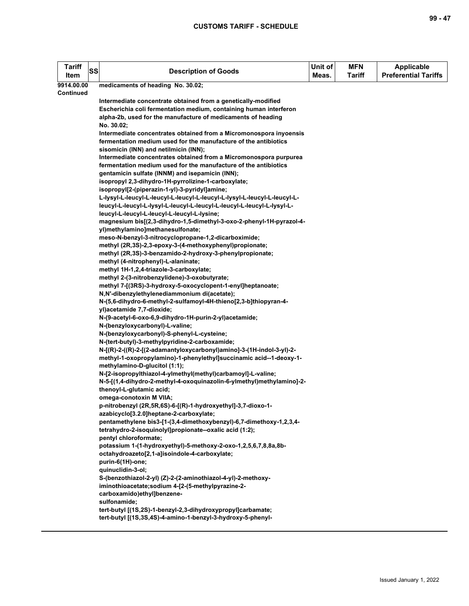| <b>Tariff</b><br>Item | <b>SS</b> | <b>Description of Goods</b>                                                                              | Unit of<br>Meas. | <b>MFN</b><br><b>Tariff</b> | <b>Applicable</b><br><b>Preferential Tariffs</b> |
|-----------------------|-----------|----------------------------------------------------------------------------------------------------------|------------------|-----------------------------|--------------------------------------------------|
| 9914.00.00            |           | medicaments of heading No. 30.02;                                                                        |                  |                             |                                                  |
| Continued             |           |                                                                                                          |                  |                             |                                                  |
|                       |           | Intermediate concentrate obtained from a genetically-modified                                            |                  |                             |                                                  |
|                       |           | Escherichia coli fermentation medium, containing human interferon                                        |                  |                             |                                                  |
|                       |           | alpha-2b, used for the manufacture of medicaments of heading                                             |                  |                             |                                                  |
|                       |           | No. 30.02;                                                                                               |                  |                             |                                                  |
|                       |           | Intermediate concentrates obtained from a Micromonospora inyoensis                                       |                  |                             |                                                  |
|                       |           | fermentation medium used for the manufacture of the antibiotics                                          |                  |                             |                                                  |
|                       |           | sisomicin (INN) and netilmicin (INN);                                                                    |                  |                             |                                                  |
|                       |           | Intermediate concentrates obtained from a Micromonospora purpurea                                        |                  |                             |                                                  |
|                       |           | fermentation medium used for the manufacture of the antibiotics                                          |                  |                             |                                                  |
|                       |           | gentamicin sulfate (INNM) and isepamicin (INN);                                                          |                  |                             |                                                  |
|                       |           | isopropyl 2,3-dihydro-1H-pyrrolizine-1-carboxylate;                                                      |                  |                             |                                                  |
|                       |           | isopropyl[2-(piperazin-1-yl)-3-pyridyl]amine;                                                            |                  |                             |                                                  |
|                       |           | L-lysyl-L-leucyl-L-leucyl-L-leucyl-L-leucyl-L-lysyl-L-leucyl-L-leucyl-L-                                 |                  |                             |                                                  |
|                       |           | leucyl-L-leucyl-L-lysyl-L-leucyl-L-leucyl-L-leucyl-L-leucyl-L-lysyl-L-                                   |                  |                             |                                                  |
|                       |           | leucyl-L-leucyl-L-leucyl-L-leucyl-L-lysine;                                                              |                  |                             |                                                  |
|                       |           | magnesium bis[(2,3-dihydro-1,5-dimethyl-3-oxo-2-phenyl-1H-pyrazol-4-<br>yl)methylamino]methanesulfonate; |                  |                             |                                                  |
|                       |           | meso-N-benzyl-3-nitrocyclopropane-1,2-dicarboximide;                                                     |                  |                             |                                                  |
|                       |           | methyl (2R,3S)-2,3-epoxy-3-(4-methoxyphenyl)propionate;                                                  |                  |                             |                                                  |
|                       |           | methyl (2R,3S)-3-benzamido-2-hydroxy-3-phenylpropionate;                                                 |                  |                             |                                                  |
|                       |           | methyl (4-nitrophenyl)-L-alaninate;                                                                      |                  |                             |                                                  |
|                       |           | methyl 1H-1,2,4-triazole-3-carboxylate;                                                                  |                  |                             |                                                  |
|                       |           | methyl 2-(3-nitrobenzylidene)-3-oxobutyrate;                                                             |                  |                             |                                                  |
|                       |           | methyl 7-[(3RS)-3-hydroxy-5-oxocyclopent-1-enyl]heptanoate;                                              |                  |                             |                                                  |
|                       |           | N,N'-dibenzylethylenediammonium di(acetate);                                                             |                  |                             |                                                  |
|                       |           | N-(5,6-dihydro-6-methyl-2-sulfamoyl-4H-thieno[2,3-b]thiopyran-4-                                         |                  |                             |                                                  |
|                       |           | yl)acetamide 7,7-dioxide;                                                                                |                  |                             |                                                  |
|                       |           | N-(9-acetyl-6-oxo-6,9-dihydro-1H-purin-2-yl)acetamide;                                                   |                  |                             |                                                  |
|                       |           | N-(benzyloxycarbonyl)-L-valine;                                                                          |                  |                             |                                                  |
|                       |           | N-(benzyloxycarbonyl)-S-phenyl-L-cysteine;                                                               |                  |                             |                                                  |
|                       |           | N-(tert-butyl)-3-methylpyridine-2-carboxamide;                                                           |                  |                             |                                                  |
|                       |           | N-[(R)-2-((R)-2-[(2-adamantyloxycarbonyl)amino]-3-(1H-indol-3-yl)-2-                                     |                  |                             |                                                  |
|                       |           | methyl-1-oxopropylamino)-1-phenylethyl]succinamic acid--1-deoxy-1-                                       |                  |                             |                                                  |
|                       |           | methylamino-D-glucitol (1:1);                                                                            |                  |                             |                                                  |
|                       |           | N-[2-isopropylthiazol-4-ylmethyl(methyl)carbamoyl]-L-valine;                                             |                  |                             |                                                  |
|                       |           | N-5-[(1,4-dihydro-2-methyl-4-oxoquinazolin-6-ylmethyl)methylamino]-2-                                    |                  |                             |                                                  |
|                       |           | thenoyl-L-glutamic acid;                                                                                 |                  |                             |                                                  |
|                       |           | omega-conotoxin M VIIA;                                                                                  |                  |                             |                                                  |
|                       |           | p-nitrobenzyl (2R,5R,6S)-6-[(R)-1-hydroxyethyl]-3,7-dioxo-1-                                             |                  |                             |                                                  |
|                       |           | azabicyclo[3.2.0]heptane-2-carboxylate;                                                                  |                  |                             |                                                  |
|                       |           | pentamethylene bis3-[1-(3,4-dimethoxybenzyl)-6,7-dimethoxy-1,2,3,4-                                      |                  |                             |                                                  |
|                       |           | tetrahydro-2-isoquinolyl]propionate--oxalic acid (1:2);                                                  |                  |                             |                                                  |
|                       |           | pentyl chloroformate;                                                                                    |                  |                             |                                                  |
|                       |           | potassium 1-(1-hydroxyethyl)-5-methoxy-2-oxo-1,2,5,6,7,8,8a,8b-                                          |                  |                             |                                                  |
|                       |           | octahydroazeto[2,1-a]isoindole-4-carboxylate;<br>purin-6(1H)-one;                                        |                  |                             |                                                  |
|                       |           | quinuclidin-3-ol;                                                                                        |                  |                             |                                                  |
|                       |           | S-(benzothiazol-2-yl) (Z)-2-(2-aminothiazol-4-yl)-2-methoxy-                                             |                  |                             |                                                  |
|                       |           | iminothioacetate;sodium 4-[2-(5-methylpyrazine-2-                                                        |                  |                             |                                                  |
|                       |           | carboxamido)ethyl]benzene-                                                                               |                  |                             |                                                  |
|                       |           | sulfonamide;                                                                                             |                  |                             |                                                  |
|                       |           | tert-butyl [(1S,2S)-1-benzyl-2,3-dihydroxypropyl]carbamate;                                              |                  |                             |                                                  |
|                       |           | tert-butyl [(1S,3S,4S)-4-amino-1-benzyl-3-hydroxy-5-phenyl-                                              |                  |                             |                                                  |
|                       |           |                                                                                                          |                  |                             |                                                  |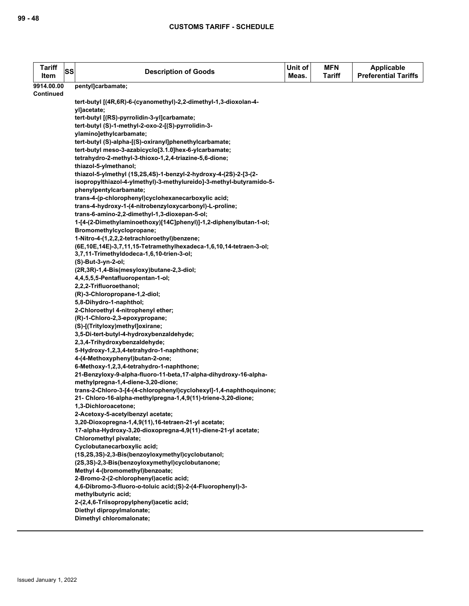| <b>Tariff</b><br>Item          | <b>SS</b> | <b>Description of Goods</b>                                                                                                          | Unit of<br>Meas. | <b>MFN</b><br>Tariff | <b>Applicable</b><br><b>Preferential Tariffs</b> |
|--------------------------------|-----------|--------------------------------------------------------------------------------------------------------------------------------------|------------------|----------------------|--------------------------------------------------|
| 9914.00.00<br><b>Continued</b> |           | pentyl]carbamate;                                                                                                                    |                  |                      |                                                  |
|                                |           | tert-butyl [(4R,6R)-6-(cyanomethyl)-2,2-dimethyl-1,3-dioxolan-4-<br>yl]acetate;                                                      |                  |                      |                                                  |
|                                |           | tert-butyl [(RS)-pyrrolidin-3-yl]carbamate;                                                                                          |                  |                      |                                                  |
|                                |           | tert-butyl (S)-1-methyl-2-oxo-2-[(S)-pyrrolidin-3-                                                                                   |                  |                      |                                                  |
|                                |           | ylamino]ethylcarbamate;                                                                                                              |                  |                      |                                                  |
|                                |           | tert-butyl (S)-alpha-[(S)-oxiranyl]phenethylcarbamate;                                                                               |                  |                      |                                                  |
|                                |           | tert-butyl meso-3-azabicyclo[3.1.0]hex-6-ylcarbamate;                                                                                |                  |                      |                                                  |
|                                |           | tetrahydro-2-methyl-3-thioxo-1,2,4-triazine-5,6-dione;                                                                               |                  |                      |                                                  |
|                                |           | thiazol-5-ylmethanol;                                                                                                                |                  |                      |                                                  |
|                                |           | thiazol-5-ylmethyl (1S,2S,4S)-1-benzyl-2-hydroxy-4-(2S)-2-[3-(2-                                                                     |                  |                      |                                                  |
|                                |           | isopropylthiazol-4-ylmethyl)-3-methylureido]-3-methyl-butyramido-5-<br>phenylpentylcarbamate;                                        |                  |                      |                                                  |
|                                |           | trans-4-(p-chlorophenyl)cyclohexanecarboxylic acid;                                                                                  |                  |                      |                                                  |
|                                |           | trans-4-hydroxy-1-(4-nitrobenzyloxycarbonyl)-L-proline;                                                                              |                  |                      |                                                  |
|                                |           | trans-6-amino-2,2-dimethyl-1,3-dioxepan-5-ol;                                                                                        |                  |                      |                                                  |
|                                |           | 1-[4-(2-Dimethylaminoethoxy)[14C]phenyl)]-1,2-diphenylbutan-1-ol;                                                                    |                  |                      |                                                  |
|                                |           | Bromomethylcyclopropane;                                                                                                             |                  |                      |                                                  |
|                                |           | 1-Nitro-4-(1,2,2,2-tetrachloroethyl)benzene;                                                                                         |                  |                      |                                                  |
|                                |           | (6E, 10E, 14E)-3, 7, 11, 15-Tetramethylhexadeca-1, 6, 10, 14-tetraen-3-ol;                                                           |                  |                      |                                                  |
|                                |           | 3,7,11-Trimethyldodeca-1,6,10-trien-3-ol;                                                                                            |                  |                      |                                                  |
|                                |           | (S)-But-3-yn-2-ol;                                                                                                                   |                  |                      |                                                  |
|                                |           | (2R,3R)-1,4-Bis(mesyloxy)butane-2,3-diol;                                                                                            |                  |                      |                                                  |
|                                |           | 4,4,5,5,5-Pentafluoropentan-1-ol;                                                                                                    |                  |                      |                                                  |
|                                |           | 2,2,2-Trifluoroethanol;                                                                                                              |                  |                      |                                                  |
|                                |           | (R)-3-Chloropropane-1,2-diol;<br>5,8-Dihydro-1-naphthol;                                                                             |                  |                      |                                                  |
|                                |           | 2-Chloroethyl 4-nitrophenyl ether;                                                                                                   |                  |                      |                                                  |
|                                |           | (R)-1-Chloro-2,3-epoxypropane;                                                                                                       |                  |                      |                                                  |
|                                |           | (S)-[(Trityloxy)methyl]oxirane;                                                                                                      |                  |                      |                                                  |
|                                |           | 3,5-Di-tert-butyl-4-hydroxybenzaldehyde;                                                                                             |                  |                      |                                                  |
|                                |           | 2,3,4-Trihydroxybenzaldehyde;                                                                                                        |                  |                      |                                                  |
|                                |           | 5-Hydroxy-1,2,3,4-tetrahydro-1-naphthone;                                                                                            |                  |                      |                                                  |
|                                |           | 4-(4-Methoxyphenyl)butan-2-one;                                                                                                      |                  |                      |                                                  |
|                                |           | 6-Methoxy-1,2,3,4-tetrahydro-1-naphthone;                                                                                            |                  |                      |                                                  |
|                                |           | 21-Benzyloxy-9-alpha-fluoro-11-beta,17-alpha-dihydroxy-16-alpha-                                                                     |                  |                      |                                                  |
|                                |           | methylpregna-1,4-diene-3,20-dione;                                                                                                   |                  |                      |                                                  |
|                                |           | trans-2-Chloro-3-[4-(4-chlorophenyl)cyclohexyl]-1,4-naphthoquinone;<br>21- Chloro-16-alpha-methylpregna-1,4,9(11)-triene-3,20-dione; |                  |                      |                                                  |
|                                |           | 1,3-Dichloroacetone;                                                                                                                 |                  |                      |                                                  |
|                                |           | 2-Acetoxy-5-acetylbenzyl acetate;                                                                                                    |                  |                      |                                                  |
|                                |           | 3,20-Dioxopregna-1,4,9(11),16-tetraen-21-yl acetate;                                                                                 |                  |                      |                                                  |
|                                |           | 17-alpha-Hydroxy-3,20-dioxopregna-4,9(11)-diene-21-yl acetate;                                                                       |                  |                      |                                                  |
|                                |           | Chloromethyl pivalate;                                                                                                               |                  |                      |                                                  |
|                                |           | Cyclobutanecarboxylic acid;                                                                                                          |                  |                      |                                                  |
|                                |           | (1S,2S,3S)-2,3-Bis(benzoyloxymethyl)cyclobutanol;                                                                                    |                  |                      |                                                  |
|                                |           | (2S,3S)-2,3-Bis(benzoyloxymethyl)cyclobutanone;                                                                                      |                  |                      |                                                  |
|                                |           | Methyl 4-(bromomethyl)benzoate;                                                                                                      |                  |                      |                                                  |
|                                |           | 2-Bromo-2-(2-chlorophenyl) acetic acid;                                                                                              |                  |                      |                                                  |
|                                |           | 4,6-Dibromo-3-fluoro-o-toluic acid;(S)-2-(4-Fluorophenyl)-3-                                                                         |                  |                      |                                                  |
|                                |           | methylbutyric acid;<br>2-(2,4,6-Triisopropylphenyl)acetic acid;                                                                      |                  |                      |                                                  |
|                                |           | Diethyl dipropylmalonate;                                                                                                            |                  |                      |                                                  |
|                                |           | Dimethyl chloromalonate;                                                                                                             |                  |                      |                                                  |
|                                |           |                                                                                                                                      |                  |                      |                                                  |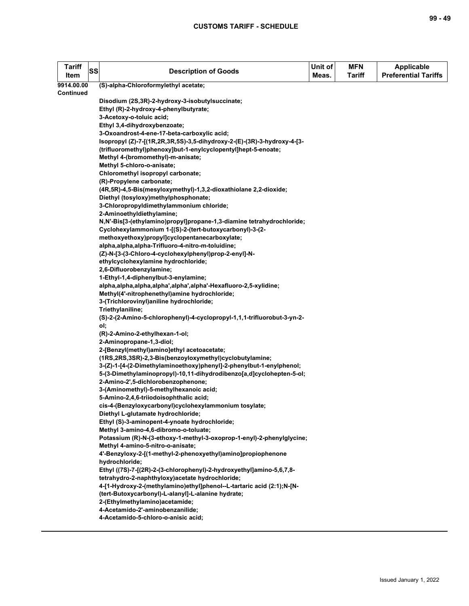| <b>Tariff</b><br>Item | SS | <b>Description of Goods</b>                                                                                               | Unit of<br>Meas. | <b>MFN</b><br><b>Tariff</b> | <b>Applicable</b><br><b>Preferential Tariffs</b> |
|-----------------------|----|---------------------------------------------------------------------------------------------------------------------------|------------------|-----------------------------|--------------------------------------------------|
| 9914.00.00            |    | (S)-alpha-Chloroformylethyl acetate;                                                                                      |                  |                             |                                                  |
| Continued             |    |                                                                                                                           |                  |                             |                                                  |
|                       |    | Disodium (2S,3R)-2-hydroxy-3-isobutylsuccinate;                                                                           |                  |                             |                                                  |
|                       |    | Ethyl (R)-2-hydroxy-4-phenylbutyrate;                                                                                     |                  |                             |                                                  |
|                       |    | 3-Acetoxy-o-toluic acid;                                                                                                  |                  |                             |                                                  |
|                       |    | Ethyl 3,4-dihydroxybenzoate;                                                                                              |                  |                             |                                                  |
|                       |    | 3-Oxoandrost-4-ene-17-beta-carboxylic acid;                                                                               |                  |                             |                                                  |
|                       |    | Isopropyl (Z)-7-[(1R,2R,3R,5S)-3,5-dihydroxy-2-(E)-(3R)-3-hydroxy-4-[3-                                                   |                  |                             |                                                  |
|                       |    | (trifluoromethyl)phenoxy]but-1-enylcyclopentyl]hept-5-enoate;                                                             |                  |                             |                                                  |
|                       |    | Methyl 4-(bromomethyl)-m-anisate;                                                                                         |                  |                             |                                                  |
|                       |    | Methyl 5-chloro-o-anisate;                                                                                                |                  |                             |                                                  |
|                       |    | Chloromethyl isopropyl carbonate;                                                                                         |                  |                             |                                                  |
|                       |    | (R)-Propylene carbonate;                                                                                                  |                  |                             |                                                  |
|                       |    | (4R,5R)-4,5-Bis(mesyloxymethyl)-1,3,2-dioxathiolane 2,2-dioxide;                                                          |                  |                             |                                                  |
|                       |    | Diethyl (tosyloxy)methylphosphonate;                                                                                      |                  |                             |                                                  |
|                       |    | 3-Chloropropyldimethylammonium chloride;                                                                                  |                  |                             |                                                  |
|                       |    | 2-Aminoethyldiethylamine;                                                                                                 |                  |                             |                                                  |
|                       |    | N,N'-Bis[3-(ethylamino)propyl]propane-1,3-diamine tetrahydrochloride;                                                     |                  |                             |                                                  |
|                       |    | Cyclohexylammonium 1-[(S)-2-(tert-butoxycarbonyl)-3-(2-<br>methoxyethoxy)propyl]cyclopentanecarboxylate;                  |                  |                             |                                                  |
|                       |    | alpha, alpha, alpha-Trifluoro-4-nitro-m-toluidine;                                                                        |                  |                             |                                                  |
|                       |    | (Z)-N-[3-(3-Chloro-4-cyclohexylphenyl)prop-2-enyl]-N-                                                                     |                  |                             |                                                  |
|                       |    | ethylcyclohexylamine hydrochloride;                                                                                       |                  |                             |                                                  |
|                       |    | 2,6-Difluorobenzylamine;                                                                                                  |                  |                             |                                                  |
|                       |    | 1-Ethyl-1,4-diphenylbut-3-enylamine;                                                                                      |                  |                             |                                                  |
|                       |    | alpha, alpha, alpha, alpha', alpha', alpha'-Hexafluoro-2,5-xylidine;                                                      |                  |                             |                                                  |
|                       |    | Methyl(4'-nitrophenethyl)amine hydrochloride;                                                                             |                  |                             |                                                  |
|                       |    | 3-(Trichlorovinyl) aniline hydrochloride;                                                                                 |                  |                             |                                                  |
|                       |    | Triethylaniline;                                                                                                          |                  |                             |                                                  |
|                       |    | (S)-2-(2-Amino-5-chlorophenyl)-4-cyclopropyl-1,1,1-trifluorobut-3-yn-2-                                                   |                  |                             |                                                  |
|                       |    | ol;                                                                                                                       |                  |                             |                                                  |
|                       |    | (R)-2-Amino-2-ethylhexan-1-ol;                                                                                            |                  |                             |                                                  |
|                       |    | 2-Aminopropane-1,3-diol;                                                                                                  |                  |                             |                                                  |
|                       |    | 2-[Benzyl(methyl)amino]ethyl acetoacetate;                                                                                |                  |                             |                                                  |
|                       |    | (1RS,2RS,3SR)-2,3-Bis(benzoyloxymethyl)cyclobutylamine;                                                                   |                  |                             |                                                  |
|                       |    | 3-(Z)-1-[4-(2-Dimethylaminoethoxy)phenyl]-2-phenylbut-1-enylphenol;                                                       |                  |                             |                                                  |
|                       |    | 5-(3-Dimethylaminopropyl)-10,11-dihydrodibenzo[a,d]cyclohepten-5-ol;                                                      |                  |                             |                                                  |
|                       |    | 2-Amino-2',5-dichlorobenzophenone;                                                                                        |                  |                             |                                                  |
|                       |    | 3-(Aminomethyl)-5-methylhexanoic acid;                                                                                    |                  |                             |                                                  |
|                       |    | 5-Amino-2,4,6-triiodoisophthalic acid;                                                                                    |                  |                             |                                                  |
|                       |    | cis-4-(Benzyloxycarbonyl)cyclohexylammonium tosylate;                                                                     |                  |                             |                                                  |
|                       |    | Diethyl L-glutamate hydrochloride;                                                                                        |                  |                             |                                                  |
|                       |    | Ethyl (S)-3-aminopent-4-ynoate hydrochloride;                                                                             |                  |                             |                                                  |
|                       |    | Methyl 3-amino-4,6-dibromo-o-toluate;                                                                                     |                  |                             |                                                  |
|                       |    | Potassium (R)-N-(3-ethoxy-1-methyl-3-oxoprop-1-enyl)-2-phenylglycine;                                                     |                  |                             |                                                  |
|                       |    | Methyl 4-amino-5-nitro-o-anisate;                                                                                         |                  |                             |                                                  |
|                       |    | 4'-Benzyloxy-2-[(1-methyl-2-phenoxyethyl)amino]propiophenone                                                              |                  |                             |                                                  |
|                       |    | hydrochloride;                                                                                                            |                  |                             |                                                  |
|                       |    | Ethyl ((7S)-7-[(2R)-2-(3-chlorophenyl)-2-hydroxyethyl]amino-5,6,7,8-                                                      |                  |                             |                                                  |
|                       |    | tetrahydro-2-naphthyloxy) acetate hydrochloride;<br>4-[1-Hydroxy-2-(methylamino)ethyl]phenol--L-tartaric acid (2:1);N-[N- |                  |                             |                                                  |
|                       |    | (tert-Butoxycarbonyl)-L-alanyl]-L-alanine hydrate;                                                                        |                  |                             |                                                  |
|                       |    | 2-(Ethylmethylamino)acetamide;                                                                                            |                  |                             |                                                  |
|                       |    | 4-Acetamido-2'-aminobenzanilide;                                                                                          |                  |                             |                                                  |
|                       |    | 4-Acetamido-5-chloro-o-anisic acid;                                                                                       |                  |                             |                                                  |
|                       |    |                                                                                                                           |                  |                             |                                                  |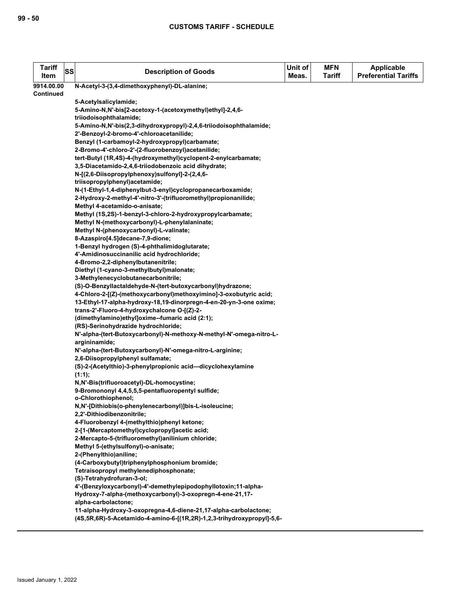| <b>Tariff</b><br>Item | SS | <b>Description of Goods</b>                                                                                                                | Unit of<br>Meas. | <b>MFN</b><br><b>Tariff</b> | <b>Applicable</b><br><b>Preferential Tariffs</b> |
|-----------------------|----|--------------------------------------------------------------------------------------------------------------------------------------------|------------------|-----------------------------|--------------------------------------------------|
| 9914.00.00            |    | N-Acetyl-3-(3,4-dimethoxyphenyl)-DL-alanine;                                                                                               |                  |                             |                                                  |
| <b>Continued</b>      |    |                                                                                                                                            |                  |                             |                                                  |
|                       |    | 5-Acetylsalicylamide;                                                                                                                      |                  |                             |                                                  |
|                       |    | 5-Amino-N,N'-bis[2-acetoxy-1-(acetoxymethyl)ethyl]-2,4,6-                                                                                  |                  |                             |                                                  |
|                       |    | triiodoisophthalamide;                                                                                                                     |                  |                             |                                                  |
|                       |    | 5-Amino-N,N'-bis(2,3-dihydroxypropyl)-2,4,6-triiodoisophthalamide;                                                                         |                  |                             |                                                  |
|                       |    | 2'-Benzoyl-2-bromo-4'-chloroacetanilide;                                                                                                   |                  |                             |                                                  |
|                       |    | Benzyl (1-carbamoyl-2-hydroxypropyl)carbamate;                                                                                             |                  |                             |                                                  |
|                       |    | 2-Bromo-4'-chloro-2'-(2-fluorobenzoyl)acetanilide;                                                                                         |                  |                             |                                                  |
|                       |    | tert-Butyl (1R,4S)-4-(hydroxymethyl)cyclopent-2-enylcarbamate;                                                                             |                  |                             |                                                  |
|                       |    | 3,5-Diacetamido-2,4,6-triiodobenzoic acid dihydrate;                                                                                       |                  |                             |                                                  |
|                       |    | N-[(2,6-Diisopropylphenoxy)sulfonyl]-2-(2,4,6-                                                                                             |                  |                             |                                                  |
|                       |    | triisopropylphenyl)acetamide;                                                                                                              |                  |                             |                                                  |
|                       |    | N-(1-Ethyl-1,4-diphenylbut-3-enyl)cyclopropanecarboxamide;                                                                                 |                  |                             |                                                  |
|                       |    | 2-Hydroxy-2-methyl-4'-nitro-3'-(trifluoromethyl)propionanilide;                                                                            |                  |                             |                                                  |
|                       |    | Methyl 4-acetamido-o-anisate;                                                                                                              |                  |                             |                                                  |
|                       |    | Methyl (1S,2S)-1-benzyl-3-chloro-2-hydroxypropylcarbamate;                                                                                 |                  |                             |                                                  |
|                       |    | Methyl N-(methoxycarbonyl)-L-phenylalaninate;                                                                                              |                  |                             |                                                  |
|                       |    | Methyl N-(phenoxycarbonyl)-L-valinate;                                                                                                     |                  |                             |                                                  |
|                       |    | 8-Azaspiro[4.5]decane-7,9-dione;                                                                                                           |                  |                             |                                                  |
|                       |    | 1-Benzyl hydrogen (S)-4-phthalimidoglutarate;                                                                                              |                  |                             |                                                  |
|                       |    | 4'-Amidinosuccinanilic acid hydrochloride;                                                                                                 |                  |                             |                                                  |
|                       |    | 4-Bromo-2,2-diphenylbutanenitrile;                                                                                                         |                  |                             |                                                  |
|                       |    | Diethyl (1-cyano-3-methylbutyl)malonate;                                                                                                   |                  |                             |                                                  |
|                       |    | 3-Methylenecyclobutanecarbonitrile;                                                                                                        |                  |                             |                                                  |
|                       |    | (S)-O-Benzyllactaldehyde-N-(tert-butoxycarbonyl)hydrazone;                                                                                 |                  |                             |                                                  |
|                       |    | 4-Chloro-2-[(Z)-(methoxycarbonyl)methoxyimino]-3-oxobutyric acid;                                                                          |                  |                             |                                                  |
|                       |    | 13-Ethyl-17-alpha-hydroxy-18,19-dinorpregn-4-en-20-yn-3-one oxime;                                                                         |                  |                             |                                                  |
|                       |    | trans-2'-Fluoro-4-hydroxychalcone O-[(Z)-2-                                                                                                |                  |                             |                                                  |
|                       |    | (dimethylamino)ethyl]oxime--fumaric acid (2:1);<br>(RS)-Serinohydrazide hydrochloride;                                                     |                  |                             |                                                  |
|                       |    | N'-alpha-(tert-Butoxycarbonyl)-N-methoxy-N-methyl-N'-omega-nitro-L-                                                                        |                  |                             |                                                  |
|                       |    | argininamide;                                                                                                                              |                  |                             |                                                  |
|                       |    | N'-alpha-(tert-Butoxycarbonyl)-N'-omega-nitro-L-arginine;                                                                                  |                  |                             |                                                  |
|                       |    | 2.6-Diisopropylphenyl sulfamate;                                                                                                           |                  |                             |                                                  |
|                       |    | (S)-2-(Acetylthio)-3-phenylpropionic acid-dicyclohexylamine                                                                                |                  |                             |                                                  |
|                       |    | $(1:1)$ :                                                                                                                                  |                  |                             |                                                  |
|                       |    | N,N'-Bis(trifluoroacetyl)-DL-homocystine;                                                                                                  |                  |                             |                                                  |
|                       |    | 9-Bromononyl 4,4,5,5,5-pentafluoropentyl sulfide;                                                                                          |                  |                             |                                                  |
|                       |    | o-Chlorothiophenol;                                                                                                                        |                  |                             |                                                  |
|                       |    | N,N'-[Dithiobis(o-phenylenecarbonyl)]bis-L-isoleucine;                                                                                     |                  |                             |                                                  |
|                       |    | 2,2'-Dithiodibenzonitrile;                                                                                                                 |                  |                             |                                                  |
|                       |    | 4-Fluorobenzyl 4-(methylthio)phenyl ketone;                                                                                                |                  |                             |                                                  |
|                       |    | 2-[1-(Mercaptomethyl)cyclopropyl]acetic acid;                                                                                              |                  |                             |                                                  |
|                       |    | 2-Mercapto-5-(trifluoromethyl) anilinium chloride;                                                                                         |                  |                             |                                                  |
|                       |    | Methyl 5-(ethylsulfonyl)-o-anisate;                                                                                                        |                  |                             |                                                  |
|                       |    | 2-(Phenylthio) aniline;                                                                                                                    |                  |                             |                                                  |
|                       |    | (4-Carboxybutyl)triphenylphosphonium bromide;                                                                                              |                  |                             |                                                  |
|                       |    | Tetraisopropyl methylenediphosphonate;                                                                                                     |                  |                             |                                                  |
|                       |    | (S)-Tetrahydrofuran-3-ol;                                                                                                                  |                  |                             |                                                  |
|                       |    | 4'-(Benzyloxycarbonyl)-4'-demethylepipodophyllotoxin;11-alpha-                                                                             |                  |                             |                                                  |
|                       |    | Hydroxy-7-alpha-(methoxycarbonyl)-3-oxopregn-4-ene-21,17-                                                                                  |                  |                             |                                                  |
|                       |    | alpha-carbolactone;                                                                                                                        |                  |                             |                                                  |
|                       |    | 11-alpha-Hydroxy-3-oxopregna-4,6-diene-21,17-alpha-carbolactone;<br>(4S,5R,6R)-5-Acetamido-4-amino-6-[(1R,2R)-1,2,3-trihydroxypropyl]-5,6- |                  |                             |                                                  |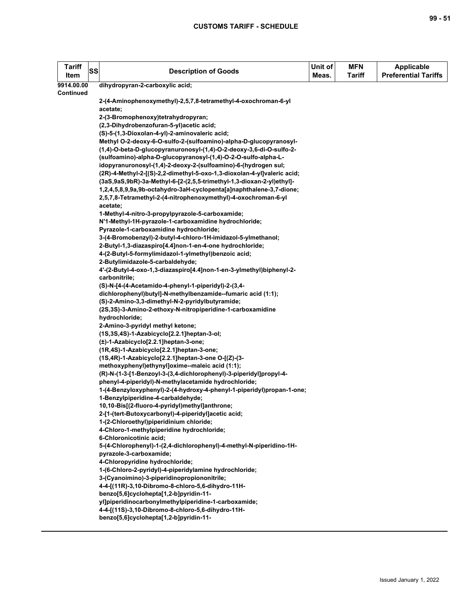| <b>Tariff</b><br>Item | <b>SS</b> | <b>Description of Goods</b>                                                                                                   | Unit of<br>Meas. | <b>MFN</b><br><b>Tariff</b> | <b>Applicable</b><br><b>Preferential Tariffs</b> |
|-----------------------|-----------|-------------------------------------------------------------------------------------------------------------------------------|------------------|-----------------------------|--------------------------------------------------|
| 9914.00.00            |           | dihydropyran-2-carboxylic acid;                                                                                               |                  |                             |                                                  |
| Continued             |           |                                                                                                                               |                  |                             |                                                  |
|                       |           | 2-(4-Aminophenoxymethyl)-2,5,7,8-tetramethyl-4-oxochroman-6-yl<br>acetate;                                                    |                  |                             |                                                  |
|                       |           | 2-(3-Bromophenoxy)tetrahydropyran;                                                                                            |                  |                             |                                                  |
|                       |           | (2,3-Dihydrobenzofuran-5-yl)acetic acid;                                                                                      |                  |                             |                                                  |
|                       |           | (S)-5-(1,3-Dioxolan-4-yl)-2-aminovaleric acid;                                                                                |                  |                             |                                                  |
|                       |           | Methyl O-2-deoxy-6-O-sulfo-2-(sulfoamino)-alpha-D-glucopyranosyl-                                                             |                  |                             |                                                  |
|                       |           | (1,4)-O-beta-D-glucopyranuronosyl-(1,4)-O-2-deoxy-3,6-di-O-sulfo-2-                                                           |                  |                             |                                                  |
|                       |           | (sulfoamino)-alpha-D-glucopyranosyl-(1,4)-O-2-O-sulfo-alpha-L-                                                                |                  |                             |                                                  |
|                       |           | idopyranuronosyl-(1,4)-2-deoxy-2-(sulfoamino)-6-(hydrogen sul;                                                                |                  |                             |                                                  |
|                       |           | (2R)-4-Methyl-2-[(S)-2,2-dimethyl-5-oxo-1,3-dioxolan-4-yl]valeric acid;                                                       |                  |                             |                                                  |
|                       |           | (3aS,9aS,9bR)-3a-Methyl-6-[2-(2,5,5-trimethyl-1,3-dioxan-2-yl)ethyl]-                                                         |                  |                             |                                                  |
|                       |           | 1,2,4,5,8,9,9a,9b-octahydro-3aH-cyclopenta[a]naphthalene-3,7-dione;                                                           |                  |                             |                                                  |
|                       |           | 2,5,7,8-Tetramethyl-2-(4-nitrophenoxymethyl)-4-oxochroman-6-yl                                                                |                  |                             |                                                  |
|                       |           | acetate;                                                                                                                      |                  |                             |                                                  |
|                       |           | 1-Methyl-4-nitro-3-propylpyrazole-5-carboxamide;                                                                              |                  |                             |                                                  |
|                       |           | N'1-Methyl-1H-pyrazole-1-carboxamidine hydrochloride;                                                                         |                  |                             |                                                  |
|                       |           | Pyrazole-1-carboxamidine hydrochloride;                                                                                       |                  |                             |                                                  |
|                       |           | 3-(4-Bromobenzyl)-2-butyl-4-chloro-1H-imidazol-5-ylmethanol;                                                                  |                  |                             |                                                  |
|                       |           | 2-Butyl-1,3-diazaspiro[4.4]non-1-en-4-one hydrochloride;                                                                      |                  |                             |                                                  |
|                       |           | 4-(2-Butyl-5-formylimidazol-1-ylmethyl)benzoic acid;                                                                          |                  |                             |                                                  |
|                       |           | 2-Butylimidazole-5-carbaldehyde;                                                                                              |                  |                             |                                                  |
|                       |           | 4'-(2-Butyl-4-oxo-1,3-diazaspiro[4.4]non-1-en-3-ylmethyl)biphenyl-2-                                                          |                  |                             |                                                  |
|                       |           | carbonitrile;                                                                                                                 |                  |                             |                                                  |
|                       |           | (S)-N-[4-(4-Acetamido-4-phenyl-1-piperidyl)-2-(3,4-                                                                           |                  |                             |                                                  |
|                       |           | dichlorophenyl)butyl]-N-methylbenzamide--fumaric acid (1:1);                                                                  |                  |                             |                                                  |
|                       |           | (S)-2-Amino-3,3-dimethyl-N-2-pyridylbutyramide;                                                                               |                  |                             |                                                  |
|                       |           | (2S,3S)-3-Amino-2-ethoxy-N-nitropiperidine-1-carboxamidine                                                                    |                  |                             |                                                  |
|                       |           | hydrochloride;                                                                                                                |                  |                             |                                                  |
|                       |           | 2-Amino-3-pyridyl methyl ketone;                                                                                              |                  |                             |                                                  |
|                       |           | (1S,3S,4S)-1-Azabicyclo[2.2.1]heptan-3-ol;                                                                                    |                  |                             |                                                  |
|                       |           | (±)-1-Azabicyclo[2.2.1]heptan-3-one;                                                                                          |                  |                             |                                                  |
|                       |           | (1R,4S)-1-Azabicyclo[2.2.1]heptan-3-one;                                                                                      |                  |                             |                                                  |
|                       |           | (1S,4R)-1-Azabicyclo[2.2.1]heptan-3-one O-[(Z)-(3-                                                                            |                  |                             |                                                  |
|                       |           | methoxyphenyl)ethynyl]oxime--maleic acid (1:1);                                                                               |                  |                             |                                                  |
|                       |           | (R)-N-(1-3-[1-Benzoyl-3-(3,4-dichlorophenyl)-3-piperidyl]propyl-4-                                                            |                  |                             |                                                  |
|                       |           | phenyl-4-piperidyl)-N-methylacetamide hydrochloride;<br>1-(4-Benzyloxyphenyl)-2-(4-hydroxy-4-phenyl-1-piperidyl)propan-1-one; |                  |                             |                                                  |
|                       |           | 1-Benzylpiperidine-4-carbaldehyde;                                                                                            |                  |                             |                                                  |
|                       |           | 10,10-Bis[(2-fluoro-4-pyridyl)methyl]anthrone;                                                                                |                  |                             |                                                  |
|                       |           | 2-[1-(tert-Butoxycarbonyl)-4-piperidyl]acetic acid;                                                                           |                  |                             |                                                  |
|                       |           | 1-(2-Chloroethyl)piperidinium chloride;                                                                                       |                  |                             |                                                  |
|                       |           | 4-Chloro-1-methylpiperidine hydrochloride;                                                                                    |                  |                             |                                                  |
|                       |           | 6-Chloronicotinic acid;                                                                                                       |                  |                             |                                                  |
|                       |           | 5-(4-Chlorophenyl)-1-(2,4-dichlorophenyl)-4-methyl-N-piperidino-1H-                                                           |                  |                             |                                                  |
|                       |           | pyrazole-3-carboxamide;                                                                                                       |                  |                             |                                                  |
|                       |           | 4-Chloropyridine hydrochloride;                                                                                               |                  |                             |                                                  |
|                       |           | 1-(6-Chloro-2-pyridyl)-4-piperidylamine hydrochloride;                                                                        |                  |                             |                                                  |
|                       |           | 3-(Cyanoimino)-3-piperidinopropiononitrile;                                                                                   |                  |                             |                                                  |
|                       |           | 4-4-[(11R)-3,10-Dibromo-8-chloro-5,6-dihydro-11H-                                                                             |                  |                             |                                                  |
|                       |           | benzo[5,6]cyclohepta[1,2-b]pyridin-11-                                                                                        |                  |                             |                                                  |
|                       |           | yl]piperidinocarbonylmethylpiperidine-1-carboxamide;                                                                          |                  |                             |                                                  |
|                       |           | 4-4-[(11S)-3,10-Dibromo-8-chloro-5,6-dihydro-11H-                                                                             |                  |                             |                                                  |
|                       |           | benzo[5,6]cyclohepta[1,2-b]pyridin-11-                                                                                        |                  |                             |                                                  |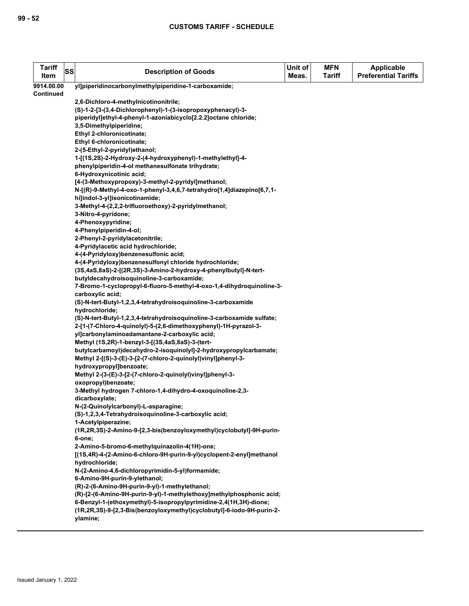| <b>Tariff</b><br>Item | SS | <b>Description of Goods</b>                                                  | Unit of<br>Meas. | <b>MFN</b><br>Tariff | Applicable<br><b>Preferential Tariffs</b> |
|-----------------------|----|------------------------------------------------------------------------------|------------------|----------------------|-------------------------------------------|
| 9914.00.00            |    | yl]piperidinocarbonylmethylpiperidine-1-carboxamide;                         |                  |                      |                                           |
| <b>Continued</b>      |    |                                                                              |                  |                      |                                           |
|                       |    | 2,6-Dichloro-4-methylnicotinonitrile;                                        |                  |                      |                                           |
|                       |    | (S)-1-2-[3-(3,4-Dichlorophenyl)-1-(3-isopropoxyphenacyl)-3-                  |                  |                      |                                           |
|                       |    | piperidyl]ethyl-4-phenyl-1-azoniabicyclo[2.2.2]octane chloride;              |                  |                      |                                           |
|                       |    | 3,5-Dimethylpiperidine;                                                      |                  |                      |                                           |
|                       |    | Ethyl 2-chloronicotinate;                                                    |                  |                      |                                           |
|                       |    | Ethyl 6-chloronicotinate;                                                    |                  |                      |                                           |
|                       |    | 2-(5-Ethyl-2-pyridyl)ethanol;                                                |                  |                      |                                           |
|                       |    | 1-[(1S,2S)-2-Hydroxy-2-(4-hydroxyphenyl)-1-methylethyl]-4-                   |                  |                      |                                           |
|                       |    | phenylpiperidin-4-ol methanesulfonate trihydrate;                            |                  |                      |                                           |
|                       |    | 6-Hydroxynicotinic acid;                                                     |                  |                      |                                           |
|                       |    | [4-(3-Methoxypropoxy)-3-methyl-2-pyridyl]methanol;                           |                  |                      |                                           |
|                       |    | N-[(R)-9-Methyl-4-oxo-1-phenyl-3,4,6,7-tetrahydro[1,4]diazepino[6,7,1-       |                  |                      |                                           |
|                       |    | hi]indol-3-yl]isonicotinamide;                                               |                  |                      |                                           |
|                       |    | 3-Methyl-4-(2,2,2-trifluoroethoxy)-2-pyridylmethanol;<br>3-Nitro-4-pyridone; |                  |                      |                                           |
|                       |    | 4-Phenoxypyridine;                                                           |                  |                      |                                           |
|                       |    | 4-Phenylpiperidin-4-ol;                                                      |                  |                      |                                           |
|                       |    | 2-Phenyl-2-pyridylacetonitrile;                                              |                  |                      |                                           |
|                       |    | 4-Pyridylacetic acid hydrochloride;                                          |                  |                      |                                           |
|                       |    | 4-(4-Pyridyloxy)benzenesulfonic acid;                                        |                  |                      |                                           |
|                       |    | 4-(4-Pyridyloxy)benzenesulfonyl chloride hydrochloride;                      |                  |                      |                                           |
|                       |    | (3S,4aS,8aS)-2-[(2R,3S)-3-Amino-2-hydroxy-4-phenylbutyl]-N-tert-             |                  |                      |                                           |
|                       |    | butyldecahydroisoquinoline-3-carboxamide;                                    |                  |                      |                                           |
|                       |    | 7-Bromo-1-cyclopropyl-6-fluoro-5-methyl-4-oxo-1,4-dihydroquinoline-3-        |                  |                      |                                           |
|                       |    | carboxylic acid;                                                             |                  |                      |                                           |
|                       |    | (S)-N-tert-Butyl-1,2,3,4-tetrahydroisoquinoline-3-carboxamide                |                  |                      |                                           |
|                       |    | hydrochloride;                                                               |                  |                      |                                           |
|                       |    | (S)-N-tert-Butyl-1,2,3,4-tetrahydroisoquinoline-3-carboxamide sulfate;       |                  |                      |                                           |
|                       |    | 2-[1-(7-Chloro-4-quinolyl)-5-(2,6-dimethoxyphenyl)-1H-pyrazol-3-             |                  |                      |                                           |
|                       |    | yl]carbonylaminoadamantane-2-carboxylic acid;                                |                  |                      |                                           |
|                       |    | Methyl (1S,2R)-1-benzyl-3-[(3S,4aS,8aS)-3-(tert-                             |                  |                      |                                           |
|                       |    | butylcarbamoyl)decahydro-2-isoquinolyl]-2-hydroxypropylcarbamate;            |                  |                      |                                           |
|                       |    | Methyl 2-[(S)-3-(E)-3-[2-(7-chloro-2-quinolyl)vinyl]phenyl-3-                |                  |                      |                                           |
|                       |    | hydroxypropyl]benzoate;                                                      |                  |                      |                                           |
|                       |    | Methyl 2-(3-(E)-3-[2-(7-chloro-2-quinolyl)vinyl]phenyl-3-                    |                  |                      |                                           |
|                       |    | oxopropyl)benzoate;                                                          |                  |                      |                                           |
|                       |    | 3-Methyl hydrogen 7-chloro-1,4-dihydro-4-oxoquinoline-2,3-                   |                  |                      |                                           |
|                       |    | dicarboxylate;                                                               |                  |                      |                                           |
|                       |    | N-(2-Quinolylcarbonyl)-L-asparagine;                                         |                  |                      |                                           |
|                       |    | (S)-1,2,3,4-Tetrahydroisoquinoline-3-carboxylic acid;<br>1-Acetylpiperazine; |                  |                      |                                           |
|                       |    | (1R,2R,3S)-2-Amino-9-[2,3-bis(benzovloxymethyl)cyclobutyl]-9H-purin-         |                  |                      |                                           |
|                       |    | 6-one;                                                                       |                  |                      |                                           |
|                       |    | 2-Amino-5-bromo-6-methylquinazolin-4(1H)-one;                                |                  |                      |                                           |
|                       |    | [(1S,4R)-4-(2-Amino-6-chloro-9H-purin-9-yl)cyclopent-2-enyl]methanol         |                  |                      |                                           |
|                       |    | hydrochloride;                                                               |                  |                      |                                           |
|                       |    | N-(2-Amino-4,6-dichloropyrimidin-5-yl)formamide;                             |                  |                      |                                           |
|                       |    | 6-Amino-9H-purin-9-ylethanol;                                                |                  |                      |                                           |
|                       |    | (R)-2-(6-Amino-9H-purin-9-yl)-1-methylethanol;                               |                  |                      |                                           |
|                       |    | (R)-[2-(6-Amino-9H-purin-9-yl)-1-methylethoxy]methylphosphonic acid;         |                  |                      |                                           |
|                       |    | 6-Benzyl-1-(ethoxymethyl)-5-isopropylpyrimidine-2,4(1H,3H)-dione;            |                  |                      |                                           |
|                       |    | (1R,2R,3S)-9-[2,3-Bis(benzoyloxymethyl)cyclobutyl]-6-iodo-9H-purin-2-        |                  |                      |                                           |
|                       |    | ylamine;                                                                     |                  |                      |                                           |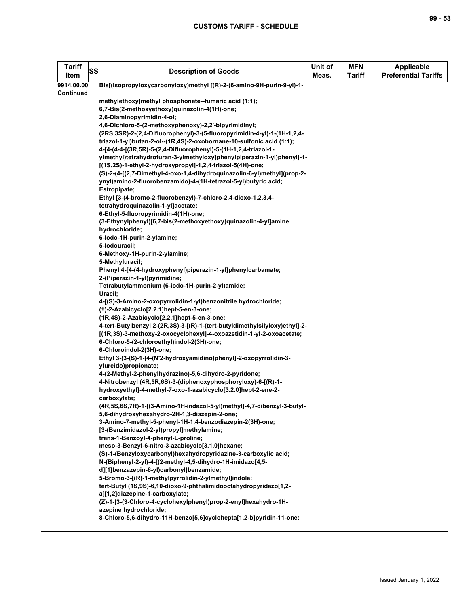| <b>Tariff</b><br>Item | SS | <b>Description of Goods</b>                                                                                                               | Unit of<br>Meas. | <b>MFN</b><br><b>Tariff</b> | <b>Applicable</b><br><b>Preferential Tariffs</b> |
|-----------------------|----|-------------------------------------------------------------------------------------------------------------------------------------------|------------------|-----------------------------|--------------------------------------------------|
| 9914.00.00            |    | Bis[(isopropyloxycarbonyloxy)methyl [(R)-2-(6-amino-9H-purin-9-yl)-1-                                                                     |                  |                             |                                                  |
| Continued             |    |                                                                                                                                           |                  |                             |                                                  |
|                       |    | methylethoxy]methyl phosphonate--fumaric acid (1:1);                                                                                      |                  |                             |                                                  |
|                       |    | 6,7-Bis(2-methoxyethoxy)quinazolin-4(1H)-one;                                                                                             |                  |                             |                                                  |
|                       |    | 2,6-Diaminopyrimidin-4-ol;                                                                                                                |                  |                             |                                                  |
|                       |    | 4,6-Dichloro-5-(2-methoxyphenoxy)-2,2'-bipyrimidinyl;                                                                                     |                  |                             |                                                  |
|                       |    | (2RS,3SR)-2-(2,4-Difluorophenyl)-3-(5-fluoropyrimidin-4-yl)-1-(1H-1,2,4-                                                                  |                  |                             |                                                  |
|                       |    | triazol-1-yl)butan-2-ol--(1R,4S)-2-oxobornane-10-sulfonic acid (1:1);<br>4-[4-(4-4-[(3R,5R)-5-(2,4-Difluorophenyl)-5-(1H-1,2,4-triazol-1- |                  |                             |                                                  |
|                       |    | ylmethyl)tetrahydrofuran-3-ylmethyloxy]phenylpiperazin-1-yl)phenyl]-1-                                                                    |                  |                             |                                                  |
|                       |    | [(1S,2S)-1-ethyl-2-hydroxypropyl]-1,2,4-triazol-5(4H)-one;                                                                                |                  |                             |                                                  |
|                       |    | (S)-2-(4-[(2,7-Dimethyl-4-oxo-1,4-dihydroquinazolin-6-yl)methyl](prop-2-                                                                  |                  |                             |                                                  |
|                       |    | ynyl)amino-2-fluorobenzamido)-4-(1H-tetrazol-5-yl)butyric acid;                                                                           |                  |                             |                                                  |
|                       |    | Estropipate;                                                                                                                              |                  |                             |                                                  |
|                       |    | Ethyl [3-(4-bromo-2-fluorobenzyl)-7-chloro-2,4-dioxo-1,2,3,4-                                                                             |                  |                             |                                                  |
|                       |    | tetrahydroquinazolin-1-yl]acetate;                                                                                                        |                  |                             |                                                  |
|                       |    | 6-Ethyl-5-fluoropyrimidin-4(1H)-one;                                                                                                      |                  |                             |                                                  |
|                       |    | (3-Ethynylphenyl)[6,7-bis(2-methoxyethoxy)quinazolin-4-yl]amine                                                                           |                  |                             |                                                  |
|                       |    | hydrochloride;                                                                                                                            |                  |                             |                                                  |
|                       |    | 6-lodo-1H-purin-2-ylamine;                                                                                                                |                  |                             |                                                  |
|                       |    | 5-lodouracil;                                                                                                                             |                  |                             |                                                  |
|                       |    | 6-Methoxy-1H-purin-2-ylamine;                                                                                                             |                  |                             |                                                  |
|                       |    | 5-Methyluracil;                                                                                                                           |                  |                             |                                                  |
|                       |    | Phenyl 4-[4-(4-hydroxyphenyl)piperazin-1-yl]phenylcarbamate;                                                                              |                  |                             |                                                  |
|                       |    | 2-(Piperazin-1-yl)pyrimidine;                                                                                                             |                  |                             |                                                  |
|                       |    | Tetrabutylammonium (6-iodo-1H-purin-2-yl)amide;                                                                                           |                  |                             |                                                  |
|                       |    | Uracil;<br>4-[(S)-3-Amino-2-oxopyrrolidin-1-yl)benzonitrile hydrochloride;                                                                |                  |                             |                                                  |
|                       |    | (±)-2-Azabicyclo[2.2.1]hept-5-en-3-one;                                                                                                   |                  |                             |                                                  |
|                       |    | (1R,4S)-2-Azabicyclo[2.2.1]hept-5-en-3-one;                                                                                               |                  |                             |                                                  |
|                       |    | 4-tert-Butylbenzyl 2-(2R,3S)-3-[(R)-1-(tert-butyldimethylsilyloxy)ethyl]-2-                                                               |                  |                             |                                                  |
|                       |    | [(1R,3S)-3-methoxy-2-oxocyclohexyl]-4-oxoazetidin-1-yl-2-oxoacetate;                                                                      |                  |                             |                                                  |
|                       |    | 6-Chloro-5-(2-chloroethyl)indol-2(3H)-one;                                                                                                |                  |                             |                                                  |
|                       |    | 6-Chloroindol-2(3H)-one;                                                                                                                  |                  |                             |                                                  |
|                       |    | Ethyl 3-(3-(S)-1-[4-(N'2-hydroxyamidino)phenyl]-2-oxopyrrolidin-3-                                                                        |                  |                             |                                                  |
|                       |    | ylureido)propionate;                                                                                                                      |                  |                             |                                                  |
|                       |    | 4-(2-Methyl-2-phenylhydrazino)-5,6-dihydro-2-pyridone;                                                                                    |                  |                             |                                                  |
|                       |    | 4-Nitrobenzyl (4R,5R,6S)-3-(diphenoxyphosphoryloxy)-6-[(R)-1-                                                                             |                  |                             |                                                  |
|                       |    | hydroxyethyl]-4-methyl-7-oxo-1-azabicyclo[3.2.0]hept-2-ene-2-                                                                             |                  |                             |                                                  |
|                       |    | carboxylate;                                                                                                                              |                  |                             |                                                  |
|                       |    | (4R,5S,6S,7R)-1-[(3-Amino-1H-indazol-5-yl)methyl]-4,7-dibenzyl-3-butyl-                                                                   |                  |                             |                                                  |
|                       |    | 5,6-dihydroxyhexahydro-2H-1,3-diazepin-2-one;                                                                                             |                  |                             |                                                  |
|                       |    | 3-Amino-7-methyl-5-phenyl-1H-1,4-benzodiazepin-2(3H)-one;                                                                                 |                  |                             |                                                  |
|                       |    | [3-(Benzimidazol-2-yl)propyl]methylamine;                                                                                                 |                  |                             |                                                  |
|                       |    | trans-1-Benzoyl-4-phenyl-L-proline;                                                                                                       |                  |                             |                                                  |
|                       |    | meso-3-Benzyl-6-nitro-3-azabicyclo[3.1.0]hexane;<br>(S)-1-(Benzyloxycarbonyl)hexahydropyridazine-3-carboxylic acid;                       |                  |                             |                                                  |
|                       |    | N-(Biphenyl-2-yl)-4-[(2-methyl-4,5-dihydro-1H-imidazo[4,5-                                                                                |                  |                             |                                                  |
|                       |    | d][1]benzazepin-6-yl)carbonyl]benzamide;                                                                                                  |                  |                             |                                                  |
|                       |    | 5-Bromo-3-[(R)-1-methylpyrrolidin-2-ylmethyl]indole;                                                                                      |                  |                             |                                                  |
|                       |    | tert-Butyl (1S,9S)-6,10-dioxo-9-phthalimidooctahydropyridazo[1,2-                                                                         |                  |                             |                                                  |
|                       |    | a][1,2]diazepine-1-carboxylate;                                                                                                           |                  |                             |                                                  |
|                       |    | (Z)-1-[3-(3-Chloro-4-cyclohexylphenyl)prop-2-enyl]hexahydro-1H-                                                                           |                  |                             |                                                  |
|                       |    | azepine hydrochloride;                                                                                                                    |                  |                             |                                                  |
|                       |    | 8-Chloro-5,6-dihydro-11H-benzo[5,6]cyclohepta[1,2-b]pyridin-11-one;                                                                       |                  |                             |                                                  |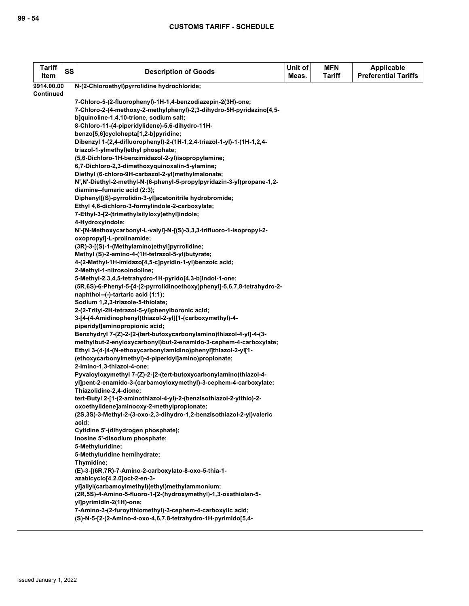| <b>Tariff</b><br>Item | SS | <b>Description of Goods</b>                                                                                                        | Unit of<br>Meas. | <b>MFN</b><br><b>Tariff</b> | <b>Applicable</b><br><b>Preferential Tariffs</b> |
|-----------------------|----|------------------------------------------------------------------------------------------------------------------------------------|------------------|-----------------------------|--------------------------------------------------|
| 9914.00.00            |    | N-(2-Chloroethyl)pyrrolidine hydrochloride;                                                                                        |                  |                             |                                                  |
| <b>Continued</b>      |    |                                                                                                                                    |                  |                             |                                                  |
|                       |    | 7-Chloro-5-(2-fluorophenyl)-1H-1,4-benzodiazepin-2(3H)-one;                                                                        |                  |                             |                                                  |
|                       |    | 7-Chloro-2-(4-methoxy-2-methylphenyl)-2,3-dihydro-5H-pyridazino[4,5-                                                               |                  |                             |                                                  |
|                       |    | b]quinoline-1,4,10-trione, sodium salt;                                                                                            |                  |                             |                                                  |
|                       |    | 8-Chloro-11-(4-piperidylidene)-5,6-dihydro-11H-                                                                                    |                  |                             |                                                  |
|                       |    | benzo[5,6]cyclohepta[1,2-b]pyridine;                                                                                               |                  |                             |                                                  |
|                       |    | Dibenzyl 1-(2,4-difluorophenyl)-2-(1H-1,2,4-triazol-1-yl)-1-(1H-1,2,4-                                                             |                  |                             |                                                  |
|                       |    | triazol-1-ylmethyl)ethyl phosphate;                                                                                                |                  |                             |                                                  |
|                       |    | (5,6-Dichloro-1H-benzimidazol-2-yl)isopropylamine;                                                                                 |                  |                             |                                                  |
|                       |    | 6,7-Dichloro-2,3-dimethoxyquinoxalin-5-ylamine;                                                                                    |                  |                             |                                                  |
|                       |    | Diethyl (6-chloro-9H-carbazol-2-yl)methylmalonate;                                                                                 |                  |                             |                                                  |
|                       |    | N', N'-Diethyl-2-methyl-N-(6-phenyl-5-propylpyridazin-3-yl)propane-1,2-                                                            |                  |                             |                                                  |
|                       |    | diamine--fumaric acid (2:3);                                                                                                       |                  |                             |                                                  |
|                       |    | Diphenyl[(S)-pyrrolidin-3-yl]acetonitrile hydrobromide;                                                                            |                  |                             |                                                  |
|                       |    | Ethyl 4,6-dichloro-3-formylindole-2-carboxylate;<br>7-Ethyl-3-[2-(trimethylsilyloxy)ethyl]indole;                                  |                  |                             |                                                  |
|                       |    | 4-Hydroxyindole;                                                                                                                   |                  |                             |                                                  |
|                       |    | N'-[N-Methoxycarbonyl-L-valyl]-N-[(S)-3,3,3-trifluoro-1-isopropyl-2-                                                               |                  |                             |                                                  |
|                       |    | oxopropyl]-L-prolinamide;                                                                                                          |                  |                             |                                                  |
|                       |    | (3R)-3-[(S)-1-(Methylamino)ethyl]pyrrolidine;                                                                                      |                  |                             |                                                  |
|                       |    | Methyl (S)-2-amino-4-(1H-tetrazol-5-yl)butyrate;                                                                                   |                  |                             |                                                  |
|                       |    | 4-(2-Methyl-1H-imidazo[4,5-c]pyridin-1-yl)benzoic acid;                                                                            |                  |                             |                                                  |
|                       |    | 2-Methyl-1-nitrosoindoline;                                                                                                        |                  |                             |                                                  |
|                       |    | 5-Methyl-2,3,4,5-tetrahydro-1H-pyrido[4,3-b]indol-1-one;                                                                           |                  |                             |                                                  |
|                       |    | (5R,6S)-6-Phenyl-5-[4-(2-pyrrolidinoethoxy)phenyl]-5,6,7,8-tetrahydro-2-                                                           |                  |                             |                                                  |
|                       |    | naphthol--(-)-tartaric acid (1:1);                                                                                                 |                  |                             |                                                  |
|                       |    | Sodium 1,2,3-triazole-5-thiolate;                                                                                                  |                  |                             |                                                  |
|                       |    | 2-(2-Trityl-2H-tetrazol-5-yl)phenylboronic acid;                                                                                   |                  |                             |                                                  |
|                       |    | 3-[4-(4-Amidinophenyl)thiazol-2-yl][1-(carboxymethyl)-4-                                                                           |                  |                             |                                                  |
|                       |    | piperidyl]aminopropionic acid;                                                                                                     |                  |                             |                                                  |
|                       |    | Benzhydryl 7-(Z)-2-[2-(tert-butoxycarbonylamino)thiazol-4-yl]-4-(3-                                                                |                  |                             |                                                  |
|                       |    | methylbut-2-enyloxycarbonyl)but-2-enamido-3-cephem-4-carboxylate;<br>Ethyl 3-(4-[4-(N-ethoxycarbonylamidino)phenyl]thiazol-2-yl[1- |                  |                             |                                                  |
|                       |    | (ethoxycarbonylmethyl)-4-piperidyl]amino)propionate;                                                                               |                  |                             |                                                  |
|                       |    | 2-Imino-1,3-thiazol-4-one;                                                                                                         |                  |                             |                                                  |
|                       |    | Pyvaloyloxymethyl 7-(Z)-2-[2-(tert-butoxycarbonylamino)thiazol-4-                                                                  |                  |                             |                                                  |
|                       |    | yl]pent-2-enamido-3-(carbamoyloxymethyl)-3-cephem-4-carboxylate;                                                                   |                  |                             |                                                  |
|                       |    | Thiazolidine-2,4-dione;                                                                                                            |                  |                             |                                                  |
|                       |    | tert-Butyl 2-[1-(2-aminothiazol-4-yl)-2-(benzisothiazol-2-ylthio)-2-                                                               |                  |                             |                                                  |
|                       |    | oxoethylidene]aminooxy-2-methylpropionate;                                                                                         |                  |                             |                                                  |
|                       |    | (2S,3S)-3-Methyl-2-(3-oxo-2,3-dihydro-1,2-benzisothiazol-2-yl)valeric                                                              |                  |                             |                                                  |
|                       |    | acid;                                                                                                                              |                  |                             |                                                  |
|                       |    | Cytidine 5'-(dihydrogen phosphate);                                                                                                |                  |                             |                                                  |
|                       |    | Inosine 5'-disodium phosphate;                                                                                                     |                  |                             |                                                  |
|                       |    | 5-Methyluridine;                                                                                                                   |                  |                             |                                                  |
|                       |    | 5-Methyluridine hemihydrate;                                                                                                       |                  |                             |                                                  |
|                       |    | Thymidine;                                                                                                                         |                  |                             |                                                  |
|                       |    | (E)-3-[(6R,7R)-7-Amino-2-carboxylato-8-oxo-5-thia-1-                                                                               |                  |                             |                                                  |
|                       |    | azabicyclo[4.2.0]oct-2-en-3-                                                                                                       |                  |                             |                                                  |
|                       |    | yl]allyl(carbamoylmethyl)(ethyl)methylammonium;<br>(2R,5S)-4-Amino-5-fluoro-1-[2-(hydroxymethyl)-1,3-oxathiolan-5-                 |                  |                             |                                                  |
|                       |    |                                                                                                                                    |                  |                             |                                                  |
|                       |    | yl]pyrimidin-2(1H)-one;<br>7-Amino-3-(2-furoyIthiomethyI)-3-cephem-4-carboxylic acid;                                              |                  |                             |                                                  |
|                       |    | (S)-N-5-[2-(2-Amino-4-oxo-4,6,7,8-tetrahydro-1H-pyrimido[5,4-                                                                      |                  |                             |                                                  |
|                       |    |                                                                                                                                    |                  |                             |                                                  |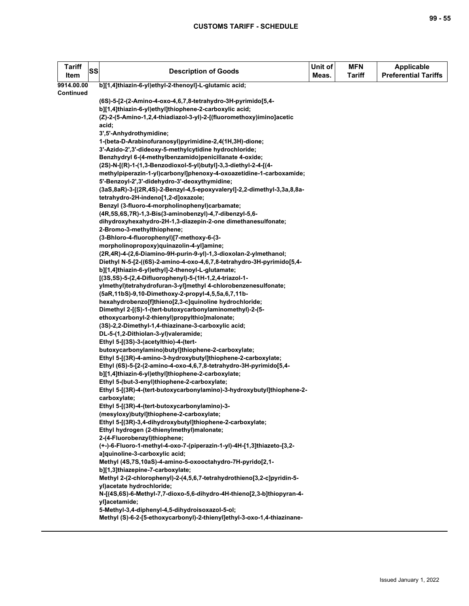| <b>Tariff</b><br>SS<br>Item | <b>Description of Goods</b>                                                                                                    | Unit of<br>Meas. | <b>MFN</b><br><b>Tariff</b> | <b>Applicable</b><br><b>Preferential Tariffs</b> |
|-----------------------------|--------------------------------------------------------------------------------------------------------------------------------|------------------|-----------------------------|--------------------------------------------------|
| 9914.00.00                  | b][1,4]thiazin-6-yl)ethyl-2-thenoyl]-L-glutamic acid;                                                                          |                  |                             |                                                  |
| Continued                   |                                                                                                                                |                  |                             |                                                  |
|                             | (6S)-5-[2-(2-Amino-4-oxo-4,6,7,8-tetrahydro-3H-pyrimido[5,4-                                                                   |                  |                             |                                                  |
|                             | b][1,4]thiazin-6-yl)ethyl]thiophene-2-carboxylic acid;<br>(Z)-2-(5-Amino-1,2,4-thiadiazol-3-yl)-2-[(fluoromethoxy)imino]acetic |                  |                             |                                                  |
|                             | acid;                                                                                                                          |                  |                             |                                                  |
|                             | 3',5'-Anhydrothymidine;                                                                                                        |                  |                             |                                                  |
|                             | 1-(beta-D-Arabinofuranosyl)pyrimidine-2,4(1H,3H)-dione;                                                                        |                  |                             |                                                  |
|                             | 3'-Azido-2',3'-dideoxy-5-methylcytidine hydrochloride;                                                                         |                  |                             |                                                  |
|                             | Benzhydryl 6-(4-methylbenzamido)penicillanate 4-oxide;                                                                         |                  |                             |                                                  |
|                             | (2S)-N-[(R)-1-(1,3-Benzodioxol-5-yl)butyl]-3,3-diethyl-2-4-[(4-                                                                |                  |                             |                                                  |
|                             | methylpiperazin-1-yl)carbonyl]phenoxy-4-oxoazetidine-1-carboxamide;                                                            |                  |                             |                                                  |
|                             | 5'-Benzoyl-2',3'-didehydro-3'-deoxythymidine;                                                                                  |                  |                             |                                                  |
|                             | (3aS,8aR)-3-[(2R,4S)-2-Benzyl-4,5-epoxyvaleryl]-2,2-dimethyl-3,3a,8,8a-                                                        |                  |                             |                                                  |
|                             | tetrahydro-2H-indeno[1,2-d]oxazole;                                                                                            |                  |                             |                                                  |
|                             | Benzyl (3-fluoro-4-morpholinophenyl)carbamate;                                                                                 |                  |                             |                                                  |
|                             | (4R,5S,6S,7R)-1,3-Bis(3-aminobenzyl)-4,7-dibenzyl-5,6-                                                                         |                  |                             |                                                  |
|                             | dihydroxyhexahydro-2H-1,3-diazepin-2-one dimethanesulfonate;<br>2-Bromo-3-methylthiophene;                                     |                  |                             |                                                  |
|                             | (3-Bhloro-4-fluorophenyl)[7-methoxy-6-(3-                                                                                      |                  |                             |                                                  |
|                             | morpholinopropoxy)quinazolin-4-yl]amine;                                                                                       |                  |                             |                                                  |
|                             | (2R,4R)-4-(2,6-Diamino-9H-purin-9-yl)-1,3-dioxolan-2-ylmethanol;                                                               |                  |                             |                                                  |
|                             | Diethyl N-5-[2-((6S)-2-amino-4-oxo-4,6,7,8-tetrahydro-3H-pyrimido[5,4-                                                         |                  |                             |                                                  |
|                             | b][1,4]thiazin-6-yl)ethyl]-2-thenoyl-L-glutamate;                                                                              |                  |                             |                                                  |
|                             | [(3S,5S)-5-(2,4-Difluorophenyl)-5-(1H-1,2,4-triazol-1-                                                                         |                  |                             |                                                  |
|                             | ylmethyl)tetrahydrofuran-3-yl]methyl 4-chlorobenzenesulfonate;                                                                 |                  |                             |                                                  |
|                             | (5aR, 11bS)-9, 10-Dimethoxy-2-propyl-4, 5, 5a, 6, 7, 11b-                                                                      |                  |                             |                                                  |
|                             | hexahydrobenzo[f]thieno[2,3-c]quinoline hydrochloride;                                                                         |                  |                             |                                                  |
|                             | Dimethyl 2-[(S)-1-(tert-butoxycarbonylaminomethyl)-2-(5-                                                                       |                  |                             |                                                  |
|                             | ethoxycarbonyl-2-thienyl)propylthio]malonate;                                                                                  |                  |                             |                                                  |
|                             | (3S)-2,2-Dimethyl-1,4-thiazinane-3-carboxylic acid;<br>DL-5-(1,2-Dithiolan-3-yl)valeramide;                                    |                  |                             |                                                  |
|                             | Ethyl 5-[(3S)-3-(acetylthio)-4-(tert-                                                                                          |                  |                             |                                                  |
|                             | butoxycarbonylamino)butyl]thiophene-2-carboxylate;                                                                             |                  |                             |                                                  |
|                             | Ethyl 5-[(3R)-4-amino-3-hydroxybutyl]thiophene-2-carboxylate;                                                                  |                  |                             |                                                  |
|                             | Ethyl (6S)-5-[2-(2-amino-4-oxo-4,6,7,8-tetrahydro-3H-pyrimido[5,4-                                                             |                  |                             |                                                  |
|                             | b][1,4]thiazin-6-yl)ethyl]thiophene-2-carboxylate;                                                                             |                  |                             |                                                  |
|                             | Ethyl 5-(but-3-enyl)thiophene-2-carboxylate;                                                                                   |                  |                             |                                                  |
|                             | Ethyl 5-[(3R)-4-(tert-butoxycarbonylamino)-3-hydroxybutyl]thiophene-2-                                                         |                  |                             |                                                  |
|                             | carboxylate;                                                                                                                   |                  |                             |                                                  |
|                             | Ethyl 5-[(3R)-4-(tert-butoxycarbonylamino)-3-                                                                                  |                  |                             |                                                  |
|                             | (mesyloxy)butyl]thiophene-2-carboxylate;                                                                                       |                  |                             |                                                  |
|                             | Ethyl 5-[(3R)-3,4-dihydroxybutyl]thiophene-2-carboxylate;                                                                      |                  |                             |                                                  |
|                             | Ethyl hydrogen (2-thienylmethyl)malonate;<br>2-(4-Fluorobenzyl)thiophene;                                                      |                  |                             |                                                  |
|                             | (+-)-6-Fluoro-1-methyl-4-oxo-7-(piperazin-1-yl)-4H-[1,3]thiazeto-[3,2-                                                         |                  |                             |                                                  |
|                             | a]quinoline-3-carboxylic acid;                                                                                                 |                  |                             |                                                  |
|                             | Methyl (4S,7S,10aS)-4-amino-5-oxooctahydro-7H-pyrido[2,1-                                                                      |                  |                             |                                                  |
|                             | b][1,3]thiazepine-7-carboxylate;                                                                                               |                  |                             |                                                  |
|                             | Methyl 2-(2-chlorophenyl)-2-(4,5,6,7-tetrahydrothieno[3,2-c]pyridin-5-                                                         |                  |                             |                                                  |
|                             | yl)acetate hydrochloride;                                                                                                      |                  |                             |                                                  |
|                             | N-[(4S,6S)-6-Methyl-7,7-dioxo-5,6-dihydro-4H-thieno[2,3-b]thiopyran-4-                                                         |                  |                             |                                                  |
|                             | yl]acetamide;                                                                                                                  |                  |                             |                                                  |
|                             | 5-Methyl-3,4-diphenyl-4,5-dihydroisoxazol-5-ol;                                                                                |                  |                             |                                                  |
|                             | Methyl (S)-6-2-[5-ethoxycarbonyl)-2-thienyl]ethyl-3-oxo-1,4-thiazinane-                                                        |                  |                             |                                                  |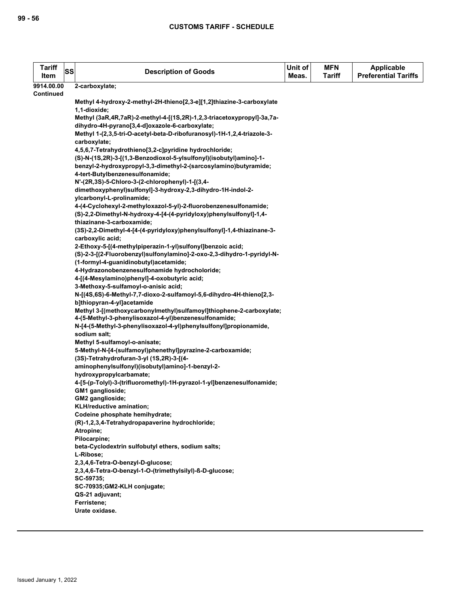| <b>Tariff</b><br>Item | SS | <b>Description of Goods</b>                                                                                                  | Unit of<br>Meas. | <b>MFN</b><br><b>Tariff</b> | <b>Applicable</b><br><b>Preferential Tariffs</b> |
|-----------------------|----|------------------------------------------------------------------------------------------------------------------------------|------------------|-----------------------------|--------------------------------------------------|
| 9914.00.00            |    | 2-carboxylate;                                                                                                               |                  |                             |                                                  |
| <b>Continued</b>      |    |                                                                                                                              |                  |                             |                                                  |
|                       |    | Methyl 4-hydroxy-2-methyl-2H-thieno[2,3-e][1,2]thiazine-3-carboxylate                                                        |                  |                             |                                                  |
|                       |    | 1,1-dioxide;                                                                                                                 |                  |                             |                                                  |
|                       |    | Methyl (3aR,4R,7aR)-2-methyl-4-[(1S,2R)-1,2,3-triacetoxypropyl]-3a,7a-<br>dihydro-4H-pyrano[3,4-d]oxazole-6-carboxylate;     |                  |                             |                                                  |
|                       |    | Methyl 1-(2,3,5-tri-O-acetyl-beta-D-ribofuranosyl)-1H-1,2,4-triazole-3-                                                      |                  |                             |                                                  |
|                       |    | carboxylate;                                                                                                                 |                  |                             |                                                  |
|                       |    | 4,5,6,7-Tetrahydrothieno[3,2-c]pyridine hydrochloride;                                                                       |                  |                             |                                                  |
|                       |    | (S)-N-(1S,2R)-3-[(1,3-Benzodioxol-5-ylsulfonyl)(isobutyl)amino]-1-                                                           |                  |                             |                                                  |
|                       |    | benzyl-2-hydroxypropyl-3,3-dimethyl-2-(sarcosylamino)butyramide;                                                             |                  |                             |                                                  |
|                       |    | 4-tert-Butylbenzenesulfonamide;                                                                                              |                  |                             |                                                  |
|                       |    | N'-(2R,3S)-5-Chloro-3-(2-chlorophenyl)-1-[(3,4-                                                                              |                  |                             |                                                  |
|                       |    | dimethoxyphenyl)sulfonyl]-3-hydroxy-2,3-dihydro-1H-indol-2-                                                                  |                  |                             |                                                  |
|                       |    | ylcarbonyl-L-prolinamide;                                                                                                    |                  |                             |                                                  |
|                       |    | 4-(4-Cyclohexyl-2-methyloxazol-5-yl)-2-fluorobenzenesulfonamide;                                                             |                  |                             |                                                  |
|                       |    | (S)-2,2-Dimethyl-N-hydroxy-4-[4-(4-pyridyloxy)phenylsulfonyl]-1,4-                                                           |                  |                             |                                                  |
|                       |    | thiazinane-3-carboxamide;                                                                                                    |                  |                             |                                                  |
|                       |    | (3S)-2,2-Dimethyl-4-[4-(4-pyridyloxy)phenylsulfonyl]-1,4-thiazinane-3-                                                       |                  |                             |                                                  |
|                       |    | carboxylic acid;                                                                                                             |                  |                             |                                                  |
|                       |    | 2-Ethoxy-5-[(4-methylpiperazin-1-yl)sulfonyl]benzoic acid;                                                                   |                  |                             |                                                  |
|                       |    | (S)-2-3-[(2-Fluorobenzyl)sulfonylamino]-2-oxo-2,3-dihydro-1-pyridyl-N-                                                       |                  |                             |                                                  |
|                       |    | (1-formyl-4-guanidinobutyl) acetamide;                                                                                       |                  |                             |                                                  |
|                       |    | 4-Hydrazonobenzenesulfonamide hydrocholoride;<br>4-[(4-Mesylamino)phenyl]-4-oxobutyric acid;                                 |                  |                             |                                                  |
|                       |    | 3-Methoxy-5-sulfamoyl-o-anisic acid;                                                                                         |                  |                             |                                                  |
|                       |    | N-[(4S,6S)-6-Methyl-7,7-dioxo-2-sulfamoyl-5,6-dihydro-4H-thieno[2,3-                                                         |                  |                             |                                                  |
|                       |    | b]thiopyran-4-yl]acetamide                                                                                                   |                  |                             |                                                  |
|                       |    | Methyl 3-[(methoxycarbonylmethyl)sulfamoyl]thiophene-2-carboxylate;<br>4-(5-Methyl-3-phenylisoxazol-4-yl)benzenesulfonamide; |                  |                             |                                                  |
|                       |    | N-[4-(5-Methyl-3-phenylisoxazol-4-yl)phenylsulfonyl]propionamide,<br>sodium salt;                                            |                  |                             |                                                  |
|                       |    | Methyl 5-sulfamoyl-o-anisate;                                                                                                |                  |                             |                                                  |
|                       |    | 5-Methyl-N-[4-(sulfamoyl)phenethyl]pyrazine-2-carboxamide;                                                                   |                  |                             |                                                  |
|                       |    | (3S)-Tetrahydrofuran-3-yl (1S,2R)-3-[(4-                                                                                     |                  |                             |                                                  |
|                       |    | aminophenylsulfonyl)(isobutyl)amino]-1-benzyl-2-                                                                             |                  |                             |                                                  |
|                       |    | hydroxypropylcarbamate;                                                                                                      |                  |                             |                                                  |
|                       |    | 4-[5-(p-Tolyl)-3-(trifluoromethyl)-1H-pyrazol-1-yl]benzenesulfonamide;                                                       |                  |                             |                                                  |
|                       |    | GM1 ganglioside;                                                                                                             |                  |                             |                                                  |
|                       |    | GM2 ganglioside;                                                                                                             |                  |                             |                                                  |
|                       |    | KLH/reductive amination;                                                                                                     |                  |                             |                                                  |
|                       |    | Codeine phosphate hemihydrate;                                                                                               |                  |                             |                                                  |
|                       |    | (R)-1,2,3,4-Tetrahydropapaverine hydrochloride;                                                                              |                  |                             |                                                  |
|                       |    | Atropine;<br>Pilocarpine;                                                                                                    |                  |                             |                                                  |
|                       |    | beta-Cyclodextrin sulfobutyl ethers, sodium salts;                                                                           |                  |                             |                                                  |
|                       |    | L-Ribose;                                                                                                                    |                  |                             |                                                  |
|                       |    | 2,3,4,6-Tetra-O-benzyl-D-glucose;                                                                                            |                  |                             |                                                  |
|                       |    | 2,3,4,6-Tetra-O-benzyl-1-O-(trimethylsilyl)-ß-D-glucose;<br>SC-59735;                                                        |                  |                             |                                                  |
|                       |    | SC-70935;GM2-KLH conjugate;                                                                                                  |                  |                             |                                                  |
|                       |    | QS-21 adjuvant;                                                                                                              |                  |                             |                                                  |
|                       |    | Ferristene;                                                                                                                  |                  |                             |                                                  |
|                       |    | Urate oxidase.                                                                                                               |                  |                             |                                                  |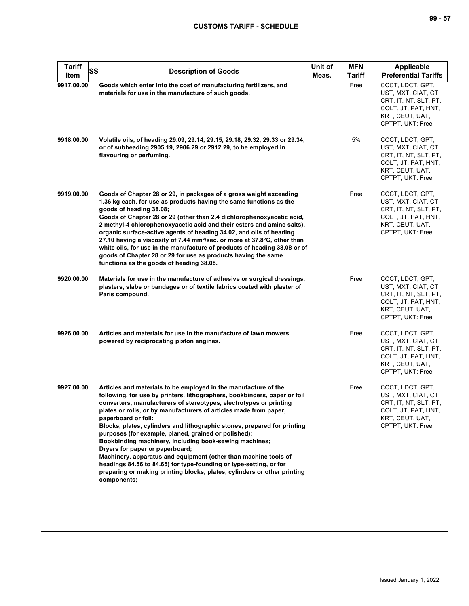| <b>Tariff</b><br><b>SS</b><br>Item | <b>Description of Goods</b>                                                                                                                                                                                                                                                                                                                                                                                                                                                                                                                                                                                                                                                                                                                                                         | Unit of<br>Meas. | <b>MFN</b><br>Tariff | <b>Applicable</b><br><b>Preferential Tariffs</b>                                                                               |
|------------------------------------|-------------------------------------------------------------------------------------------------------------------------------------------------------------------------------------------------------------------------------------------------------------------------------------------------------------------------------------------------------------------------------------------------------------------------------------------------------------------------------------------------------------------------------------------------------------------------------------------------------------------------------------------------------------------------------------------------------------------------------------------------------------------------------------|------------------|----------------------|--------------------------------------------------------------------------------------------------------------------------------|
| 9917.00.00                         | Goods which enter into the cost of manufacturing fertilizers, and<br>materials for use in the manufacture of such goods.                                                                                                                                                                                                                                                                                                                                                                                                                                                                                                                                                                                                                                                            |                  | Free                 | CCCT, LDCT, GPT,<br>UST, MXT, CIAT, CT,<br>CRT, IT, NT, SLT, PT,<br>COLT, JT, PAT, HNT,<br>KRT, CEUT, UAT,<br>CPTPT, UKT: Free |
| 9918.00.00                         | Volatile oils, of heading 29.09, 29.14, 29.15, 29.18, 29.32, 29.33 or 29.34,<br>or of subheading 2905.19, 2906.29 or 2912.29, to be employed in<br>flavouring or perfuming.                                                                                                                                                                                                                                                                                                                                                                                                                                                                                                                                                                                                         |                  | 5%                   | CCCT, LDCT, GPT,<br>UST, MXT, CIAT, CT,<br>CRT, IT, NT, SLT, PT,<br>COLT, JT, PAT, HNT,<br>KRT, CEUT, UAT,<br>CPTPT, UKT: Free |
| 9919.00.00                         | Goods of Chapter 28 or 29, in packages of a gross weight exceeding<br>1.36 kg each, for use as products having the same functions as the<br>goods of heading 38.08;<br>Goods of Chapter 28 or 29 (other than 2,4 dichlorophenoxyacetic acid,<br>2 methyl-4 chlorophenoxyacetic acid and their esters and amine salts).<br>organic surface-active agents of heading 34.02, and oils of heading<br>27.10 having a viscosity of 7.44 mm <sup>2</sup> /sec. or more at 37.8°C, other than<br>white oils, for use in the manufacture of products of heading 38.08 or of<br>goods of Chapter 28 or 29 for use as products having the same<br>functions as the goods of heading 38.08.                                                                                                     |                  | Free                 | CCCT, LDCT, GPT,<br>UST, MXT, CIAT, CT,<br>CRT, IT, NT, SLT, PT,<br>COLT, JT, PAT, HNT,<br>KRT, CEUT, UAT,<br>CPTPT, UKT: Free |
| 9920.00.00                         | Materials for use in the manufacture of adhesive or surgical dressings,<br>plasters, slabs or bandages or of textile fabrics coated with plaster of<br>Paris compound.                                                                                                                                                                                                                                                                                                                                                                                                                                                                                                                                                                                                              |                  | Free                 | CCCT, LDCT, GPT,<br>UST, MXT, CIAT, CT,<br>CRT, IT, NT, SLT, PT,<br>COLT, JT, PAT, HNT,<br>KRT, CEUT, UAT,<br>CPTPT, UKT: Free |
| 9926.00.00                         | Articles and materials for use in the manufacture of lawn mowers<br>powered by reciprocating piston engines.                                                                                                                                                                                                                                                                                                                                                                                                                                                                                                                                                                                                                                                                        |                  | Free                 | CCCT, LDCT, GPT,<br>UST, MXT, CIAT, CT,<br>CRT, IT, NT, SLT, PT,<br>COLT, JT, PAT, HNT,<br>KRT, CEUT, UAT,<br>CPTPT, UKT: Free |
| 9927.00.00                         | Articles and materials to be employed in the manufacture of the<br>following, for use by printers, lithographers, bookbinders, paper or foil<br>converters, manufacturers of stereotypes, electrotypes or printing<br>plates or rolls, or by manufacturers of articles made from paper,<br>paperboard or foil:<br>Blocks, plates, cylinders and lithographic stones, prepared for printing<br>purposes (for example, planed, grained or polished);<br>Bookbinding machinery, including book-sewing machines;<br>Dryers for paper or paperboard;<br>Machinery, apparatus and equipment (other than machine tools of<br>headings 84.56 to 84.65) for type-founding or type-setting, or for<br>preparing or making printing blocks, plates, cylinders or other printing<br>components; |                  | Free                 | CCCT, LDCT, GPT,<br>UST, MXT, CIAT, CT,<br>CRT, IT, NT, SLT, PT,<br>COLT, JT, PAT, HNT,<br>KRT, CEUT, UAT,<br>CPTPT, UKT: Free |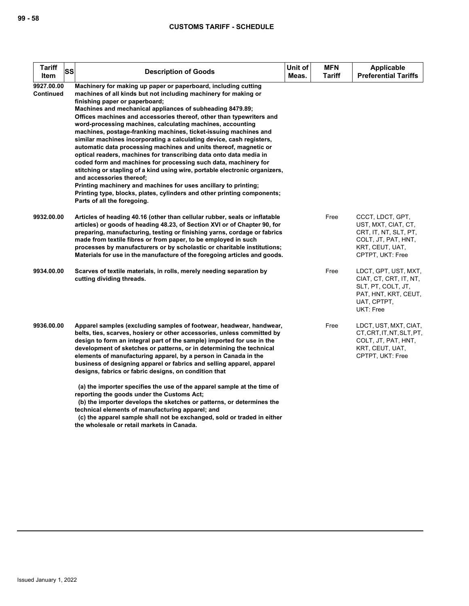| <b>Tariff</b><br><b>SS</b><br>Item | <b>Description of Goods</b>                                                                                                                                                                                                                                                                                                                                                                                                                                                                                                                                                                                                                                                                                                                                                                                                                                                                                                                                                                                              | Unit of<br>Meas. | <b>MFN</b><br>Tariff | <b>Applicable</b><br><b>Preferential Tariffs</b>                                                                               |
|------------------------------------|--------------------------------------------------------------------------------------------------------------------------------------------------------------------------------------------------------------------------------------------------------------------------------------------------------------------------------------------------------------------------------------------------------------------------------------------------------------------------------------------------------------------------------------------------------------------------------------------------------------------------------------------------------------------------------------------------------------------------------------------------------------------------------------------------------------------------------------------------------------------------------------------------------------------------------------------------------------------------------------------------------------------------|------------------|----------------------|--------------------------------------------------------------------------------------------------------------------------------|
| 9927.00.00<br><b>Continued</b>     | Machinery for making up paper or paperboard, including cutting<br>machines of all kinds but not including machinery for making or<br>finishing paper or paperboard;<br>Machines and mechanical appliances of subheading 8479.89;<br>Offices machines and accessories thereof, other than typewriters and<br>word-processing machines, calculating machines, accounting<br>machines, postage-franking machines, ticket-issuing machines and<br>similar machines incorporating a calculating device, cash registers,<br>automatic data processing machines and units thereof, magnetic or<br>optical readers, machines for transcribing data onto data media in<br>coded form and machines for processing such data, machinery for<br>stitching or stapling of a kind using wire, portable electronic organizers,<br>and accessories thereof;<br>Printing machinery and machines for uses ancillary to printing;<br>Printing type, blocks, plates, cylinders and other printing components;<br>Parts of all the foregoing. |                  |                      |                                                                                                                                |
| 9932.00.00                         | Articles of heading 40.16 (other than cellular rubber, seals or inflatable<br>articles) or goods of heading 48.23, of Section XVI or of Chapter 90, for<br>preparing, manufacturing, testing or finishing yarns, cordage or fabrics<br>made from textile fibres or from paper, to be employed in such<br>processes by manufacturers or by scholastic or charitable institutions;<br>Materials for use in the manufacture of the foregoing articles and goods.                                                                                                                                                                                                                                                                                                                                                                                                                                                                                                                                                            |                  | Free                 | CCCT, LDCT, GPT,<br>UST, MXT, CIAT, CT,<br>CRT, IT, NT, SLT, PT,<br>COLT, JT, PAT, HNT,<br>KRT, CEUT, UAT,<br>CPTPT, UKT: Free |
| 9934.00.00                         | Scarves of textile materials, in rolls, merely needing separation by<br>cutting dividing threads.                                                                                                                                                                                                                                                                                                                                                                                                                                                                                                                                                                                                                                                                                                                                                                                                                                                                                                                        |                  | Free                 | LDCT, GPT, UST, MXT,<br>CIAT, CT, CRT, IT, NT,<br>SLT, PT, COLT, JT,<br>PAT, HNT, KRT, CEUT,<br>UAT, CPTPT,<br>UKT: Free       |
| 9936.00.00                         | Apparel samples (excluding samples of footwear, headwear, handwear,<br>belts, ties, scarves, hosiery or other accessories, unless committed by<br>design to form an integral part of the sample) imported for use in the<br>development of sketches or patterns, or in determining the technical<br>elements of manufacturing apparel, by a person in Canada in the<br>business of designing apparel or fabrics and selling apparel, apparel<br>designs, fabrics or fabric designs, on condition that                                                                                                                                                                                                                                                                                                                                                                                                                                                                                                                    |                  | Free                 | LDCT, UST, MXT, CIAT,<br>CT, CRT, IT, NT, SLT, PT,<br>COLT, JT, PAT, HNT,<br>KRT, CEUT, UAT,<br>CPTPT, UKT: Free               |
|                                    | (a) the importer specifies the use of the apparel sample at the time of<br>reporting the goods under the Customs Act;<br>(b) the importer develops the sketches or patterns, or determines the<br>technical elements of manufacturing apparel; and                                                                                                                                                                                                                                                                                                                                                                                                                                                                                                                                                                                                                                                                                                                                                                       |                  |                      |                                                                                                                                |

 **(c) the apparel sample shall not be exchanged, sold or traded in either the wholesale or retail markets in Canada.**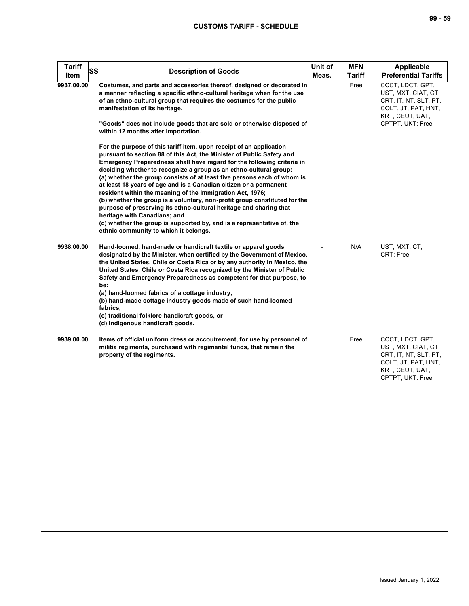| <b>Tariff</b><br>ltem | SS<br><b>Description of Goods</b>                                                                                                                                                                                                                                                                                                                                                                                                                                                                                                                                                                                                                                                                                                                                                                               | Unit of<br>Meas. | <b>MFN</b><br><b>Tariff</b> | <b>Applicable</b><br><b>Preferential Tariffs</b>                                                                               |
|-----------------------|-----------------------------------------------------------------------------------------------------------------------------------------------------------------------------------------------------------------------------------------------------------------------------------------------------------------------------------------------------------------------------------------------------------------------------------------------------------------------------------------------------------------------------------------------------------------------------------------------------------------------------------------------------------------------------------------------------------------------------------------------------------------------------------------------------------------|------------------|-----------------------------|--------------------------------------------------------------------------------------------------------------------------------|
| 9937.00.00            | Costumes, and parts and accessories thereof, designed or decorated in<br>a manner reflecting a specific ethno-cultural heritage when for the use<br>of an ethno-cultural group that requires the costumes for the public<br>manifestation of its heritage.                                                                                                                                                                                                                                                                                                                                                                                                                                                                                                                                                      |                  | Free                        | CCCT, LDCT, GPT,<br>UST, MXT, CIAT, CT,<br>CRT, IT, NT, SLT, PT,<br>COLT, JT, PAT, HNT,<br>KRT, CEUT, UAT,                     |
|                       | "Goods" does not include goods that are sold or otherwise disposed of<br>within 12 months after importation.                                                                                                                                                                                                                                                                                                                                                                                                                                                                                                                                                                                                                                                                                                    |                  |                             | CPTPT, UKT: Free                                                                                                               |
|                       | For the purpose of this tariff item, upon receipt of an application<br>pursuant to section 88 of this Act, the Minister of Public Safety and<br>Emergency Preparedness shall have regard for the following criteria in<br>deciding whether to recognize a group as an ethno-cultural group:<br>(a) whether the group consists of at least five persons each of whom is<br>at least 18 years of age and is a Canadian citizen or a permanent<br>resident within the meaning of the Immigration Act, 1976;<br>(b) whether the group is a voluntary, non-profit group constituted for the<br>purpose of preserving its ethno-cultural heritage and sharing that<br>heritage with Canadians; and<br>(c) whether the group is supported by, and is a representative of, the<br>ethnic community to which it belongs. |                  |                             |                                                                                                                                |
| 9938.00.00            | Hand-loomed, hand-made or handicraft textile or apparel goods<br>designated by the Minister, when certified by the Government of Mexico,<br>the United States, Chile or Costa Rica or by any authority in Mexico, the<br>United States, Chile or Costa Rica recognized by the Minister of Public<br>Safety and Emergency Preparedness as competent for that purpose, to<br>be:<br>(a) hand-loomed fabrics of a cottage industry,<br>(b) hand-made cottage industry goods made of such hand-loomed<br>fabrics.<br>(c) traditional folklore handicraft goods, or<br>(d) indigenous handicraft goods.                                                                                                                                                                                                              |                  | N/A                         | UST, MXT, CT,<br>CRT: Free                                                                                                     |
| 9939.00.00            | Items of official uniform dress or accoutrement, for use by personnel of<br>militia regiments, purchased with regimental funds, that remain the<br>property of the regiments.                                                                                                                                                                                                                                                                                                                                                                                                                                                                                                                                                                                                                                   |                  | Free                        | CCCT, LDCT, GPT,<br>UST, MXT, CIAT, CT,<br>CRT, IT, NT, SLT, PT,<br>COLT, JT, PAT, HNT,<br>KRT, CEUT, UAT,<br>CPTPT, UKT: Free |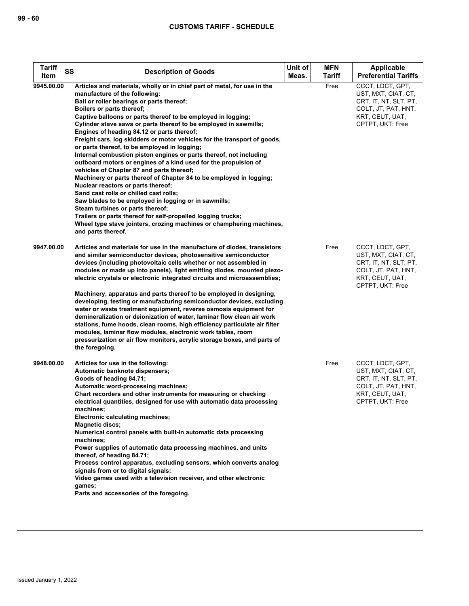| <b>Tariff</b><br>SS<br>Item | <b>Description of Goods</b>                                                                                                                                                                                                                                                                                                                                                                                                                                                                                                                                                                                                                                                                                                                                                                                                                                                                                                                                                                                                                                                                              | Unit of<br>Meas. | <b>MFN</b><br><b>Tariff</b> | <b>Applicable</b><br><b>Preferential Tariffs</b>                                                                               |
|-----------------------------|----------------------------------------------------------------------------------------------------------------------------------------------------------------------------------------------------------------------------------------------------------------------------------------------------------------------------------------------------------------------------------------------------------------------------------------------------------------------------------------------------------------------------------------------------------------------------------------------------------------------------------------------------------------------------------------------------------------------------------------------------------------------------------------------------------------------------------------------------------------------------------------------------------------------------------------------------------------------------------------------------------------------------------------------------------------------------------------------------------|------------------|-----------------------------|--------------------------------------------------------------------------------------------------------------------------------|
| 9945.00.00                  | Articles and materials, wholly or in chief part of metal, for use in the<br>manufacture of the following:<br>Ball or roller bearings or parts thereof;<br>Boilers or parts thereof;<br>Captive balloons or parts thereof to be employed in logging;<br>Cylinder stave saws or parts thereof to be employed in sawmills;<br>Engines of heading 84.12 or parts thereof;<br>Freight cars, log skidders or motor vehicles for the transport of goods,<br>or parts thereof, to be employed in logging;<br>Internal combustion piston engines or parts thereof, not including<br>outboard motors or engines of a kind used for the propulsion of<br>vehicles of Chapter 87 and parts thereof;<br>Machinery or parts thereof of Chapter 84 to be employed in logging;<br>Nuclear reactors or parts thereof;<br>Sand cast rolls or chilled cast rolls;<br>Saw blades to be employed in logging or in sawmills;<br>Steam turbines or parts thereof;<br>Trailers or parts thereof for self-propelled logging trucks;<br>Wheel type stave jointers, crozing machines or champhering machines,<br>and parts thereof. |                  | Free                        | CCCT, LDCT, GPT,<br>UST, MXT, CIAT, CT,<br>CRT, IT, NT, SLT, PT,<br>COLT, JT, PAT, HNT,<br>KRT, CEUT, UAT,<br>CPTPT, UKT: Free |
| 9947.00.00                  | Articles and materials for use in the manufacture of diodes, transistors<br>and similar semiconductor devices, photosensitive semiconductor<br>devices (including photovoltaic cells whether or not assembled in<br>modules or made up into panels), light emitting diodes, mounted piezo-<br>electric crystals or electronic integrated circuits and microassemblies;<br>Machinery, apparatus and parts thereof to be employed in designing,<br>developing, testing or manufacturing semiconductor devices, excluding<br>water or waste treatment equipment, reverse osmosis equipment for<br>demineralization or deionization of water, laminar flow clean air work<br>stations, fume hoods, clean rooms, high efficiency particulate air filter<br>modules, laminar flow modules, electronic work tables, room<br>pressurization or air flow monitors, acrylic storage boxes, and parts of<br>the foregoing.                                                                                                                                                                                          |                  | Free                        | CCCT, LDCT, GPT,<br>UST, MXT, CIAT, CT,<br>CRT, IT, NT, SLT, PT,<br>COLT, JT, PAT, HNT,<br>KRT, CEUT, UAT,<br>CPTPT, UKT: Free |
| 9948.00.00                  | Articles for use in the following:<br>Automatic banknote dispensers;<br>Goods of heading 84.71;<br>Automatic word-processing machines;<br>Chart recorders and other instruments for measuring or checking<br>electrical quantities, designed for use with automatic data processing<br>machines;<br>Electronic calculating machines;<br><b>Magnetic discs:</b><br>Numerical control panels with built-in automatic data processing<br>machines;<br>Power supplies of automatic data processing machines, and units<br>thereof, of heading 84.71;<br>Process control apparatus, excluding sensors, which converts analog<br>signals from or to digital signals;<br>Video games used with a television receiver, and other electronic<br>games;<br>Parts and accessories of the foregoing.                                                                                                                                                                                                                                                                                                                 |                  | Free                        | CCCT, LDCT, GPT,<br>UST, MXT, CIAT, CT,<br>CRT, IT, NT, SLT, PT,<br>COLT, JT, PAT, HNT,<br>KRT, CEUT, UAT,<br>CPTPT, UKT: Free |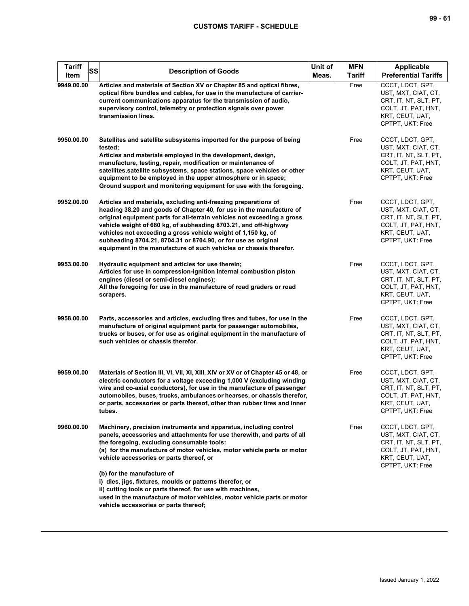| Tariff<br>SS<br>Item | <b>Description of Goods</b>                                                                                                                                                                                                                                                                                                                                                                                                                                                                     | Unit of<br>Meas. | <b>MFN</b><br><b>Tariff</b> | Applicable<br><b>Preferential Tariffs</b>                                                                                      |
|----------------------|-------------------------------------------------------------------------------------------------------------------------------------------------------------------------------------------------------------------------------------------------------------------------------------------------------------------------------------------------------------------------------------------------------------------------------------------------------------------------------------------------|------------------|-----------------------------|--------------------------------------------------------------------------------------------------------------------------------|
| 9949.00.00           | Articles and materials of Section XV or Chapter 85 and optical fibres,<br>optical fibre bundles and cables, for use in the manufacture of carrier-<br>current communications apparatus for the transmission of audio,<br>supervisory control, telemetry or protection signals over power<br>transmission lines.                                                                                                                                                                                 |                  | Free                        | CCCT, LDCT, GPT,<br>UST, MXT, CIAT, CT,<br>CRT, IT, NT, SLT, PT,<br>COLT, JT, PAT, HNT,<br>KRT, CEUT, UAT,<br>CPTPT, UKT: Free |
| 9950.00.00           | Satellites and satellite subsystems imported for the purpose of being<br>tested;<br>Articles and materials employed in the development, design,<br>manufacture, testing, repair, modification or maintenance of<br>satellites, satellite subsystems, space stations, space vehicles or other<br>equipment to be employed in the upper atmosphere or in space;<br>Ground support and monitoring equipment for use with the foregoing.                                                            |                  | Free                        | CCCT, LDCT, GPT,<br>UST, MXT, CIAT, CT,<br>CRT, IT, NT, SLT, PT,<br>COLT, JT, PAT, HNT,<br>KRT, CEUT, UAT,<br>CPTPT, UKT: Free |
| 9952.00.00           | Articles and materials, excluding anti-freezing preparations of<br>heading 38.20 and goods of Chapter 40, for use in the manufacture of<br>original equipment parts for all-terrain vehicles not exceeding a gross<br>vehicle weight of 680 kg, of subheading 8703.21, and off-highway<br>vehicles not exceeding a gross vehicle weight of 1,150 kg, of<br>subheading 8704.21, 8704.31 or 8704.90, or for use as original<br>equipment in the manufacture of such vehicles or chassis therefor. |                  | Free                        | CCCT, LDCT, GPT,<br>UST, MXT, CIAT, CT,<br>CRT, IT, NT, SLT, PT,<br>COLT, JT, PAT, HNT,<br>KRT, CEUT, UAT,<br>CPTPT, UKT: Free |
| 9953.00.00           | Hydraulic equipment and articles for use therein;<br>Articles for use in compression-ignition internal combustion piston<br>engines (diesel or semi-diesel engines);<br>All the foregoing for use in the manufacture of road graders or road<br>scrapers.                                                                                                                                                                                                                                       |                  | Free                        | CCCT, LDCT, GPT,<br>UST, MXT, CIAT, CT,<br>CRT, IT, NT, SLT, PT,<br>COLT, JT, PAT, HNT,<br>KRT, CEUT, UAT,<br>CPTPT, UKT: Free |
| 9958.00.00           | Parts, accessories and articles, excluding tires and tubes, for use in the<br>manufacture of original equipment parts for passenger automobiles,<br>trucks or buses, or for use as original equipment in the manufacture of<br>such vehicles or chassis therefor.                                                                                                                                                                                                                               |                  | Free                        | CCCT, LDCT, GPT,<br>UST, MXT, CIAT, CT,<br>CRT, IT, NT, SLT, PT,<br>COLT, JT, PAT, HNT,<br>KRT, CEUT, UAT,<br>CPTPT, UKT: Free |
| 9959.00.00           | Materials of Section III, VI, VII, XI, XIII, XIV or XV or of Chapter 45 or 48, or<br>electric conductors for a voltage exceeding 1,000 V (excluding winding<br>wire and co-axial conductors), for use in the manufacture of passenger<br>automobiles, buses, trucks, ambulances or hearses, or chassis therefor,<br>or parts, accessories or parts thereof, other than rubber tires and inner<br>tubes.                                                                                         |                  | Free                        | CCCT, LDCT, GPT,<br>UST, MXT, CIAT, CT,<br>CRT, IT, NT, SLT, PT,<br>COLT, JT, PAT, HNT,<br>KRT, CEUT, UAT,<br>CPTPT, UKT: Free |
| 9960.00.00           | Machinery, precision instruments and apparatus, including control<br>panels, accessories and attachments for use therewith, and parts of all<br>the foregoing, excluding consumable tools:<br>(a) for the manufacture of motor vehicles, motor vehicle parts or motor<br>vehicle accessories or parts thereof, or                                                                                                                                                                               |                  | Free                        | CCCT, LDCT, GPT,<br>UST, MXT, CIAT, CT,<br>CRT, IT, NT, SLT, PT,<br>COLT, JT, PAT, HNT,<br>KRT, CEUT, UAT,<br>CPTPT, UKT: Free |
|                      | (b) for the manufacture of<br>i) dies, jigs, fixtures, moulds or patterns therefor, or<br>ii) cutting tools or parts thereof, for use with machines,<br>used in the manufacture of motor vehicles, motor vehicle parts or motor<br>vehicle accessories or parts thereof;                                                                                                                                                                                                                        |                  |                             |                                                                                                                                |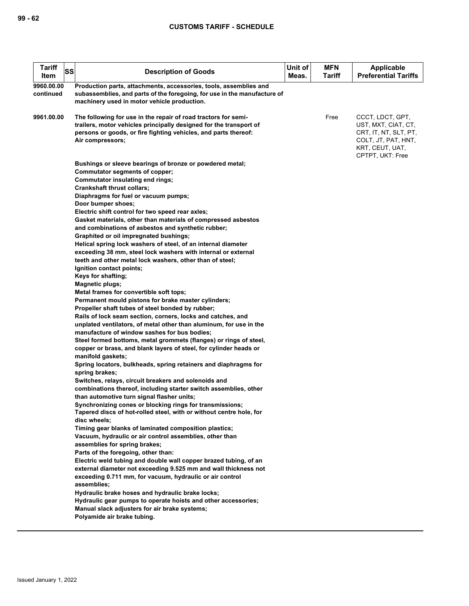| <b>Tariff</b><br>SS<br>Item | <b>Description of Goods</b>                                                                                                                                                                                                                                                                                                                                                                                                                                                                                                                                                                                                                                                                                                                                                                                                                                                                                                                                                                                                                                                                                                                                                                                                                                                                                                                                                                                                                                                                                                                                                                                                                                                                                                                                                                                                                                                                                                                                                                                                                                                | Unit of<br>Meas. | <b>MFN</b><br>Tariff | Applicable<br><b>Preferential Tariffs</b>                                                                                      |
|-----------------------------|----------------------------------------------------------------------------------------------------------------------------------------------------------------------------------------------------------------------------------------------------------------------------------------------------------------------------------------------------------------------------------------------------------------------------------------------------------------------------------------------------------------------------------------------------------------------------------------------------------------------------------------------------------------------------------------------------------------------------------------------------------------------------------------------------------------------------------------------------------------------------------------------------------------------------------------------------------------------------------------------------------------------------------------------------------------------------------------------------------------------------------------------------------------------------------------------------------------------------------------------------------------------------------------------------------------------------------------------------------------------------------------------------------------------------------------------------------------------------------------------------------------------------------------------------------------------------------------------------------------------------------------------------------------------------------------------------------------------------------------------------------------------------------------------------------------------------------------------------------------------------------------------------------------------------------------------------------------------------------------------------------------------------------------------------------------------------|------------------|----------------------|--------------------------------------------------------------------------------------------------------------------------------|
| 9960.00.00<br>continued     | Production parts, attachments, accessories, tools, assemblies and<br>subassemblies, and parts of the foregoing, for use in the manufacture of<br>machinery used in motor vehicle production.                                                                                                                                                                                                                                                                                                                                                                                                                                                                                                                                                                                                                                                                                                                                                                                                                                                                                                                                                                                                                                                                                                                                                                                                                                                                                                                                                                                                                                                                                                                                                                                                                                                                                                                                                                                                                                                                               |                  |                      |                                                                                                                                |
| 9961.00.00                  | The following for use in the repair of road tractors for semi-<br>trailers, motor vehicles principally designed for the transport of<br>persons or goods, or fire fighting vehicles, and parts thereof:<br>Air compressors;                                                                                                                                                                                                                                                                                                                                                                                                                                                                                                                                                                                                                                                                                                                                                                                                                                                                                                                                                                                                                                                                                                                                                                                                                                                                                                                                                                                                                                                                                                                                                                                                                                                                                                                                                                                                                                                |                  | Free                 | CCCT, LDCT, GPT,<br>UST, MXT, CIAT, CT,<br>CRT, IT, NT, SLT, PT,<br>COLT, JT, PAT, HNT,<br>KRT, CEUT, UAT,<br>CPTPT, UKT: Free |
|                             | Bushings or sleeve bearings of bronze or powdered metal;<br>Commutator segments of copper;<br>Commutator insulating end rings;<br><b>Crankshaft thrust collars;</b><br>Diaphragms for fuel or vacuum pumps;<br>Door bumper shoes;<br>Electric shift control for two speed rear axles;<br>Gasket materials, other than materials of compressed asbestos<br>and combinations of asbestos and synthetic rubber;<br>Graphited or oil impregnated bushings;<br>Helical spring lock washers of steel, of an internal diameter<br>exceeding 38 mm, steel lock washers with internal or external<br>teeth and other metal lock washers, other than of steel;<br>Ignition contact points;<br>Keys for shafting;<br><b>Magnetic plugs;</b><br>Metal frames for convertible soft tops;<br>Permanent mould pistons for brake master cylinders;<br>Propeller shaft tubes of steel bonded by rubber;<br>Rails of lock seam section, corners, locks and catches, and<br>unplated ventilators, of metal other than aluminum, for use in the<br>manufacture of window sashes for bus bodies;<br>Steel formed bottoms, metal grommets (flanges) or rings of steel,<br>copper or brass, and blank layers of steel, for cylinder heads or<br>manifold gaskets;<br>Spring locators, bulkheads, spring retainers and diaphragms for<br>spring brakes;<br>Switches, relays, circuit breakers and solenoids and<br>combinations thereof, including starter switch assemblies, other<br>than automotive turn signal flasher units;<br>Synchronizing cones or blocking rings for transmissions;<br>Tapered discs of hot-rolled steel, with or without centre hole, for<br>disc wheels;<br>Timing gear blanks of laminated composition plastics;<br>Vacuum, hydraulic or air control assemblies, other than<br>assemblies for spring brakes;<br>Parts of the foregoing, other than:<br>Electric weld tubing and double wall copper brazed tubing, of an<br>external diameter not exceeding 9.525 mm and wall thickness not<br>exceeding 0.711 mm, for vacuum, hydraulic or air control<br>assemblies; |                  |                      |                                                                                                                                |
|                             | Hydraulic brake hoses and hydraulic brake locks;<br>Hydraulic gear pumps to operate hoists and other accessories;<br>Manual slack adjusters for air brake systems;<br>Polyamide air brake tubing.                                                                                                                                                                                                                                                                                                                                                                                                                                                                                                                                                                                                                                                                                                                                                                                                                                                                                                                                                                                                                                                                                                                                                                                                                                                                                                                                                                                                                                                                                                                                                                                                                                                                                                                                                                                                                                                                          |                  |                      |                                                                                                                                |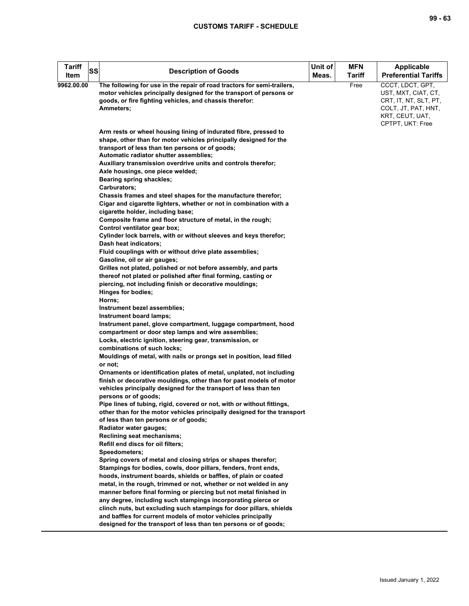**9962.00.00** 

**Tariff** 

| Tariff<br>ltem | <b>SS</b> | <b>Description of Goods</b>                                                                                                                                                                                            | Unit of<br>Meas. | <b>MFN</b><br>Tariff | <b>Applicable</b><br><b>Preferential Tariffs</b>                                                                               |
|----------------|-----------|------------------------------------------------------------------------------------------------------------------------------------------------------------------------------------------------------------------------|------------------|----------------------|--------------------------------------------------------------------------------------------------------------------------------|
| 62.00.00       |           | The following for use in the repair of road tractors for semi-trailers,<br>motor vehicles principally designed for the transport of persons or<br>goods, or fire fighting vehicles, and chassis therefor:<br>Ammeters; |                  | Free                 | CCCT, LDCT, GPT,<br>UST, MXT, CIAT, CT,<br>CRT, IT, NT, SLT, PT,<br>COLT, JT, PAT, HNT,<br>KRT, CEUT, UAT,<br>CPTPT, UKT: Free |
|                |           | Arm rests or wheel housing lining of indurated fibre, pressed to<br>shape, other than for motor vehicles principally designed for the                                                                                  |                  |                      |                                                                                                                                |
|                |           | transport of less than ten persons or of goods;<br>Automatic radiator shutter assemblies;<br>Auxiliary transmission overdrive units and controls therefor;                                                             |                  |                      |                                                                                                                                |
|                |           | Axle housings, one piece welded;<br>Bearing spring shackles;                                                                                                                                                           |                  |                      |                                                                                                                                |
|                |           | Carburators;<br>Chassis frames and steel shapes for the manufacture therefor;                                                                                                                                          |                  |                      |                                                                                                                                |
|                |           | Cigar and cigarette lighters, whether or not in combination with a<br>cigarette holder, including base;<br>Composite frame and floor structure of metal, in the rough;                                                 |                  |                      |                                                                                                                                |
|                |           | Control ventilator gear box;<br>Cylinder lock barrels, with or without sleeves and keys therefor;<br>Dash heat indicators:                                                                                             |                  |                      |                                                                                                                                |
|                |           | Fluid couplings with or without drive plate assemblies;<br>Gasoline, oil or air gauges;                                                                                                                                |                  |                      |                                                                                                                                |
|                |           | Grilles not plated, polished or not before assembly, and parts<br>thereof not plated or polished after final forming, casting or<br>piercing, not including finish or decorative mouldings;                            |                  |                      |                                                                                                                                |
|                |           | Hinges for bodies;<br>Horns;                                                                                                                                                                                           |                  |                      |                                                                                                                                |
|                |           | Instrument bezel assemblies;<br>Instrument board lamps;<br>Instrument panel, glove compartment, luggage compartment, hood                                                                                              |                  |                      |                                                                                                                                |
|                |           | compartment or door step lamps and wire assemblies;<br>Locks, electric ignition, steering gear, transmission, or                                                                                                       |                  |                      |                                                                                                                                |
|                |           | combinations of such locks;<br>Mouldings of metal, with nails or prongs set in position, lead filled                                                                                                                   |                  |                      |                                                                                                                                |
|                |           | or not;<br>Ornaments or identification plates of metal, unplated, not including<br>finish or decorative mouldings, other than for past models of motor                                                                 |                  |                      |                                                                                                                                |
|                |           | vehicles principally designed for the transport of less than ten<br>persons or of goods;                                                                                                                               |                  |                      |                                                                                                                                |
|                |           | Pipe lines of tubing, rigid, covered or not, with or without fittings,<br>other than for the motor vehicles principally designed for the transport<br>of less than ten persons or of goods;                            |                  |                      |                                                                                                                                |
|                |           | Radiator water gauges;<br>Reclining seat mechanisms;                                                                                                                                                                   |                  |                      |                                                                                                                                |
|                |           | Refill end discs for oil filters;<br>Speedometers;                                                                                                                                                                     |                  |                      |                                                                                                                                |
|                |           | Spring covers of metal and closing strips or shapes therefor;<br>Stampings for bodies, cowls, door pillars, fenders, front ends,                                                                                       |                  |                      |                                                                                                                                |
|                |           | hoods, instrument boards, shields or baffles, of plain or coated<br>metal, in the rough, trimmed or not, whether or not welded in any<br>manner before final forming or piercing but not metal finished in             |                  |                      |                                                                                                                                |
|                |           | any degree, including such stampings incorporating pierce or<br>clinch nuts, but excluding such stampings for door pillars, shields                                                                                    |                  |                      |                                                                                                                                |
|                |           | and baffles for current models of motor vehicles principally<br>designed for the transport of less than ten persons or of goods;                                                                                       |                  |                      |                                                                                                                                |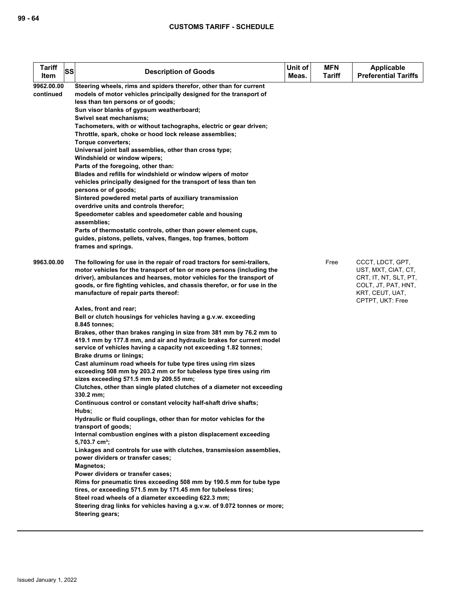| <b>Tariff</b><br>SS<br>Item | <b>Description of Goods</b>                                                                                                                                                                                                                                                                                                                                                                                                                                                                                                                                                                                                                                                                                                                                                                                                                                                                                                                                                                                                                                                                                                                                                                                                                                                                                                                                                                                                                                                                                                                                                                                                                                                                                             | Unit of<br>Meas. | <b>MFN</b><br>Tariff | <b>Applicable</b><br><b>Preferential Tariffs</b>                                                                               |
|-----------------------------|-------------------------------------------------------------------------------------------------------------------------------------------------------------------------------------------------------------------------------------------------------------------------------------------------------------------------------------------------------------------------------------------------------------------------------------------------------------------------------------------------------------------------------------------------------------------------------------------------------------------------------------------------------------------------------------------------------------------------------------------------------------------------------------------------------------------------------------------------------------------------------------------------------------------------------------------------------------------------------------------------------------------------------------------------------------------------------------------------------------------------------------------------------------------------------------------------------------------------------------------------------------------------------------------------------------------------------------------------------------------------------------------------------------------------------------------------------------------------------------------------------------------------------------------------------------------------------------------------------------------------------------------------------------------------------------------------------------------------|------------------|----------------------|--------------------------------------------------------------------------------------------------------------------------------|
| 9962.00.00<br>continued     | Steering wheels, rims and spiders therefor, other than for current<br>models of motor vehicles principally designed for the transport of<br>less than ten persons or of goods;<br>Sun visor blanks of gypsum weatherboard;<br>Swivel seat mechanisms;<br>Tachometers, with or without tachographs, electric or gear driven;<br>Throttle, spark, choke or hood lock release assemblies;<br>Torque converters;<br>Universal joint ball assemblies, other than cross type;<br>Windshield or window wipers;<br>Parts of the foregoing, other than:<br>Blades and refills for windshield or window wipers of motor<br>vehicles principally designed for the transport of less than ten<br>persons or of goods;<br>Sintered powdered metal parts of auxiliary transmission<br>overdrive units and controls therefor;<br>Speedometer cables and speedometer cable and housing<br>assemblies;<br>Parts of thermostatic controls, other than power element cups,<br>guides, pistons, pellets, valves, flanges, top frames, bottom<br>frames and springs.                                                                                                                                                                                                                                                                                                                                                                                                                                                                                                                                                                                                                                                                         |                  |                      |                                                                                                                                |
| 9963.00.00                  | The following for use in the repair of road tractors for semi-trailers,<br>motor vehicles for the transport of ten or more persons (including the<br>driver), ambulances and hearses, motor vehicles for the transport of<br>goods, or fire fighting vehicles, and chassis therefor, or for use in the<br>manufacture of repair parts thereof:<br>Axles, front and rear;<br>Bell or clutch housings for vehicles having a g.v.w. exceeding<br>8.845 tonnes;<br>Brakes, other than brakes ranging in size from 381 mm by 76.2 mm to<br>419.1 mm by 177.8 mm, and air and hydraulic brakes for current model<br>service of vehicles having a capacity not exceeding 1.82 tonnes;<br><b>Brake drums or linings;</b><br>Cast aluminum road wheels for tube type tires using rim sizes<br>exceeding 508 mm by 203.2 mm or for tubeless type tires using rim<br>sizes exceeding 571.5 mm by 209.55 mm;<br>Clutches, other than single plated clutches of a diameter not exceeding<br>330.2 mm;<br>Continuous control or constant velocity half-shaft drive shafts;<br>Hubs;<br>Hydraulic or fluid couplings, other than for motor vehicles for the<br>transport of goods;<br>Internal combustion engines with a piston displacement exceeding<br>5,703.7 cm <sup>3</sup> ;<br>Linkages and controls for use with clutches, transmission assemblies,<br>power dividers or transfer cases;<br><b>Magnetos;</b><br>Power dividers or transfer cases;<br>Rims for pneumatic tires exceeding 508 mm by 190.5 mm for tube type<br>tires, or exceeding 571.5 mm by 171.45 mm for tubeless tires;<br>Steel road wheels of a diameter exceeding 622.3 mm;<br>Steering drag links for vehicles having a g.v.w. of 9.072 tonnes or more; |                  | Free                 | CCCT, LDCT, GPT,<br>UST, MXT, CIAT, CT,<br>CRT, IT, NT, SLT, PT,<br>COLT, JT, PAT, HNT,<br>KRT, CEUT, UAT,<br>CPTPT, UKT: Free |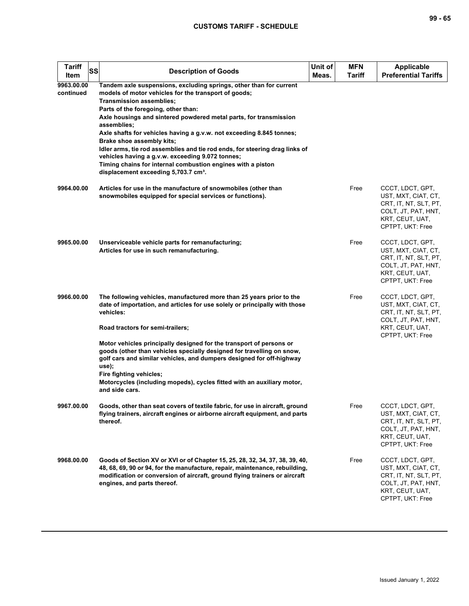| ×<br>۰.<br>۰. |  | ۰.<br>۰. |
|---------------|--|----------|
|---------------|--|----------|

| <b>Tariff</b><br>SS<br>Item | <b>Description of Goods</b>                                                                                                                                                                                                                                                                                                                                                                                                                                                                                                                                                                                                                         | Unit of<br>Meas. | <b>MFN</b><br><b>Tariff</b> | <b>Applicable</b><br><b>Preferential Tariffs</b>                                                                               |
|-----------------------------|-----------------------------------------------------------------------------------------------------------------------------------------------------------------------------------------------------------------------------------------------------------------------------------------------------------------------------------------------------------------------------------------------------------------------------------------------------------------------------------------------------------------------------------------------------------------------------------------------------------------------------------------------------|------------------|-----------------------------|--------------------------------------------------------------------------------------------------------------------------------|
| 9963.00.00<br>continued     | Tandem axle suspensions, excluding springs, other than for current<br>models of motor vehicles for the transport of goods;<br><b>Transmission assemblies;</b><br>Parts of the foregoing, other than:<br>Axle housings and sintered powdered metal parts, for transmission<br>assemblies;<br>Axle shafts for vehicles having a g.v.w. not exceeding 8.845 tonnes;<br>Brake shoe assembly kits;<br>Idler arms, tie rod assemblies and tie rod ends, for steering drag links of<br>vehicles having a g.v.w. exceeding 9.072 tonnes;<br>Timing chains for internal combustion engines with a piston<br>displacement exceeding 5,703.7 cm <sup>3</sup> . |                  |                             |                                                                                                                                |
| 9964.00.00                  | Articles for use in the manufacture of snowmobiles (other than<br>snowmobiles equipped for special services or functions).                                                                                                                                                                                                                                                                                                                                                                                                                                                                                                                          |                  | Free                        | CCCT, LDCT, GPT,<br>UST, MXT, CIAT, CT,<br>CRT, IT, NT, SLT, PT,<br>COLT, JT, PAT, HNT,<br>KRT, CEUT, UAT,<br>CPTPT, UKT: Free |
| 9965.00.00                  | Unserviceable vehicle parts for remanufacturing;<br>Articles for use in such remanufacturing.                                                                                                                                                                                                                                                                                                                                                                                                                                                                                                                                                       |                  | Free                        | CCCT, LDCT, GPT,<br>UST, MXT, CIAT, CT,<br>CRT, IT, NT, SLT, PT,<br>COLT, JT, PAT, HNT,<br>KRT, CEUT, UAT,<br>CPTPT, UKT: Free |
| 9966.00.00                  | The following vehicles, manufactured more than 25 years prior to the<br>date of importation, and articles for use solely or principally with those<br>vehicles:<br>Road tractors for semi-trailers;                                                                                                                                                                                                                                                                                                                                                                                                                                                 |                  | Free                        | CCCT, LDCT, GPT,<br>UST, MXT, CIAT, CT,<br>CRT, IT, NT, SLT, PT,<br>COLT, JT, PAT, HNT,<br>KRT, CEUT, UAT,                     |
|                             | Motor vehicles principally designed for the transport of persons or<br>goods (other than vehicles specially designed for travelling on snow,<br>golf cars and similar vehicles, and dumpers designed for off-highway<br>use);<br>Fire fighting vehicles;<br>Motorcycles (including mopeds), cycles fitted with an auxiliary motor,<br>and side cars.                                                                                                                                                                                                                                                                                                |                  |                             | CPTPT, UKT: Free                                                                                                               |
| 9967.00.00                  | Goods, other than seat covers of textile fabric, for use in aircraft, ground<br>flying trainers, aircraft engines or airborne aircraft equipment, and parts<br>thereof.                                                                                                                                                                                                                                                                                                                                                                                                                                                                             |                  | Free                        | CCCT, LDCT, GPT,<br>UST, MXT, CIAT, CT,<br>CRT, IT, NT, SLT, PT,<br>COLT, JT, PAT, HNT,<br>KRT, CEUT, UAT,<br>CPTPT, UKT: Free |
| 9968.00.00                  | Goods of Section XV or XVI or of Chapter 15, 25, 28, 32, 34, 37, 38, 39, 40,<br>48, 68, 69, 90 or 94, for the manufacture, repair, maintenance, rebuilding,<br>modification or conversion of aircraft, ground flying trainers or aircraft<br>engines, and parts thereof.                                                                                                                                                                                                                                                                                                                                                                            |                  | Free                        | CCCT, LDCT, GPT,<br>UST, MXT, CIAT, CT,<br>CRT, IT, NT, SLT, PT,<br>COLT, JT, PAT, HNT,<br>KRT, CEUT, UAT,<br>CPTPT, UKT: Free |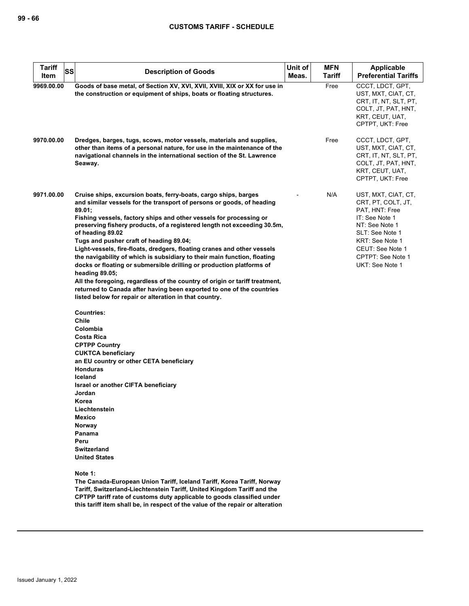| <b>Tariff</b><br><b>SS</b><br>Item | <b>Description of Goods</b>                                                                                                                                                                                                                                                                                                                       | Unit of<br>Meas. | <b>MFN</b><br>Tariff | <b>Applicable</b><br><b>Preferential Tariffs</b>                                                                               |
|------------------------------------|---------------------------------------------------------------------------------------------------------------------------------------------------------------------------------------------------------------------------------------------------------------------------------------------------------------------------------------------------|------------------|----------------------|--------------------------------------------------------------------------------------------------------------------------------|
|                                    |                                                                                                                                                                                                                                                                                                                                                   |                  |                      |                                                                                                                                |
| 9969.00.00                         | Goods of base metal, of Section XV, XVI, XVII, XVIII, XIX or XX for use in<br>the construction or equipment of ships, boats or floating structures.                                                                                                                                                                                               |                  | Free                 | CCCT, LDCT, GPT,<br>UST, MXT, CIAT, CT,<br>CRT, IT, NT, SLT, PT,<br>COLT, JT, PAT, HNT,<br>KRT, CEUT, UAT,<br>CPTPT, UKT: Free |
| 9970.00.00                         | Dredges, barges, tugs, scows, motor vessels, materials and supplies,<br>other than items of a personal nature, for use in the maintenance of the<br>navigational channels in the international section of the St. Lawrence<br>Seaway.                                                                                                             |                  | Free                 | CCCT, LDCT, GPT,<br>UST, MXT, CIAT, CT,<br>CRT, IT, NT, SLT, PT,<br>COLT, JT, PAT, HNT,<br>KRT, CEUT, UAT,<br>CPTPT, UKT: Free |
| 9971.00.00                         | Cruise ships, excursion boats, ferry-boats, cargo ships, barges<br>and similar vessels for the transport of persons or goods, of heading<br>89.01;<br>Fishing vessels, factory ships and other vessels for processing or<br>preserving fishery products, of a registered length not exceeding 30.5m,<br>of heading 89.02                          |                  | N/A                  | UST, MXT, CIAT, CT,<br>CRT, PT, COLT, JT,<br>PAT, HNT: Free<br>IT: See Note 1<br>NT: See Note 1<br>SLT: See Note 1             |
|                                    | Tugs and pusher craft of heading 89.04;                                                                                                                                                                                                                                                                                                           |                  |                      | KRT: See Note 1                                                                                                                |
|                                    | Light-vessels, fire-floats, dredgers, floating cranes and other vessels                                                                                                                                                                                                                                                                           |                  |                      | CEUT: See Note 1                                                                                                               |
|                                    | the navigability of which is subsidiary to their main function, floating                                                                                                                                                                                                                                                                          |                  |                      | CPTPT: See Note 1                                                                                                              |
|                                    | docks or floating or submersible drilling or production platforms of                                                                                                                                                                                                                                                                              |                  |                      | UKT: See Note 1                                                                                                                |
|                                    | heading 89.05;                                                                                                                                                                                                                                                                                                                                    |                  |                      |                                                                                                                                |
|                                    | All the foregoing, regardless of the country of origin or tariff treatment,<br>returned to Canada after having been exported to one of the countries<br>listed below for repair or alteration in that country.                                                                                                                                    |                  |                      |                                                                                                                                |
|                                    | <b>Countries:</b><br>Chile<br>Colombia<br><b>Costa Rica</b><br><b>CPTPP Country</b><br><b>CUKTCA beneficiary</b><br>an EU country or other CETA beneficiary<br><b>Honduras</b><br>Iceland<br>Israel or another CIFTA beneficiary<br>Jordan<br>Korea<br>Liechtenstein<br>Mexico<br>Norway<br>Panama<br>Peru<br>Switzerland<br><b>United States</b> |                  |                      |                                                                                                                                |
|                                    | Note 1:<br>The Canada-European Union Tariff, Iceland Tariff, Korea Tariff, Norway<br>Tariff, Switzerland-Liechtenstein Tariff, United Kingdom Tariff and the<br>CPTPP tariff rate of customs duty applicable to goods classified under<br>this tariff item shall be, in respect of the value of the repair or alteration                          |                  |                      |                                                                                                                                |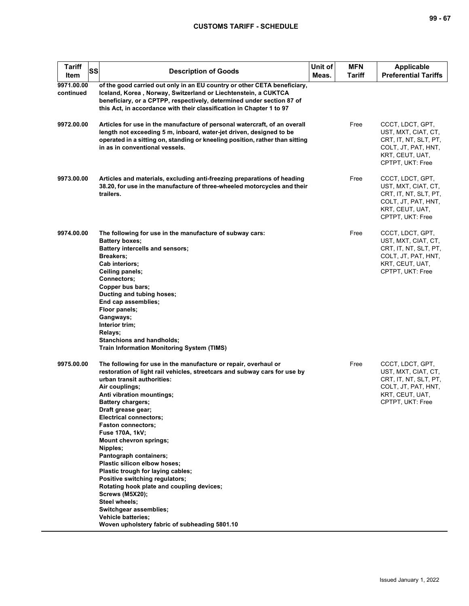| <b>Tariff</b><br><b>SS</b><br>Item | <b>Description of Goods</b>                                                                                                                                                                                                                                                                                                                                                                                                                                                                                                                                                                                                                                                                                                                       | Unit of<br>Meas. | <b>MFN</b><br><b>Tariff</b> | <b>Applicable</b><br><b>Preferential Tariffs</b>                                                                               |
|------------------------------------|---------------------------------------------------------------------------------------------------------------------------------------------------------------------------------------------------------------------------------------------------------------------------------------------------------------------------------------------------------------------------------------------------------------------------------------------------------------------------------------------------------------------------------------------------------------------------------------------------------------------------------------------------------------------------------------------------------------------------------------------------|------------------|-----------------------------|--------------------------------------------------------------------------------------------------------------------------------|
| 9971.00.00<br>continued            | of the good carried out only in an EU country or other CETA beneficiary,<br>Iceland, Korea, Norway, Switzerland or Liechtenstein, a CUKTCA<br>beneficiary, or a CPTPP, respectively, determined under section 87 of<br>this Act, in accordance with their classification in Chapter 1 to 97                                                                                                                                                                                                                                                                                                                                                                                                                                                       |                  |                             |                                                                                                                                |
| 9972.00.00                         | Articles for use in the manufacture of personal watercraft, of an overall<br>length not exceeding 5 m, inboard, water-jet driven, designed to be<br>operated in a sitting on, standing or kneeling position, rather than sitting<br>in as in conventional vessels.                                                                                                                                                                                                                                                                                                                                                                                                                                                                                |                  | Free                        | CCCT, LDCT, GPT,<br>UST, MXT, CIAT, CT,<br>CRT, IT, NT, SLT, PT,<br>COLT, JT, PAT, HNT,<br>KRT, CEUT, UAT,<br>CPTPT, UKT: Free |
| 9973.00.00                         | Articles and materials, excluding anti-freezing preparations of heading<br>38.20, for use in the manufacture of three-wheeled motorcycles and their<br>trailers.                                                                                                                                                                                                                                                                                                                                                                                                                                                                                                                                                                                  |                  | Free                        | CCCT, LDCT, GPT,<br>UST, MXT, CIAT, CT,<br>CRT, IT, NT, SLT, PT,<br>COLT, JT, PAT, HNT,<br>KRT, CEUT, UAT,<br>CPTPT, UKT: Free |
| 9974.00.00                         | The following for use in the manufacture of subway cars:<br>Battery boxes;<br>Battery intercells and sensors;<br>Breakers;<br>Cab interiors;<br>Ceiling panels;<br><b>Connectors:</b><br>Copper bus bars;<br>Ducting and tubing hoses;<br>End cap assemblies;<br>Floor panels;<br>Gangways;<br>Interior trim;<br>Relays;<br><b>Stanchions and handholds;</b><br><b>Train Information Monitoring System (TIMS)</b>                                                                                                                                                                                                                                                                                                                                 |                  | Free                        | CCCT, LDCT, GPT,<br>UST, MXT, CIAT, CT,<br>CRT, IT, NT, SLT, PT,<br>COLT, JT, PAT, HNT,<br>KRT, CEUT, UAT,<br>CPTPT, UKT: Free |
| 9975.00.00                         | The following for use in the manufacture or repair, overhaul or<br>restoration of light rail vehicles, streetcars and subway cars for use by<br>urban transit authorities:<br>Air couplings;<br>Anti vibration mountings;<br><b>Battery chargers;</b><br>Draft grease gear;<br><b>Electrical connectors;</b><br><b>Faston connectors:</b><br>Fuse 170A, 1kV;<br><b>Mount chevron springs;</b><br>Nipples;<br><b>Pantograph containers:</b><br>Plastic silicon elbow hoses;<br>Plastic trough for laying cables;<br>Positive switching regulators;<br>Rotating hook plate and coupling devices;<br><b>Screws (M5X20);</b><br>Steel wheels;<br>Switchgear assemblies;<br><b>Vehicle batteries;</b><br>Woven upholstery fabric of subheading 5801.10 |                  | Free                        | CCCT, LDCT, GPT,<br>UST, MXT, CIAT, CT,<br>CRT, IT, NT, SLT, PT,<br>COLT, JT, PAT, HNT,<br>KRT, CEUT, UAT,<br>CPTPT, UKT: Free |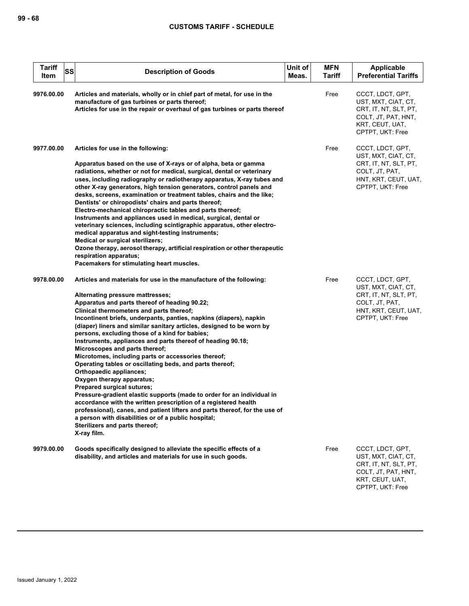| <b>Tariff</b><br>SS<br>Item | <b>Description of Goods</b>                                                                                                                                                                                                                                                                                                                                                                                                                                                                                                                                                                                                                                                                                                                                                                                                                                                                                                                                                                                                                         | Unit of<br>Meas. | <b>MFN</b><br><b>Tariff</b> | Applicable<br><b>Preferential Tariffs</b>                                                                                      |
|-----------------------------|-----------------------------------------------------------------------------------------------------------------------------------------------------------------------------------------------------------------------------------------------------------------------------------------------------------------------------------------------------------------------------------------------------------------------------------------------------------------------------------------------------------------------------------------------------------------------------------------------------------------------------------------------------------------------------------------------------------------------------------------------------------------------------------------------------------------------------------------------------------------------------------------------------------------------------------------------------------------------------------------------------------------------------------------------------|------------------|-----------------------------|--------------------------------------------------------------------------------------------------------------------------------|
| 9976.00.00                  | Articles and materials, wholly or in chief part of metal, for use in the<br>manufacture of gas turbines or parts thereof;<br>Articles for use in the repair or overhaul of gas turbines or parts thereof                                                                                                                                                                                                                                                                                                                                                                                                                                                                                                                                                                                                                                                                                                                                                                                                                                            |                  | Free                        | CCCT, LDCT, GPT,<br>UST, MXT, CIAT, CT,<br>CRT, IT, NT, SLT, PT,<br>COLT, JT, PAT, HNT,<br>KRT, CEUT, UAT,<br>CPTPT, UKT: Free |
| 9977.00.00                  | Articles for use in the following:<br>Apparatus based on the use of X-rays or of alpha, beta or gamma<br>radiations, whether or not for medical, surgical, dental or veterinary<br>uses, including radiography or radiotherapy apparatus, X-ray tubes and<br>other X-ray generators, high tension generators, control panels and<br>desks, screens, examination or treatment tables, chairs and the like;<br>Dentists' or chiropodists' chairs and parts thereof;<br>Electro-mechanical chiropractic tables and parts thereof;<br>Instruments and appliances used in medical, surgical, dental or<br>veterinary sciences, including scintigraphic apparatus, other electro-<br>medical apparatus and sight-testing instruments;<br>Medical or surgical sterilizers;<br>Ozone therapy, aerosol therapy, artificial respiration or other therapeutic<br>respiration apparatus;<br>Pacemakers for stimulating heart muscles.                                                                                                                           |                  | Free                        | CCCT, LDCT, GPT,<br>UST, MXT, CIAT, CT,<br>CRT, IT, NT, SLT, PT,<br>COLT, JT, PAT,<br>HNT, KRT, CEUT, UAT,<br>CPTPT, UKT: Free |
| 9978.00.00                  | Articles and materials for use in the manufacture of the following:<br>Alternating pressure mattresses;<br>Apparatus and parts thereof of heading 90.22;<br>Clinical thermometers and parts thereof;<br>Incontinent briefs, underpants, panties, napkins (diapers), napkin<br>(diaper) liners and similar sanitary articles, designed to be worn by<br>persons, excluding those of a kind for babies;<br>Instruments, appliances and parts thereof of heading 90.18;<br>Microscopes and parts thereof;<br>Microtomes, including parts or accessories thereof;<br>Operating tables or oscillating beds, and parts thereof;<br>Orthopaedic appliances;<br>Oxygen therapy apparatus;<br>Prepared surgical sutures;<br>Pressure-gradient elastic supports (made to order for an individual in<br>accordance with the written prescription of a registered health<br>professional), canes, and patient lifters and parts thereof, for the use of<br>a person with disabilities or of a public hospital;<br>Sterilizers and parts thereof;<br>X-ray film. |                  | Free                        | CCCT, LDCT, GPT,<br>UST, MXT, CIAT, CT,<br>CRT, IT, NT, SLT, PT,<br>COLT, JT, PAT,<br>HNT, KRT, CEUT, UAT,<br>CPTPT, UKT: Free |
| 9979.00.00                  | Goods specifically designed to alleviate the specific effects of a<br>disability, and articles and materials for use in such goods.                                                                                                                                                                                                                                                                                                                                                                                                                                                                                                                                                                                                                                                                                                                                                                                                                                                                                                                 |                  | Free                        | CCCT, LDCT, GPT,<br>UST, MXT, CIAT, CT,<br>CRT, IT, NT, SLT, PT,<br>COLT, JT, PAT, HNT,<br>KRT, CEUT, UAT,<br>CPTPT, UKT: Free |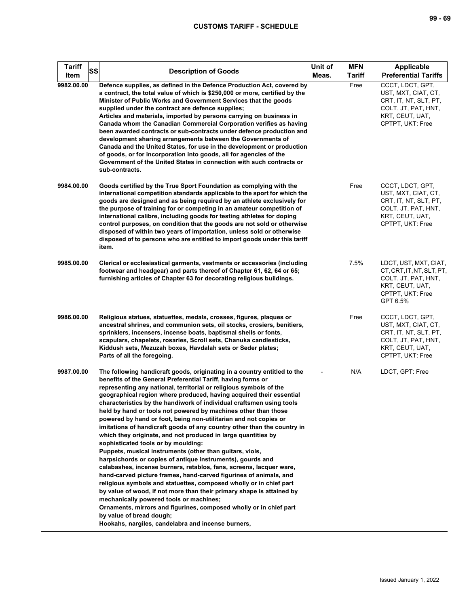| ×<br>۰,<br>٠ |  | ۰. |
|--------------|--|----|
|--------------|--|----|

| <b>Tariff</b><br>SS<br>Item | <b>Description of Goods</b>                                                                                                                                                                                                                                                                                                                                                                                                                                                                                                                                                                                                                                                                                                                                                                                                                                                                                                                                                                                                                                                                                                                                                                                                                                                                                    | Unit of<br>Meas. | <b>MFN</b><br><b>Tariff</b> | Applicable<br><b>Preferential Tariffs</b>                                                                                      |
|-----------------------------|----------------------------------------------------------------------------------------------------------------------------------------------------------------------------------------------------------------------------------------------------------------------------------------------------------------------------------------------------------------------------------------------------------------------------------------------------------------------------------------------------------------------------------------------------------------------------------------------------------------------------------------------------------------------------------------------------------------------------------------------------------------------------------------------------------------------------------------------------------------------------------------------------------------------------------------------------------------------------------------------------------------------------------------------------------------------------------------------------------------------------------------------------------------------------------------------------------------------------------------------------------------------------------------------------------------|------------------|-----------------------------|--------------------------------------------------------------------------------------------------------------------------------|
| 9982.00.00                  | Defence supplies, as defined in the Defence Production Act, covered by<br>a contract, the total value of which is \$250,000 or more, certified by the<br>Minister of Public Works and Government Services that the goods<br>supplied under the contract are defence supplies;<br>Articles and materials, imported by persons carrying on business in<br>Canada whom the Canadian Commercial Corporation verifies as having<br>been awarded contracts or sub-contracts under defence production and<br>development sharing arrangements between the Governments of<br>Canada and the United States, for use in the development or production<br>of goods, or for incorporation into goods, all for agencies of the<br>Government of the United States in connection with such contracts or<br>sub-contracts.                                                                                                                                                                                                                                                                                                                                                                                                                                                                                                    |                  | Free                        | CCCT, LDCT, GPT,<br>UST, MXT, CIAT, CT,<br>CRT, IT, NT, SLT, PT,<br>COLT, JT, PAT, HNT,<br>KRT, CEUT, UAT,<br>CPTPT, UKT: Free |
| 9984.00.00                  | Goods certified by the True Sport Foundation as complying with the<br>international competition standards applicable to the sport for which the<br>goods are designed and as being required by an athlete exclusively for<br>the purpose of training for or competing in an amateur competition of<br>international calibre, including goods for testing athletes for doping<br>control purposes, on condition that the goods are not sold or otherwise<br>disposed of within two years of importation, unless sold or otherwise<br>disposed of to persons who are entitled to import goods under this tariff<br>item.                                                                                                                                                                                                                                                                                                                                                                                                                                                                                                                                                                                                                                                                                         |                  | Free                        | CCCT, LDCT, GPT,<br>UST, MXT, CIAT, CT,<br>CRT, IT, NT, SLT, PT,<br>COLT, JT, PAT, HNT,<br>KRT, CEUT, UAT,<br>CPTPT, UKT: Free |
| 9985.00.00                  | Clerical or ecclesiastical garments, vestments or accessories (including<br>footwear and headgear) and parts thereof of Chapter 61, 62, 64 or 65;<br>furnishing articles of Chapter 63 for decorating religious buildings.                                                                                                                                                                                                                                                                                                                                                                                                                                                                                                                                                                                                                                                                                                                                                                                                                                                                                                                                                                                                                                                                                     |                  | 7.5%                        | LDCT, UST, MXT, CIAT,<br>CT.CRT.IT.NT.SLT.PT.<br>COLT, JT, PAT, HNT,<br>KRT, CEUT, UAT,<br>CPTPT, UKT: Free<br>GPT 6.5%        |
| 9986.00.00                  | Religious statues, statuettes, medals, crosses, figures, plaques or<br>ancestral shrines, and communion sets, oil stocks, crosiers, benitiers,<br>sprinklers, incensers, incense boats, baptismal shells or fonts,<br>scapulars, chapelets, rosaries, Scroll sets, Chanuka candlesticks,<br>Kiddush sets, Mezuzah boxes, Havdalah sets or Seder plates;<br>Parts of all the foregoing.                                                                                                                                                                                                                                                                                                                                                                                                                                                                                                                                                                                                                                                                                                                                                                                                                                                                                                                         |                  | Free                        | CCCT, LDCT, GPT,<br>UST, MXT, CIAT, CT,<br>CRT, IT, NT, SLT, PT,<br>COLT, JT, PAT, HNT,<br>KRT, CEUT, UAT,<br>CPTPT, UKT: Free |
| 9987.00.00                  | The following handicraft goods, originating in a country entitled to the<br>benefits of the General Preferential Tariff, having forms or<br>representing any national, territorial or religious symbols of the<br>geographical region where produced, having acquired their essential<br>characteristics by the handiwork of individual craftsmen using tools<br>held by hand or tools not powered by machines other than those<br>powered by hand or foot, being non-utilitarian and not copies or<br>imitations of handicraft goods of any country other than the country in<br>which they originate, and not produced in large quantities by<br>sophisticated tools or by moulding:<br>Puppets, musical instruments (other than guitars, viols,<br>harpsichords or copies of antique instruments), gourds and<br>calabashes, incense burners, retablos, fans, screens, lacquer ware,<br>hand-carved picture frames, hand-carved figurines of animals, and<br>religious symbols and statuettes, composed wholly or in chief part<br>by value of wood, if not more than their primary shape is attained by<br>mechanically powered tools or machines;<br>Ornaments, mirrors and figurines, composed wholly or in chief part<br>by value of bread dough;<br>Hookahs, nargiles, candelabra and incense burners, |                  | N/A                         | LDCT, GPT: Free                                                                                                                |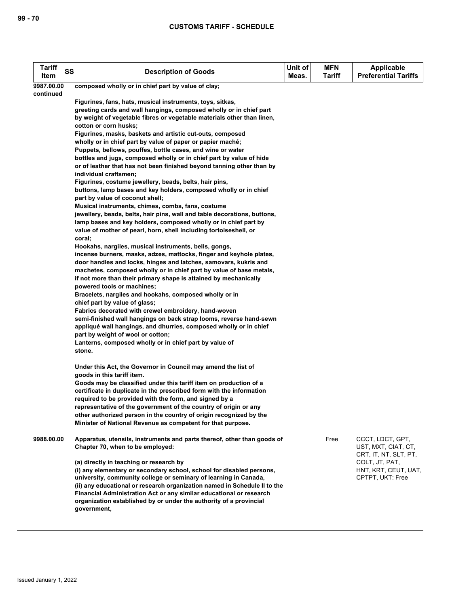| <b>Tariff</b><br>Item                                            | SS | <b>Description of Goods</b>                                                                                                | Unit of<br>Meas. | <b>MFN</b><br>Tariff | <b>Applicable</b><br><b>Preferential Tariffs</b> |  |  |  |
|------------------------------------------------------------------|----|----------------------------------------------------------------------------------------------------------------------------|------------------|----------------------|--------------------------------------------------|--|--|--|
| 9987.00.00<br>composed wholly or in chief part by value of clay; |    |                                                                                                                            |                  |                      |                                                  |  |  |  |
| continued                                                        |    |                                                                                                                            |                  |                      |                                                  |  |  |  |
|                                                                  |    | Figurines, fans, hats, musical instruments, toys, sitkas,                                                                  |                  |                      |                                                  |  |  |  |
|                                                                  |    | greeting cards and wall hangings, composed wholly or in chief part                                                         |                  |                      |                                                  |  |  |  |
|                                                                  |    | by weight of vegetable fibres or vegetable materials other than linen,                                                     |                  |                      |                                                  |  |  |  |
|                                                                  |    | cotton or corn husks;                                                                                                      |                  |                      |                                                  |  |  |  |
|                                                                  |    | Figurines, masks, baskets and artistic cut-outs, composed                                                                  |                  |                      |                                                  |  |  |  |
|                                                                  |    | wholly or in chief part by value of paper or papier maché;                                                                 |                  |                      |                                                  |  |  |  |
|                                                                  |    | Puppets, bellows, pouffes, bottle cases, and wine or water                                                                 |                  |                      |                                                  |  |  |  |
|                                                                  |    | bottles and jugs, composed wholly or in chief part by value of hide                                                        |                  |                      |                                                  |  |  |  |
|                                                                  |    | or of leather that has not been finished beyond tanning other than by                                                      |                  |                      |                                                  |  |  |  |
|                                                                  |    | individual craftsmen;<br>Figurines, costume jewellery, beads, belts, hair pins,                                            |                  |                      |                                                  |  |  |  |
|                                                                  |    | buttons, lamp bases and key holders, composed wholly or in chief                                                           |                  |                      |                                                  |  |  |  |
|                                                                  |    | part by value of coconut shell;                                                                                            |                  |                      |                                                  |  |  |  |
|                                                                  |    | Musical instruments, chimes, combs, fans, costume                                                                          |                  |                      |                                                  |  |  |  |
|                                                                  |    | jewellery, beads, belts, hair pins, wall and table decorations, buttons,                                                   |                  |                      |                                                  |  |  |  |
|                                                                  |    | lamp bases and key holders, composed wholly or in chief part by                                                            |                  |                      |                                                  |  |  |  |
|                                                                  |    | value of mother of pearl, horn, shell including tortoiseshell, or                                                          |                  |                      |                                                  |  |  |  |
|                                                                  |    | coral;                                                                                                                     |                  |                      |                                                  |  |  |  |
|                                                                  |    | Hookahs, nargiles, musical instruments, bells, gongs,                                                                      |                  |                      |                                                  |  |  |  |
|                                                                  |    | incense burners, masks, adzes, mattocks, finger and keyhole plates,                                                        |                  |                      |                                                  |  |  |  |
|                                                                  |    | door handles and locks, hinges and latches, samovars, kukris and                                                           |                  |                      |                                                  |  |  |  |
|                                                                  |    | machetes, composed wholly or in chief part by value of base metals,                                                        |                  |                      |                                                  |  |  |  |
|                                                                  |    | if not more than their primary shape is attained by mechanically                                                           |                  |                      |                                                  |  |  |  |
|                                                                  |    | powered tools or machines;                                                                                                 |                  |                      |                                                  |  |  |  |
|                                                                  |    | Bracelets, nargiles and hookahs, composed wholly or in                                                                     |                  |                      |                                                  |  |  |  |
|                                                                  |    | chief part by value of glass;                                                                                              |                  |                      |                                                  |  |  |  |
|                                                                  |    | Fabrics decorated with crewel embroidery, hand-woven<br>semi-finished wall hangings on back strap looms, reverse hand-sewn |                  |                      |                                                  |  |  |  |
|                                                                  |    | appliqué wall hangings, and dhurries, composed wholly or in chief                                                          |                  |                      |                                                  |  |  |  |
|                                                                  |    | part by weight of wool or cotton;                                                                                          |                  |                      |                                                  |  |  |  |
|                                                                  |    | Lanterns, composed wholly or in chief part by value of                                                                     |                  |                      |                                                  |  |  |  |
|                                                                  |    | stone.                                                                                                                     |                  |                      |                                                  |  |  |  |
|                                                                  |    |                                                                                                                            |                  |                      |                                                  |  |  |  |
|                                                                  |    | Under this Act, the Governor in Council may amend the list of                                                              |                  |                      |                                                  |  |  |  |
|                                                                  |    | goods in this tariff item.                                                                                                 |                  |                      |                                                  |  |  |  |
|                                                                  |    | Goods may be classified under this tariff item on production of a                                                          |                  |                      |                                                  |  |  |  |
|                                                                  |    | certificate in duplicate in the prescribed form with the information                                                       |                  |                      |                                                  |  |  |  |
|                                                                  |    | required to be provided with the form, and signed by a                                                                     |                  |                      |                                                  |  |  |  |
|                                                                  |    | representative of the government of the country of origin or any                                                           |                  |                      |                                                  |  |  |  |
|                                                                  |    | other authorized person in the country of origin recognized by the                                                         |                  |                      |                                                  |  |  |  |
|                                                                  |    | Minister of National Revenue as competent for that purpose.                                                                |                  |                      |                                                  |  |  |  |
| 9988.00.00                                                       |    | Apparatus, utensils, instruments and parts thereof, other than goods of                                                    |                  | Free                 | CCCT, LDCT, GPT,                                 |  |  |  |
|                                                                  |    | Chapter 70, when to be employed:                                                                                           |                  |                      | UST, MXT, CIAT, CT,                              |  |  |  |
|                                                                  |    |                                                                                                                            |                  |                      | CRT, IT, NT, SLT, PT,                            |  |  |  |
|                                                                  |    | (a) directly in teaching or research by                                                                                    |                  |                      | COLT, JT, PAT,                                   |  |  |  |
|                                                                  |    | (i) any elementary or secondary school, school for disabled persons,                                                       |                  |                      | HNT, KRT, CEUT, UAT,                             |  |  |  |
|                                                                  |    | university, community college or seminary of learning in Canada,                                                           |                  |                      | CPTPT, UKT: Free                                 |  |  |  |
|                                                                  |    | (ii) any educational or research organization named in Schedule II to the                                                  |                  |                      |                                                  |  |  |  |
|                                                                  |    | Financial Administration Act or any similar educational or research                                                        |                  |                      |                                                  |  |  |  |
|                                                                  |    | organization established by or under the authority of a provincial                                                         |                  |                      |                                                  |  |  |  |
|                                                                  |    | government,                                                                                                                |                  |                      |                                                  |  |  |  |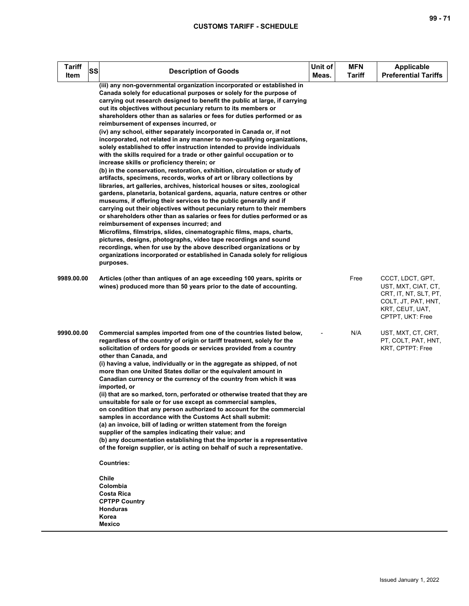| <b>Tariff</b><br>SS<br>Item | <b>Description of Goods</b>                                                                                                                                                                                                                                                                                                                                                                                                                                                                                                                                                                                                                                                                                                                                                                                                                                                                                                                                                                                                                                                                                                                                                                                                                                                                                                                                                                                                                                                                                                                                                                                                                                                 | Unit of<br>Meas. | <b>MFN</b><br><b>Tariff</b> | <b>Applicable</b><br><b>Preferential Tariffs</b>                                                                               |
|-----------------------------|-----------------------------------------------------------------------------------------------------------------------------------------------------------------------------------------------------------------------------------------------------------------------------------------------------------------------------------------------------------------------------------------------------------------------------------------------------------------------------------------------------------------------------------------------------------------------------------------------------------------------------------------------------------------------------------------------------------------------------------------------------------------------------------------------------------------------------------------------------------------------------------------------------------------------------------------------------------------------------------------------------------------------------------------------------------------------------------------------------------------------------------------------------------------------------------------------------------------------------------------------------------------------------------------------------------------------------------------------------------------------------------------------------------------------------------------------------------------------------------------------------------------------------------------------------------------------------------------------------------------------------------------------------------------------------|------------------|-----------------------------|--------------------------------------------------------------------------------------------------------------------------------|
|                             | (iii) any non-governmental organization incorporated or established in<br>Canada solely for educational purposes or solely for the purpose of<br>carrying out research designed to benefit the public at large, if carrying<br>out its objectives without pecuniary return to its members or<br>shareholders other than as salaries or fees for duties performed or as<br>reimbursement of expenses incurred, or<br>(iv) any school, either separately incorporated in Canada or, if not<br>incorporated, not related in any manner to non-qualifying organizations,<br>solely established to offer instruction intended to provide individuals<br>with the skills required for a trade or other gainful occupation or to<br>increase skills or proficiency therein; or<br>(b) in the conservation, restoration, exhibition, circulation or study of<br>artifacts, specimens, records, works of art or library collections by<br>libraries, art galleries, archives, historical houses or sites, zoological<br>gardens, planetaria, botanical gardens, aquaria, nature centres or other<br>museums, if offering their services to the public generally and if<br>carrying out their objectives without pecuniary return to their members<br>or shareholders other than as salaries or fees for duties performed or as<br>reimbursement of expenses incurred; and<br>Microfilms, filmstrips, slides, cinematographic films, maps, charts,<br>pictures, designs, photographs, video tape recordings and sound<br>recordings, when for use by the above described organizations or by<br>organizations incorporated or established in Canada solely for religious<br>purposes. |                  |                             |                                                                                                                                |
| 9989.00.00                  | Articles (other than antiques of an age exceeding 100 years, spirits or<br>wines) produced more than 50 years prior to the date of accounting.                                                                                                                                                                                                                                                                                                                                                                                                                                                                                                                                                                                                                                                                                                                                                                                                                                                                                                                                                                                                                                                                                                                                                                                                                                                                                                                                                                                                                                                                                                                              |                  | Free                        | CCCT, LDCT, GPT,<br>UST, MXT, CIAT, CT,<br>CRT, IT, NT, SLT, PT,<br>COLT, JT, PAT, HNT,<br>KRT, CEUT, UAT,<br>CPTPT, UKT: Free |
| 9990.00.00                  | Commercial samples imported from one of the countries listed below,<br>regardless of the country of origin or tariff treatment, solely for the<br>solicitation of orders for goods or services provided from a country<br>other than Canada, and<br>(i) having a value, individually or in the aggregate as shipped, of not<br>more than one United States dollar or the equivalent amount in<br>Canadian currency or the currency of the country from which it was<br>imported, or<br>(ii) that are so marked, torn, perforated or otherwise treated that they are<br>unsuitable for sale or for use except as commercial samples,<br>on condition that any person authorized to account for the commercial<br>samples in accordance with the Customs Act shall submit:<br>(a) an invoice, bill of lading or written statement from the foreign<br>supplier of the samples indicating their value; and<br>(b) any documentation establishing that the importer is a representative<br>of the foreign supplier, or is acting on behalf of such a representative.<br><b>Countries:</b><br>Chile<br>Colombia<br>Costa Rica<br><b>CPTPP Country</b><br><b>Honduras</b><br>Korea<br>Mexico                                                                                                                                                                                                                                                                                                                                                                                                                                                                                      |                  | N/A                         | UST, MXT, CT, CRT,<br>PT, COLT, PAT, HNT,<br>KRT, CPTPT: Free                                                                  |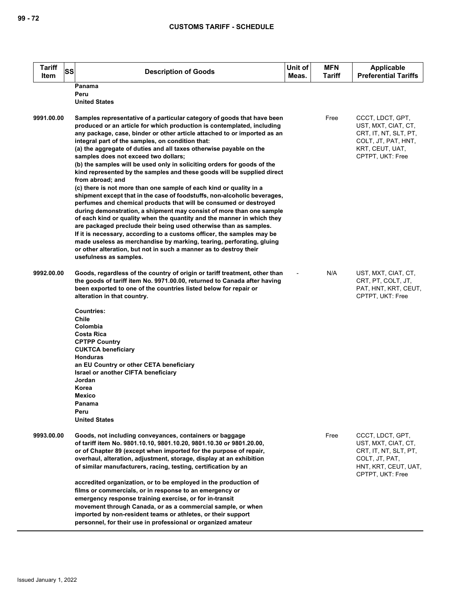| <b>Tariff</b><br>Item | SS<br><b>Description of Goods</b>                                                                                                                                                                                                                                                                                                                                                                                                                                                                                                                                                                                                                                                                                                                                                                                                                                                                                                                                                                                                                                                                                                                                                                                                                                        | Unit of<br>Meas. | <b>MFN</b><br>Tariff | <b>Applicable</b><br><b>Preferential Tariffs</b>                                                                               |
|-----------------------|--------------------------------------------------------------------------------------------------------------------------------------------------------------------------------------------------------------------------------------------------------------------------------------------------------------------------------------------------------------------------------------------------------------------------------------------------------------------------------------------------------------------------------------------------------------------------------------------------------------------------------------------------------------------------------------------------------------------------------------------------------------------------------------------------------------------------------------------------------------------------------------------------------------------------------------------------------------------------------------------------------------------------------------------------------------------------------------------------------------------------------------------------------------------------------------------------------------------------------------------------------------------------|------------------|----------------------|--------------------------------------------------------------------------------------------------------------------------------|
|                       | Panama<br>Peru<br><b>United States</b>                                                                                                                                                                                                                                                                                                                                                                                                                                                                                                                                                                                                                                                                                                                                                                                                                                                                                                                                                                                                                                                                                                                                                                                                                                   |                  |                      |                                                                                                                                |
| 9991.00.00            | Samples representative of a particular category of goods that have been<br>produced or an article for which production is contemplated, including<br>any package, case, binder or other article attached to or imported as an<br>integral part of the samples, on condition that:<br>(a) the aggregate of duties and all taxes otherwise payable on the<br>samples does not exceed two dollars;<br>(b) the samples will be used only in soliciting orders for goods of the<br>kind represented by the samples and these goods will be supplied direct<br>from abroad; and<br>(c) there is not more than one sample of each kind or quality in a<br>shipment except that in the case of foodstuffs, non-alcoholic beverages,<br>perfumes and chemical products that will be consumed or destroyed<br>during demonstration, a shipment may consist of more than one sample<br>of each kind or quality when the quantity and the manner in which they<br>are packaged preclude their being used otherwise than as samples.<br>If it is necessary, according to a customs officer, the samples may be<br>made useless as merchandise by marking, tearing, perforating, gluing<br>or other alteration, but not in such a manner as to destroy their<br>usefulness as samples. |                  | Free                 | CCCT, LDCT, GPT,<br>UST, MXT, CIAT, CT,<br>CRT, IT, NT, SLT, PT,<br>COLT, JT, PAT, HNT,<br>KRT, CEUT, UAT,<br>CPTPT, UKT: Free |
| 9992.00.00            | Goods, regardless of the country of origin or tariff treatment, other than<br>the goods of tariff item No. 9971.00.00, returned to Canada after having<br>been exported to one of the countries listed below for repair or<br>alteration in that country.<br><b>Countries:</b><br>Chile<br>Colombia<br>Costa Rica<br><b>CPTPP Country</b><br><b>CUKTCA beneficiary</b><br><b>Honduras</b><br>an EU Country or other CETA beneficiary<br>Israel or another CIFTA beneficiary<br>Jordan<br>Korea<br>Mexico<br>Panama<br>Peru<br><b>United States</b>                                                                                                                                                                                                                                                                                                                                                                                                                                                                                                                                                                                                                                                                                                                       |                  | N/A                  | UST, MXT, CIAT, CT,<br>CRT, PT, COLT, JT,<br>PAT, HNT, KRT, CEUT,<br>CPTPT, UKT: Free                                          |
| 9993.00.00            | Goods, not including conveyances, containers or baggage<br>of tariff item No. 9801.10.10, 9801.10.20, 9801.10.30 or 9801.20.00,<br>or of Chapter 89 (except when imported for the purpose of repair,<br>overhaul, alteration, adjustment, storage, display at an exhibition<br>of similar manufacturers, racing, testing, certification by an<br>accredited organization, or to be employed in the production of<br>films or commercials, or in response to an emergency or<br>emergency response training exercise, or for in-transit<br>movement through Canada, or as a commercial sample, or when<br>imported by non-resident teams or athletes, or their support<br>personnel, for their use in professional or organized amateur                                                                                                                                                                                                                                                                                                                                                                                                                                                                                                                                   |                  | Free                 | CCCT, LDCT, GPT,<br>UST, MXT, CIAT, CT,<br>CRT, IT, NT, SLT, PT,<br>COLT, JT, PAT,<br>HNT, KRT, CEUT, UAT,<br>CPTPT, UKT: Free |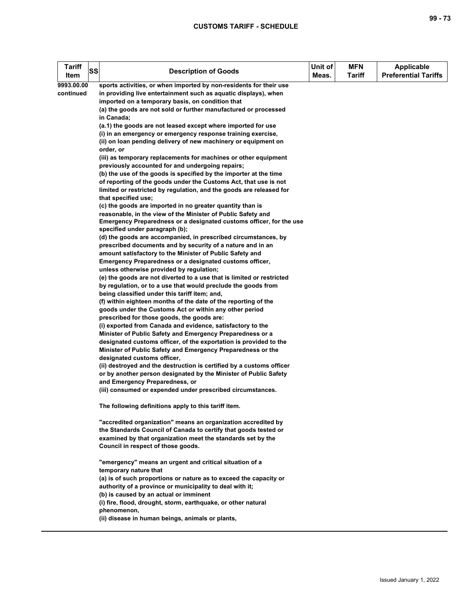## **CUSTOMS TARIFF - SCHEDULE**

| <b>Tariff</b><br>Item | SS | <b>Description of Goods</b>                                                                                                         | Unit of<br>Meas. | <b>MFN</b><br>Tariff | <b>Applicable</b><br><b>Preferential Tariffs</b> |
|-----------------------|----|-------------------------------------------------------------------------------------------------------------------------------------|------------------|----------------------|--------------------------------------------------|
| 9993.00.00            |    | sports activities, or when imported by non-residents for their use                                                                  |                  |                      |                                                  |
| continued             |    | in providing live entertainment such as aquatic displays), when                                                                     |                  |                      |                                                  |
|                       |    | imported on a temporary basis, on condition that                                                                                    |                  |                      |                                                  |
|                       |    | (a) the goods are not sold or further manufactured or processed                                                                     |                  |                      |                                                  |
|                       |    | in Canada;<br>(a.1) the goods are not leased except where imported for use                                                          |                  |                      |                                                  |
|                       |    | (i) in an emergency or emergency response training exercise,                                                                        |                  |                      |                                                  |
|                       |    | (ii) on loan pending delivery of new machinery or equipment on                                                                      |                  |                      |                                                  |
|                       |    | order, or                                                                                                                           |                  |                      |                                                  |
|                       |    | (iii) as temporary replacements for machines or other equipment                                                                     |                  |                      |                                                  |
|                       |    | previously accounted for and undergoing repairs;                                                                                    |                  |                      |                                                  |
|                       |    | (b) the use of the goods is specified by the importer at the time                                                                   |                  |                      |                                                  |
|                       |    | of reporting of the goods under the Customs Act, that use is not                                                                    |                  |                      |                                                  |
|                       |    | limited or restricted by regulation, and the goods are released for                                                                 |                  |                      |                                                  |
|                       |    | that specified use;                                                                                                                 |                  |                      |                                                  |
|                       |    | (c) the goods are imported in no greater quantity than is                                                                           |                  |                      |                                                  |
|                       |    | reasonable, in the view of the Minister of Public Safety and<br>Emergency Preparedness or a designated customs officer, for the use |                  |                      |                                                  |
|                       |    | specified under paragraph (b);                                                                                                      |                  |                      |                                                  |
|                       |    | (d) the goods are accompanied, in prescribed circumstances, by                                                                      |                  |                      |                                                  |
|                       |    | prescribed documents and by security of a nature and in an                                                                          |                  |                      |                                                  |
|                       |    | amount satisfactory to the Minister of Public Safety and                                                                            |                  |                      |                                                  |
|                       |    | Emergency Preparedness or a designated customs officer,                                                                             |                  |                      |                                                  |
|                       |    | unless otherwise provided by regulation;                                                                                            |                  |                      |                                                  |
|                       |    | (e) the goods are not diverted to a use that is limited or restricted                                                               |                  |                      |                                                  |
|                       |    | by regulation, or to a use that would preclude the goods from                                                                       |                  |                      |                                                  |
|                       |    | being classified under this tariff item; and,                                                                                       |                  |                      |                                                  |
|                       |    | (f) within eighteen months of the date of the reporting of the                                                                      |                  |                      |                                                  |
|                       |    | goods under the Customs Act or within any other period<br>prescribed for those goods, the goods are:                                |                  |                      |                                                  |
|                       |    | (i) exported from Canada and evidence, satisfactory to the                                                                          |                  |                      |                                                  |
|                       |    | Minister of Public Safety and Emergency Preparedness or a                                                                           |                  |                      |                                                  |
|                       |    | designated customs officer, of the exportation is provided to the                                                                   |                  |                      |                                                  |
|                       |    | Minister of Public Safety and Emergency Preparedness or the                                                                         |                  |                      |                                                  |
|                       |    | designated customs officer,                                                                                                         |                  |                      |                                                  |
|                       |    | (ii) destroyed and the destruction is certified by a customs officer                                                                |                  |                      |                                                  |
|                       |    | or by another person designated by the Minister of Public Safety                                                                    |                  |                      |                                                  |
|                       |    | and Emergency Preparedness, or                                                                                                      |                  |                      |                                                  |
|                       |    | (iii) consumed or expended under prescribed circumstances.                                                                          |                  |                      |                                                  |
|                       |    | The following definitions apply to this tariff item.                                                                                |                  |                      |                                                  |
|                       |    | "accredited organization" means an organization accredited by                                                                       |                  |                      |                                                  |
|                       |    | the Standards Council of Canada to certify that goods tested or                                                                     |                  |                      |                                                  |
|                       |    | examined by that organization meet the standards set by the                                                                         |                  |                      |                                                  |
|                       |    | Council in respect of those goods.                                                                                                  |                  |                      |                                                  |
|                       |    | "emergency" means an urgent and critical situation of a                                                                             |                  |                      |                                                  |
|                       |    | temporary nature that                                                                                                               |                  |                      |                                                  |
|                       |    | (a) is of such proportions or nature as to exceed the capacity or                                                                   |                  |                      |                                                  |
|                       |    | authority of a province or municipality to deal with it;                                                                            |                  |                      |                                                  |
|                       |    | (b) is caused by an actual or imminent                                                                                              |                  |                      |                                                  |
|                       |    | (i) fire, flood, drought, storm, earthquake, or other natural                                                                       |                  |                      |                                                  |
|                       |    | phenomenon,                                                                                                                         |                  |                      |                                                  |
|                       |    | (ii) disease in human beings, animals or plants,                                                                                    |                  |                      |                                                  |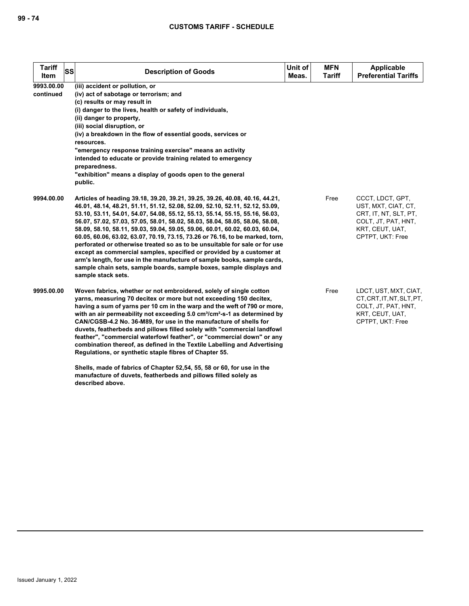| <b>Tariff</b><br>SS<br>Item | <b>Description of Goods</b>                                                                                                                                                                                                                                                                                                                                                                                                                                                                                                                                                                                                                                                                                                                                                                                                | Unit of<br>Meas. | <b>MFN</b><br><b>Tariff</b> | <b>Applicable</b><br><b>Preferential Tariffs</b>                                                                               |
|-----------------------------|----------------------------------------------------------------------------------------------------------------------------------------------------------------------------------------------------------------------------------------------------------------------------------------------------------------------------------------------------------------------------------------------------------------------------------------------------------------------------------------------------------------------------------------------------------------------------------------------------------------------------------------------------------------------------------------------------------------------------------------------------------------------------------------------------------------------------|------------------|-----------------------------|--------------------------------------------------------------------------------------------------------------------------------|
| 9993.00.00<br>continued     | (iii) accident or pollution, or<br>(iv) act of sabotage or terrorism; and<br>(c) results or may result in<br>(i) danger to the lives, health or safety of individuals,<br>(ii) danger to property,<br>(iii) social disruption, or<br>(iv) a breakdown in the flow of essential goods, services or<br>resources.<br>"emergency response training exercise" means an activity<br>intended to educate or provide training related to emergency<br>preparedness.<br>"exhibition" means a display of goods open to the general<br>public.                                                                                                                                                                                                                                                                                       |                  |                             |                                                                                                                                |
| 9994.00.00                  | Articles of heading 39.18, 39.20, 39.21, 39.25, 39.26, 40.08, 40.16, 44.21,<br>46.01, 48.14, 48.21, 51.11, 51.12, 52.08, 52.09, 52.10, 52.11, 52.12, 53.09,<br>53.10, 53.11, 54.01, 54.07, 54.08, 55.12, 55.13, 55.14, 55.15, 55.16, 56.03,<br>56.07, 57.02, 57.03, 57.05, 58.01, 58.02, 58.03, 58.04, 58.05, 58.06, 58.08,<br>58.09, 58.10, 58.11, 59.03, 59.04, 59.05, 59.06, 60.01, 60.02, 60.03, 60.04,<br>60.05, 60.06, 63.02, 63.07, 70.19, 73.15, 73.26 or 76.16, to be marked, torn,<br>perforated or otherwise treated so as to be unsuitable for sale or for use<br>except as commercial samples, specified or provided by a customer at<br>arm's length, for use in the manufacture of sample books, sample cards,<br>sample chain sets, sample boards, sample boxes, sample displays and<br>sample stack sets. |                  | Free                        | CCCT, LDCT, GPT,<br>UST, MXT, CIAT, CT,<br>CRT, IT, NT, SLT, PT,<br>COLT, JT, PAT, HNT,<br>KRT, CEUT, UAT,<br>CPTPT, UKT: Free |
| 9995.00.00                  | Woven fabrics, whether or not embroidered, solely of single cotton<br>yarns, measuring 70 decitex or more but not exceeding 150 decitex,<br>having a sum of yarns per 10 cm in the warp and the weft of 790 or more,<br>with an air permeability not exceeding 5.0 cm <sup>3</sup> /cm <sup>2</sup> -s-1 as determined by<br>CAN/CGSB-4.2 No. 36-M89, for use in the manufacture of shells for<br>duvets, featherbeds and pillows filled solely with "commercial landfowl<br>feather", "commercial waterfowl feather", or "commercial down" or any<br>combination thereof, as defined in the Textile Labelling and Advertising<br>Regulations, or synthetic staple fibres of Chapter 55.<br>Shells, made of fabrics of Chapter 52,54, 55, 58 or 60, for use in the                                                         |                  | Free                        | LDCT, UST, MXT, CIAT,<br>CT, CRT, IT, NT, SLT, PT,<br>COLT, JT, PAT, HNT,<br>KRT, CEUT, UAT,<br>CPTPT, UKT: Free               |

**manufacture of duvets, featherbeds and pillows filled solely as** 

**described above.**